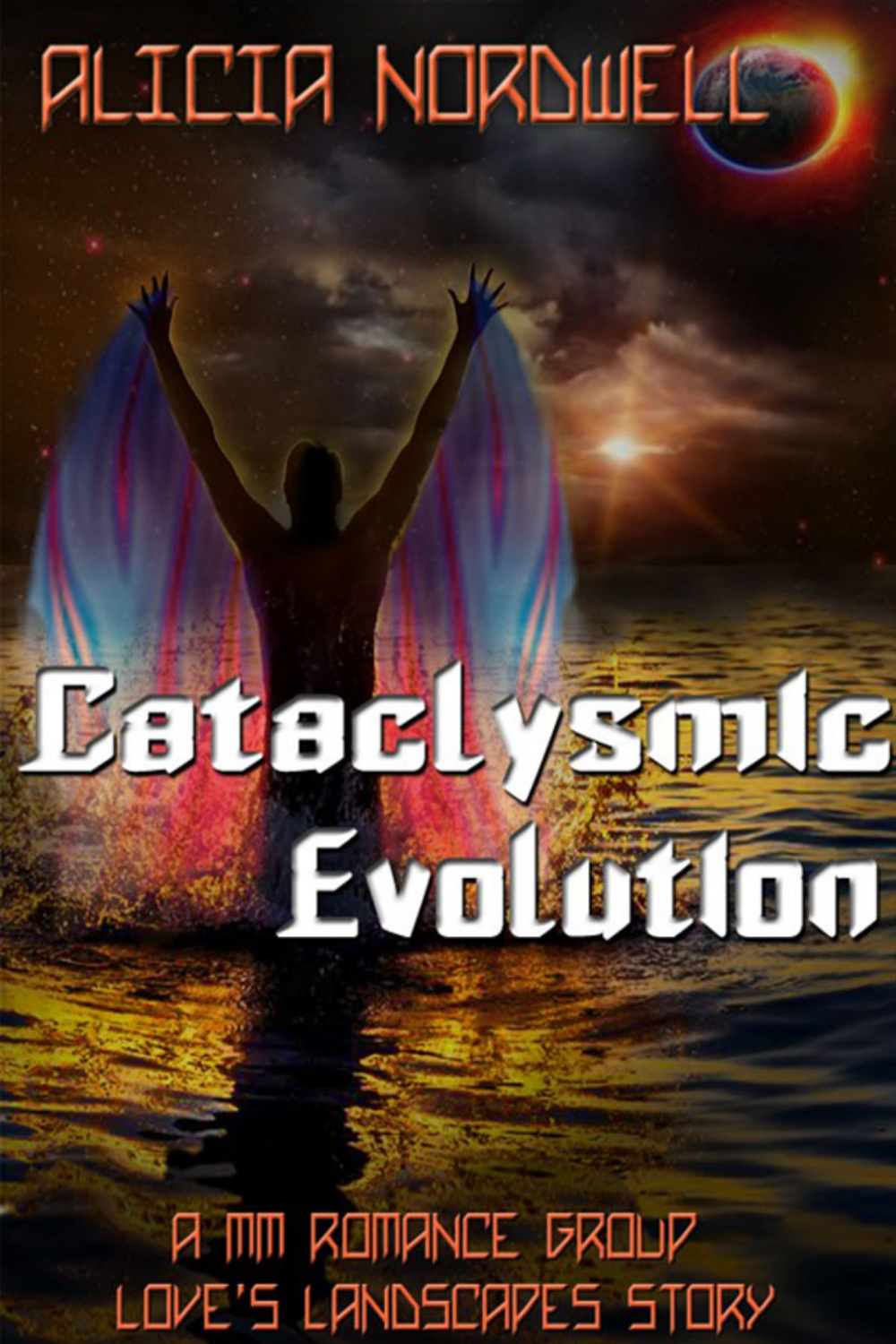# **PILICIA NORDUELLE**

# Esterlysonte Evolmation

**P. MM ROMANCE GROUP** LOVE'S LANDSCAPES STORY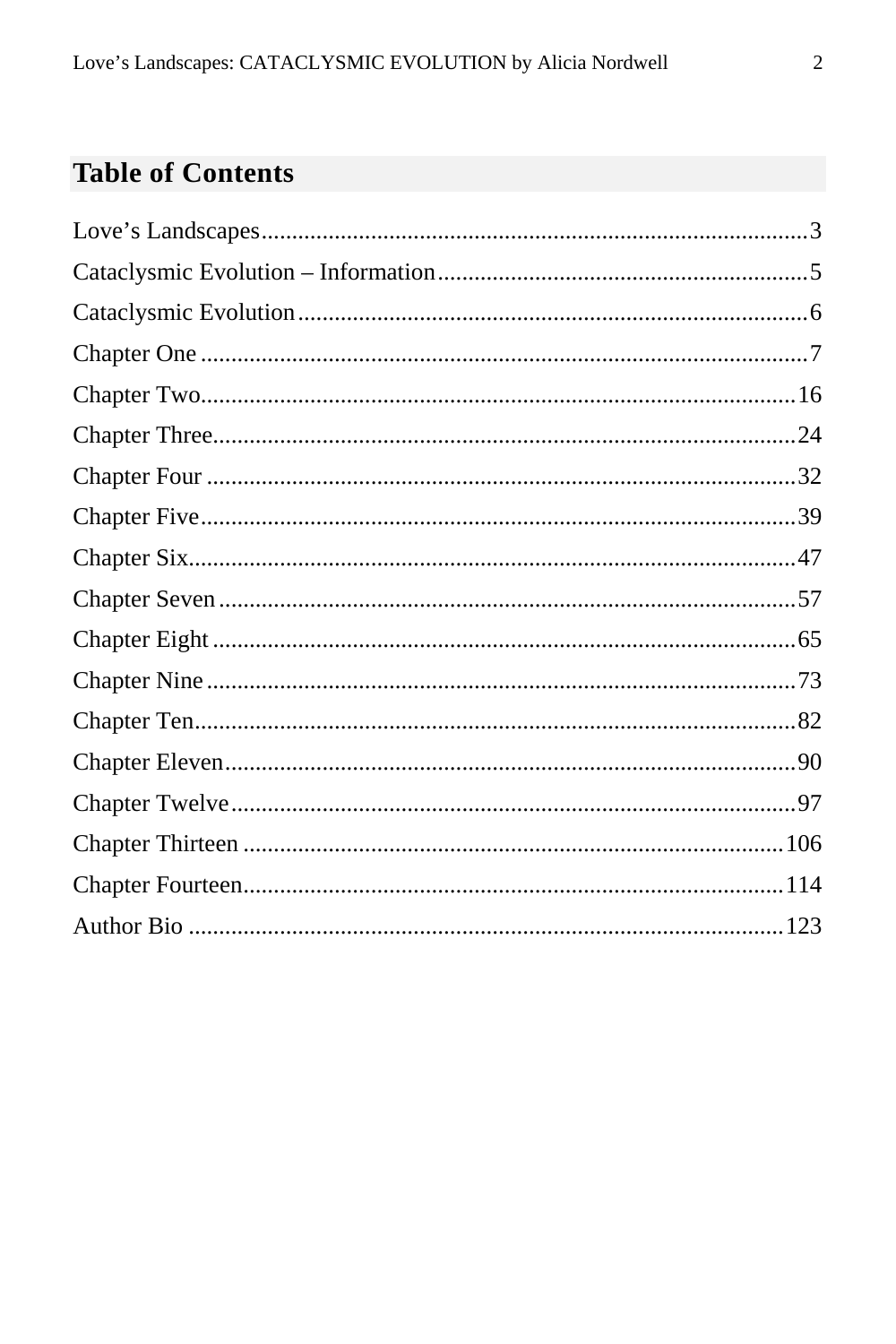#### **Table of Contents**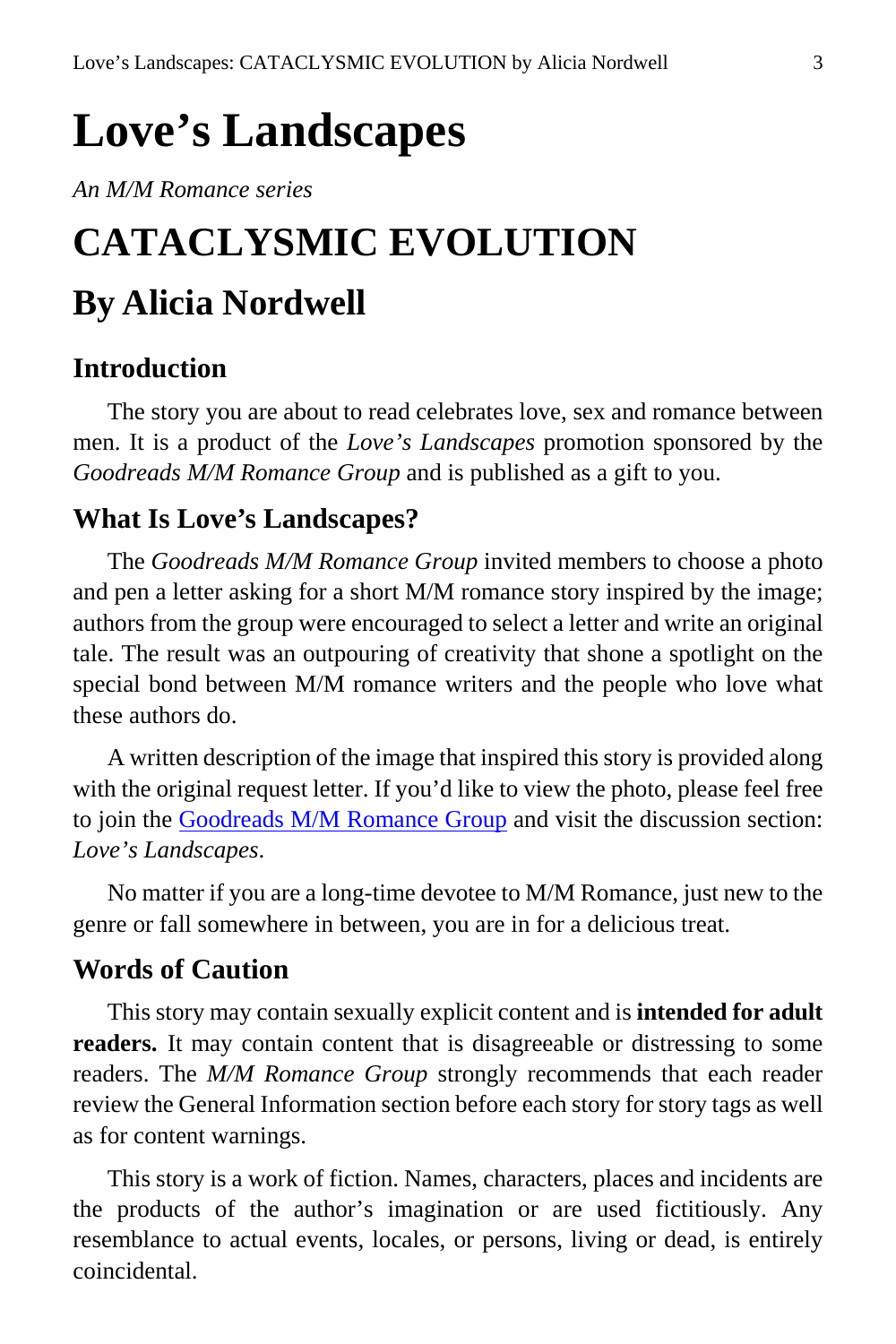## <span id="page-2-0"></span>**Love's Landscapes**

*An M/M Romance series*

# **CATACLYSMIC EVOLUTION By Alicia Nordwell**

#### **Introduction**

The story you are about to read celebrates love, sex and romance between men. It is a product of the *Love's Landscapes* promotion sponsored by the *Goodreads M/M Romance Group* and is published as a gift to you.

#### **What Is Love's Landscapes?**

The *Goodreads M/M Romance Group* invited members to choose a photo and pen a letter asking for a short M/M romance story inspired by the image; authors from the group were encouraged to select a letter and write an original tale. The result was an outpouring of creativity that shone a spotlight on the special bond between M/M romance writers and the people who love what these authors do.

A written description of the image that inspired this story is provided along with the original request letter. If you'd like to view the photo, please feel free to join the [Goodreads M/M Romance Group](http://www.goodreads.com/group/show/20149-m-m-romance) and visit the discussion section: *Love's Landscapes*.

No matter if you are a long-time devotee to M/M Romance, just new to the genre or fall somewhere in between, you are in for a delicious treat.

#### **Words of Caution**

This story may contain sexually explicit content and is **intended for adult readers.** It may contain content that is disagreeable or distressing to some readers. The *M/M Romance Group* strongly recommends that each reader review the General Information section before each story for story tags as well as for content warnings.

This story is a work of fiction. Names, characters, places and incidents are the products of the author's imagination or are used fictitiously. Any resemblance to actual events, locales, or persons, living or dead, is entirely coincidental.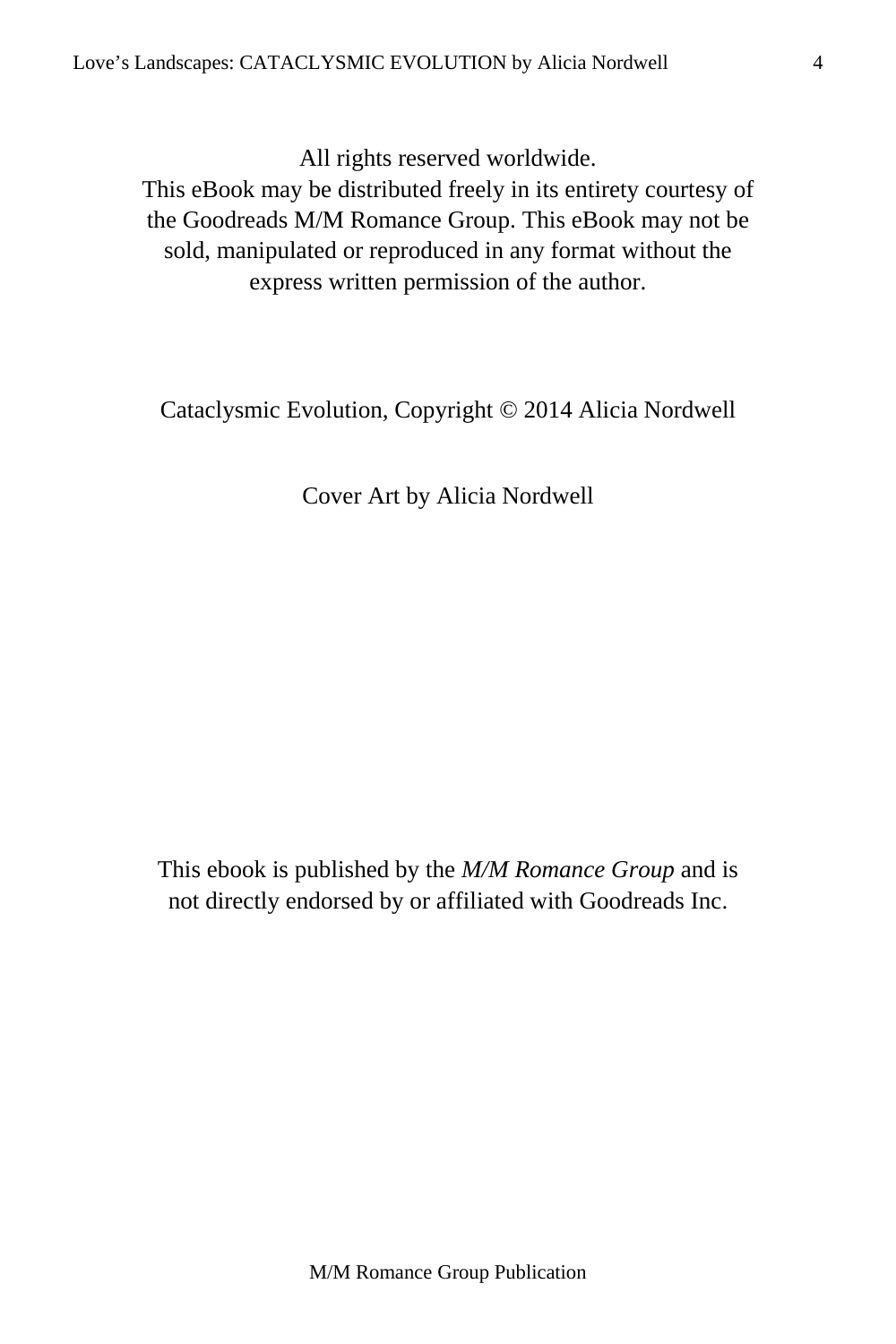All rights reserved worldwide.

This eBook may be distributed freely in its entirety courtesy of the Goodreads M/M Romance Group. This eBook may not be sold, manipulated or reproduced in any format without the express written permission of the author.

Cataclysmic Evolution, Copyright © 2014 Alicia Nordwell

Cover Art by Alicia Nordwell

This ebook is published by the *M/M Romance Group* and is not directly endorsed by or affiliated with Goodreads Inc.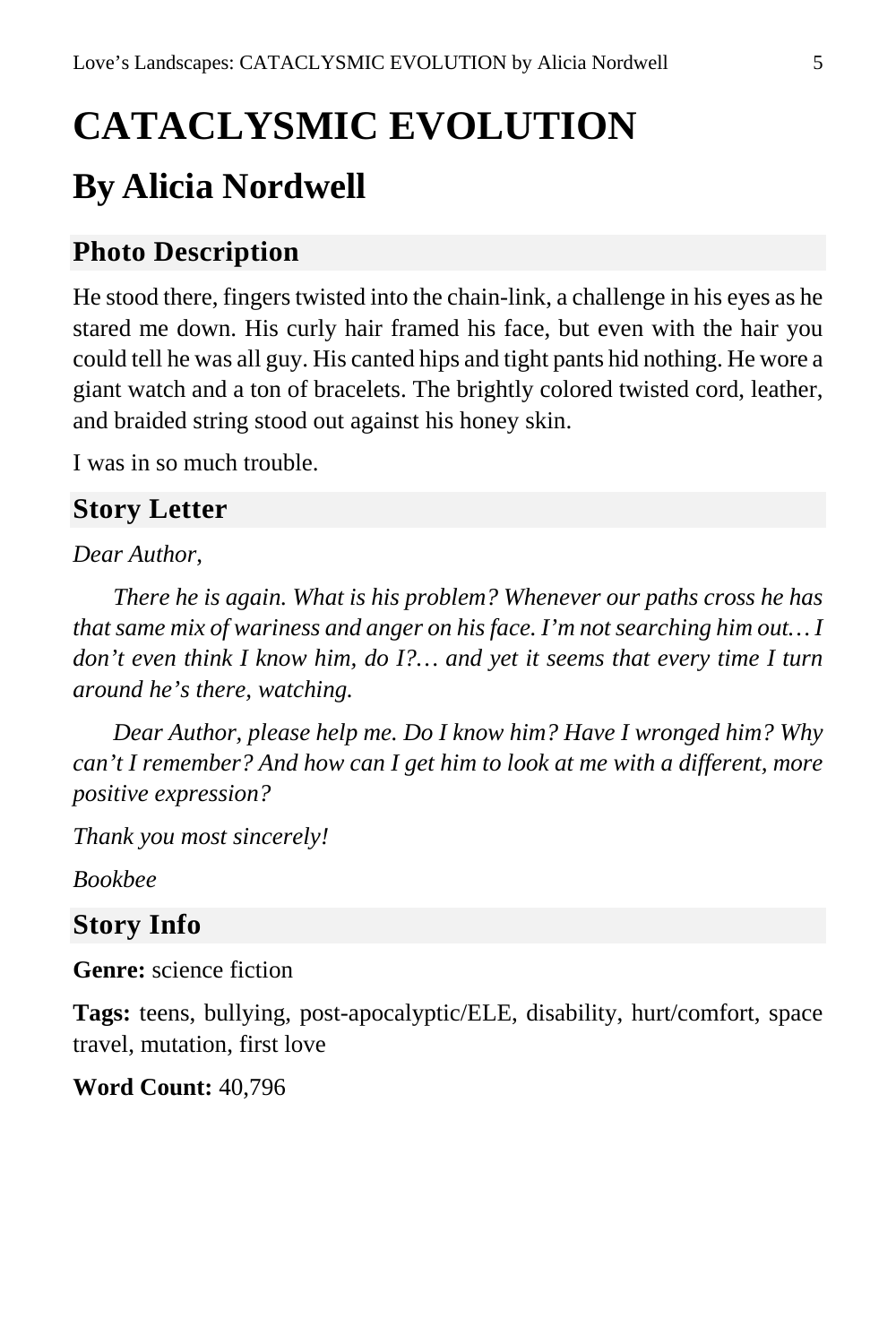# <span id="page-4-0"></span>**CATACLYSMIC EVOLUTION By Alicia Nordwell**

#### **Photo Description**

He stood there, fingers twisted into the chain-link, a challenge in his eyes as he stared me down. His curly hair framed his face, but even with the hair you could tell he was all guy. His canted hips and tight pants hid nothing. He wore a giant watch and a ton of bracelets. The brightly colored twisted cord, leather, and braided string stood out against his honey skin.

I was in so much trouble.

#### **Story Letter**

#### *Dear Author*,

*There he is again. What is his problem? Whenever our paths cross he has that same mix of wariness and anger on his face. I'm not searching him out… I don't even think I know him, do I?… and yet it seems that every time I turn around he's there, watching.*

*Dear Author, please help me. Do I know him? Have I wronged him? Why can't I remember? And how can I get him to look at me with a different, more positive expression?*

*Thank you most sincerely!*

*Bookbee*

#### **Story Info**

**Genre:** science fiction

**Tags:** teens, bullying, post-apocalyptic/ELE, disability, hurt/comfort, space travel, mutation, first love

**Word Count:** 40,796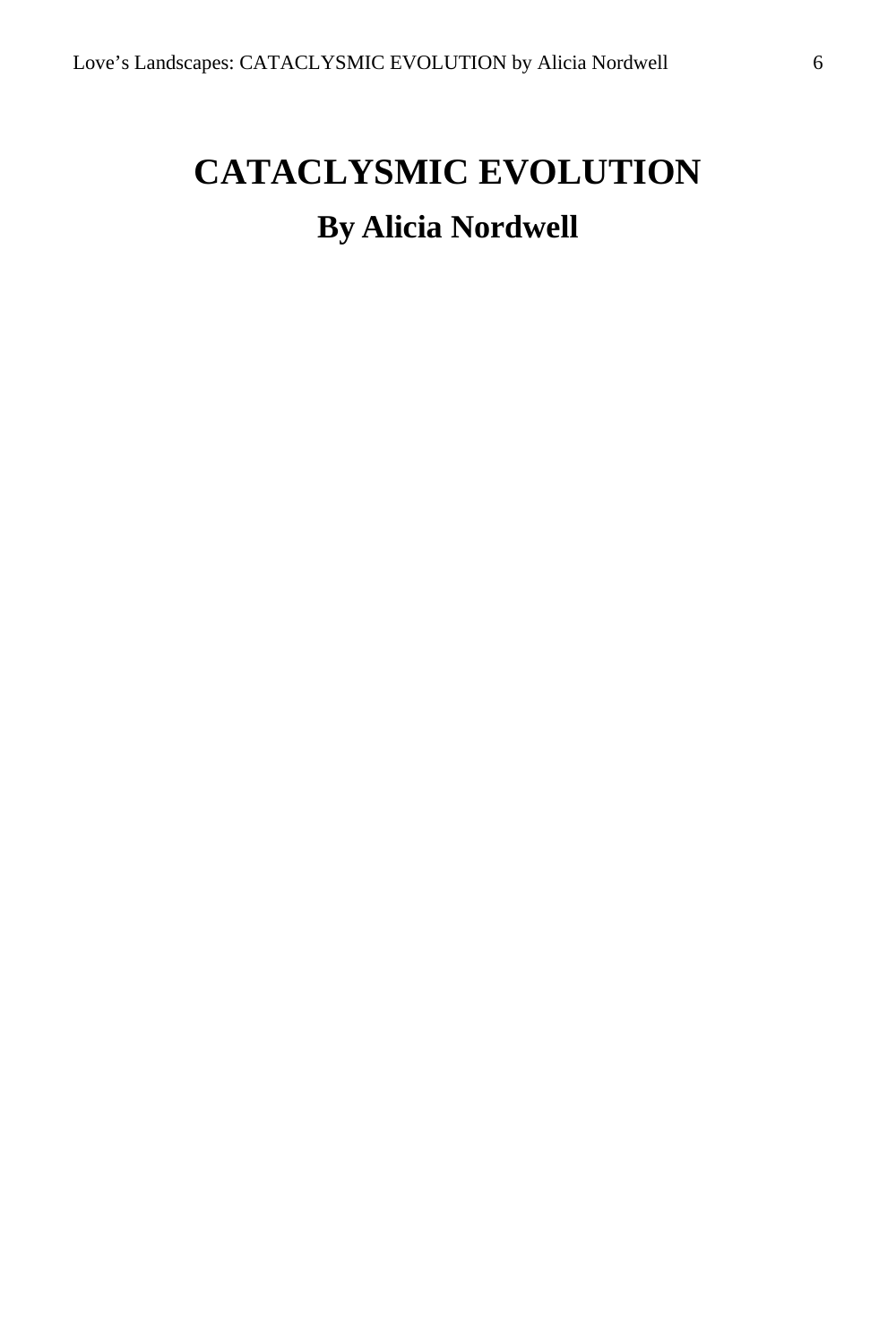## <span id="page-5-0"></span>**CATACLYSMIC EVOLUTION By Alicia Nordwell**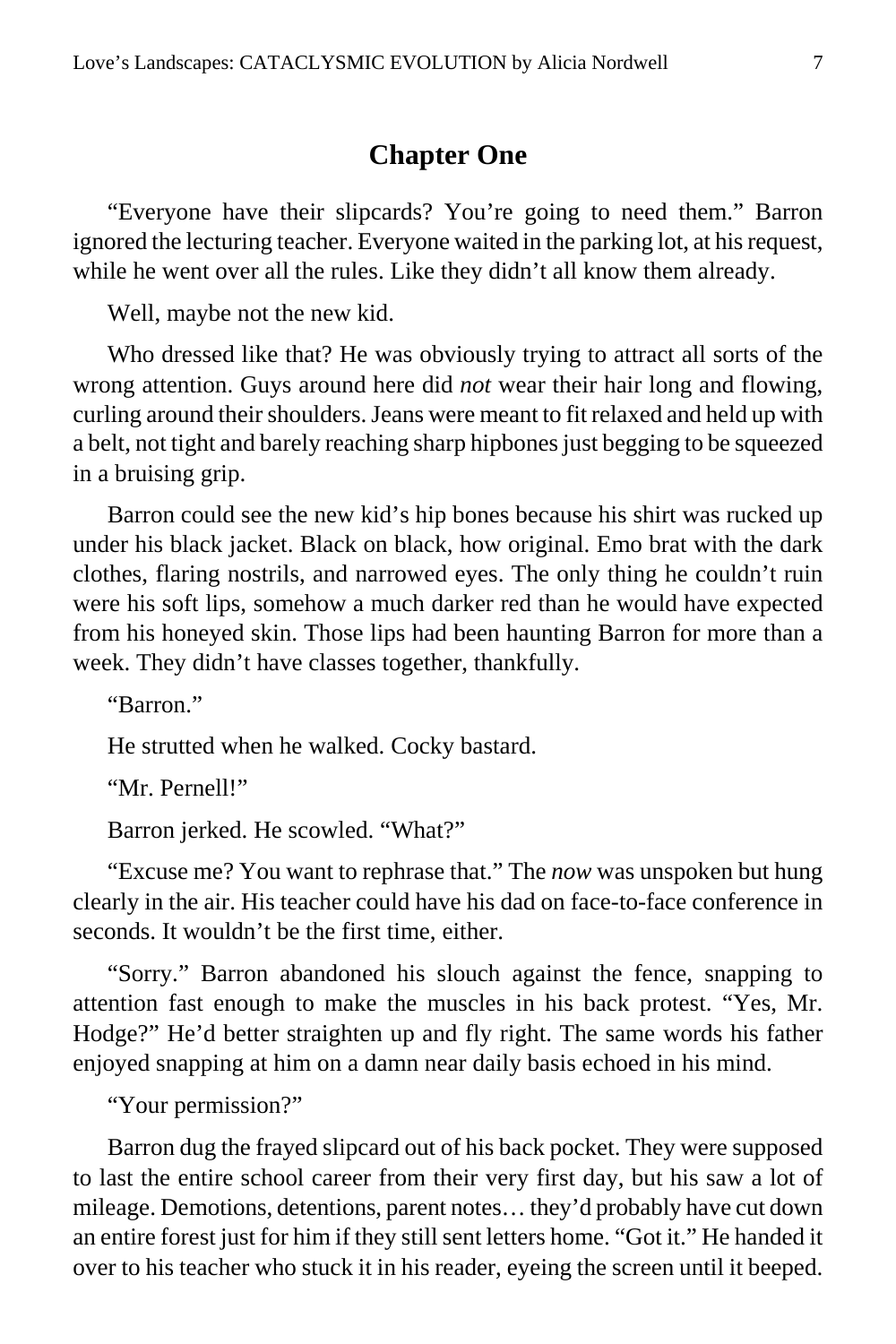#### **Chapter One**

<span id="page-6-0"></span>"Everyone have their slipcards? You're going to need them." Barron ignored the lecturing teacher. Everyone waited in the parking lot, at his request, while he went over all the rules. Like they didn't all know them already.

Well, maybe not the new kid.

Who dressed like that? He was obviously trying to attract all sorts of the wrong attention. Guys around here did *not* wear their hair long and flowing, curling around their shoulders. Jeans were meant to fit relaxed and held up with a belt, not tight and barely reaching sharp hipbones just begging to be squeezed in a bruising grip.

Barron could see the new kid's hip bones because his shirt was rucked up under his black jacket. Black on black, how original. Emo brat with the dark clothes, flaring nostrils, and narrowed eyes. The only thing he couldn't ruin were his soft lips, somehow a much darker red than he would have expected from his honeyed skin. Those lips had been haunting Barron for more than a week. They didn't have classes together, thankfully.

"Barron."

He strutted when he walked. Cocky bastard.

"Mr. Pernell!"

Barron jerked. He scowled. "What?"

"Excuse me? You want to rephrase that." The *now* was unspoken but hung clearly in the air. His teacher could have his dad on face-to-face conference in seconds. It wouldn't be the first time, either.

"Sorry." Barron abandoned his slouch against the fence, snapping to attention fast enough to make the muscles in his back protest. "Yes, Mr. Hodge?" He'd better straighten up and fly right. The same words his father enjoyed snapping at him on a damn near daily basis echoed in his mind.

"Your permission?"

Barron dug the frayed slipcard out of his back pocket. They were supposed to last the entire school career from their very first day, but his saw a lot of mileage. Demotions, detentions, parent notes… they'd probably have cut down an entire forest just for him if they still sent letters home. "Got it." He handed it over to his teacher who stuck it in his reader, eyeing the screen until it beeped.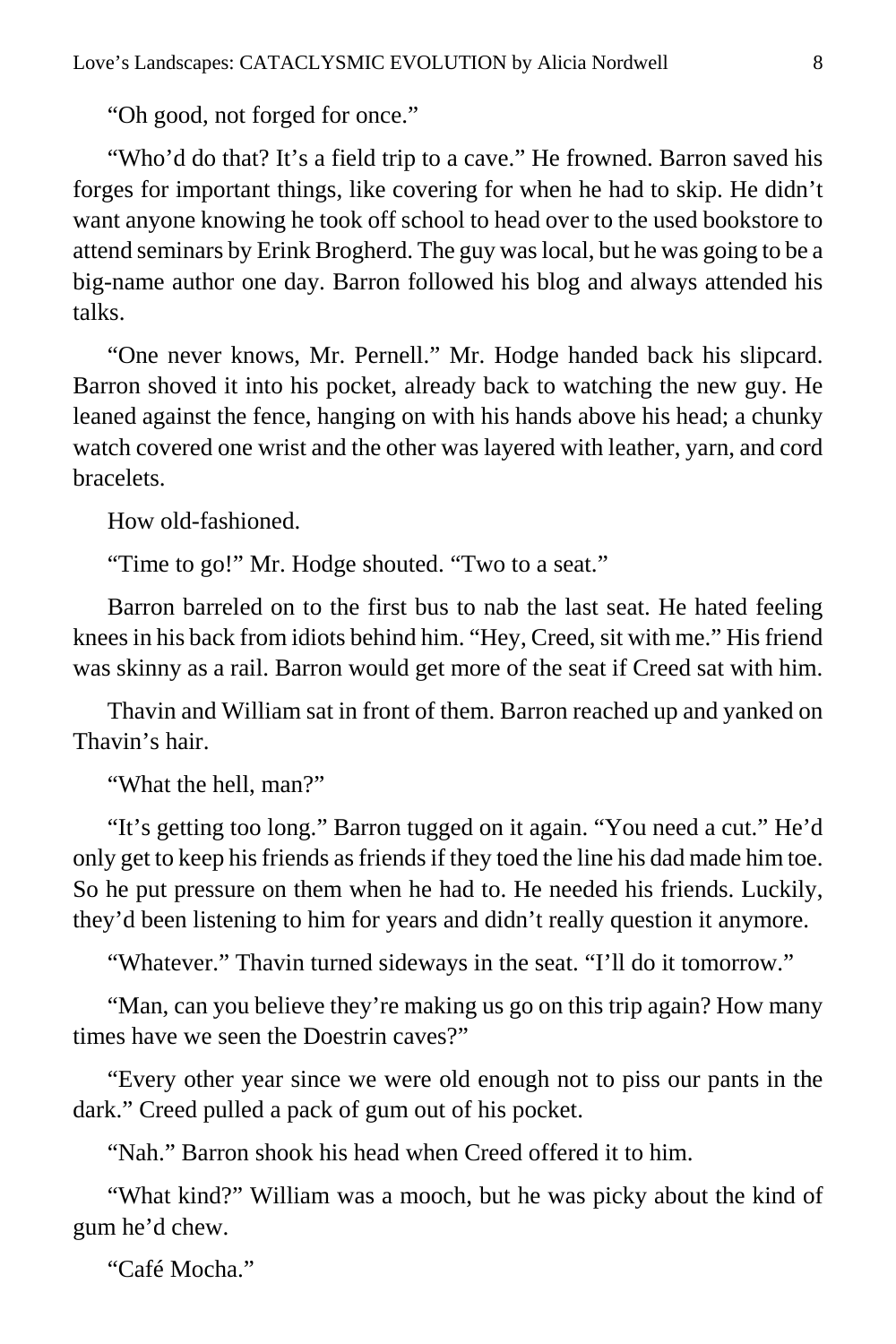"Oh good, not forged for once."

"Who'd do that? It's a field trip to a cave." He frowned. Barron saved his forges for important things, like covering for when he had to skip. He didn't want anyone knowing he took off school to head over to the used bookstore to attend seminars by Erink Brogherd. The guy was local, but he was going to be a big-name author one day. Barron followed his blog and always attended his talks.

"One never knows, Mr. Pernell." Mr. Hodge handed back his slipcard. Barron shoved it into his pocket, already back to watching the new guy. He leaned against the fence, hanging on with his hands above his head; a chunky watch covered one wrist and the other was layered with leather, yarn, and cord bracelets.

How old-fashioned.

"Time to go!" Mr. Hodge shouted. "Two to a seat."

Barron barreled on to the first bus to nab the last seat. He hated feeling knees in his back from idiots behind him. "Hey, Creed, sit with me." His friend was skinny as a rail. Barron would get more of the seat if Creed sat with him.

Thavin and William sat in front of them. Barron reached up and yanked on Thavin's hair.

"What the hell, man?"

"It's getting too long." Barron tugged on it again. "You need a cut." He'd only get to keep his friends as friends if they toed the line his dad made him toe. So he put pressure on them when he had to. He needed his friends. Luckily, they'd been listening to him for years and didn't really question it anymore.

"Whatever." Thavin turned sideways in the seat. "I'll do it tomorrow."

"Man, can you believe they're making us go on this trip again? How many times have we seen the Doestrin caves?"

"Every other year since we were old enough not to piss our pants in the dark." Creed pulled a pack of gum out of his pocket.

"Nah." Barron shook his head when Creed offered it to him.

"What kind?" William was a mooch, but he was picky about the kind of gum he'd chew.

"Café Mocha."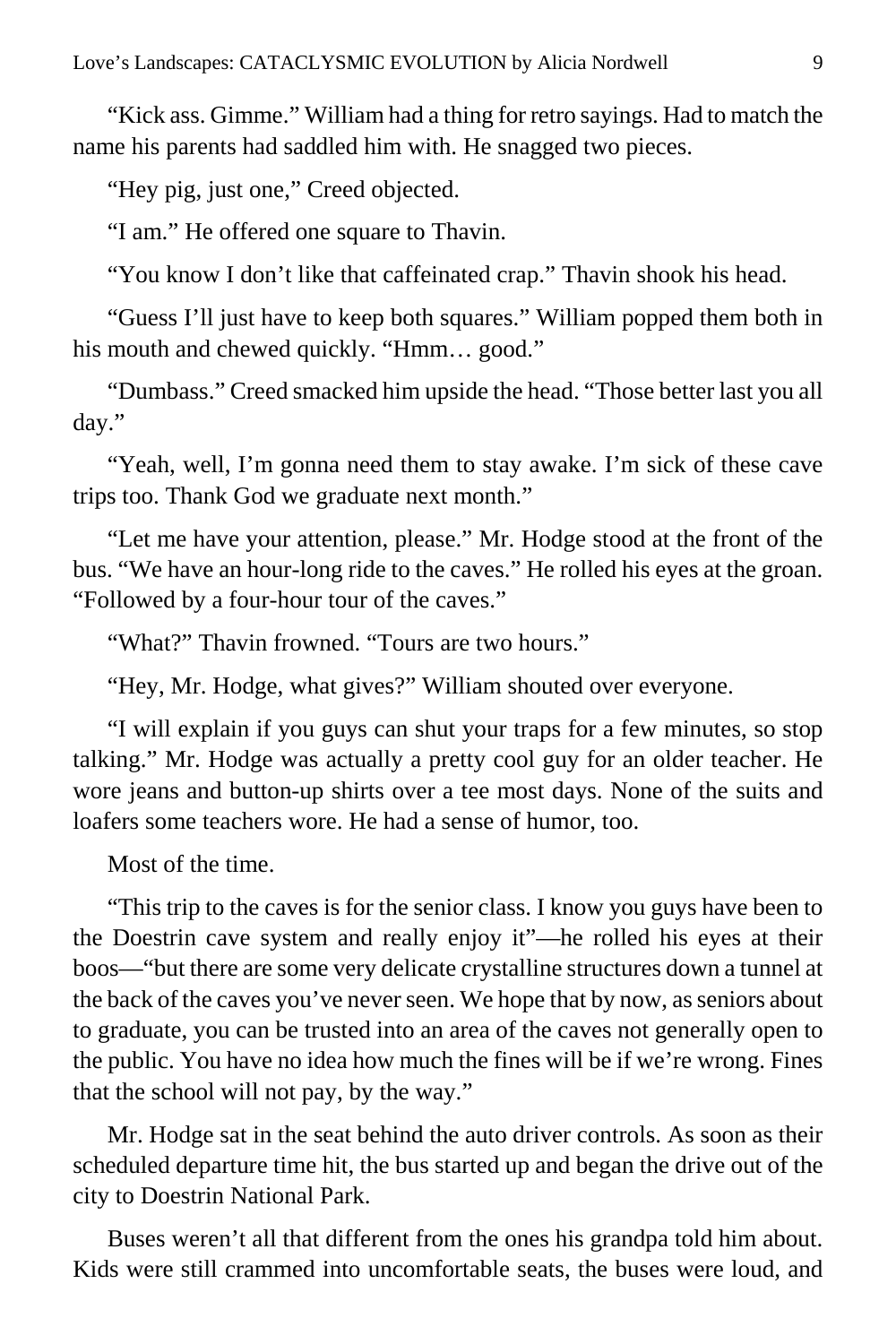"Kick ass. Gimme." William had a thing for retro sayings. Had to match the name his parents had saddled him with. He snagged two pieces.

"Hey pig, just one," Creed objected.

"I am." He offered one square to Thavin.

"You know I don't like that caffeinated crap." Thavin shook his head.

"Guess I'll just have to keep both squares." William popped them both in his mouth and chewed quickly. "Hmm... good."

"Dumbass." Creed smacked him upside the head. "Those better last you all day."

"Yeah, well, I'm gonna need them to stay awake. I'm sick of these cave trips too. Thank God we graduate next month."

"Let me have your attention, please." Mr. Hodge stood at the front of the bus. "We have an hour-long ride to the caves." He rolled his eyes at the groan. "Followed by a four-hour tour of the caves."

"What?" Thavin frowned. "Tours are two hours."

"Hey, Mr. Hodge, what gives?" William shouted over everyone.

"I will explain if you guys can shut your traps for a few minutes, so stop talking." Mr. Hodge was actually a pretty cool guy for an older teacher. He wore jeans and button-up shirts over a tee most days. None of the suits and loafers some teachers wore. He had a sense of humor, too.

Most of the time.

"This trip to the caves is for the senior class. I know you guys have been to the Doestrin cave system and really enjoy it"—he rolled his eyes at their boos—"but there are some very delicate crystalline structures down a tunnel at the back of the caves you've never seen. We hope that by now, as seniors about to graduate, you can be trusted into an area of the caves not generally open to the public. You have no idea how much the fines will be if we're wrong. Fines that the school will not pay, by the way."

Mr. Hodge sat in the seat behind the auto driver controls. As soon as their scheduled departure time hit, the bus started up and began the drive out of the city to Doestrin National Park.

Buses weren't all that different from the ones his grandpa told him about. Kids were still crammed into uncomfortable seats, the buses were loud, and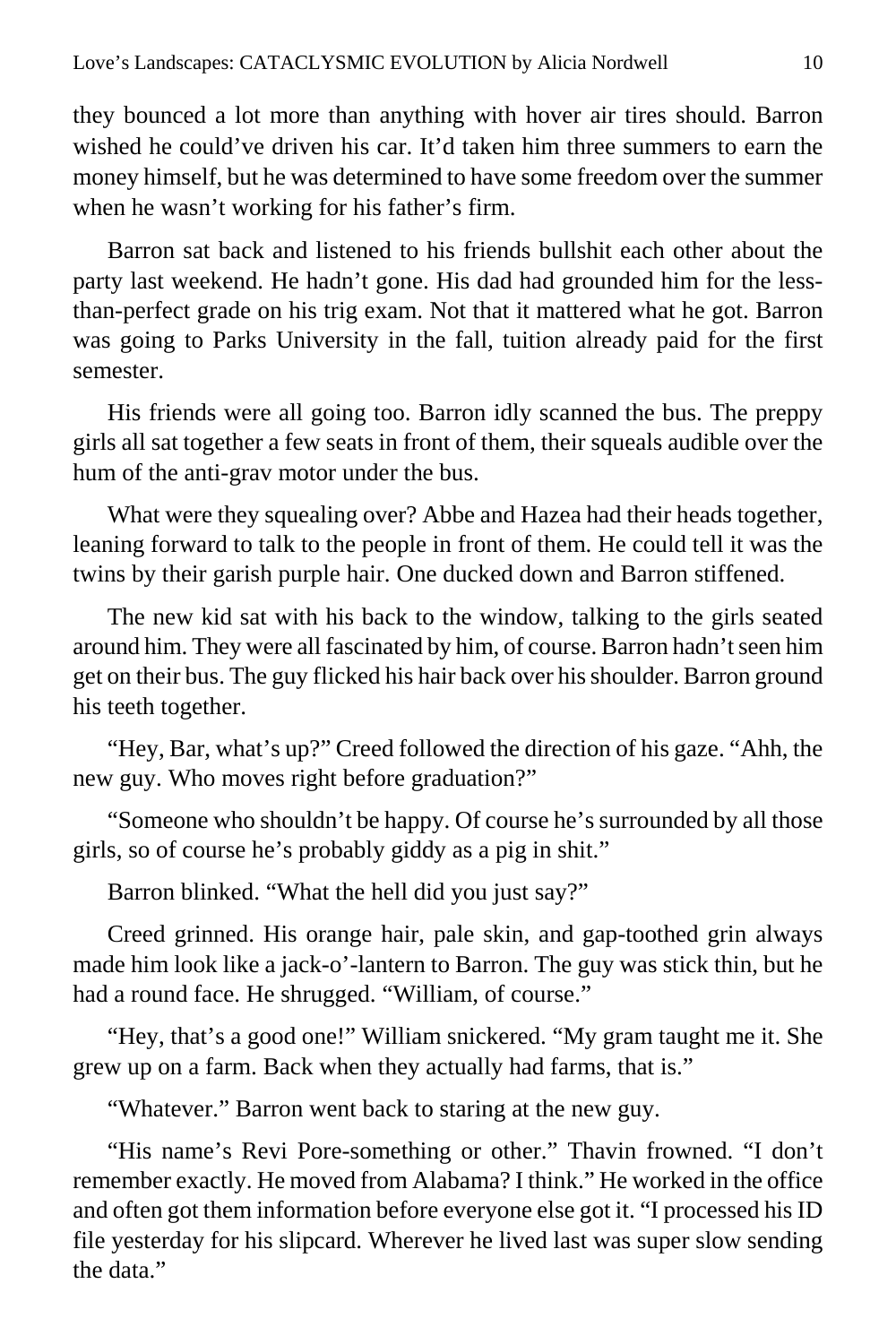they bounced a lot more than anything with hover air tires should. Barron wished he could've driven his car. It'd taken him three summers to earn the money himself, but he was determined to have some freedom over the summer when he wasn't working for his father's firm.

Barron sat back and listened to his friends bullshit each other about the party last weekend. He hadn't gone. His dad had grounded him for the lessthan-perfect grade on his trig exam. Not that it mattered what he got. Barron was going to Parks University in the fall, tuition already paid for the first semester.

His friends were all going too. Barron idly scanned the bus. The preppy girls all sat together a few seats in front of them, their squeals audible over the hum of the anti-grav motor under the bus.

What were they squealing over? Abbe and Hazea had their heads together, leaning forward to talk to the people in front of them. He could tell it was the twins by their garish purple hair. One ducked down and Barron stiffened.

The new kid sat with his back to the window, talking to the girls seated around him. They were all fascinated by him, of course. Barron hadn't seen him get on their bus. The guy flicked his hair back over his shoulder. Barron ground his teeth together.

"Hey, Bar, what's up?" Creed followed the direction of his gaze. "Ahh, the new guy. Who moves right before graduation?"

"Someone who shouldn't be happy. Of course he's surrounded by all those girls, so of course he's probably giddy as a pig in shit."

Barron blinked. "What the hell did you just say?"

Creed grinned. His orange hair, pale skin, and gap-toothed grin always made him look like a jack-o'-lantern to Barron. The guy was stick thin, but he had a round face. He shrugged. "William, of course."

"Hey, that's a good one!" William snickered. "My gram taught me it. She grew up on a farm. Back when they actually had farms, that is."

"Whatever." Barron went back to staring at the new guy.

"His name's Revi Pore-something or other." Thavin frowned. "I don't remember exactly. He moved from Alabama? I think." He worked in the office and often got them information before everyone else got it. "I processed his ID file yesterday for his slipcard. Wherever he lived last was super slow sending the data."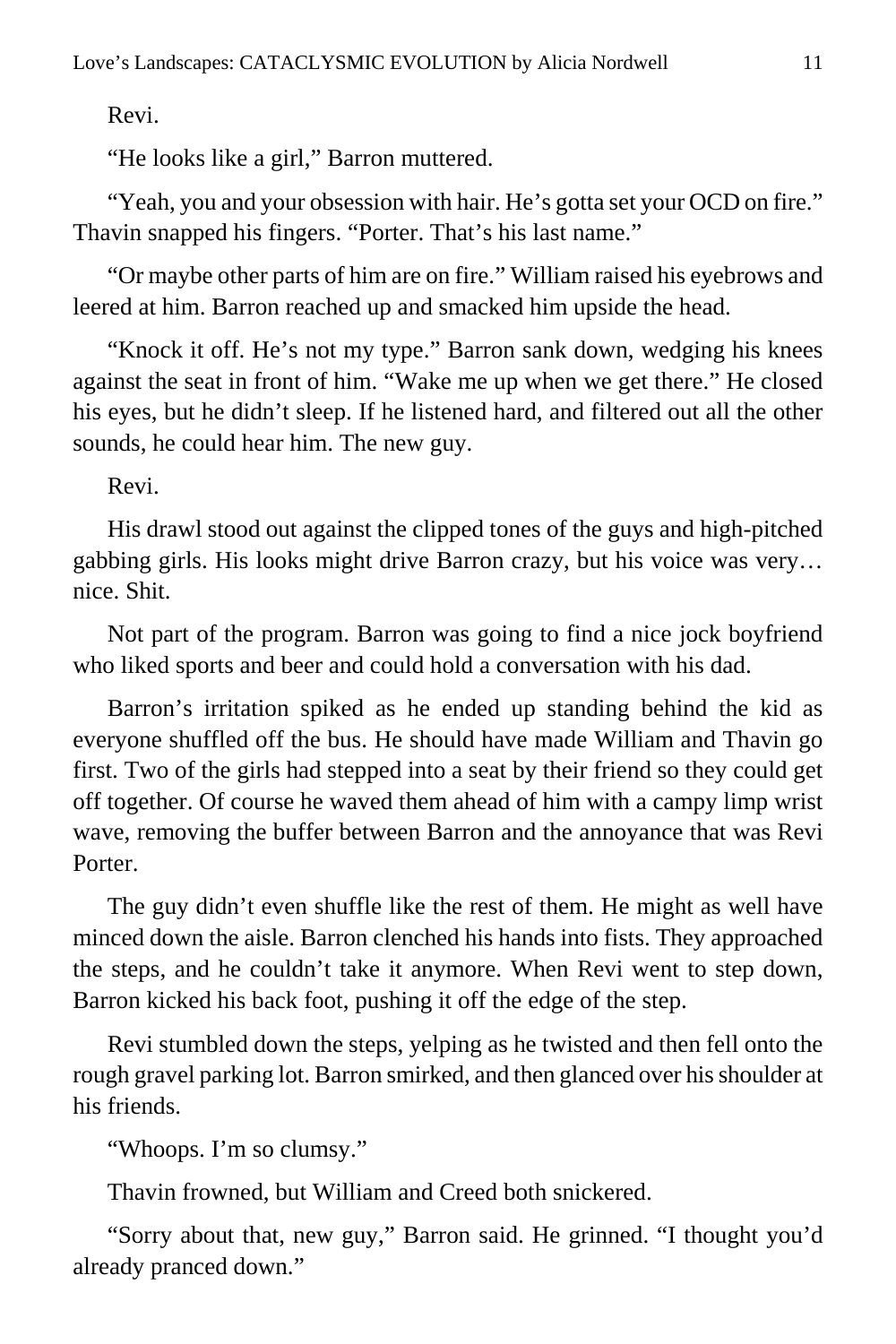Revi.

"He looks like a girl," Barron muttered.

"Yeah, you and your obsession with hair. He's gotta set your OCD on fire." Thavin snapped his fingers. "Porter. That's his last name."

"Or maybe other parts of him are on fire." William raised his eyebrows and leered at him. Barron reached up and smacked him upside the head.

"Knock it off. He's not my type." Barron sank down, wedging his knees against the seat in front of him. "Wake me up when we get there." He closed his eyes, but he didn't sleep. If he listened hard, and filtered out all the other sounds, he could hear him. The new guy.

Revi.

His drawl stood out against the clipped tones of the guys and high-pitched gabbing girls. His looks might drive Barron crazy, but his voice was very… nice. Shit.

Not part of the program. Barron was going to find a nice jock boyfriend who liked sports and beer and could hold a conversation with his dad.

Barron's irritation spiked as he ended up standing behind the kid as everyone shuffled off the bus. He should have made William and Thavin go first. Two of the girls had stepped into a seat by their friend so they could get off together. Of course he waved them ahead of him with a campy limp wrist wave, removing the buffer between Barron and the annoyance that was Revi Porter.

The guy didn't even shuffle like the rest of them. He might as well have minced down the aisle. Barron clenched his hands into fists. They approached the steps, and he couldn't take it anymore. When Revi went to step down, Barron kicked his back foot, pushing it off the edge of the step.

Revi stumbled down the steps, yelping as he twisted and then fell onto the rough gravel parking lot. Barron smirked, and then glanced over his shoulder at his friends.

"Whoops. I'm so clumsy."

Thavin frowned, but William and Creed both snickered.

"Sorry about that, new guy," Barron said. He grinned. "I thought you'd already pranced down."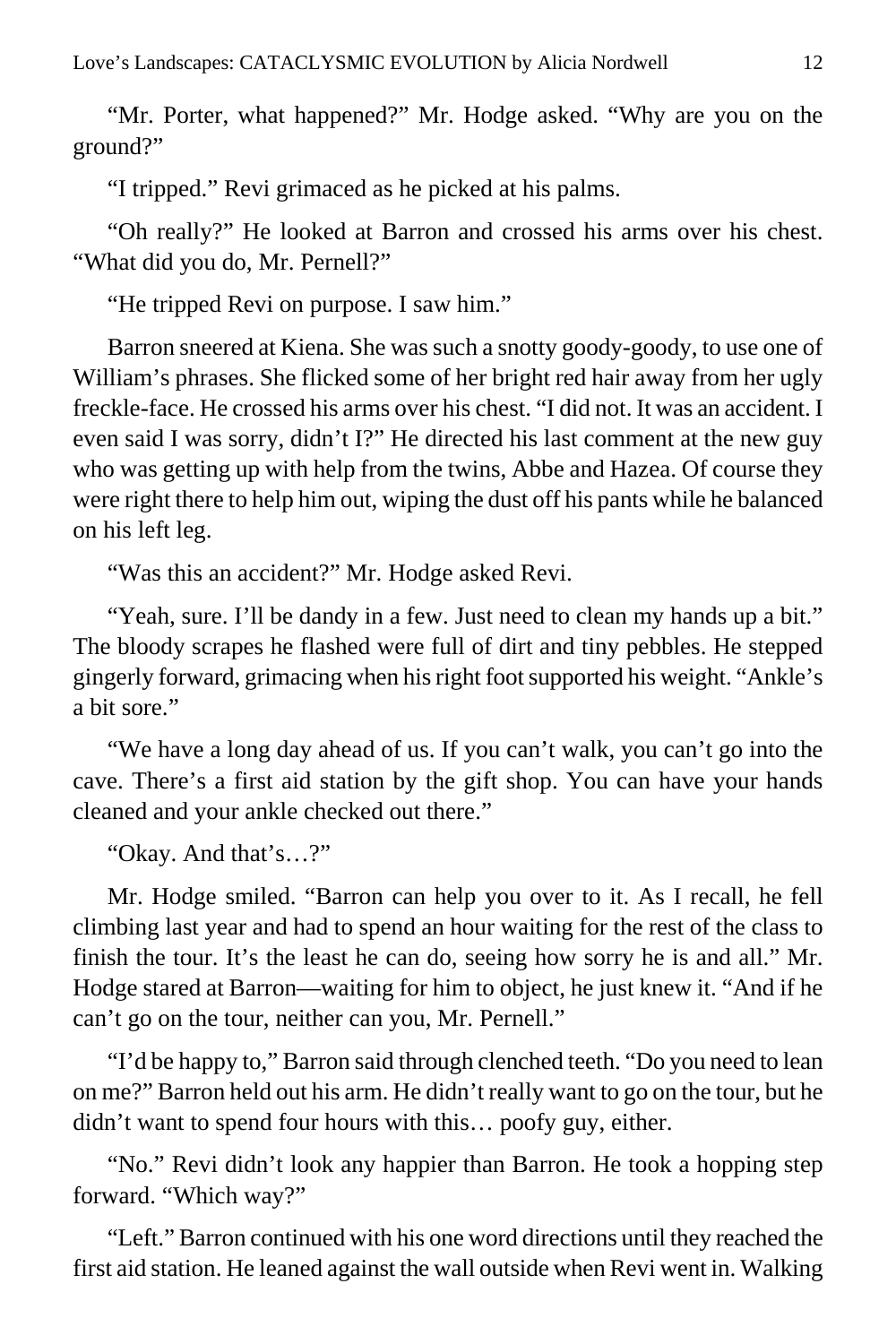"Mr. Porter, what happened?" Mr. Hodge asked. "Why are you on the ground?"

"I tripped." Revi grimaced as he picked at his palms.

"Oh really?" He looked at Barron and crossed his arms over his chest. "What did you do, Mr. Pernell?"

"He tripped Revi on purpose. I saw him."

Barron sneered at Kiena. She was such a snotty goody-goody, to use one of William's phrases. She flicked some of her bright red hair away from her ugly freckle-face. He crossed his arms over his chest. "I did not. It was an accident. I even said I was sorry, didn't I?" He directed his last comment at the new guy who was getting up with help from the twins, Abbe and Hazea. Of course they were right there to help him out, wiping the dust off his pants while he balanced on his left leg.

"Was this an accident?" Mr. Hodge asked Revi.

"Yeah, sure. I'll be dandy in a few. Just need to clean my hands up a bit." The bloody scrapes he flashed were full of dirt and tiny pebbles. He stepped gingerly forward, grimacing when his right foot supported his weight. "Ankle's a bit sore."

"We have a long day ahead of us. If you can't walk, you can't go into the cave. There's a first aid station by the gift shop. You can have your hands cleaned and your ankle checked out there."

"Okay. And that's…?"

Mr. Hodge smiled. "Barron can help you over to it. As I recall, he fell climbing last year and had to spend an hour waiting for the rest of the class to finish the tour. It's the least he can do, seeing how sorry he is and all." Mr. Hodge stared at Barron—waiting for him to object, he just knew it. "And if he can't go on the tour, neither can you, Mr. Pernell."

"I'd be happy to," Barron said through clenched teeth. "Do you need to lean on me?" Barron held out his arm. He didn't really want to go on the tour, but he didn't want to spend four hours with this… poofy guy, either.

"No." Revi didn't look any happier than Barron. He took a hopping step forward. "Which way?"

"Left." Barron continued with his one word directions until they reached the first aid station. He leaned against the wall outside when Revi went in. Walking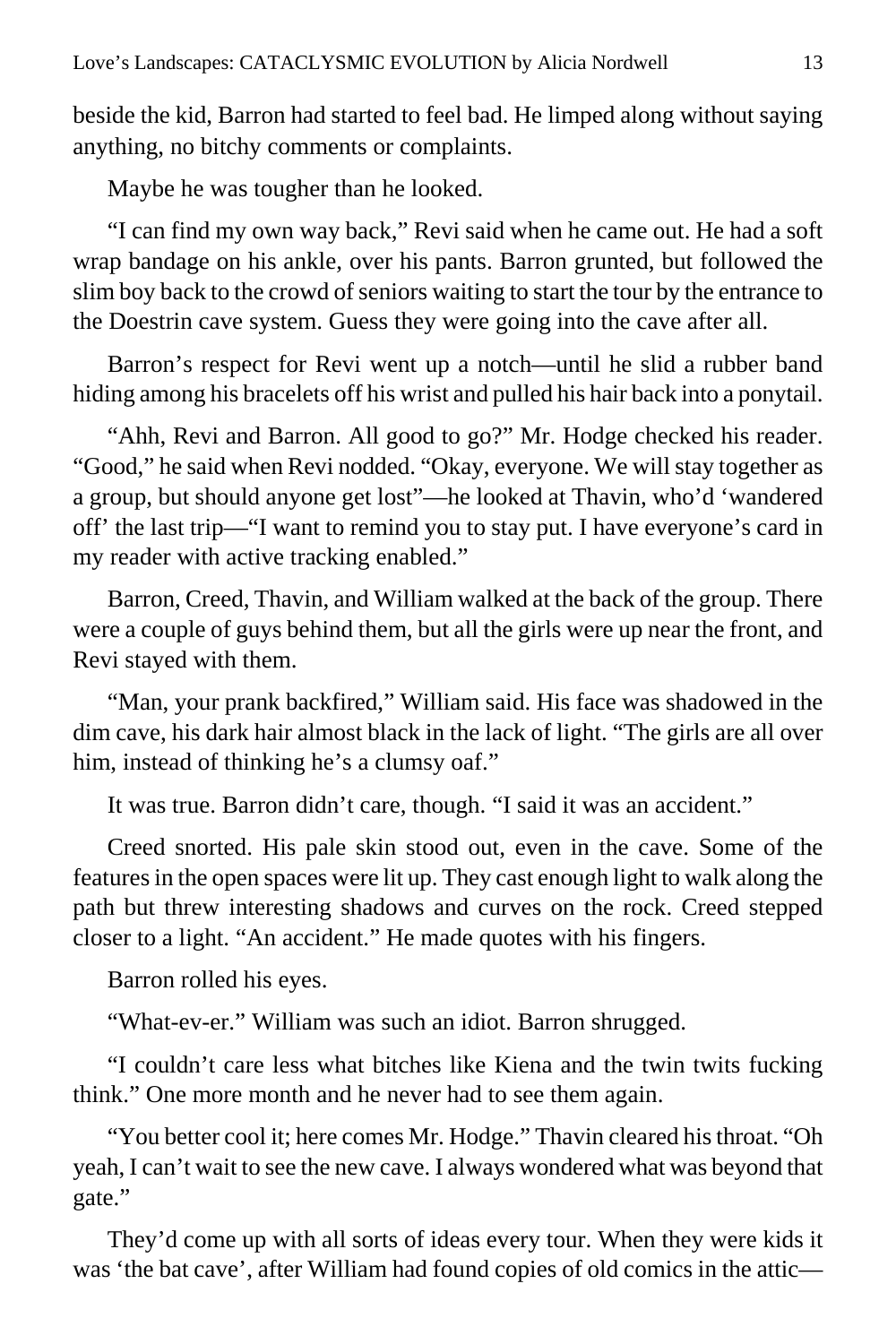beside the kid, Barron had started to feel bad. He limped along without saying anything, no bitchy comments or complaints.

Maybe he was tougher than he looked.

"I can find my own way back," Revi said when he came out. He had a soft wrap bandage on his ankle, over his pants. Barron grunted, but followed the slim boy back to the crowd of seniors waiting to start the tour by the entrance to the Doestrin cave system. Guess they were going into the cave after all.

Barron's respect for Revi went up a notch—until he slid a rubber band hiding among his bracelets off his wrist and pulled his hair back into a ponytail.

"Ahh, Revi and Barron. All good to go?" Mr. Hodge checked his reader. "Good," he said when Revi nodded. "Okay, everyone. We will stay together as a group, but should anyone get lost"—he looked at Thavin, who'd 'wandered off' the last trip—"I want to remind you to stay put. I have everyone's card in my reader with active tracking enabled."

Barron, Creed, Thavin, and William walked at the back of the group. There were a couple of guys behind them, but all the girls were up near the front, and Revi stayed with them.

"Man, your prank backfired," William said. His face was shadowed in the dim cave, his dark hair almost black in the lack of light. "The girls are all over him, instead of thinking he's a clumsy oaf."

It was true. Barron didn't care, though. "I said it was an accident."

Creed snorted. His pale skin stood out, even in the cave. Some of the features in the open spaces were lit up. They cast enough light to walk along the path but threw interesting shadows and curves on the rock. Creed stepped closer to a light. "An accident." He made quotes with his fingers.

Barron rolled his eyes.

"What-ev-er." William was such an idiot. Barron shrugged.

"I couldn't care less what bitches like Kiena and the twin twits fucking think." One more month and he never had to see them again.

"You better cool it; here comes Mr. Hodge." Thavin cleared his throat. "Oh yeah, I can't wait to see the new cave. I always wondered what was beyond that gate."

They'd come up with all sorts of ideas every tour. When they were kids it was 'the bat cave', after William had found copies of old comics in the attic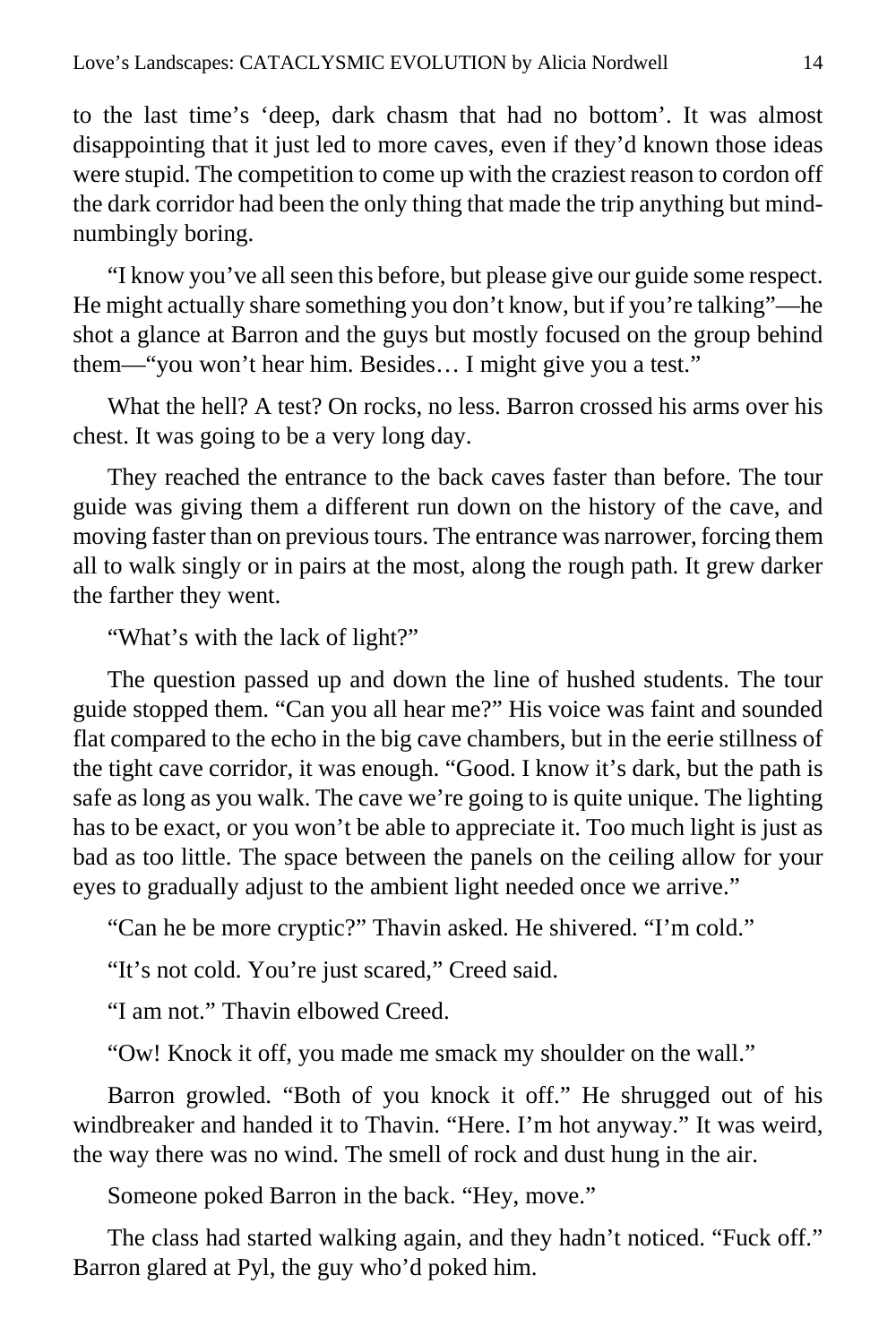to the last time's 'deep, dark chasm that had no bottom'. It was almost disappointing that it just led to more caves, even if they'd known those ideas were stupid. The competition to come up with the craziest reason to cordon off the dark corridor had been the only thing that made the trip anything but mindnumbingly boring.

"I know you've all seen this before, but please give our guide some respect. He might actually share something you don't know, but if you're talking"—he shot a glance at Barron and the guys but mostly focused on the group behind them—"you won't hear him. Besides… I might give you a test."

What the hell? A test? On rocks, no less. Barron crossed his arms over his chest. It was going to be a very long day.

They reached the entrance to the back caves faster than before. The tour guide was giving them a different run down on the history of the cave, and moving faster than on previous tours. The entrance was narrower, forcing them all to walk singly or in pairs at the most, along the rough path. It grew darker the farther they went.

"What's with the lack of light?"

The question passed up and down the line of hushed students. The tour guide stopped them. "Can you all hear me?" His voice was faint and sounded flat compared to the echo in the big cave chambers, but in the eerie stillness of the tight cave corridor, it was enough. "Good. I know it's dark, but the path is safe as long as you walk. The cave we're going to is quite unique. The lighting has to be exact, or you won't be able to appreciate it. Too much light is just as bad as too little. The space between the panels on the ceiling allow for your eyes to gradually adjust to the ambient light needed once we arrive."

"Can he be more cryptic?" Thavin asked. He shivered. "I'm cold."

"It's not cold. You're just scared," Creed said.

"I am not." Thavin elbowed Creed.

"Ow! Knock it off, you made me smack my shoulder on the wall."

Barron growled. "Both of you knock it off." He shrugged out of his windbreaker and handed it to Thavin. "Here. I'm hot anyway." It was weird, the way there was no wind. The smell of rock and dust hung in the air.

Someone poked Barron in the back. "Hey, move."

The class had started walking again, and they hadn't noticed. "Fuck off." Barron glared at Pyl, the guy who'd poked him.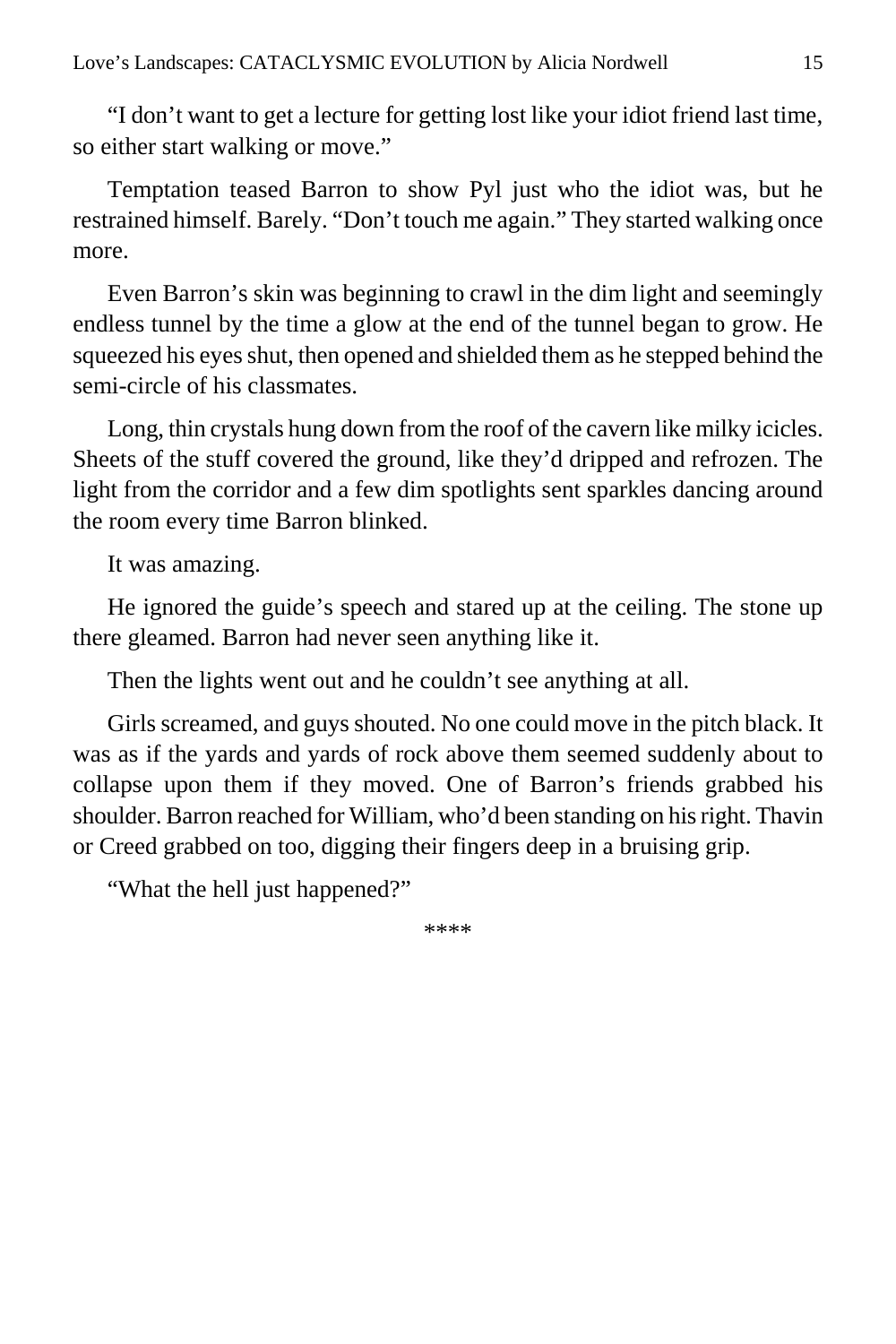"I don't want to get a lecture for getting lost like your idiot friend last time, so either start walking or move."

Temptation teased Barron to show Pyl just who the idiot was, but he restrained himself. Barely. "Don't touch me again." They started walking once more.

Even Barron's skin was beginning to crawl in the dim light and seemingly endless tunnel by the time a glow at the end of the tunnel began to grow. He squeezed his eyes shut, then opened and shielded them as he stepped behind the semi-circle of his classmates.

Long, thin crystals hung down from the roof of the cavern like milky icicles. Sheets of the stuff covered the ground, like they'd dripped and refrozen. The light from the corridor and a few dim spotlights sent sparkles dancing around the room every time Barron blinked.

It was amazing.

He ignored the guide's speech and stared up at the ceiling. The stone up there gleamed. Barron had never seen anything like it.

Then the lights went out and he couldn't see anything at all.

Girls screamed, and guys shouted. No one could move in the pitch black. It was as if the yards and yards of rock above them seemed suddenly about to collapse upon them if they moved. One of Barron's friends grabbed his shoulder. Barron reached for William, who'd been standing on his right. Thavin or Creed grabbed on too, digging their fingers deep in a bruising grip.

"What the hell just happened?"

\*\*\*\*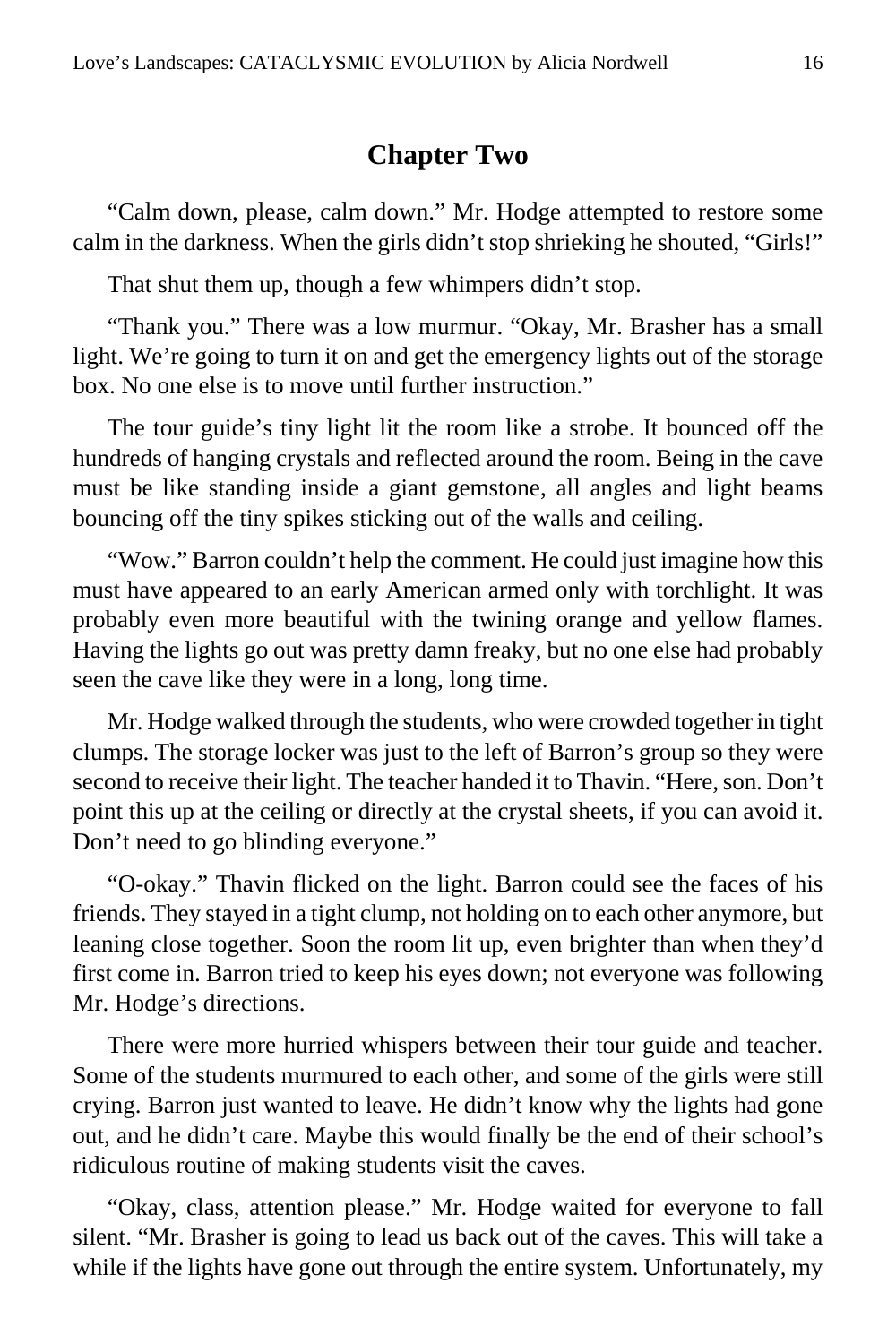#### **Chapter Two**

<span id="page-15-0"></span>"Calm down, please, calm down." Mr. Hodge attempted to restore some calm in the darkness. When the girls didn't stop shrieking he shouted, "Girls!"

That shut them up, though a few whimpers didn't stop.

"Thank you." There was a low murmur. "Okay, Mr. Brasher has a small light. We're going to turn it on and get the emergency lights out of the storage box. No one else is to move until further instruction."

The tour guide's tiny light lit the room like a strobe. It bounced off the hundreds of hanging crystals and reflected around the room. Being in the cave must be like standing inside a giant gemstone, all angles and light beams bouncing off the tiny spikes sticking out of the walls and ceiling.

"Wow." Barron couldn't help the comment. He could just imagine how this must have appeared to an early American armed only with torchlight. It was probably even more beautiful with the twining orange and yellow flames. Having the lights go out was pretty damn freaky, but no one else had probably seen the cave like they were in a long, long time.

Mr. Hodge walked through the students, who were crowded together in tight clumps. The storage locker was just to the left of Barron's group so they were second to receive their light. The teacher handed it to Thavin. "Here, son. Don't point this up at the ceiling or directly at the crystal sheets, if you can avoid it. Don't need to go blinding everyone."

"O-okay." Thavin flicked on the light. Barron could see the faces of his friends. They stayed in a tight clump, not holding on to each other anymore, but leaning close together. Soon the room lit up, even brighter than when they'd first come in. Barron tried to keep his eyes down; not everyone was following Mr. Hodge's directions.

There were more hurried whispers between their tour guide and teacher. Some of the students murmured to each other, and some of the girls were still crying. Barron just wanted to leave. He didn't know why the lights had gone out, and he didn't care. Maybe this would finally be the end of their school's ridiculous routine of making students visit the caves.

"Okay, class, attention please." Mr. Hodge waited for everyone to fall silent. "Mr. Brasher is going to lead us back out of the caves. This will take a while if the lights have gone out through the entire system. Unfortunately, my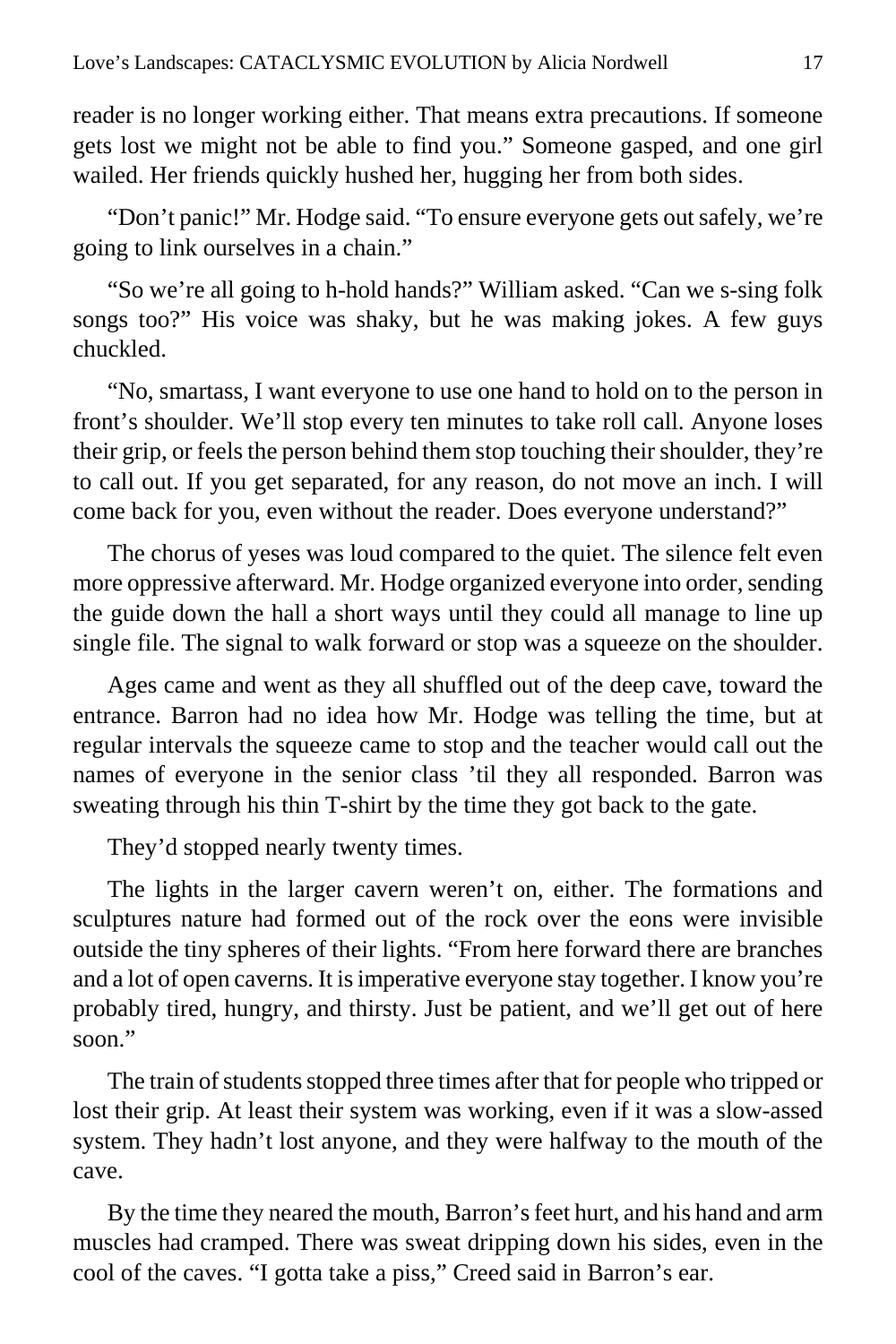reader is no longer working either. That means extra precautions. If someone gets lost we might not be able to find you." Someone gasped, and one girl wailed. Her friends quickly hushed her, hugging her from both sides.

"Don't panic!" Mr. Hodge said. "To ensure everyone gets out safely, we're going to link ourselves in a chain."

"So we're all going to h-hold hands?" William asked. "Can we s-sing folk songs too?" His voice was shaky, but he was making jokes. A few guys chuckled.

"No, smartass, I want everyone to use one hand to hold on to the person in front's shoulder. We'll stop every ten minutes to take roll call. Anyone loses their grip, or feels the person behind them stop touching their shoulder, they're to call out. If you get separated, for any reason, do not move an inch. I will come back for you, even without the reader. Does everyone understand?"

The chorus of yeses was loud compared to the quiet. The silence felt even more oppressive afterward. Mr. Hodge organized everyone into order, sending the guide down the hall a short ways until they could all manage to line up single file. The signal to walk forward or stop was a squeeze on the shoulder.

Ages came and went as they all shuffled out of the deep cave, toward the entrance. Barron had no idea how Mr. Hodge was telling the time, but at regular intervals the squeeze came to stop and the teacher would call out the names of everyone in the senior class 'til they all responded. Barron was sweating through his thin T-shirt by the time they got back to the gate.

They'd stopped nearly twenty times.

The lights in the larger cavern weren't on, either. The formations and sculptures nature had formed out of the rock over the eons were invisible outside the tiny spheres of their lights. "From here forward there are branches and a lot of open caverns. It is imperative everyone stay together. I know you're probably tired, hungry, and thirsty. Just be patient, and we'll get out of here soon<sup>"</sup>

The train of students stopped three times after that for people who tripped or lost their grip. At least their system was working, even if it was a slow-assed system. They hadn't lost anyone, and they were halfway to the mouth of the cave.

By the time they neared the mouth, Barron's feet hurt, and his hand and arm muscles had cramped. There was sweat dripping down his sides, even in the cool of the caves. "I gotta take a piss," Creed said in Barron's ear.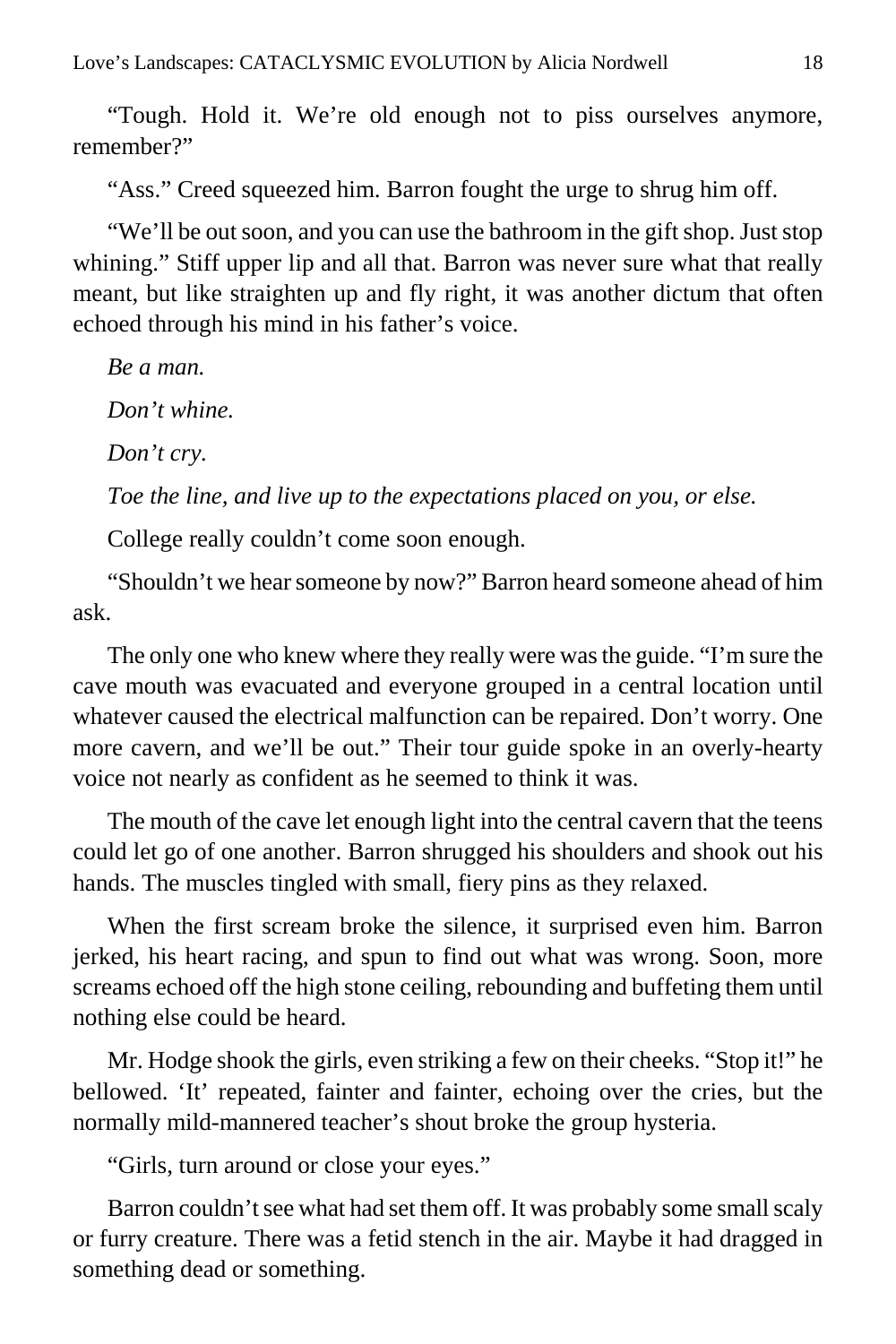"Tough. Hold it. We're old enough not to piss ourselves anymore, remember?"

"Ass." Creed squeezed him. Barron fought the urge to shrug him off.

"We'll be out soon, and you can use the bathroom in the gift shop. Just stop whining." Stiff upper lip and all that. Barron was never sure what that really meant, but like straighten up and fly right, it was another dictum that often echoed through his mind in his father's voice.

*Be a man. Don't whine. Don't cry. Toe the line, and live up to the expectations placed on you, or else.* College really couldn't come soon enough.

"Shouldn't we hear someone by now?" Barron heard someone ahead of him ask.

The only one who knew where they really were was the guide. "I'm sure the cave mouth was evacuated and everyone grouped in a central location until whatever caused the electrical malfunction can be repaired. Don't worry. One more cavern, and we'll be out." Their tour guide spoke in an overly-hearty voice not nearly as confident as he seemed to think it was.

The mouth of the cave let enough light into the central cavern that the teens could let go of one another. Barron shrugged his shoulders and shook out his hands. The muscles tingled with small, fiery pins as they relaxed.

When the first scream broke the silence, it surprised even him. Barron jerked, his heart racing, and spun to find out what was wrong. Soon, more screams echoed off the high stone ceiling, rebounding and buffeting them until nothing else could be heard.

Mr. Hodge shook the girls, even striking a few on their cheeks. "Stop it!" he bellowed. 'It' repeated, fainter and fainter, echoing over the cries, but the normally mild-mannered teacher's shout broke the group hysteria.

"Girls, turn around or close your eyes."

Barron couldn't see what had set them off. It was probably some small scaly or furry creature. There was a fetid stench in the air. Maybe it had dragged in something dead or something.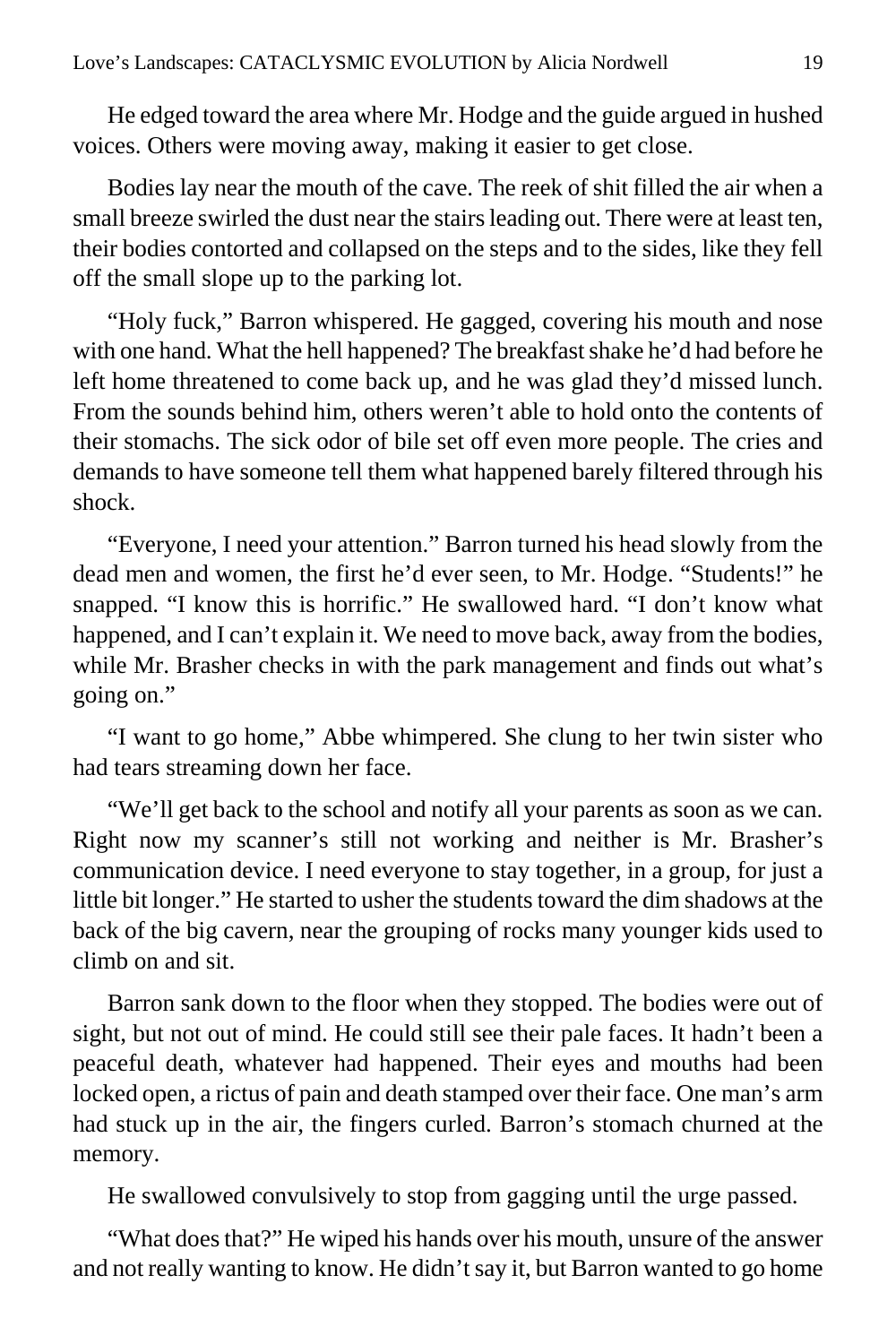He edged toward the area where Mr. Hodge and the guide argued in hushed voices. Others were moving away, making it easier to get close.

Bodies lay near the mouth of the cave. The reek of shit filled the air when a small breeze swirled the dust near the stairs leading out. There were at least ten, their bodies contorted and collapsed on the steps and to the sides, like they fell off the small slope up to the parking lot.

"Holy fuck," Barron whispered. He gagged, covering his mouth and nose with one hand. What the hell happened? The breakfast shake he'd had before he left home threatened to come back up, and he was glad they'd missed lunch. From the sounds behind him, others weren't able to hold onto the contents of their stomachs. The sick odor of bile set off even more people. The cries and demands to have someone tell them what happened barely filtered through his shock.

"Everyone, I need your attention." Barron turned his head slowly from the dead men and women, the first he'd ever seen, to Mr. Hodge. "Students!" he snapped. "I know this is horrific." He swallowed hard. "I don't know what happened, and I can't explain it. We need to move back, away from the bodies, while Mr. Brasher checks in with the park management and finds out what's going on."

"I want to go home," Abbe whimpered. She clung to her twin sister who had tears streaming down her face.

"We'll get back to the school and notify all your parents as soon as we can. Right now my scanner's still not working and neither is Mr. Brasher's communication device. I need everyone to stay together, in a group, for just a little bit longer." He started to usher the students toward the dim shadows at the back of the big cavern, near the grouping of rocks many younger kids used to climb on and sit.

Barron sank down to the floor when they stopped. The bodies were out of sight, but not out of mind. He could still see their pale faces. It hadn't been a peaceful death, whatever had happened. Their eyes and mouths had been locked open, a rictus of pain and death stamped over their face. One man's arm had stuck up in the air, the fingers curled. Barron's stomach churned at the memory.

He swallowed convulsively to stop from gagging until the urge passed.

"What does that?" He wiped his hands over his mouth, unsure of the answer and not really wanting to know. He didn't say it, but Barron wanted to go home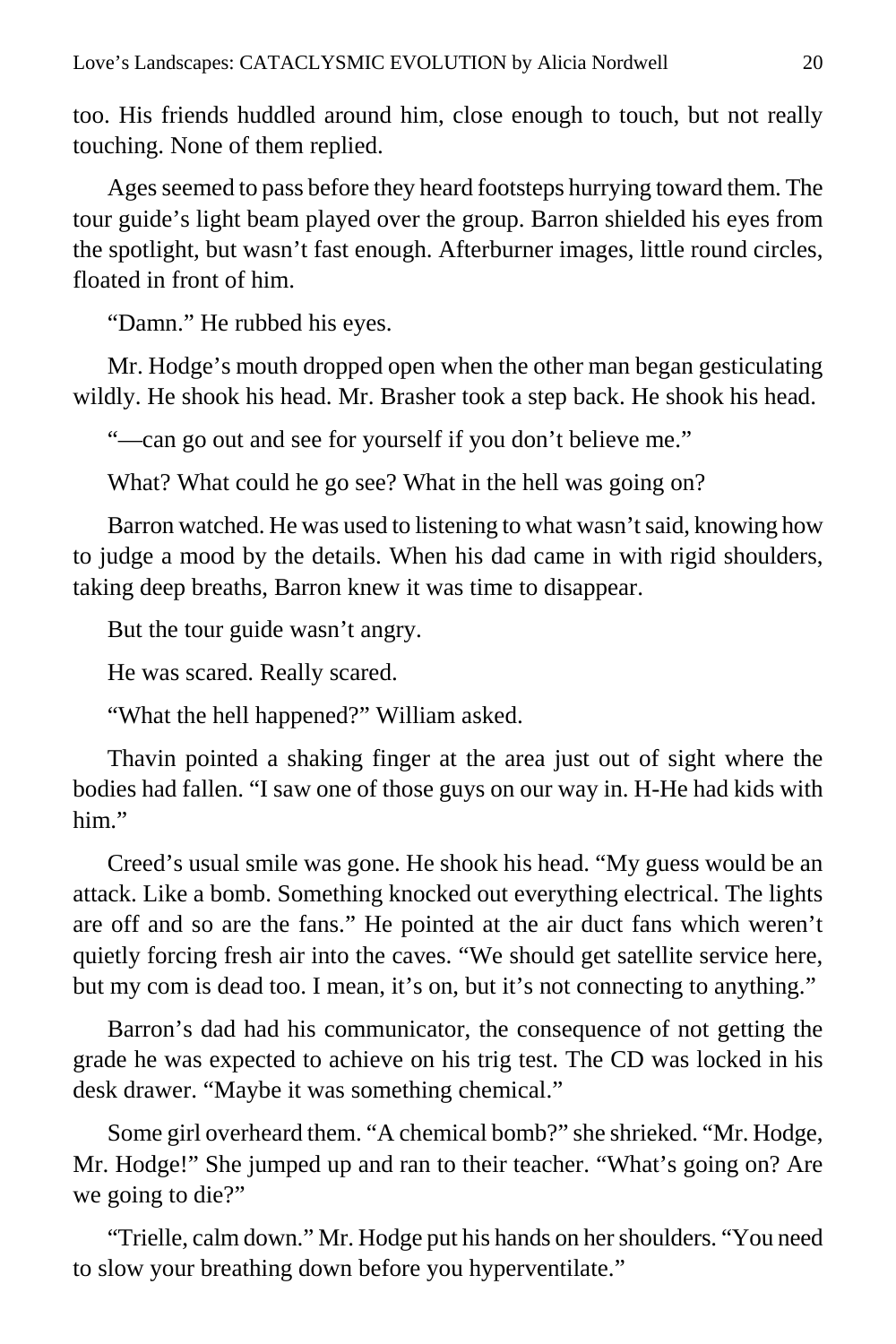too. His friends huddled around him, close enough to touch, but not really touching. None of them replied.

Ages seemed to pass before they heard footsteps hurrying toward them. The tour guide's light beam played over the group. Barron shielded his eyes from the spotlight, but wasn't fast enough. Afterburner images, little round circles, floated in front of him.

"Damn." He rubbed his eyes.

Mr. Hodge's mouth dropped open when the other man began gesticulating wildly. He shook his head. Mr. Brasher took a step back. He shook his head.

"—can go out and see for yourself if you don't believe me."

What? What could he go see? What in the hell was going on?

Barron watched. He was used to listening to what wasn't said, knowing how to judge a mood by the details. When his dad came in with rigid shoulders, taking deep breaths, Barron knew it was time to disappear.

But the tour guide wasn't angry.

He was scared. Really scared.

"What the hell happened?" William asked.

Thavin pointed a shaking finger at the area just out of sight where the bodies had fallen. "I saw one of those guys on our way in. H-He had kids with him."

Creed's usual smile was gone. He shook his head. "My guess would be an attack. Like a bomb. Something knocked out everything electrical. The lights are off and so are the fans." He pointed at the air duct fans which weren't quietly forcing fresh air into the caves. "We should get satellite service here, but my com is dead too. I mean, it's on, but it's not connecting to anything."

Barron's dad had his communicator, the consequence of not getting the grade he was expected to achieve on his trig test. The CD was locked in his desk drawer. "Maybe it was something chemical."

Some girl overheard them. "A chemical bomb?" she shrieked. "Mr. Hodge, Mr. Hodge!" She jumped up and ran to their teacher. "What's going on? Are we going to die?"

"Trielle, calm down." Mr. Hodge put his hands on her shoulders. "You need to slow your breathing down before you hyperventilate."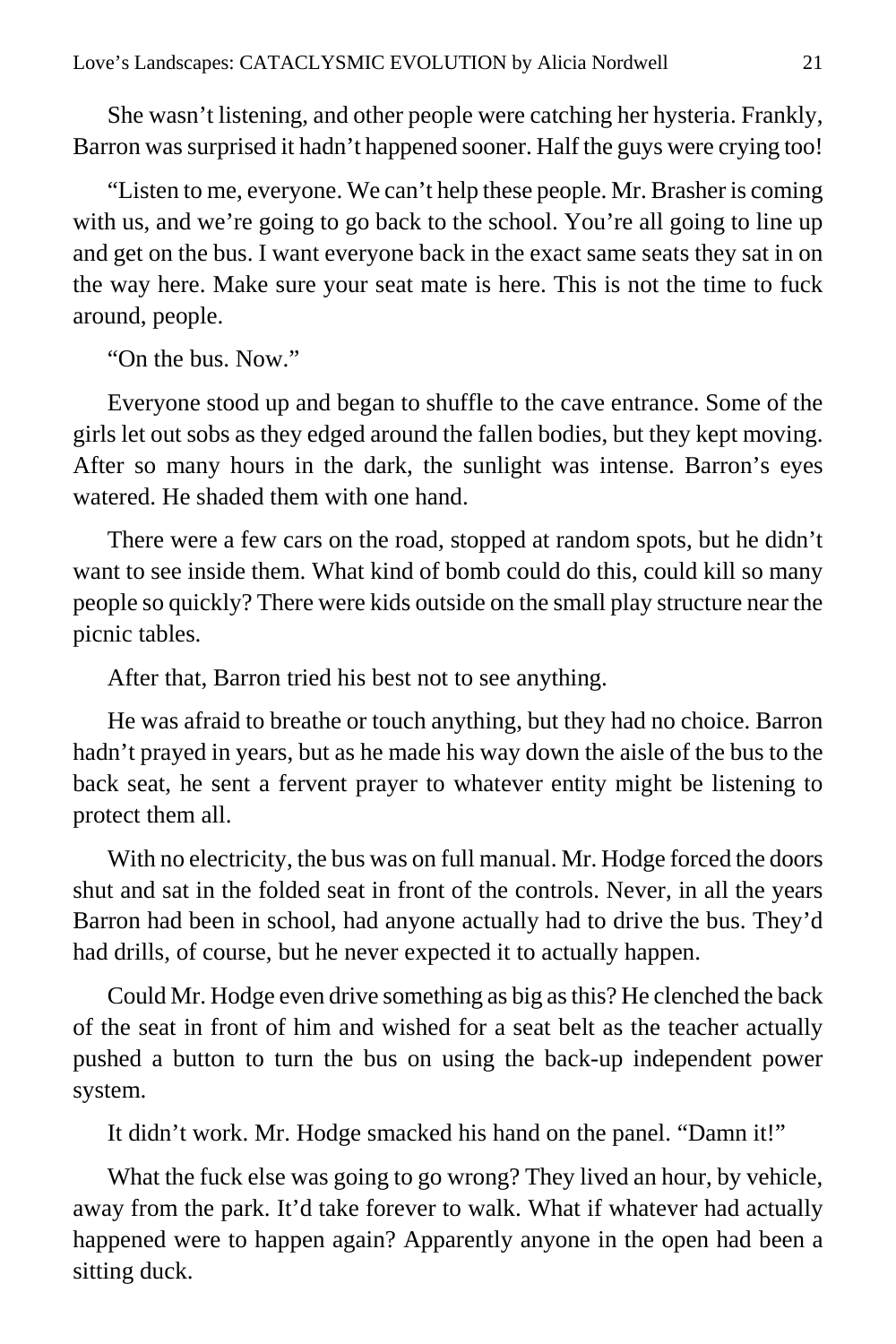She wasn't listening, and other people were catching her hysteria. Frankly, Barron was surprised it hadn't happened sooner. Half the guys were crying too!

"Listen to me, everyone. We can't help these people. Mr. Brasher is coming with us, and we're going to go back to the school. You're all going to line up and get on the bus. I want everyone back in the exact same seats they sat in on the way here. Make sure your seat mate is here. This is not the time to fuck around, people.

"On the bus. Now."

Everyone stood up and began to shuffle to the cave entrance. Some of the girls let out sobs as they edged around the fallen bodies, but they kept moving. After so many hours in the dark, the sunlight was intense. Barron's eyes watered. He shaded them with one hand.

There were a few cars on the road, stopped at random spots, but he didn't want to see inside them. What kind of bomb could do this, could kill so many people so quickly? There were kids outside on the small play structure near the picnic tables.

After that, Barron tried his best not to see anything.

He was afraid to breathe or touch anything, but they had no choice. Barron hadn't prayed in years, but as he made his way down the aisle of the bus to the back seat, he sent a fervent prayer to whatever entity might be listening to protect them all.

With no electricity, the bus was on full manual. Mr. Hodge forced the doors shut and sat in the folded seat in front of the controls. Never, in all the years Barron had been in school, had anyone actually had to drive the bus. They'd had drills, of course, but he never expected it to actually happen.

Could Mr. Hodge even drive something as big as this? He clenched the back of the seat in front of him and wished for a seat belt as the teacher actually pushed a button to turn the bus on using the back-up independent power system.

It didn't work. Mr. Hodge smacked his hand on the panel. "Damn it!"

What the fuck else was going to go wrong? They lived an hour, by vehicle, away from the park. It'd take forever to walk. What if whatever had actually happened were to happen again? Apparently anyone in the open had been a sitting duck.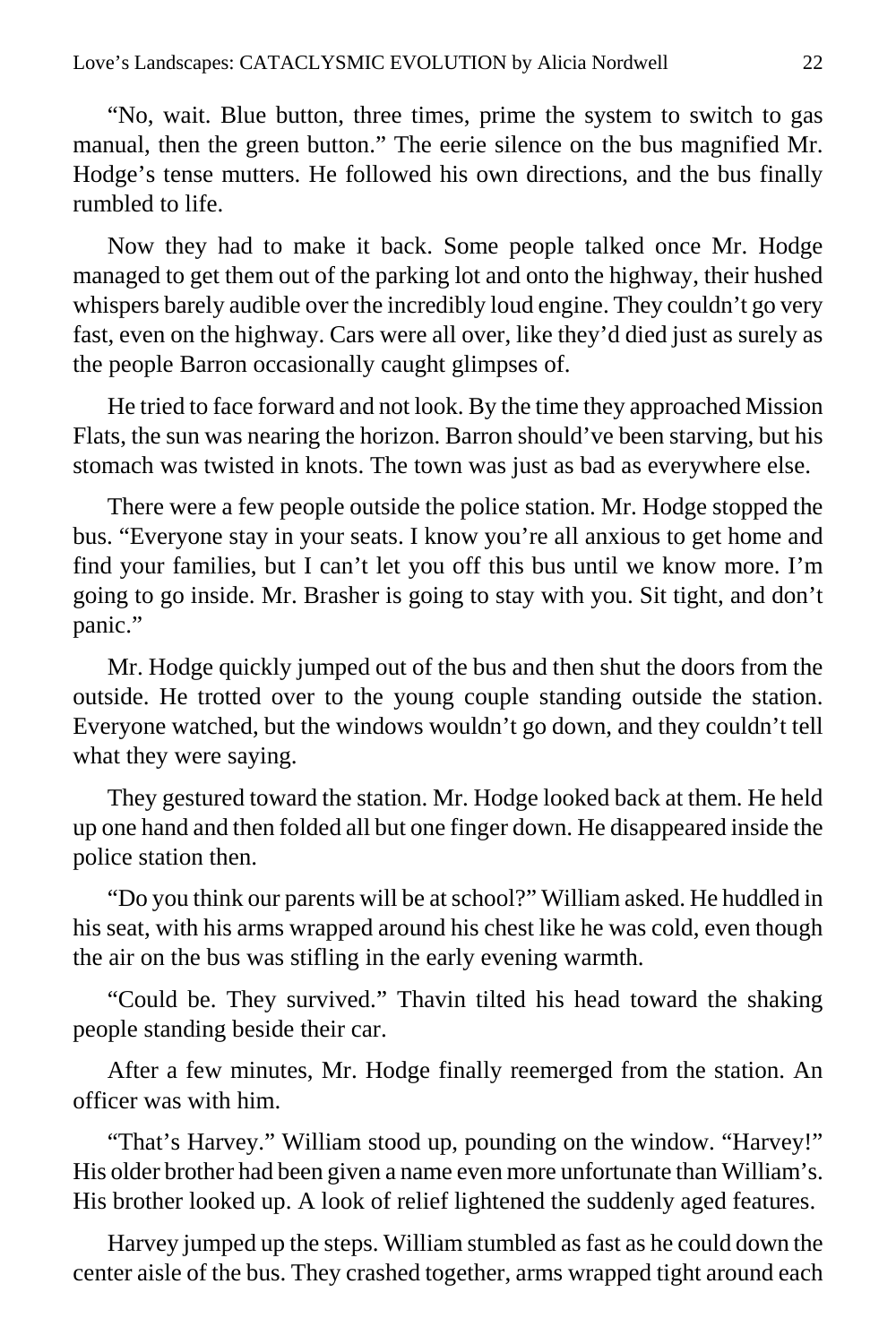"No, wait. Blue button, three times, prime the system to switch to gas manual, then the green button." The eerie silence on the bus magnified Mr. Hodge's tense mutters. He followed his own directions, and the bus finally rumbled to life.

Now they had to make it back. Some people talked once Mr. Hodge managed to get them out of the parking lot and onto the highway, their hushed whispers barely audible over the incredibly loud engine. They couldn't go very fast, even on the highway. Cars were all over, like they'd died just as surely as the people Barron occasionally caught glimpses of.

He tried to face forward and not look. By the time they approached Mission Flats, the sun was nearing the horizon. Barron should've been starving, but his stomach was twisted in knots. The town was just as bad as everywhere else.

There were a few people outside the police station. Mr. Hodge stopped the bus. "Everyone stay in your seats. I know you're all anxious to get home and find your families, but I can't let you off this bus until we know more. I'm going to go inside. Mr. Brasher is going to stay with you. Sit tight, and don't panic."

Mr. Hodge quickly jumped out of the bus and then shut the doors from the outside. He trotted over to the young couple standing outside the station. Everyone watched, but the windows wouldn't go down, and they couldn't tell what they were saying.

They gestured toward the station. Mr. Hodge looked back at them. He held up one hand and then folded all but one finger down. He disappeared inside the police station then.

"Do you think our parents will be at school?" William asked. He huddled in his seat, with his arms wrapped around his chest like he was cold, even though the air on the bus was stifling in the early evening warmth.

"Could be. They survived." Thavin tilted his head toward the shaking people standing beside their car.

After a few minutes, Mr. Hodge finally reemerged from the station. An officer was with him.

"That's Harvey." William stood up, pounding on the window. "Harvey!" His older brother had been given a name even more unfortunate than William's. His brother looked up. A look of relief lightened the suddenly aged features.

Harvey jumped up the steps. William stumbled as fast as he could down the center aisle of the bus. They crashed together, arms wrapped tight around each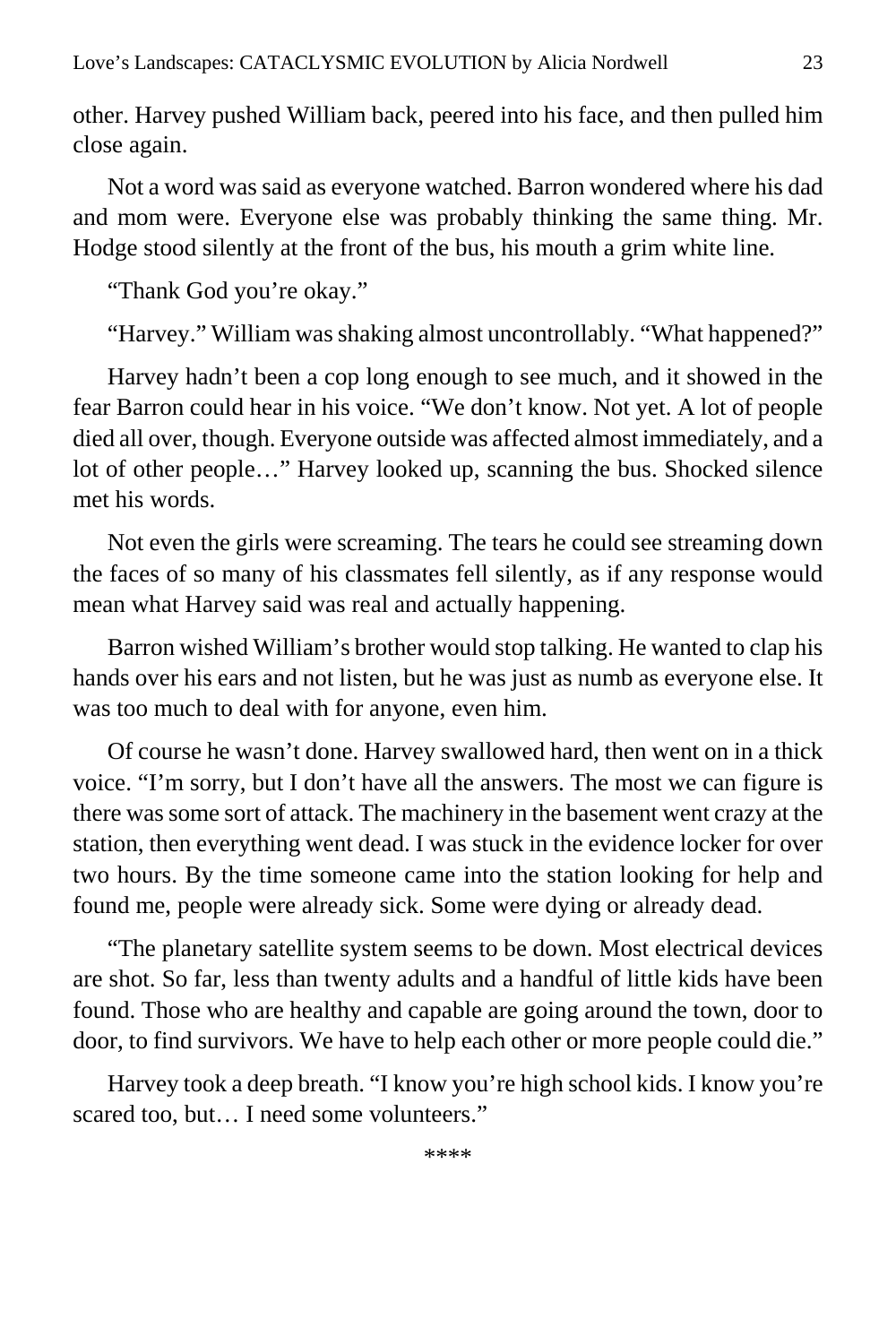other. Harvey pushed William back, peered into his face, and then pulled him close again.

Not a word was said as everyone watched. Barron wondered where his dad and mom were. Everyone else was probably thinking the same thing. Mr. Hodge stood silently at the front of the bus, his mouth a grim white line.

"Thank God you're okay."

"Harvey." William was shaking almost uncontrollably. "What happened?"

Harvey hadn't been a cop long enough to see much, and it showed in the fear Barron could hear in his voice. "We don't know. Not yet. A lot of people died all over, though. Everyone outside was affected almost immediately, and a lot of other people…" Harvey looked up, scanning the bus. Shocked silence met his words.

Not even the girls were screaming. The tears he could see streaming down the faces of so many of his classmates fell silently, as if any response would mean what Harvey said was real and actually happening.

Barron wished William's brother would stop talking. He wanted to clap his hands over his ears and not listen, but he was just as numb as everyone else. It was too much to deal with for anyone, even him.

Of course he wasn't done. Harvey swallowed hard, then went on in a thick voice. "I'm sorry, but I don't have all the answers. The most we can figure is there was some sort of attack. The machinery in the basement went crazy at the station, then everything went dead. I was stuck in the evidence locker for over two hours. By the time someone came into the station looking for help and found me, people were already sick. Some were dying or already dead.

"The planetary satellite system seems to be down. Most electrical devices are shot. So far, less than twenty adults and a handful of little kids have been found. Those who are healthy and capable are going around the town, door to door, to find survivors. We have to help each other or more people could die."

Harvey took a deep breath. "I know you're high school kids. I know you're scared too, but… I need some volunteers."

\*\*\*\*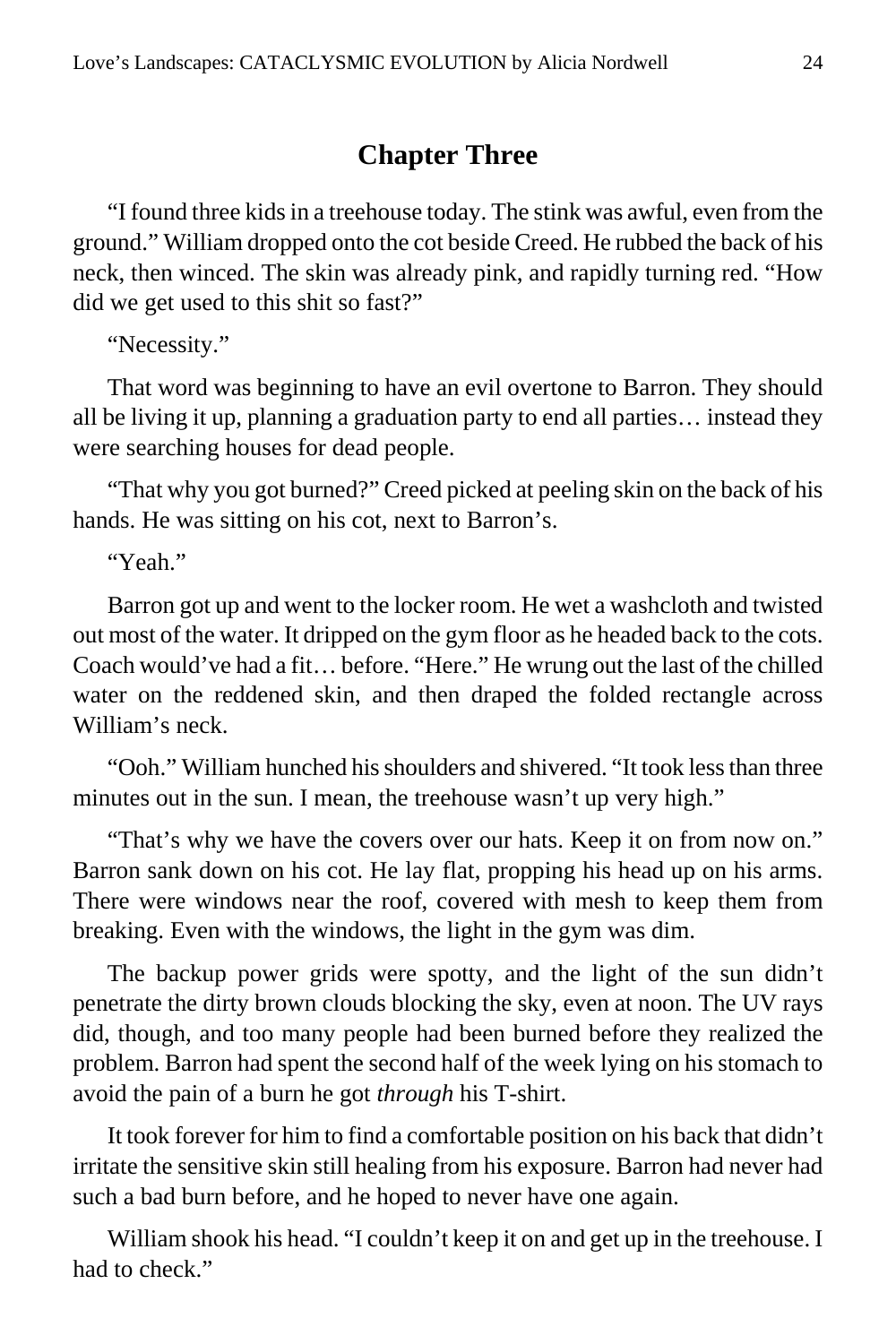#### **Chapter Three**

<span id="page-23-0"></span>"I found three kids in a treehouse today. The stink was awful, even from the ground." William dropped onto the cot beside Creed. He rubbed the back of his neck, then winced. The skin was already pink, and rapidly turning red. "How did we get used to this shit so fast?"

"Necessity."

That word was beginning to have an evil overtone to Barron. They should all be living it up, planning a graduation party to end all parties… instead they were searching houses for dead people.

"That why you got burned?" Creed picked at peeling skin on the back of his hands. He was sitting on his cot, next to Barron's.

"Yeah."

Barron got up and went to the locker room. He wet a washcloth and twisted out most of the water. It dripped on the gym floor as he headed back to the cots. Coach would've had a fit… before. "Here." He wrung out the last of the chilled water on the reddened skin, and then draped the folded rectangle across William's neck.

"Ooh." William hunched his shoulders and shivered. "It took less than three minutes out in the sun. I mean, the treehouse wasn't up very high."

"That's why we have the covers over our hats. Keep it on from now on." Barron sank down on his cot. He lay flat, propping his head up on his arms. There were windows near the roof, covered with mesh to keep them from breaking. Even with the windows, the light in the gym was dim.

The backup power grids were spotty, and the light of the sun didn't penetrate the dirty brown clouds blocking the sky, even at noon. The UV rays did, though, and too many people had been burned before they realized the problem. Barron had spent the second half of the week lying on his stomach to avoid the pain of a burn he got *through* his T-shirt.

It took forever for him to find a comfortable position on his back that didn't irritate the sensitive skin still healing from his exposure. Barron had never had such a bad burn before, and he hoped to never have one again.

William shook his head. "I couldn't keep it on and get up in the treehouse. I had to check."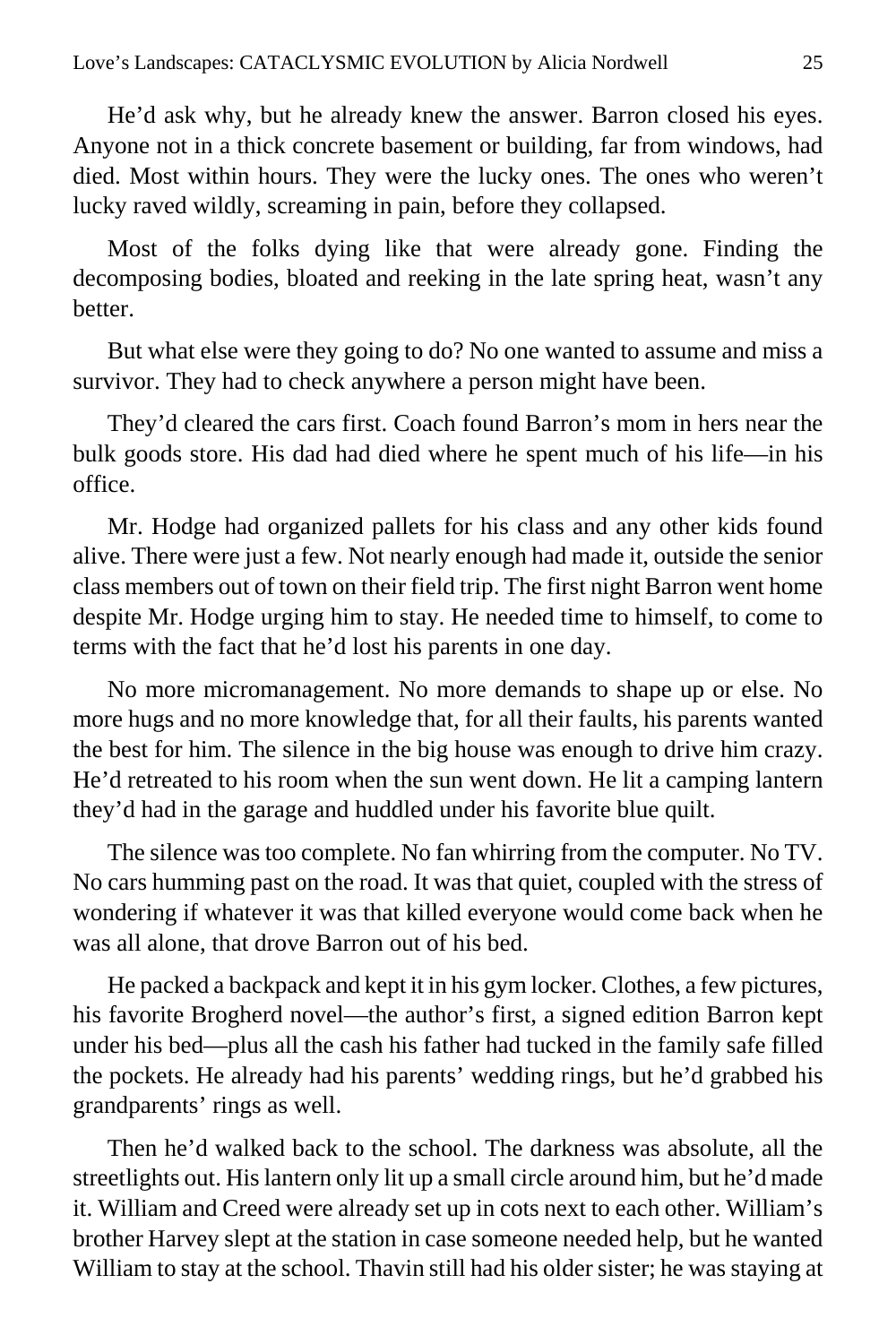He'd ask why, but he already knew the answer. Barron closed his eyes. Anyone not in a thick concrete basement or building, far from windows, had died. Most within hours. They were the lucky ones. The ones who weren't lucky raved wildly, screaming in pain, before they collapsed.

Most of the folks dying like that were already gone. Finding the decomposing bodies, bloated and reeking in the late spring heat, wasn't any better.

But what else were they going to do? No one wanted to assume and miss a survivor. They had to check anywhere a person might have been.

They'd cleared the cars first. Coach found Barron's mom in hers near the bulk goods store. His dad had died where he spent much of his life—in his office.

Mr. Hodge had organized pallets for his class and any other kids found alive. There were just a few. Not nearly enough had made it, outside the senior class members out of town on their field trip. The first night Barron went home despite Mr. Hodge urging him to stay. He needed time to himself, to come to terms with the fact that he'd lost his parents in one day.

No more micromanagement. No more demands to shape up or else. No more hugs and no more knowledge that, for all their faults, his parents wanted the best for him. The silence in the big house was enough to drive him crazy. He'd retreated to his room when the sun went down. He lit a camping lantern they'd had in the garage and huddled under his favorite blue quilt.

The silence was too complete. No fan whirring from the computer. No TV. No cars humming past on the road. It was that quiet, coupled with the stress of wondering if whatever it was that killed everyone would come back when he was all alone, that drove Barron out of his bed.

He packed a backpack and kept it in his gym locker. Clothes, a few pictures, his favorite Brogherd novel—the author's first, a signed edition Barron kept under his bed—plus all the cash his father had tucked in the family safe filled the pockets. He already had his parents' wedding rings, but he'd grabbed his grandparents' rings as well.

Then he'd walked back to the school. The darkness was absolute, all the streetlights out. His lantern only lit up a small circle around him, but he'd made it. William and Creed were already set up in cots next to each other. William's brother Harvey slept at the station in case someone needed help, but he wanted William to stay at the school. Thavin still had his older sister; he was staying at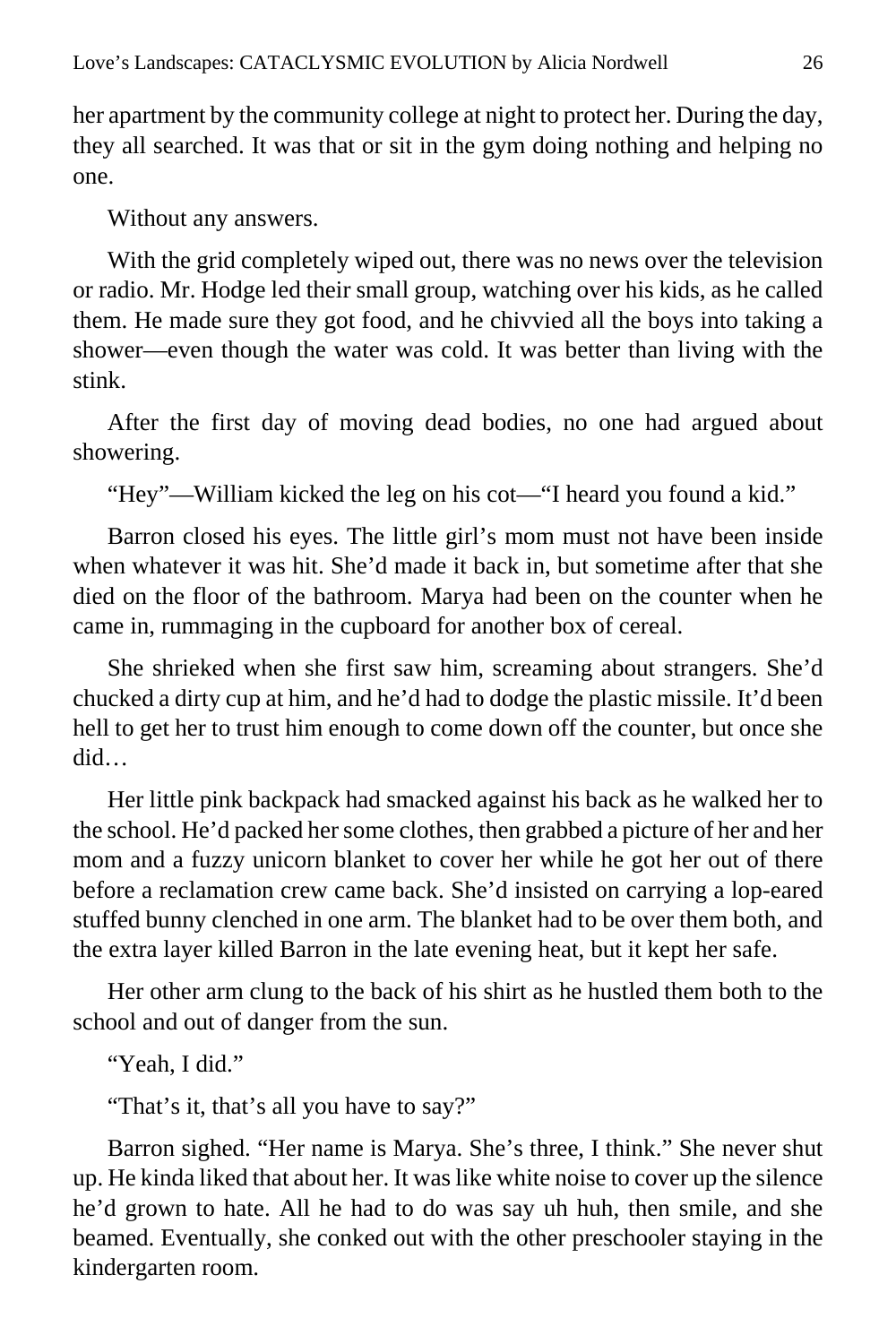her apartment by the community college at night to protect her. During the day, they all searched. It was that or sit in the gym doing nothing and helping no one.

Without any answers.

With the grid completely wiped out, there was no news over the television or radio. Mr. Hodge led their small group, watching over his kids, as he called them. He made sure they got food, and he chivvied all the boys into taking a shower—even though the water was cold. It was better than living with the stink.

After the first day of moving dead bodies, no one had argued about showering.

"Hey"—William kicked the leg on his cot—"I heard you found a kid."

Barron closed his eyes. The little girl's mom must not have been inside when whatever it was hit. She'd made it back in, but sometime after that she died on the floor of the bathroom. Marya had been on the counter when he came in, rummaging in the cupboard for another box of cereal.

She shrieked when she first saw him, screaming about strangers. She'd chucked a dirty cup at him, and he'd had to dodge the plastic missile. It'd been hell to get her to trust him enough to come down off the counter, but once she did…

Her little pink backpack had smacked against his back as he walked her to the school. He'd packed her some clothes, then grabbed a picture of her and her mom and a fuzzy unicorn blanket to cover her while he got her out of there before a reclamation crew came back. She'd insisted on carrying a lop-eared stuffed bunny clenched in one arm. The blanket had to be over them both, and the extra layer killed Barron in the late evening heat, but it kept her safe.

Her other arm clung to the back of his shirt as he hustled them both to the school and out of danger from the sun.

"Yeah, I did."

"That's it, that's all you have to say?"

Barron sighed. "Her name is Marya. She's three, I think." She never shut up. He kinda liked that about her. It was like white noise to cover up the silence he'd grown to hate. All he had to do was say uh huh, then smile, and she beamed. Eventually, she conked out with the other preschooler staying in the kindergarten room.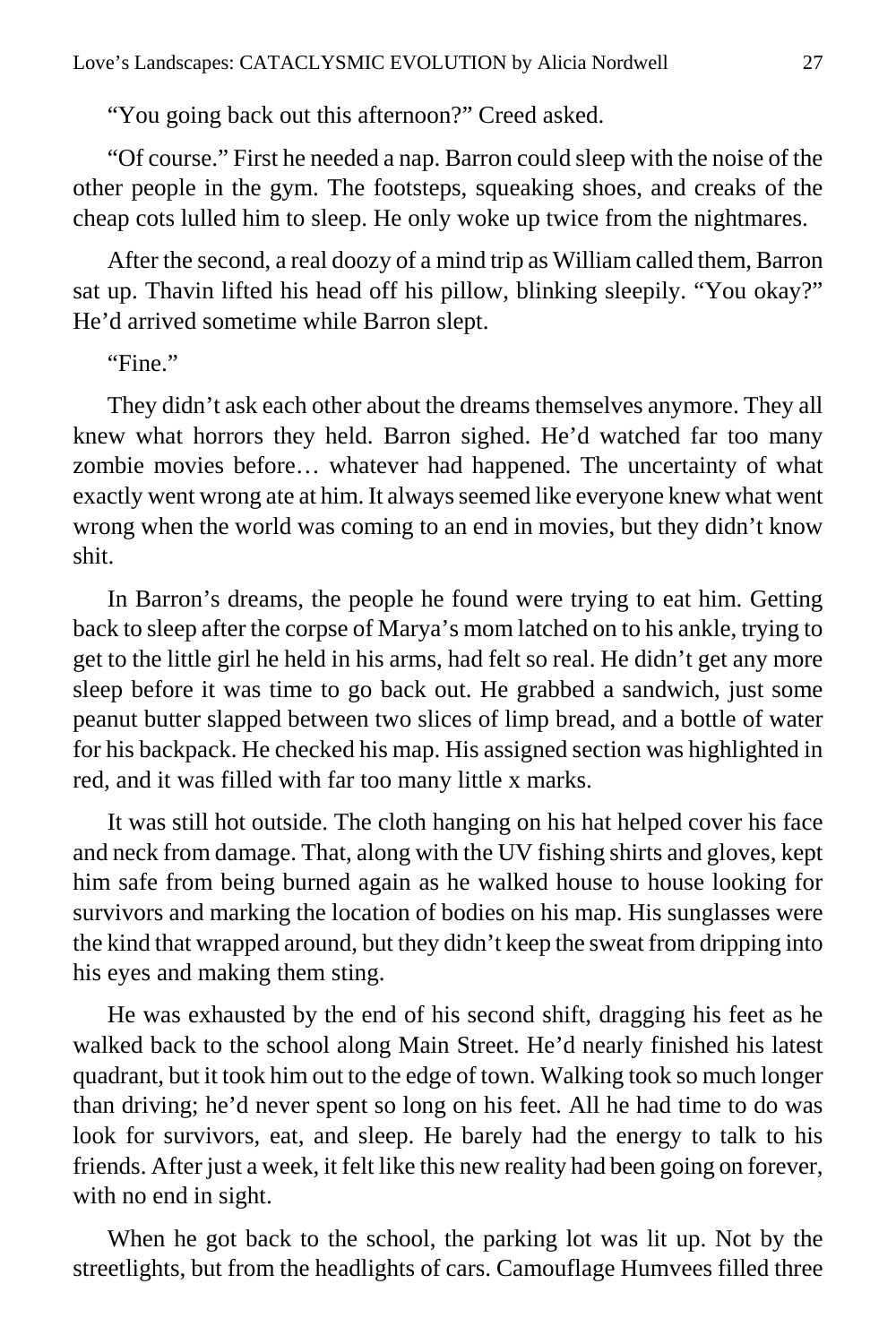"You going back out this afternoon?" Creed asked.

"Of course." First he needed a nap. Barron could sleep with the noise of the other people in the gym. The footsteps, squeaking shoes, and creaks of the cheap cots lulled him to sleep. He only woke up twice from the nightmares.

After the second, a real doozy of a mind trip as William called them, Barron sat up. Thavin lifted his head off his pillow, blinking sleepily. "You okay?" He'd arrived sometime while Barron slept.

"Fine."

They didn't ask each other about the dreams themselves anymore. They all knew what horrors they held. Barron sighed. He'd watched far too many zombie movies before… whatever had happened. The uncertainty of what exactly went wrong ate at him. It always seemed like everyone knew what went wrong when the world was coming to an end in movies, but they didn't know shit.

In Barron's dreams, the people he found were trying to eat him. Getting back to sleep after the corpse of Marya's mom latched on to his ankle, trying to get to the little girl he held in his arms, had felt so real. He didn't get any more sleep before it was time to go back out. He grabbed a sandwich, just some peanut butter slapped between two slices of limp bread, and a bottle of water for his backpack. He checked his map. His assigned section was highlighted in red, and it was filled with far too many little x marks.

It was still hot outside. The cloth hanging on his hat helped cover his face and neck from damage. That, along with the UV fishing shirts and gloves, kept him safe from being burned again as he walked house to house looking for survivors and marking the location of bodies on his map. His sunglasses were the kind that wrapped around, but they didn't keep the sweat from dripping into his eyes and making them sting.

He was exhausted by the end of his second shift, dragging his feet as he walked back to the school along Main Street. He'd nearly finished his latest quadrant, but it took him out to the edge of town. Walking took so much longer than driving; he'd never spent so long on his feet. All he had time to do was look for survivors, eat, and sleep. He barely had the energy to talk to his friends. After just a week, it felt like this new reality had been going on forever, with no end in sight.

When he got back to the school, the parking lot was lit up. Not by the streetlights, but from the headlights of cars. Camouflage Humvees filled three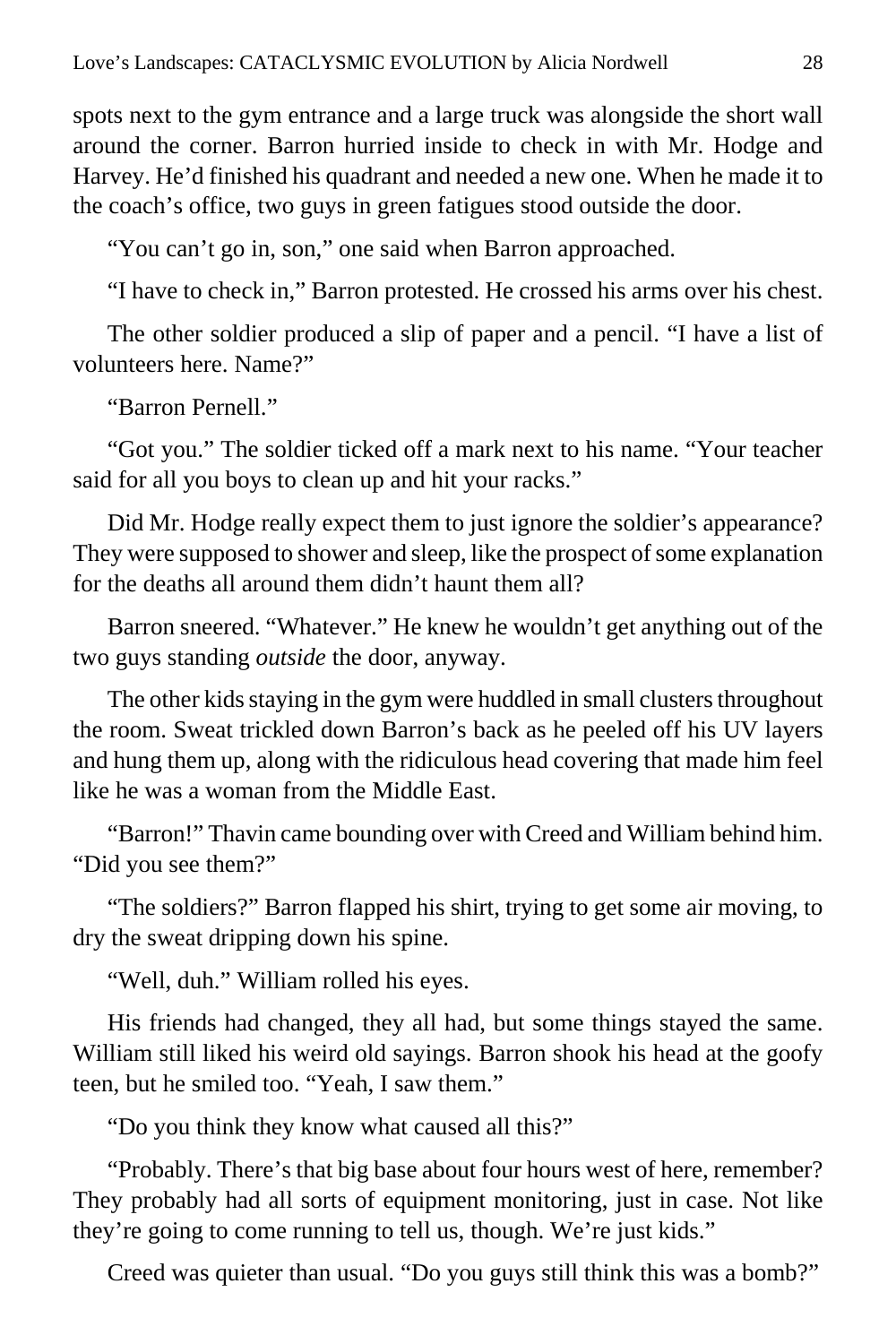spots next to the gym entrance and a large truck was alongside the short wall around the corner. Barron hurried inside to check in with Mr. Hodge and Harvey. He'd finished his quadrant and needed a new one. When he made it to the coach's office, two guys in green fatigues stood outside the door.

"You can't go in, son," one said when Barron approached.

"I have to check in," Barron protested. He crossed his arms over his chest.

The other soldier produced a slip of paper and a pencil. "I have a list of volunteers here. Name?"

"Barron Pernell."

"Got you." The soldier ticked off a mark next to his name. "Your teacher said for all you boys to clean up and hit your racks."

Did Mr. Hodge really expect them to just ignore the soldier's appearance? They were supposed to shower and sleep, like the prospect of some explanation for the deaths all around them didn't haunt them all?

Barron sneered. "Whatever." He knew he wouldn't get anything out of the two guys standing *outside* the door, anyway.

The other kids staying in the gym were huddled in small clusters throughout the room. Sweat trickled down Barron's back as he peeled off his UV layers and hung them up, along with the ridiculous head covering that made him feel like he was a woman from the Middle East.

"Barron!" Thavin came bounding over with Creed and William behind him. "Did you see them?"

"The soldiers?" Barron flapped his shirt, trying to get some air moving, to dry the sweat dripping down his spine.

"Well, duh." William rolled his eyes.

His friends had changed, they all had, but some things stayed the same. William still liked his weird old sayings. Barron shook his head at the goofy teen, but he smiled too. "Yeah, I saw them."

"Do you think they know what caused all this?"

"Probably. There's that big base about four hours west of here, remember? They probably had all sorts of equipment monitoring, just in case. Not like they're going to come running to tell us, though. We're just kids."

Creed was quieter than usual. "Do you guys still think this was a bomb?"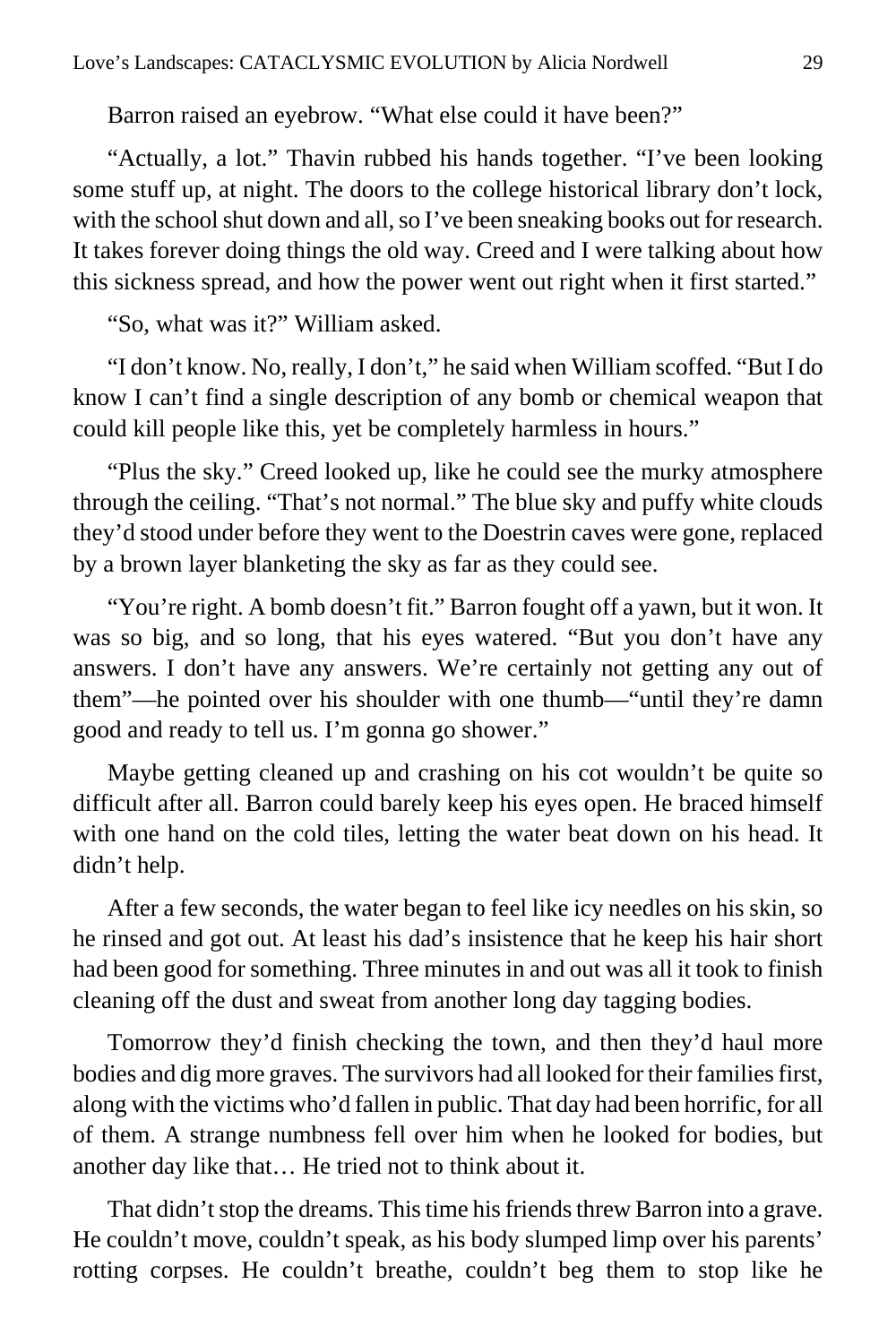Barron raised an eyebrow. "What else could it have been?"

"Actually, a lot." Thavin rubbed his hands together. "I've been looking some stuff up, at night. The doors to the college historical library don't lock, with the school shut down and all, so I've been sneaking books out for research. It takes forever doing things the old way. Creed and I were talking about how this sickness spread, and how the power went out right when it first started."

"So, what was it?" William asked.

"I don't know. No, really, I don't," he said when William scoffed. "But I do know I can't find a single description of any bomb or chemical weapon that could kill people like this, yet be completely harmless in hours."

"Plus the sky." Creed looked up, like he could see the murky atmosphere through the ceiling. "That's not normal." The blue sky and puffy white clouds they'd stood under before they went to the Doestrin caves were gone, replaced by a brown layer blanketing the sky as far as they could see.

"You're right. A bomb doesn't fit." Barron fought off a yawn, but it won. It was so big, and so long, that his eyes watered. "But you don't have any answers. I don't have any answers. We're certainly not getting any out of them"—he pointed over his shoulder with one thumb—"until they're damn good and ready to tell us. I'm gonna go shower."

Maybe getting cleaned up and crashing on his cot wouldn't be quite so difficult after all. Barron could barely keep his eyes open. He braced himself with one hand on the cold tiles, letting the water beat down on his head. It didn't help.

After a few seconds, the water began to feel like icy needles on his skin, so he rinsed and got out. At least his dad's insistence that he keep his hair short had been good for something. Three minutes in and out was all it took to finish cleaning off the dust and sweat from another long day tagging bodies.

Tomorrow they'd finish checking the town, and then they'd haul more bodies and dig more graves. The survivors had all looked for their families first, along with the victims who'd fallen in public. That day had been horrific, for all of them. A strange numbness fell over him when he looked for bodies, but another day like that… He tried not to think about it.

That didn't stop the dreams. This time his friends threw Barron into a grave. He couldn't move, couldn't speak, as his body slumped limp over his parents' rotting corpses. He couldn't breathe, couldn't beg them to stop like he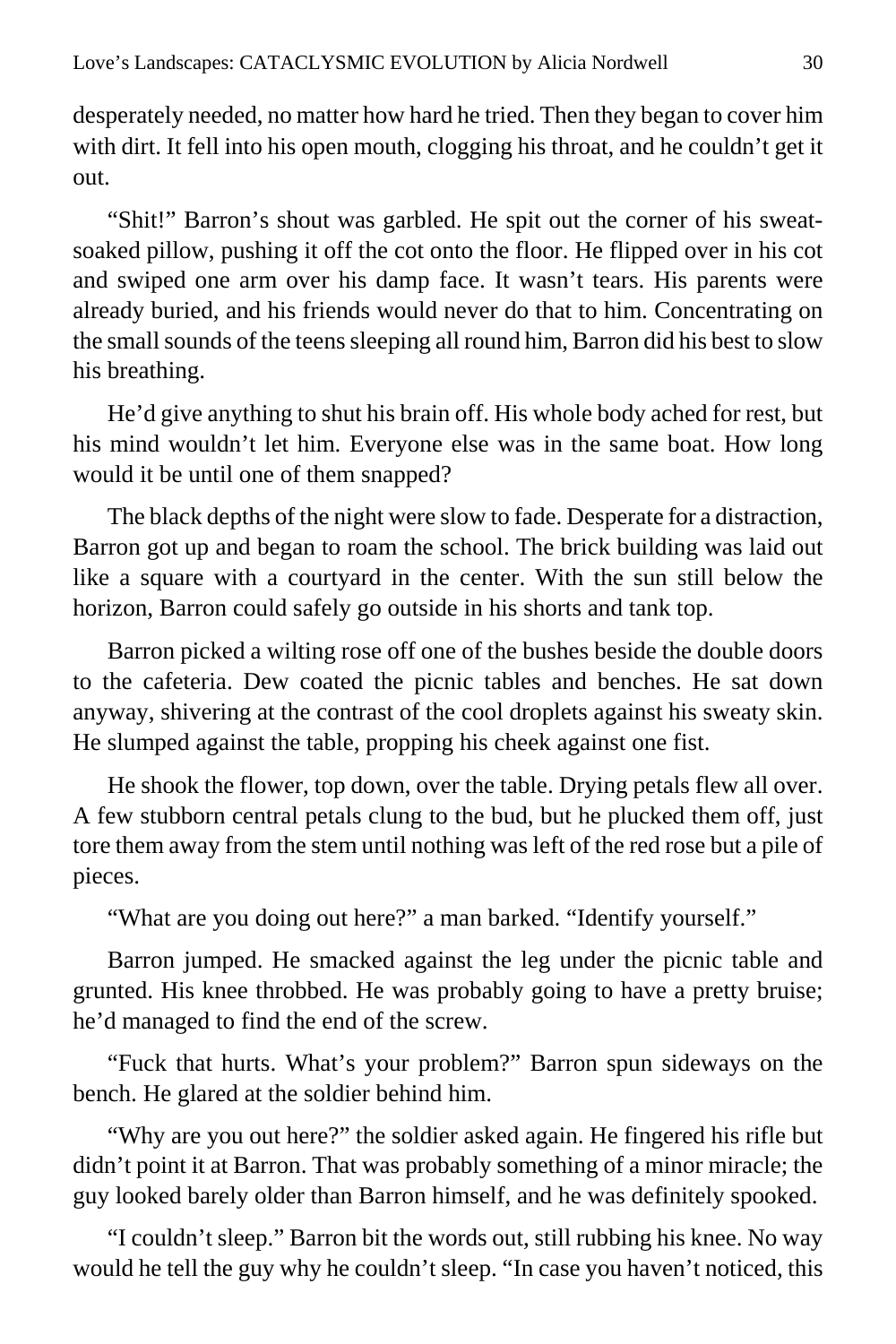desperately needed, no matter how hard he tried. Then they began to cover him with dirt. It fell into his open mouth, clogging his throat, and he couldn't get it out.

"Shit!" Barron's shout was garbled. He spit out the corner of his sweatsoaked pillow, pushing it off the cot onto the floor. He flipped over in his cot and swiped one arm over his damp face. It wasn't tears. His parents were already buried, and his friends would never do that to him. Concentrating on the small sounds of the teens sleeping all round him, Barron did his best to slow his breathing.

He'd give anything to shut his brain off. His whole body ached for rest, but his mind wouldn't let him. Everyone else was in the same boat. How long would it be until one of them snapped?

The black depths of the night were slow to fade. Desperate for a distraction, Barron got up and began to roam the school. The brick building was laid out like a square with a courtyard in the center. With the sun still below the horizon, Barron could safely go outside in his shorts and tank top.

Barron picked a wilting rose off one of the bushes beside the double doors to the cafeteria. Dew coated the picnic tables and benches. He sat down anyway, shivering at the contrast of the cool droplets against his sweaty skin. He slumped against the table, propping his cheek against one fist.

He shook the flower, top down, over the table. Drying petals flew all over. A few stubborn central petals clung to the bud, but he plucked them off, just tore them away from the stem until nothing was left of the red rose but a pile of pieces.

"What are you doing out here?" a man barked. "Identify yourself."

Barron jumped. He smacked against the leg under the picnic table and grunted. His knee throbbed. He was probably going to have a pretty bruise; he'd managed to find the end of the screw.

"Fuck that hurts. What's your problem?" Barron spun sideways on the bench. He glared at the soldier behind him.

"Why are you out here?" the soldier asked again. He fingered his rifle but didn't point it at Barron. That was probably something of a minor miracle; the guy looked barely older than Barron himself, and he was definitely spooked.

"I couldn't sleep." Barron bit the words out, still rubbing his knee. No way would he tell the guy why he couldn't sleep. "In case you haven't noticed, this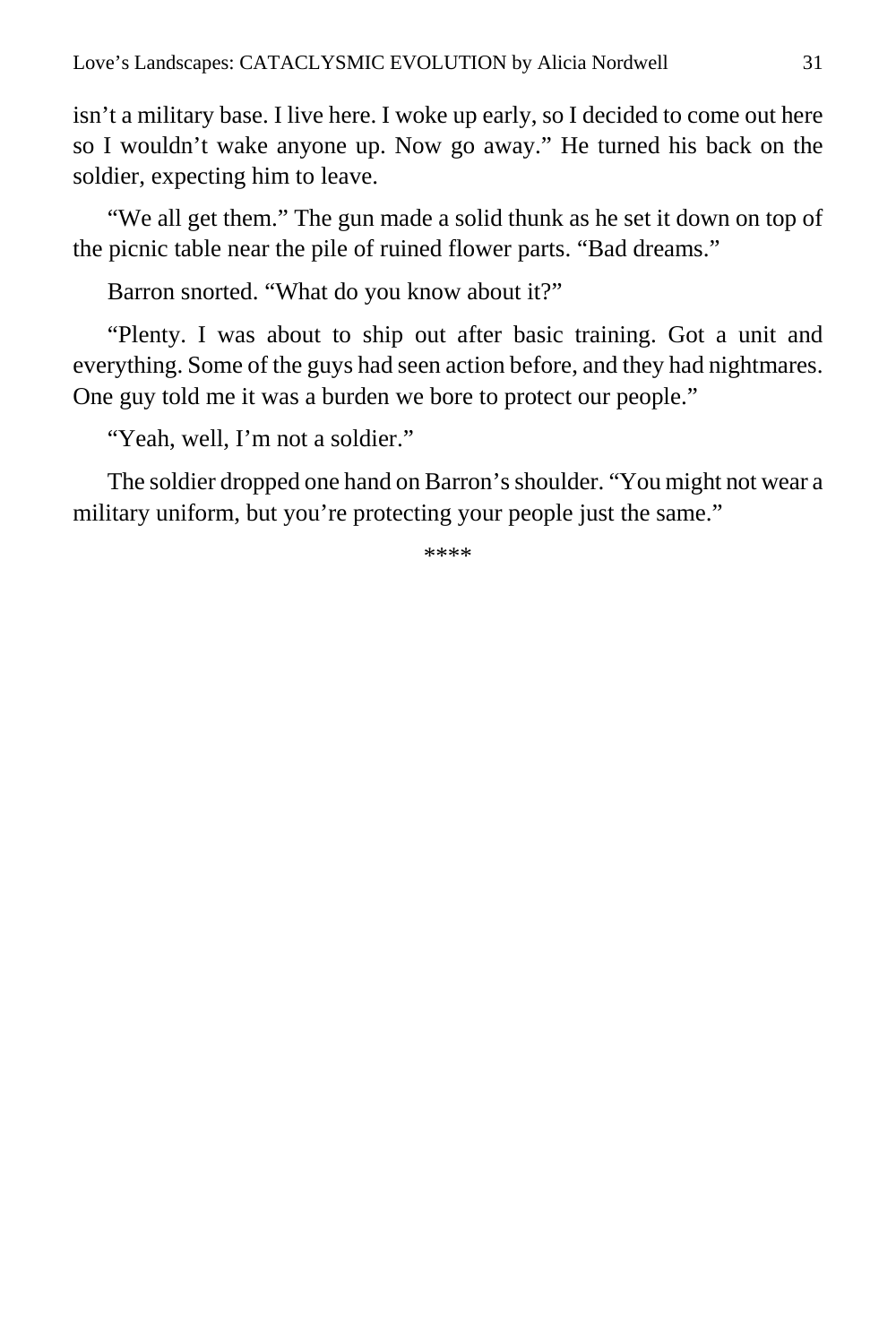isn't a military base. I live here. I woke up early, so I decided to come out here so I wouldn't wake anyone up. Now go away." He turned his back on the soldier, expecting him to leave.

"We all get them." The gun made a solid thunk as he set it down on top of the picnic table near the pile of ruined flower parts. "Bad dreams."

Barron snorted. "What do you know about it?"

"Plenty. I was about to ship out after basic training. Got a unit and everything. Some of the guys had seen action before, and they had nightmares. One guy told me it was a burden we bore to protect our people."

"Yeah, well, I'm not a soldier."

The soldier dropped one hand on Barron's shoulder. "You might not wear a military uniform, but you're protecting your people just the same."

\*\*\*\*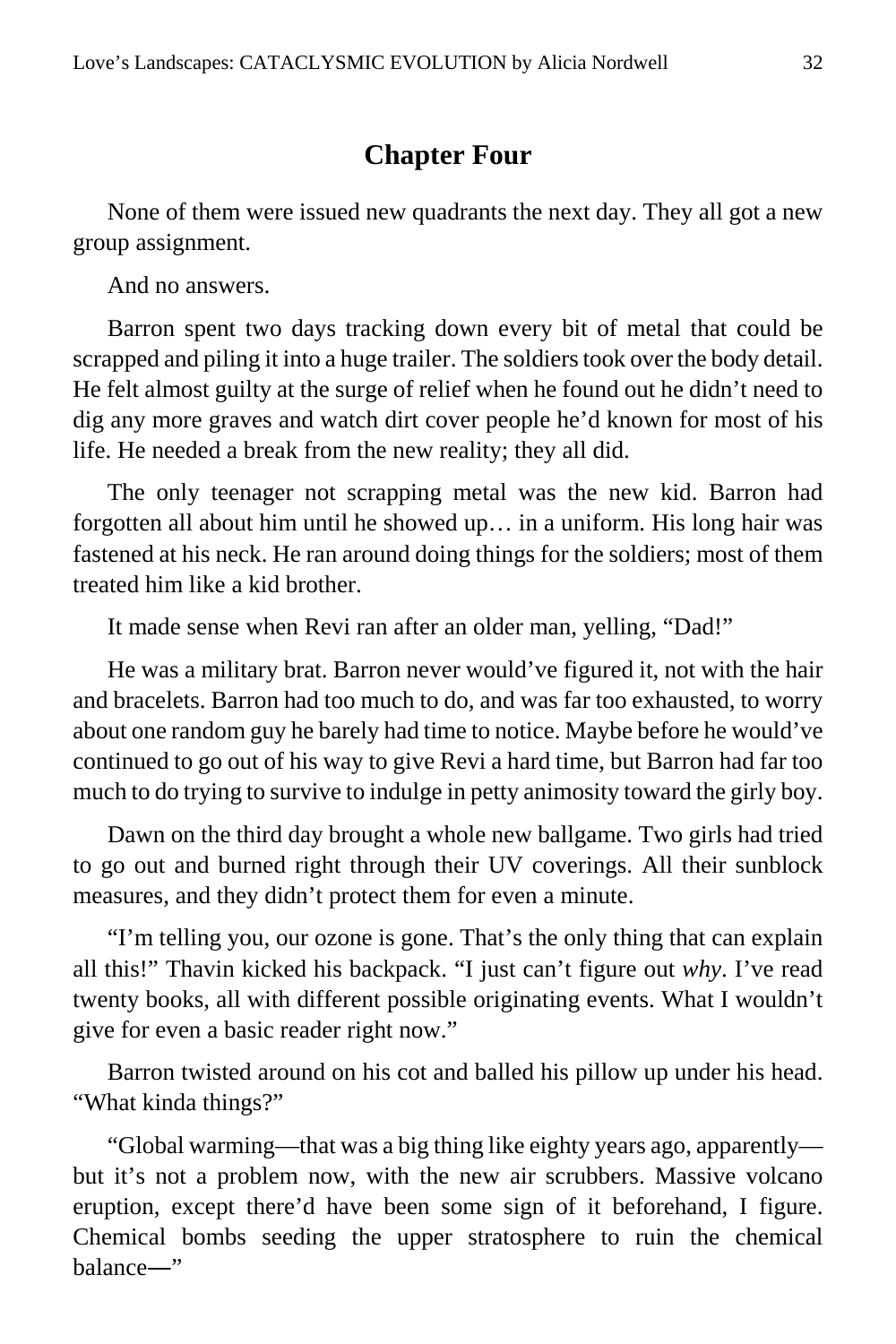#### **Chapter Four**

<span id="page-31-0"></span>None of them were issued new quadrants the next day. They all got a new group assignment.

And no answers.

Barron spent two days tracking down every bit of metal that could be scrapped and piling it into a huge trailer. The soldiers took over the body detail. He felt almost guilty at the surge of relief when he found out he didn't need to dig any more graves and watch dirt cover people he'd known for most of his life. He needed a break from the new reality; they all did.

The only teenager not scrapping metal was the new kid. Barron had forgotten all about him until he showed up… in a uniform. His long hair was fastened at his neck. He ran around doing things for the soldiers; most of them treated him like a kid brother.

It made sense when Revi ran after an older man, yelling, "Dad!"

He was a military brat. Barron never would've figured it, not with the hair and bracelets. Barron had too much to do, and was far too exhausted, to worry about one random guy he barely had time to notice. Maybe before he would've continued to go out of his way to give Revi a hard time, but Barron had far too much to do trying to survive to indulge in petty animosity toward the girly boy.

Dawn on the third day brought a whole new ballgame. Two girls had tried to go out and burned right through their UV coverings. All their sunblock measures, and they didn't protect them for even a minute.

"I'm telling you, our ozone is gone. That's the only thing that can explain all this!" Thavin kicked his backpack. "I just can't figure out *why*. I've read twenty books, all with different possible originating events. What I wouldn't give for even a basic reader right now."

Barron twisted around on his cot and balled his pillow up under his head. "What kinda things?"

"Global warming—that was a big thing like eighty years ago, apparently but it's not a problem now, with the new air scrubbers. Massive volcano eruption, except there'd have been some sign of it beforehand, I figure. Chemical bombs seeding the upper stratosphere to ruin the chemical balance―"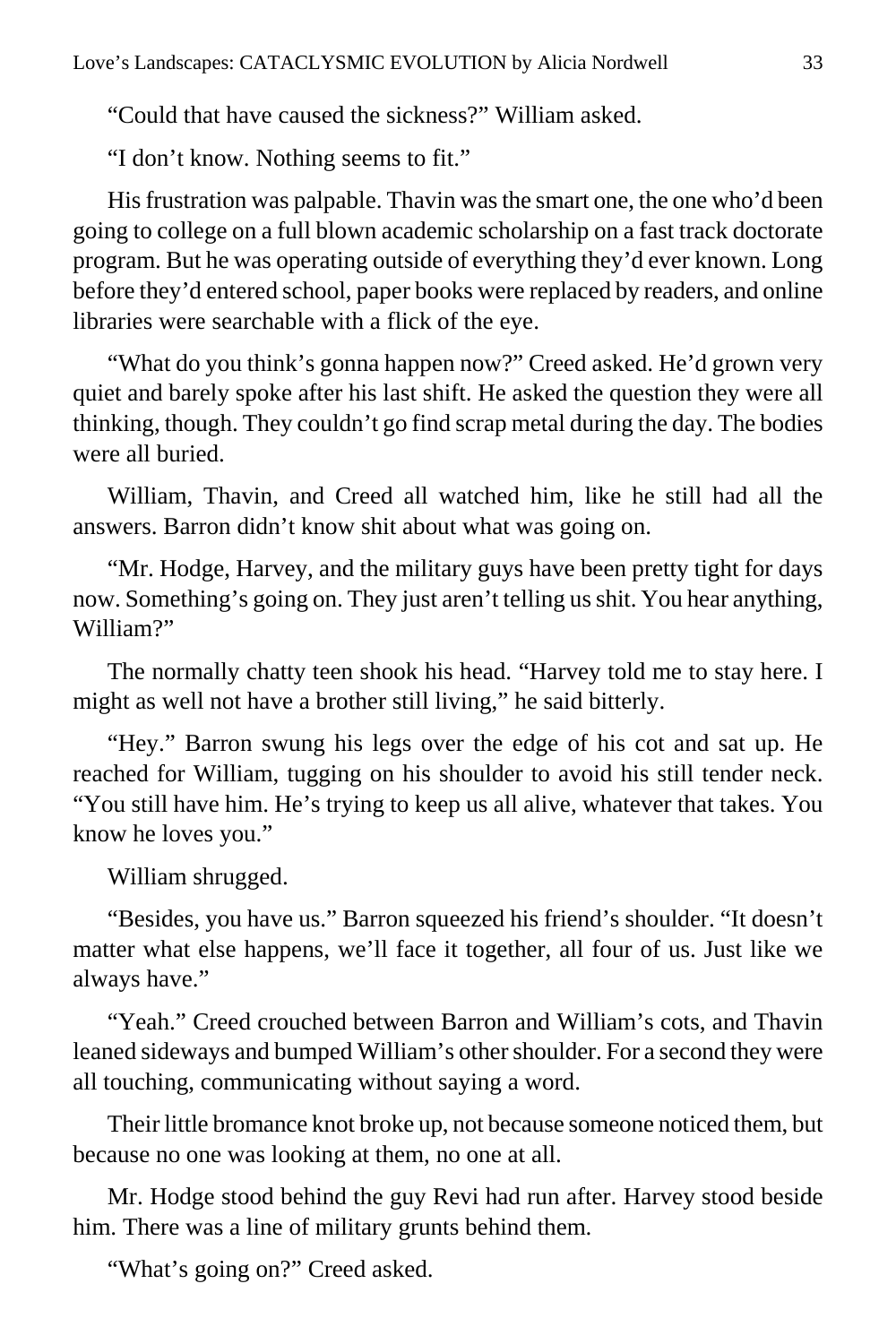"Could that have caused the sickness?" William asked.

"I don't know. Nothing seems to fit."

His frustration was palpable. Thavin was the smart one, the one who'd been going to college on a full blown academic scholarship on a fast track doctorate program. But he was operating outside of everything they'd ever known. Long before they'd entered school, paper books were replaced by readers, and online libraries were searchable with a flick of the eye.

"What do you think's gonna happen now?" Creed asked. He'd grown very quiet and barely spoke after his last shift. He asked the question they were all thinking, though. They couldn't go find scrap metal during the day. The bodies were all buried.

William, Thavin, and Creed all watched him, like he still had all the answers. Barron didn't know shit about what was going on.

"Mr. Hodge, Harvey, and the military guys have been pretty tight for days now. Something's going on. They just aren't telling us shit. You hear anything, William?"

The normally chatty teen shook his head. "Harvey told me to stay here. I might as well not have a brother still living," he said bitterly.

"Hey." Barron swung his legs over the edge of his cot and sat up. He reached for William, tugging on his shoulder to avoid his still tender neck. "You still have him. He's trying to keep us all alive, whatever that takes. You know he loves you."

William shrugged.

"Besides, you have us." Barron squeezed his friend's shoulder. "It doesn't matter what else happens, we'll face it together, all four of us. Just like we always have."

"Yeah." Creed crouched between Barron and William's cots, and Thavin leaned sideways and bumped William's other shoulder. For a second they were all touching, communicating without saying a word.

Their little bromance knot broke up, not because someone noticed them, but because no one was looking at them, no one at all.

Mr. Hodge stood behind the guy Revi had run after. Harvey stood beside him. There was a line of military grunts behind them.

"What's going on?" Creed asked.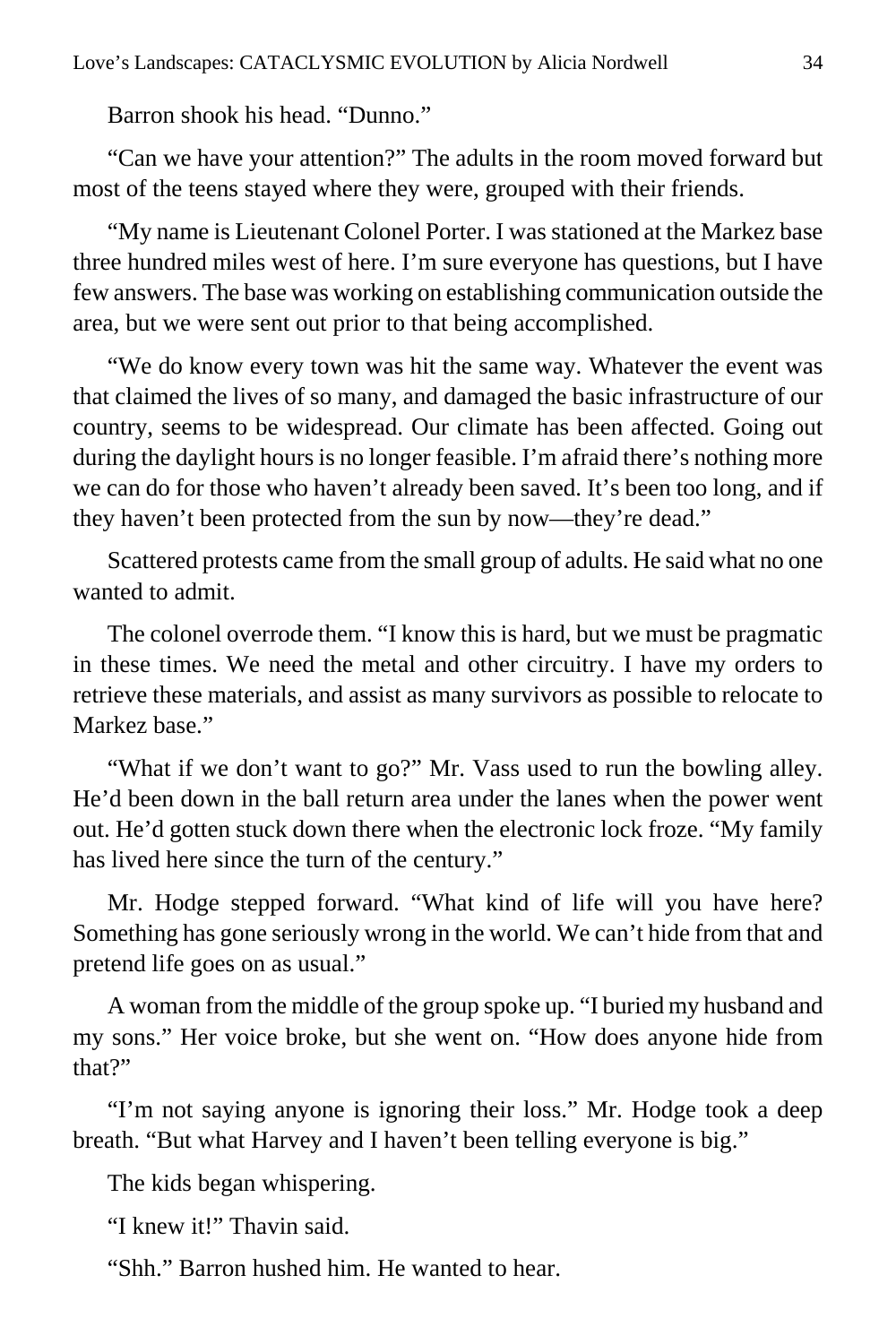Barron shook his head. "Dunno."

"Can we have your attention?" The adults in the room moved forward but most of the teens stayed where they were, grouped with their friends.

"My name is Lieutenant Colonel Porter. I was stationed at the Markez base three hundred miles west of here. I'm sure everyone has questions, but I have few answers. The base was working on establishing communication outside the area, but we were sent out prior to that being accomplished.

"We do know every town was hit the same way. Whatever the event was that claimed the lives of so many, and damaged the basic infrastructure of our country, seems to be widespread. Our climate has been affected. Going out during the daylight hours is no longer feasible. I'm afraid there's nothing more we can do for those who haven't already been saved. It's been too long, and if they haven't been protected from the sun by now—they're dead."

Scattered protests came from the small group of adults. He said what no one wanted to admit.

The colonel overrode them. "I know this is hard, but we must be pragmatic in these times. We need the metal and other circuitry. I have my orders to retrieve these materials, and assist as many survivors as possible to relocate to Markez base."

"What if we don't want to go?" Mr. Vass used to run the bowling alley. He'd been down in the ball return area under the lanes when the power went out. He'd gotten stuck down there when the electronic lock froze. "My family has lived here since the turn of the century."

Mr. Hodge stepped forward. "What kind of life will you have here? Something has gone seriously wrong in the world. We can't hide from that and pretend life goes on as usual."

A woman from the middle of the group spoke up. "I buried my husband and my sons." Her voice broke, but she went on. "How does anyone hide from that?"

"I'm not saying anyone is ignoring their loss." Mr. Hodge took a deep breath. "But what Harvey and I haven't been telling everyone is big."

The kids began whispering.

"I knew it!" Thavin said.

"Shh." Barron hushed him. He wanted to hear.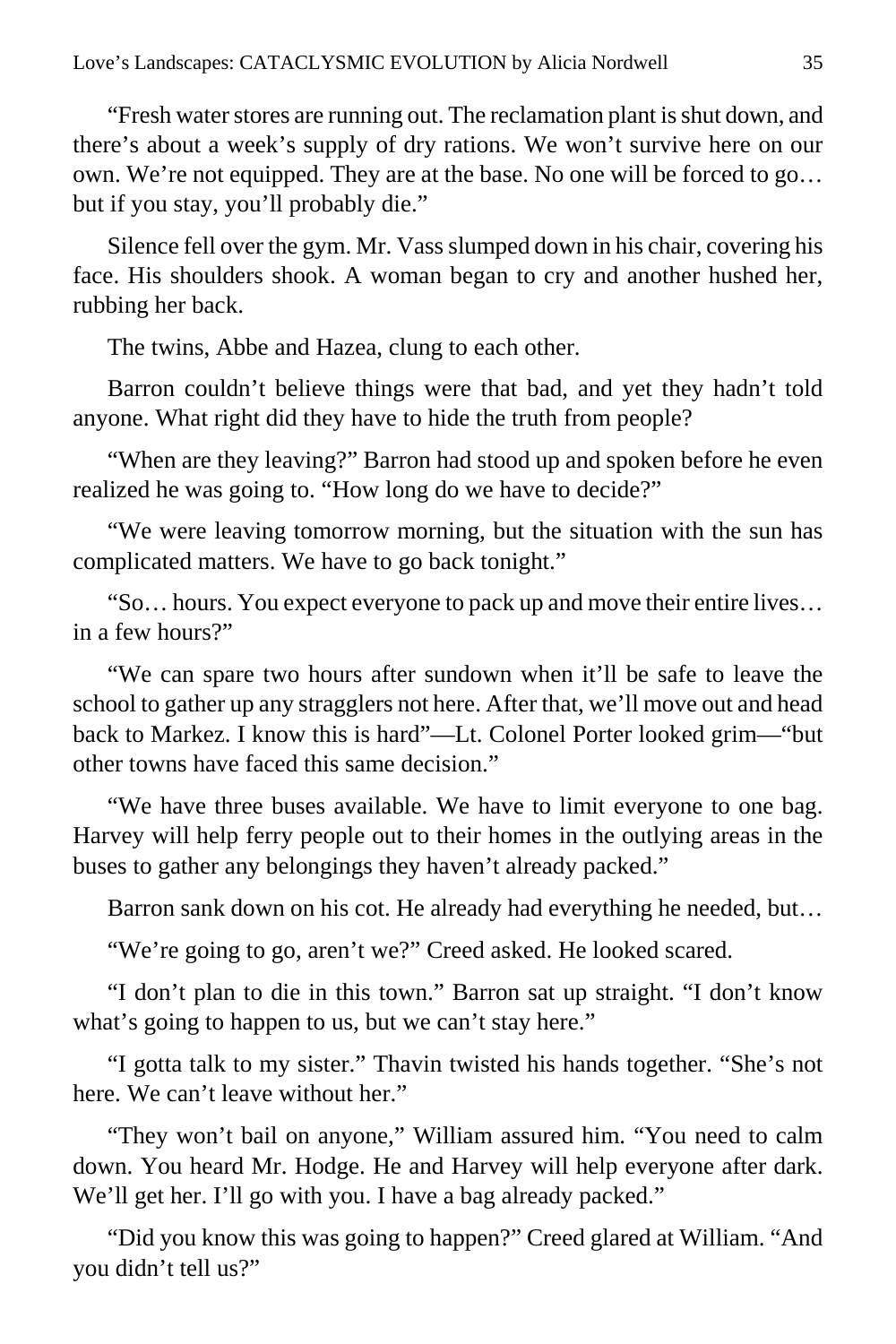"Fresh water stores are running out. The reclamation plant is shut down, and there's about a week's supply of dry rations. We won't survive here on our own. We're not equipped. They are at the base. No one will be forced to go… but if you stay, you'll probably die."

Silence fell over the gym. Mr. Vass slumped down in his chair, covering his face. His shoulders shook. A woman began to cry and another hushed her, rubbing her back.

The twins, Abbe and Hazea, clung to each other.

Barron couldn't believe things were that bad, and yet they hadn't told anyone. What right did they have to hide the truth from people?

"When are they leaving?" Barron had stood up and spoken before he even realized he was going to. "How long do we have to decide?"

"We were leaving tomorrow morning, but the situation with the sun has complicated matters. We have to go back tonight."

"So… hours. You expect everyone to pack up and move their entire lives… in a few hours?"

"We can spare two hours after sundown when it'll be safe to leave the school to gather up any stragglers not here. After that, we'll move out and head back to Markez. I know this is hard"—Lt. Colonel Porter looked grim—"but other towns have faced this same decision."

"We have three buses available. We have to limit everyone to one bag. Harvey will help ferry people out to their homes in the outlying areas in the buses to gather any belongings they haven't already packed."

Barron sank down on his cot. He already had everything he needed, but…

"We're going to go, aren't we?" Creed asked. He looked scared.

"I don't plan to die in this town." Barron sat up straight. "I don't know what's going to happen to us, but we can't stay here."

"I gotta talk to my sister." Thavin twisted his hands together. "She's not here. We can't leave without her."

"They won't bail on anyone," William assured him. "You need to calm down. You heard Mr. Hodge. He and Harvey will help everyone after dark. We'll get her. I'll go with you. I have a bag already packed."

"Did you know this was going to happen?" Creed glared at William. "And you didn't tell us?"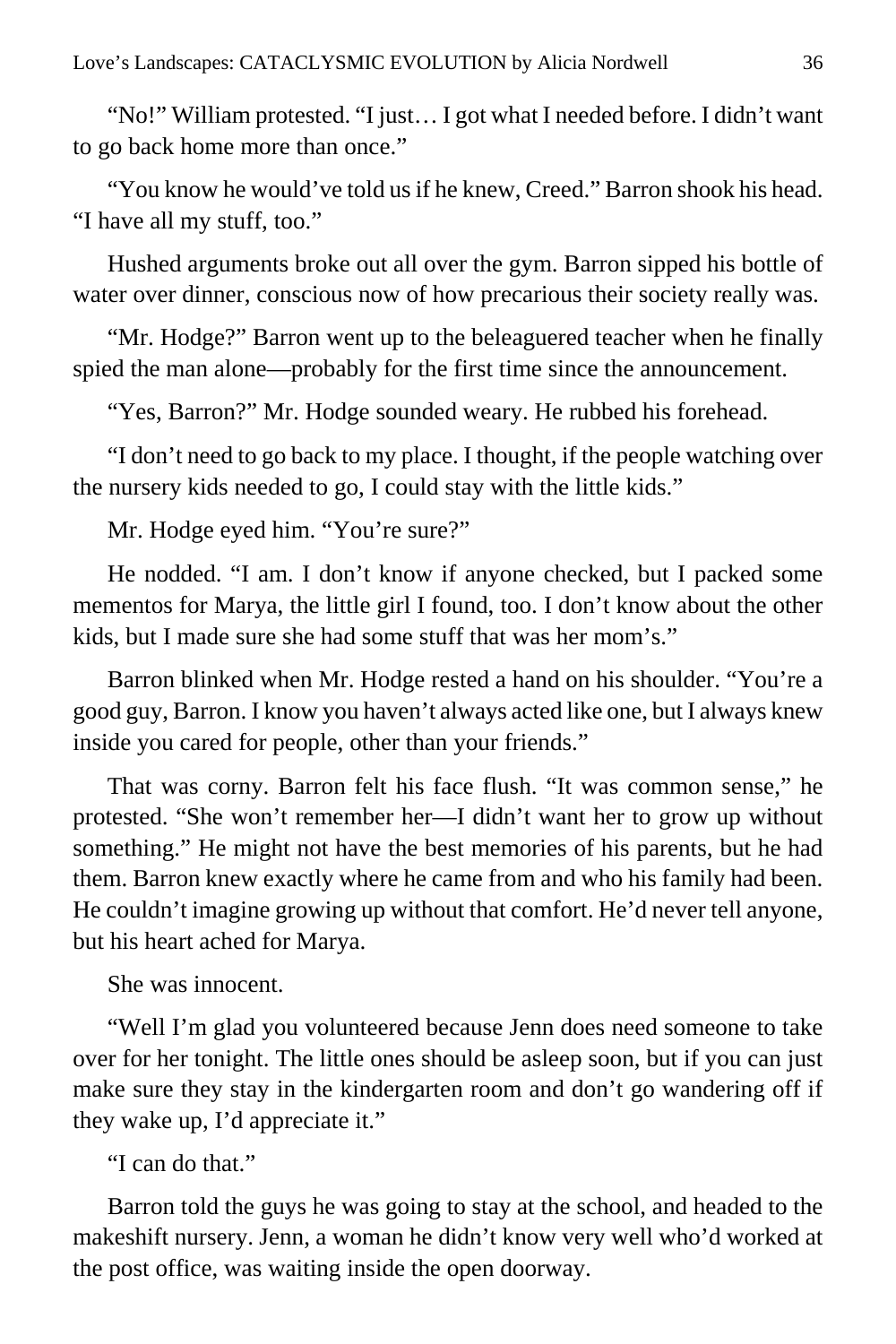"No!" William protested. "I just… I got what I needed before. I didn't want to go back home more than once."

"You know he would've told us if he knew, Creed." Barron shook his head. "I have all my stuff, too."

Hushed arguments broke out all over the gym. Barron sipped his bottle of water over dinner, conscious now of how precarious their society really was.

"Mr. Hodge?" Barron went up to the beleaguered teacher when he finally spied the man alone—probably for the first time since the announcement.

"Yes, Barron?" Mr. Hodge sounded weary. He rubbed his forehead.

"I don't need to go back to my place. I thought, if the people watching over the nursery kids needed to go, I could stay with the little kids."

Mr. Hodge eyed him. "You're sure?"

He nodded. "I am. I don't know if anyone checked, but I packed some mementos for Marya, the little girl I found, too. I don't know about the other kids, but I made sure she had some stuff that was her mom's."

Barron blinked when Mr. Hodge rested a hand on his shoulder. "You're a good guy, Barron. I know you haven't always acted like one, but I always knew inside you cared for people, other than your friends."

That was corny. Barron felt his face flush. "It was common sense," he protested. "She won't remember her—I didn't want her to grow up without something." He might not have the best memories of his parents, but he had them. Barron knew exactly where he came from and who his family had been. He couldn't imagine growing up without that comfort. He'd never tell anyone, but his heart ached for Marya.

She was innocent.

"Well I'm glad you volunteered because Jenn does need someone to take over for her tonight. The little ones should be asleep soon, but if you can just make sure they stay in the kindergarten room and don't go wandering off if they wake up, I'd appreciate it."

"I can do that"

Barron told the guys he was going to stay at the school, and headed to the makeshift nursery. Jenn, a woman he didn't know very well who'd worked at the post office, was waiting inside the open doorway.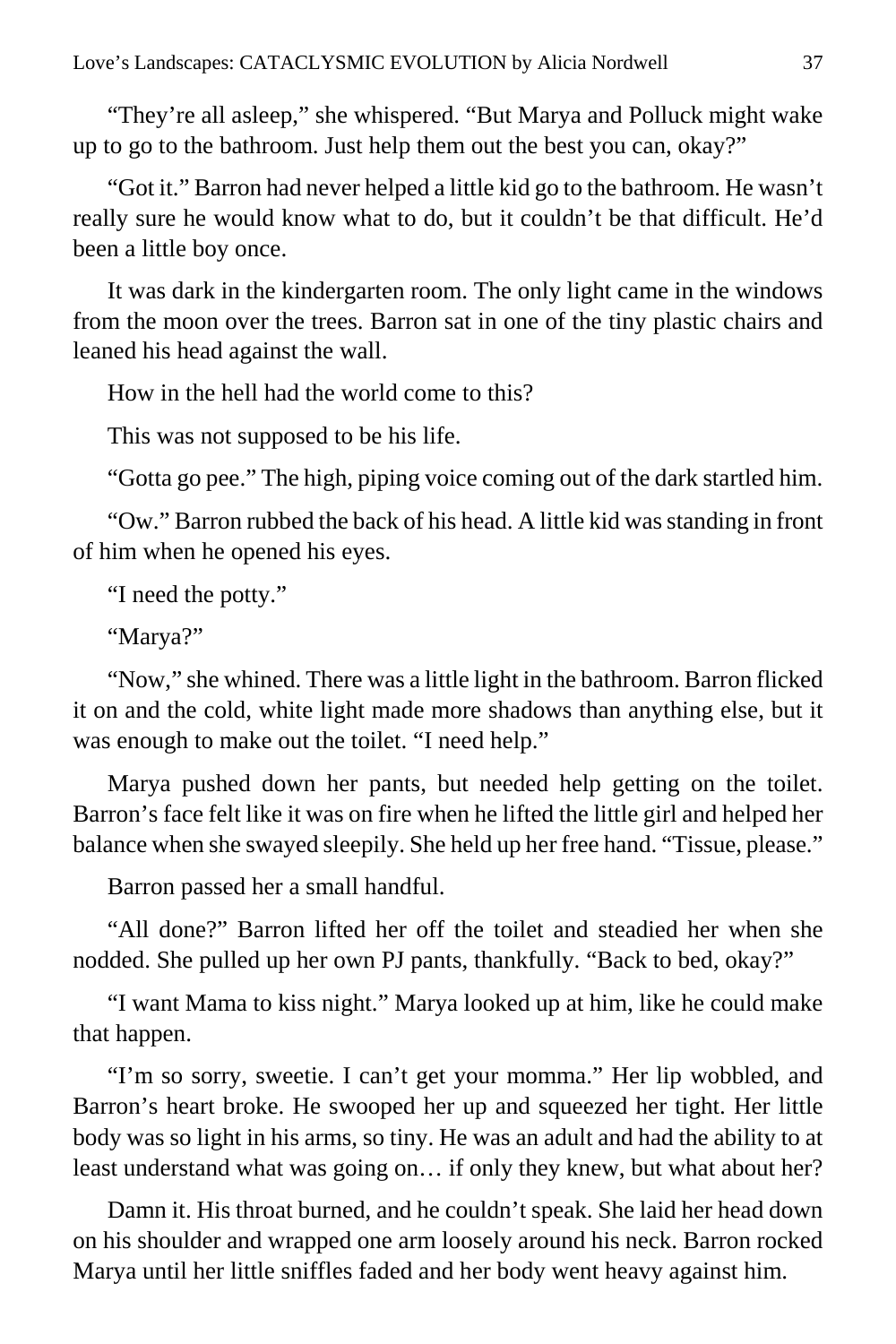"They're all asleep," she whispered. "But Marya and Polluck might wake up to go to the bathroom. Just help them out the best you can, okay?"

"Got it." Barron had never helped a little kid go to the bathroom. He wasn't really sure he would know what to do, but it couldn't be that difficult. He'd been a little boy once.

It was dark in the kindergarten room. The only light came in the windows from the moon over the trees. Barron sat in one of the tiny plastic chairs and leaned his head against the wall.

How in the hell had the world come to this?

This was not supposed to be his life.

"Gotta go pee." The high, piping voice coming out of the dark startled him.

"Ow." Barron rubbed the back of his head. A little kid was standing in front of him when he opened his eyes.

"I need the potty."

"Marya?"

"Now," she whined. There was a little light in the bathroom. Barron flicked it on and the cold, white light made more shadows than anything else, but it was enough to make out the toilet. "I need help."

Marya pushed down her pants, but needed help getting on the toilet. Barron's face felt like it was on fire when he lifted the little girl and helped her balance when she swayed sleepily. She held up her free hand. "Tissue, please."

Barron passed her a small handful.

"All done?" Barron lifted her off the toilet and steadied her when she nodded. She pulled up her own PJ pants, thankfully. "Back to bed, okay?"

"I want Mama to kiss night." Marya looked up at him, like he could make that happen.

"I'm so sorry, sweetie. I can't get your momma." Her lip wobbled, and Barron's heart broke. He swooped her up and squeezed her tight. Her little body was so light in his arms, so tiny. He was an adult and had the ability to at least understand what was going on… if only they knew, but what about her?

Damn it. His throat burned, and he couldn't speak. She laid her head down on his shoulder and wrapped one arm loosely around his neck. Barron rocked Marya until her little sniffles faded and her body went heavy against him.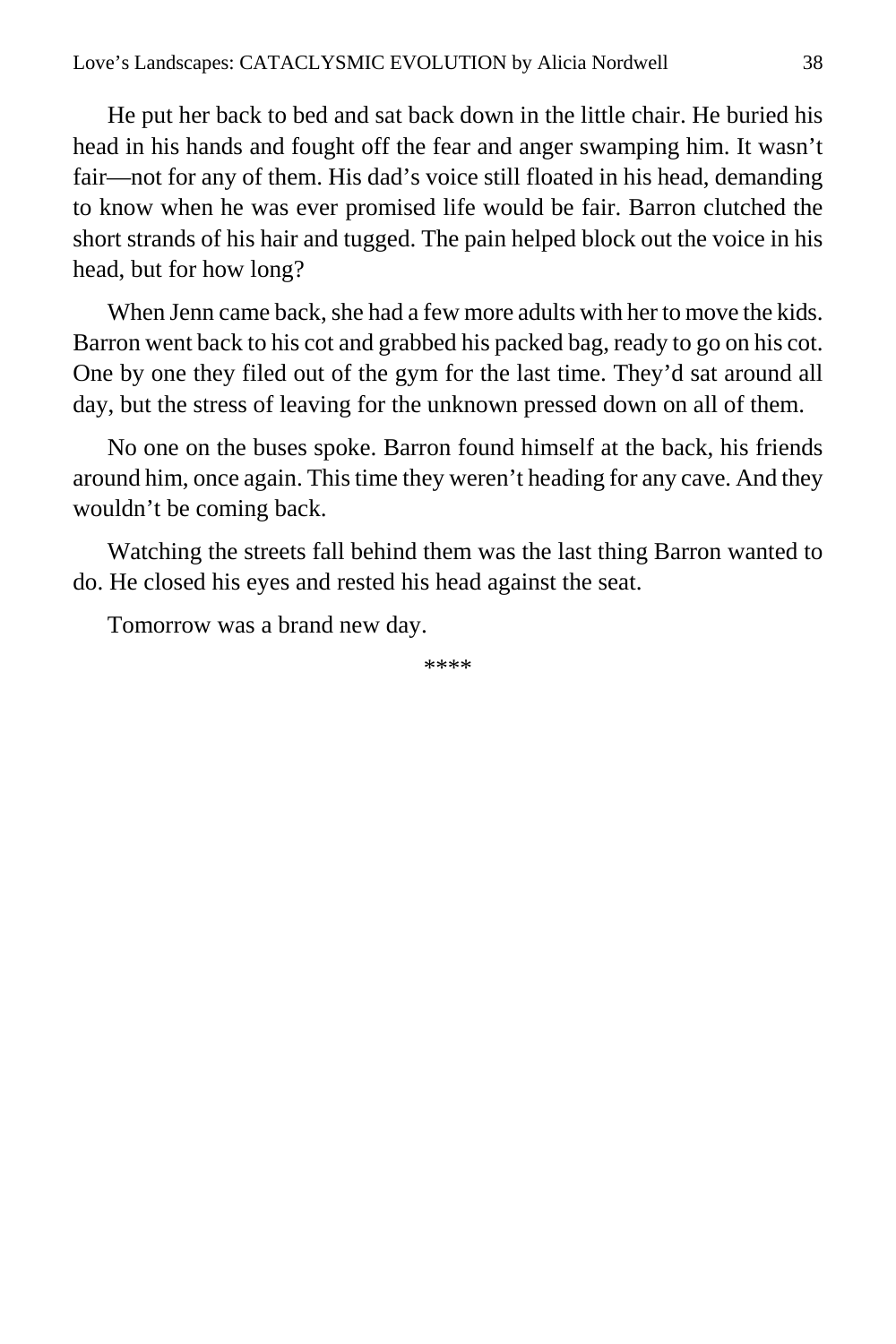He put her back to bed and sat back down in the little chair. He buried his head in his hands and fought off the fear and anger swamping him. It wasn't fair—not for any of them. His dad's voice still floated in his head, demanding to know when he was ever promised life would be fair. Barron clutched the short strands of his hair and tugged. The pain helped block out the voice in his head, but for how long?

When Jenn came back, she had a few more adults with her to move the kids. Barron went back to his cot and grabbed his packed bag, ready to go on his cot. One by one they filed out of the gym for the last time. They'd sat around all day, but the stress of leaving for the unknown pressed down on all of them.

No one on the buses spoke. Barron found himself at the back, his friends around him, once again. This time they weren't heading for any cave. And they wouldn't be coming back.

Watching the streets fall behind them was the last thing Barron wanted to do. He closed his eyes and rested his head against the seat.

Tomorrow was a brand new day.

\*\*\*\*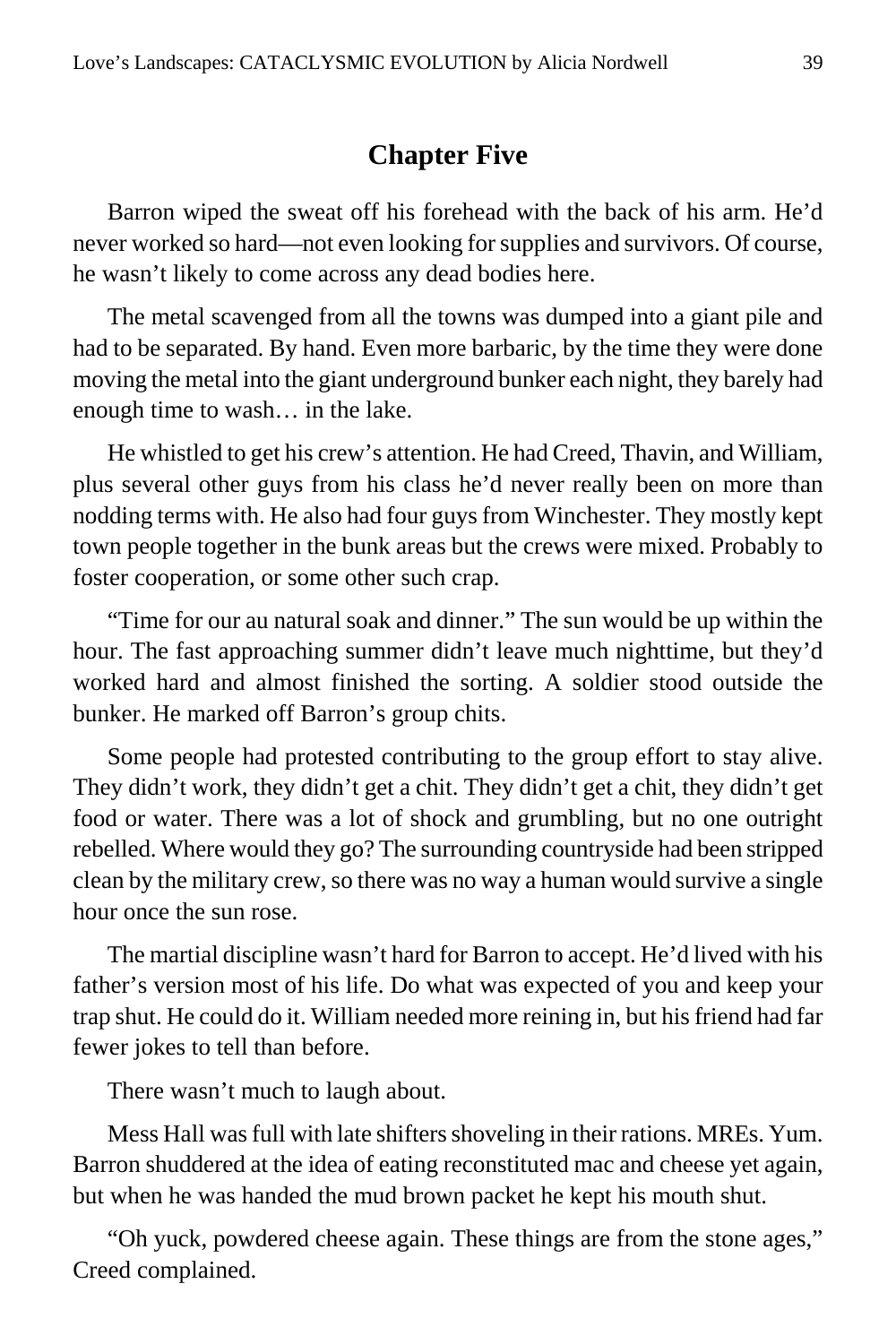## **Chapter Five**

Barron wiped the sweat off his forehead with the back of his arm. He'd never worked so hard—not even looking for supplies and survivors. Of course, he wasn't likely to come across any dead bodies here.

The metal scavenged from all the towns was dumped into a giant pile and had to be separated. By hand. Even more barbaric, by the time they were done moving the metal into the giant underground bunker each night, they barely had enough time to wash… in the lake.

He whistled to get his crew's attention. He had Creed, Thavin, and William, plus several other guys from his class he'd never really been on more than nodding terms with. He also had four guys from Winchester. They mostly kept town people together in the bunk areas but the crews were mixed. Probably to foster cooperation, or some other such crap.

"Time for our au natural soak and dinner." The sun would be up within the hour. The fast approaching summer didn't leave much nighttime, but they'd worked hard and almost finished the sorting. A soldier stood outside the bunker. He marked off Barron's group chits.

Some people had protested contributing to the group effort to stay alive. They didn't work, they didn't get a chit. They didn't get a chit, they didn't get food or water. There was a lot of shock and grumbling, but no one outright rebelled. Where would they go? The surrounding countryside had been stripped clean by the military crew, so there was no way a human would survive a single hour once the sun rose.

The martial discipline wasn't hard for Barron to accept. He'd lived with his father's version most of his life. Do what was expected of you and keep your trap shut. He could do it. William needed more reining in, but his friend had far fewer jokes to tell than before.

There wasn't much to laugh about.

Mess Hall was full with late shifters shoveling in their rations. MREs. Yum. Barron shuddered at the idea of eating reconstituted mac and cheese yet again, but when he was handed the mud brown packet he kept his mouth shut.

"Oh yuck, powdered cheese again. These things are from the stone ages," Creed complained.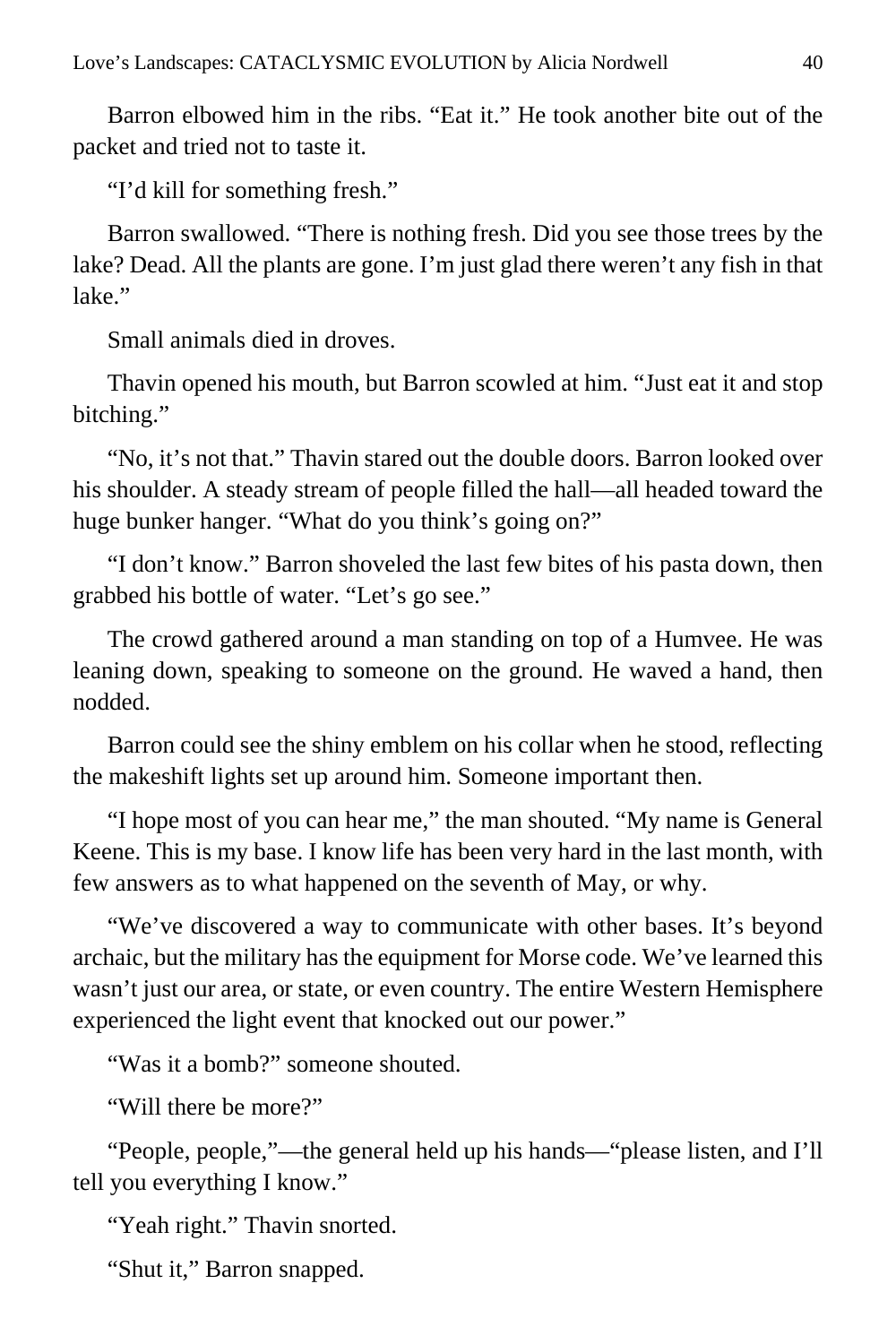Barron elbowed him in the ribs. "Eat it." He took another bite out of the packet and tried not to taste it.

"I'd kill for something fresh."

Barron swallowed. "There is nothing fresh. Did you see those trees by the lake? Dead. All the plants are gone. I'm just glad there weren't any fish in that lake."

Small animals died in droves.

Thavin opened his mouth, but Barron scowled at him. "Just eat it and stop bitching."

"No, it's not that." Thavin stared out the double doors. Barron looked over his shoulder. A steady stream of people filled the hall—all headed toward the huge bunker hanger. "What do you think's going on?"

"I don't know." Barron shoveled the last few bites of his pasta down, then grabbed his bottle of water. "Let's go see."

The crowd gathered around a man standing on top of a Humvee. He was leaning down, speaking to someone on the ground. He waved a hand, then nodded.

Barron could see the shiny emblem on his collar when he stood, reflecting the makeshift lights set up around him. Someone important then.

"I hope most of you can hear me," the man shouted. "My name is General Keene. This is my base. I know life has been very hard in the last month, with few answers as to what happened on the seventh of May, or why.

"We've discovered a way to communicate with other bases. It's beyond archaic, but the military has the equipment for Morse code. We've learned this wasn't just our area, or state, or even country. The entire Western Hemisphere experienced the light event that knocked out our power."

"Was it a bomb?" someone shouted.

"Will there be more?"

"People, people,"—the general held up his hands—"please listen, and I'll tell you everything I know."

"Yeah right." Thavin snorted.

"Shut it," Barron snapped.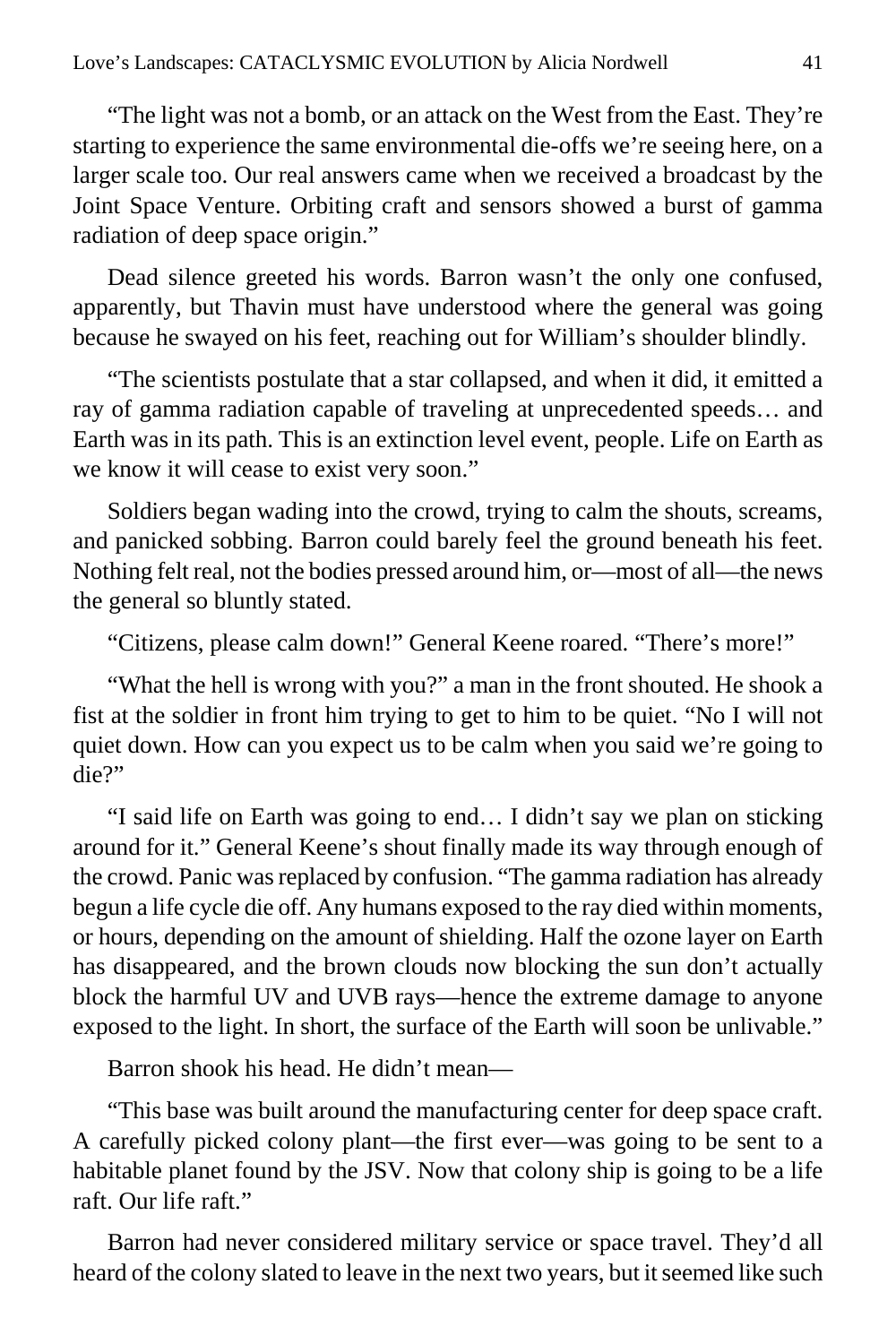"The light was not a bomb, or an attack on the West from the East. They're starting to experience the same environmental die-offs we're seeing here, on a larger scale too. Our real answers came when we received a broadcast by the Joint Space Venture. Orbiting craft and sensors showed a burst of gamma radiation of deep space origin."

Dead silence greeted his words. Barron wasn't the only one confused, apparently, but Thavin must have understood where the general was going because he swayed on his feet, reaching out for William's shoulder blindly.

"The scientists postulate that a star collapsed, and when it did, it emitted a ray of gamma radiation capable of traveling at unprecedented speeds… and Earth was in its path. This is an extinction level event, people. Life on Earth as we know it will cease to exist very soon."

Soldiers began wading into the crowd, trying to calm the shouts, screams, and panicked sobbing. Barron could barely feel the ground beneath his feet. Nothing felt real, not the bodies pressed around him, or—most of all—the news the general so bluntly stated.

"Citizens, please calm down!" General Keene roared. "There's more!"

"What the hell is wrong with you?" a man in the front shouted. He shook a fist at the soldier in front him trying to get to him to be quiet. "No I will not quiet down. How can you expect us to be calm when you said we're going to die?"

"I said life on Earth was going to end… I didn't say we plan on sticking around for it." General Keene's shout finally made its way through enough of the crowd. Panic was replaced by confusion. "The gamma radiation has already begun a life cycle die off. Any humans exposed to the ray died within moments, or hours, depending on the amount of shielding. Half the ozone layer on Earth has disappeared, and the brown clouds now blocking the sun don't actually block the harmful UV and UVB rays—hence the extreme damage to anyone exposed to the light. In short, the surface of the Earth will soon be unlivable."

Barron shook his head. He didn't mean—

"This base was built around the manufacturing center for deep space craft. A carefully picked colony plant—the first ever—was going to be sent to a habitable planet found by the JSV. Now that colony ship is going to be a life raft. Our life raft."

Barron had never considered military service or space travel. They'd all heard of the colony slated to leave in the next two years, but it seemed like such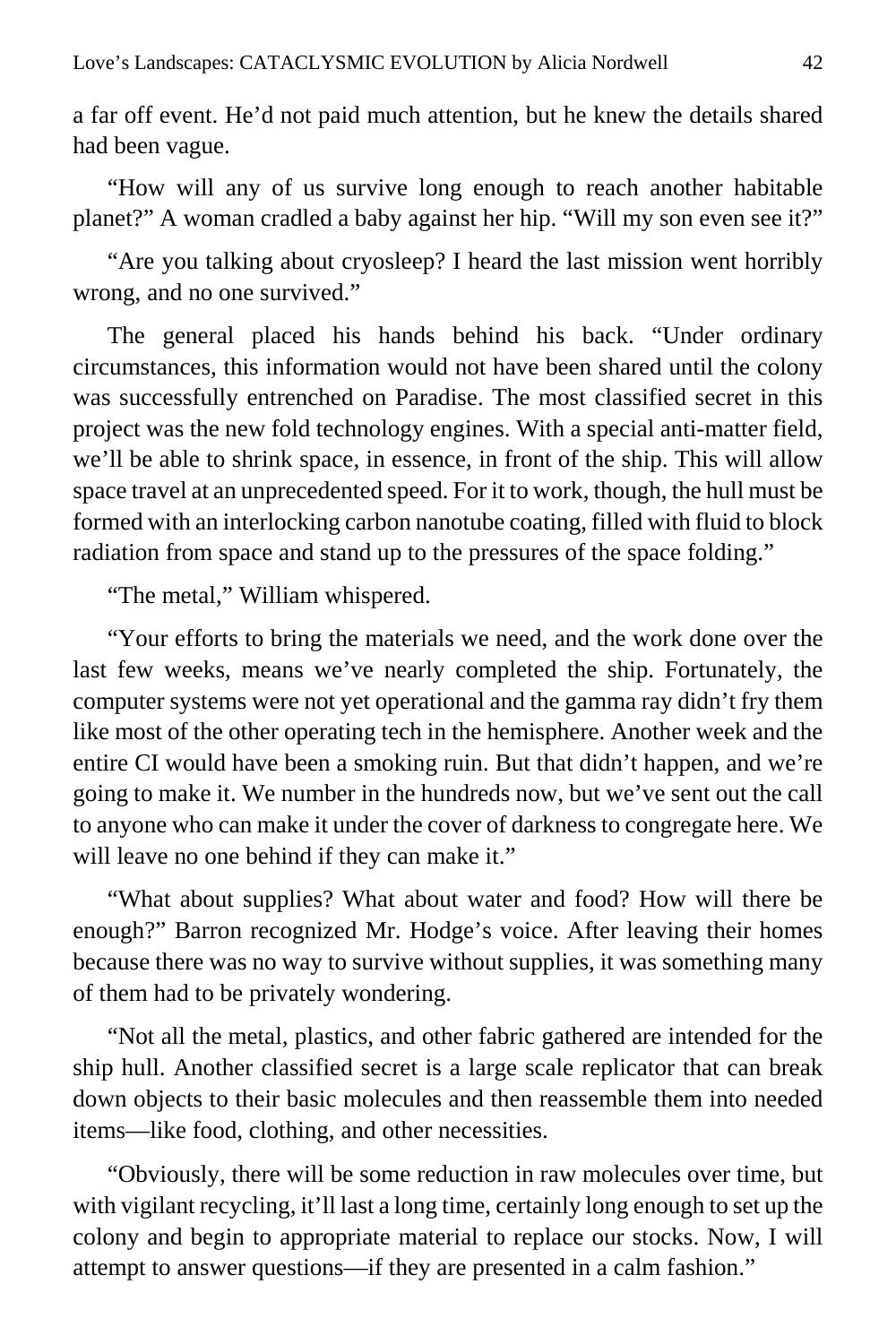a far off event. He'd not paid much attention, but he knew the details shared had been vague.

"How will any of us survive long enough to reach another habitable planet?" A woman cradled a baby against her hip. "Will my son even see it?"

"Are you talking about cryosleep? I heard the last mission went horribly wrong, and no one survived."

The general placed his hands behind his back. "Under ordinary circumstances, this information would not have been shared until the colony was successfully entrenched on Paradise. The most classified secret in this project was the new fold technology engines. With a special anti-matter field, we'll be able to shrink space, in essence, in front of the ship. This will allow space travel at an unprecedented speed. For it to work, though, the hull must be formed with an interlocking carbon nanotube coating, filled with fluid to block radiation from space and stand up to the pressures of the space folding."

"The metal," William whispered.

"Your efforts to bring the materials we need, and the work done over the last few weeks, means we've nearly completed the ship. Fortunately, the computer systems were not yet operational and the gamma ray didn't fry them like most of the other operating tech in the hemisphere. Another week and the entire CI would have been a smoking ruin. But that didn't happen, and we're going to make it. We number in the hundreds now, but we've sent out the call to anyone who can make it under the cover of darkness to congregate here. We will leave no one behind if they can make it."

"What about supplies? What about water and food? How will there be enough?" Barron recognized Mr. Hodge's voice. After leaving their homes because there was no way to survive without supplies, it was something many of them had to be privately wondering.

"Not all the metal, plastics, and other fabric gathered are intended for the ship hull. Another classified secret is a large scale replicator that can break down objects to their basic molecules and then reassemble them into needed items—like food, clothing, and other necessities.

"Obviously, there will be some reduction in raw molecules over time, but with vigilant recycling, it'll last a long time, certainly long enough to set up the colony and begin to appropriate material to replace our stocks. Now, I will attempt to answer questions—if they are presented in a calm fashion."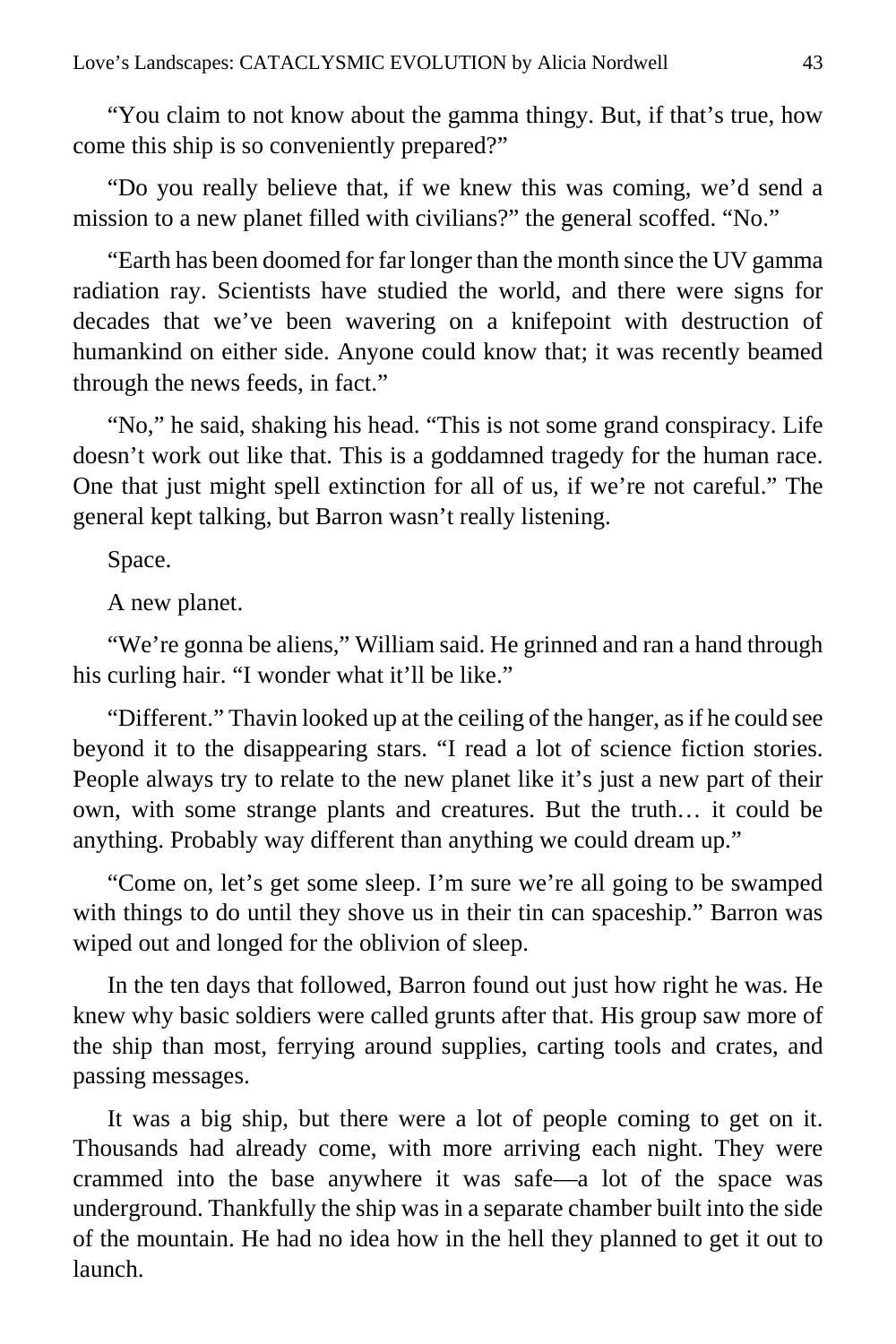"You claim to not know about the gamma thingy. But, if that's true, how come this ship is so conveniently prepared?"

"Do you really believe that, if we knew this was coming, we'd send a mission to a new planet filled with civilians?" the general scoffed. "No."

"Earth has been doomed for far longer than the month since the UV gamma radiation ray. Scientists have studied the world, and there were signs for decades that we've been wavering on a knifepoint with destruction of humankind on either side. Anyone could know that; it was recently beamed through the news feeds, in fact."

"No," he said, shaking his head. "This is not some grand conspiracy. Life doesn't work out like that. This is a goddamned tragedy for the human race. One that just might spell extinction for all of us, if we're not careful." The general kept talking, but Barron wasn't really listening.

Space.

A new planet.

"We're gonna be aliens," William said. He grinned and ran a hand through his curling hair. "I wonder what it'll be like."

"Different." Thavin looked up at the ceiling of the hanger, as if he could see beyond it to the disappearing stars. "I read a lot of science fiction stories. People always try to relate to the new planet like it's just a new part of their own, with some strange plants and creatures. But the truth… it could be anything. Probably way different than anything we could dream up."

"Come on, let's get some sleep. I'm sure we're all going to be swamped with things to do until they shove us in their tin can spaceship." Barron was wiped out and longed for the oblivion of sleep.

In the ten days that followed, Barron found out just how right he was. He knew why basic soldiers were called grunts after that. His group saw more of the ship than most, ferrying around supplies, carting tools and crates, and passing messages.

It was a big ship, but there were a lot of people coming to get on it. Thousands had already come, with more arriving each night. They were crammed into the base anywhere it was safe—a lot of the space was underground. Thankfully the ship was in a separate chamber built into the side of the mountain. He had no idea how in the hell they planned to get it out to launch.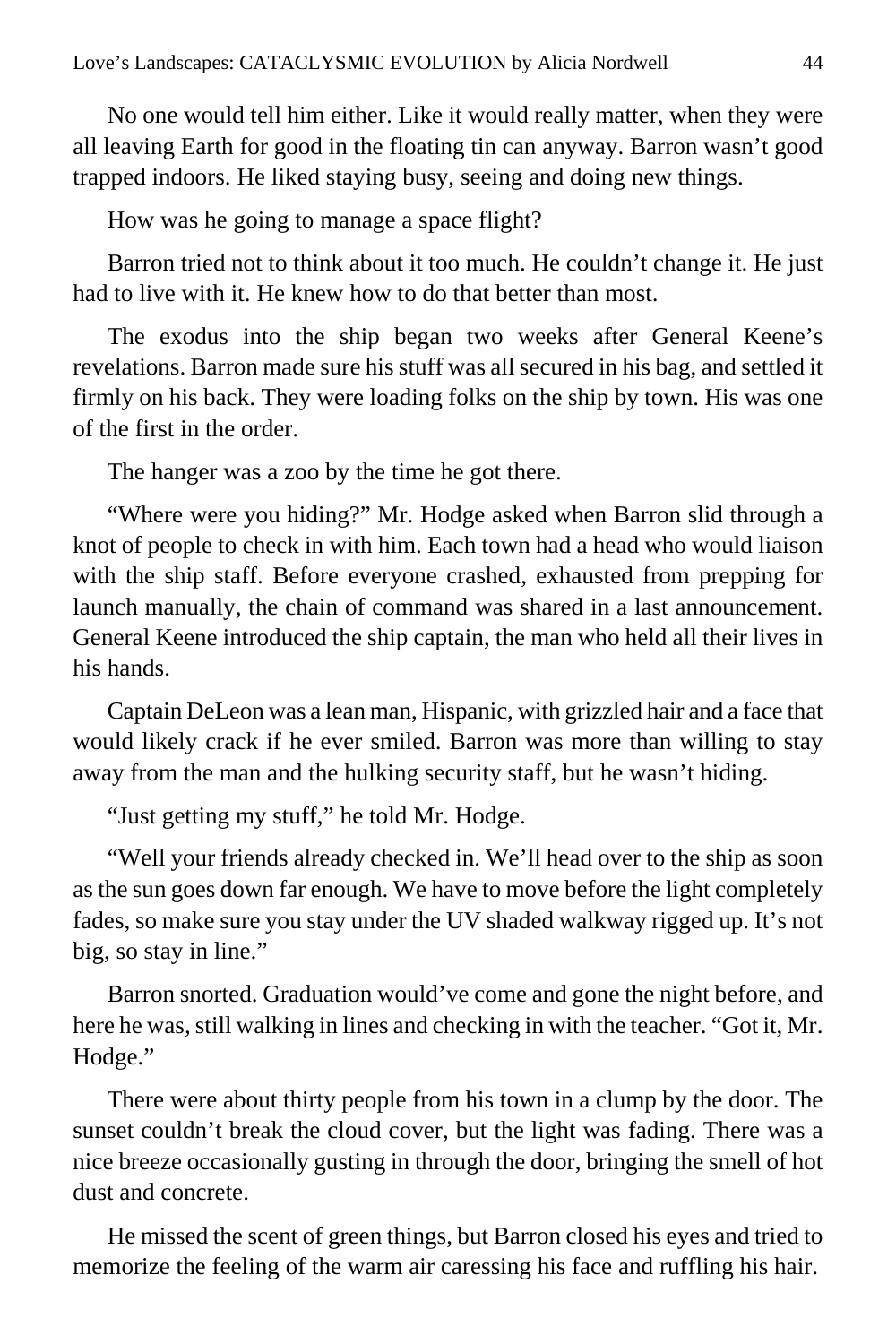No one would tell him either. Like it would really matter, when they were all leaving Earth for good in the floating tin can anyway. Barron wasn't good trapped indoors. He liked staying busy, seeing and doing new things.

How was he going to manage a space flight?

Barron tried not to think about it too much. He couldn't change it. He just had to live with it. He knew how to do that better than most.

The exodus into the ship began two weeks after General Keene's revelations. Barron made sure his stuff was all secured in his bag, and settled it firmly on his back. They were loading folks on the ship by town. His was one of the first in the order.

The hanger was a zoo by the time he got there.

"Where were you hiding?" Mr. Hodge asked when Barron slid through a knot of people to check in with him. Each town had a head who would liaison with the ship staff. Before everyone crashed, exhausted from prepping for launch manually, the chain of command was shared in a last announcement. General Keene introduced the ship captain, the man who held all their lives in his hands.

Captain DeLeon was a lean man, Hispanic, with grizzled hair and a face that would likely crack if he ever smiled. Barron was more than willing to stay away from the man and the hulking security staff, but he wasn't hiding.

"Just getting my stuff," he told Mr. Hodge.

"Well your friends already checked in. We'll head over to the ship as soon as the sun goes down far enough. We have to move before the light completely fades, so make sure you stay under the UV shaded walkway rigged up. It's not big, so stay in line."

Barron snorted. Graduation would've come and gone the night before, and here he was, still walking in lines and checking in with the teacher. "Got it, Mr. Hodge."

There were about thirty people from his town in a clump by the door. The sunset couldn't break the cloud cover, but the light was fading. There was a nice breeze occasionally gusting in through the door, bringing the smell of hot dust and concrete.

He missed the scent of green things, but Barron closed his eyes and tried to memorize the feeling of the warm air caressing his face and ruffling his hair.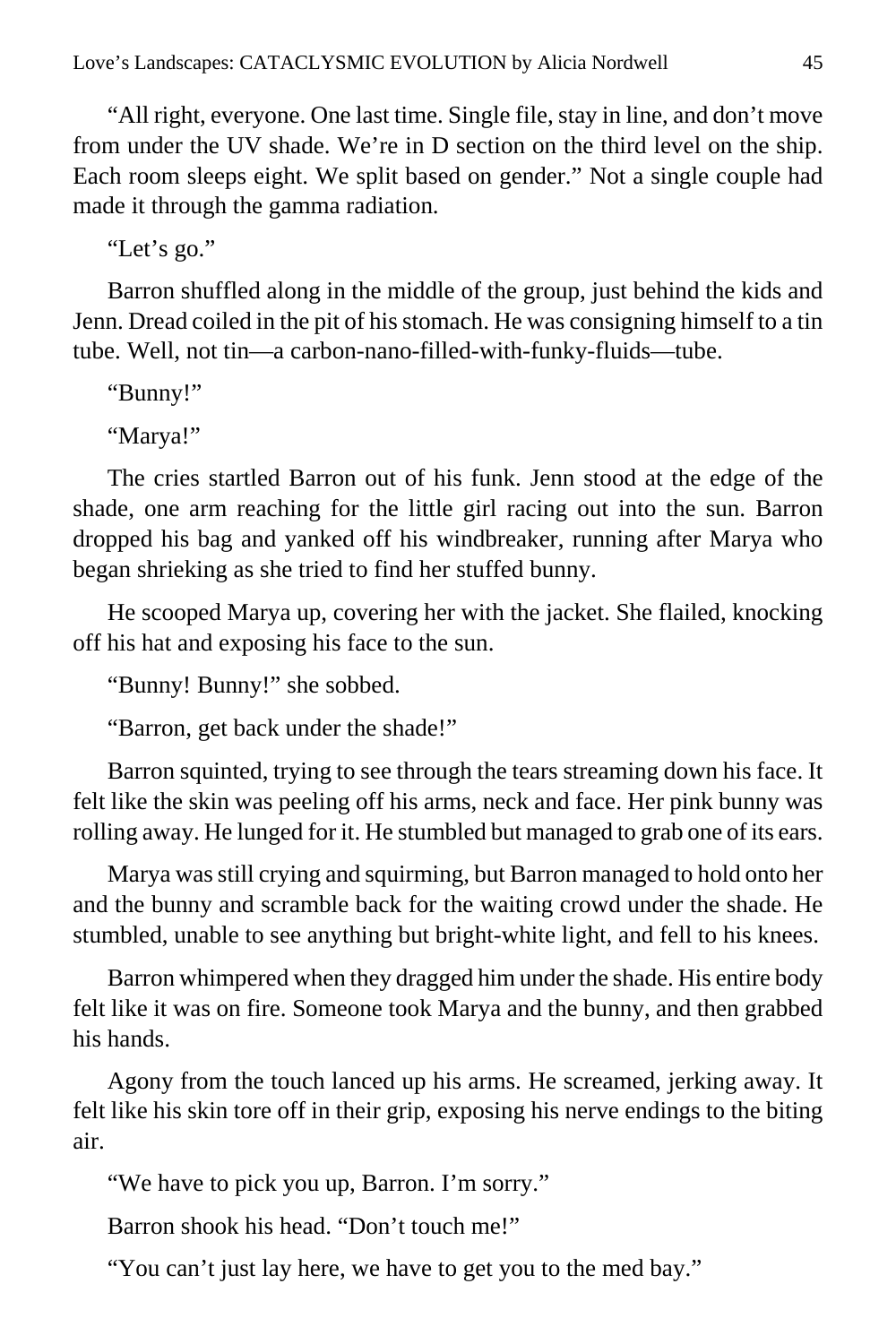"All right, everyone. One last time. Single file, stay in line, and don't move from under the UV shade. We're in D section on the third level on the ship. Each room sleeps eight. We split based on gender." Not a single couple had made it through the gamma radiation.

"Let's go."

Barron shuffled along in the middle of the group, just behind the kids and Jenn. Dread coiled in the pit of his stomach. He was consigning himself to a tin tube. Well, not tin—a carbon-nano-filled-with-funky-fluids—tube.

"Bunny!"

"Marya!"

The cries startled Barron out of his funk. Jenn stood at the edge of the shade, one arm reaching for the little girl racing out into the sun. Barron dropped his bag and yanked off his windbreaker, running after Marya who began shrieking as she tried to find her stuffed bunny.

He scooped Marya up, covering her with the jacket. She flailed, knocking off his hat and exposing his face to the sun.

"Bunny! Bunny!" she sobbed.

"Barron, get back under the shade!"

Barron squinted, trying to see through the tears streaming down his face. It felt like the skin was peeling off his arms, neck and face. Her pink bunny was rolling away. He lunged for it. He stumbled but managed to grab one of its ears.

Marya was still crying and squirming, but Barron managed to hold onto her and the bunny and scramble back for the waiting crowd under the shade. He stumbled, unable to see anything but bright-white light, and fell to his knees.

Barron whimpered when they dragged him under the shade. His entire body felt like it was on fire. Someone took Marya and the bunny, and then grabbed his hands.

Agony from the touch lanced up his arms. He screamed, jerking away. It felt like his skin tore off in their grip, exposing his nerve endings to the biting air.

"We have to pick you up, Barron. I'm sorry."

Barron shook his head. "Don't touch me!"

"You can't just lay here, we have to get you to the med bay."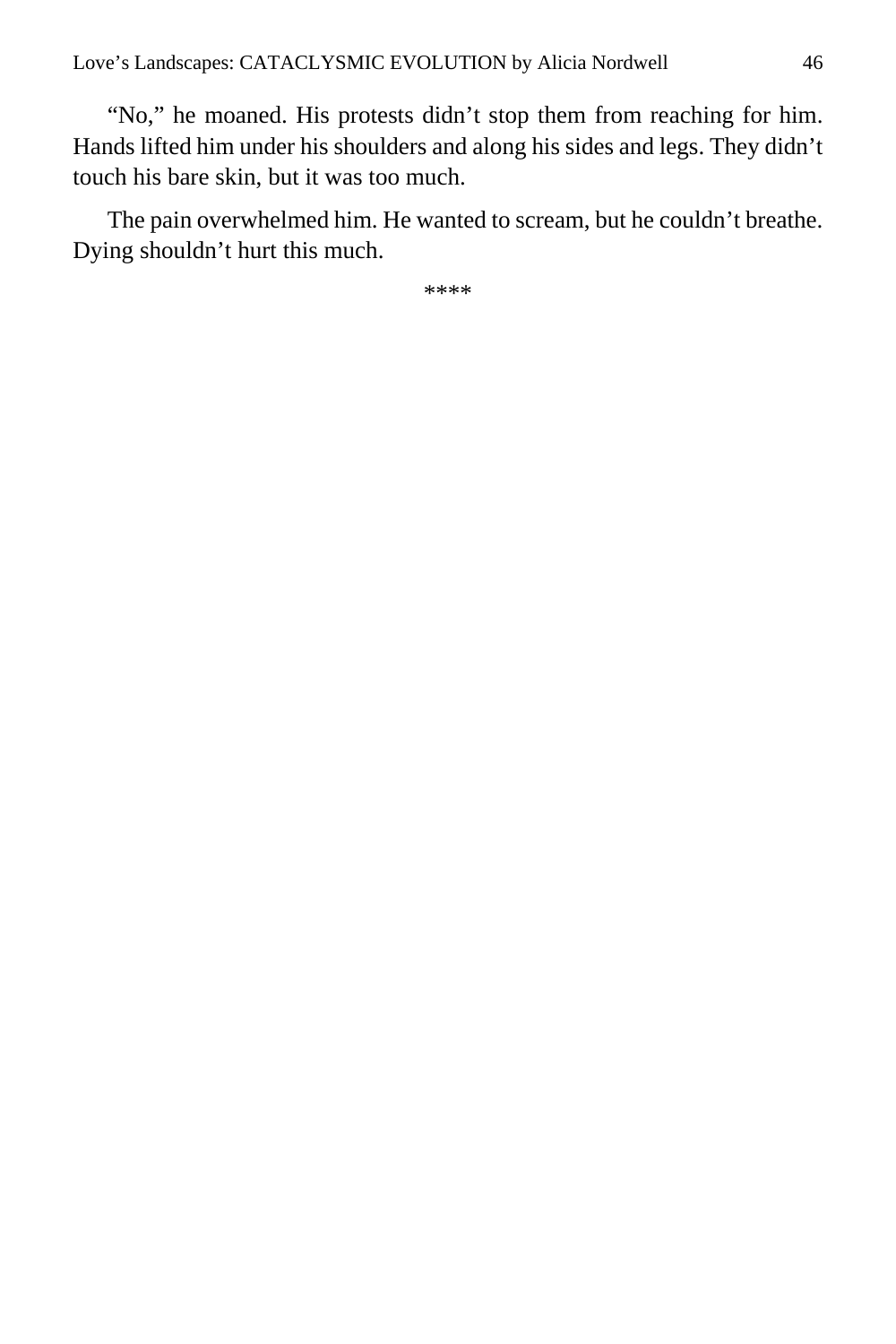"No," he moaned. His protests didn't stop them from reaching for him. Hands lifted him under his shoulders and along his sides and legs. They didn't touch his bare skin, but it was too much.

The pain overwhelmed him. He wanted to scream, but he couldn't breathe. Dying shouldn't hurt this much.

\*\*\*\*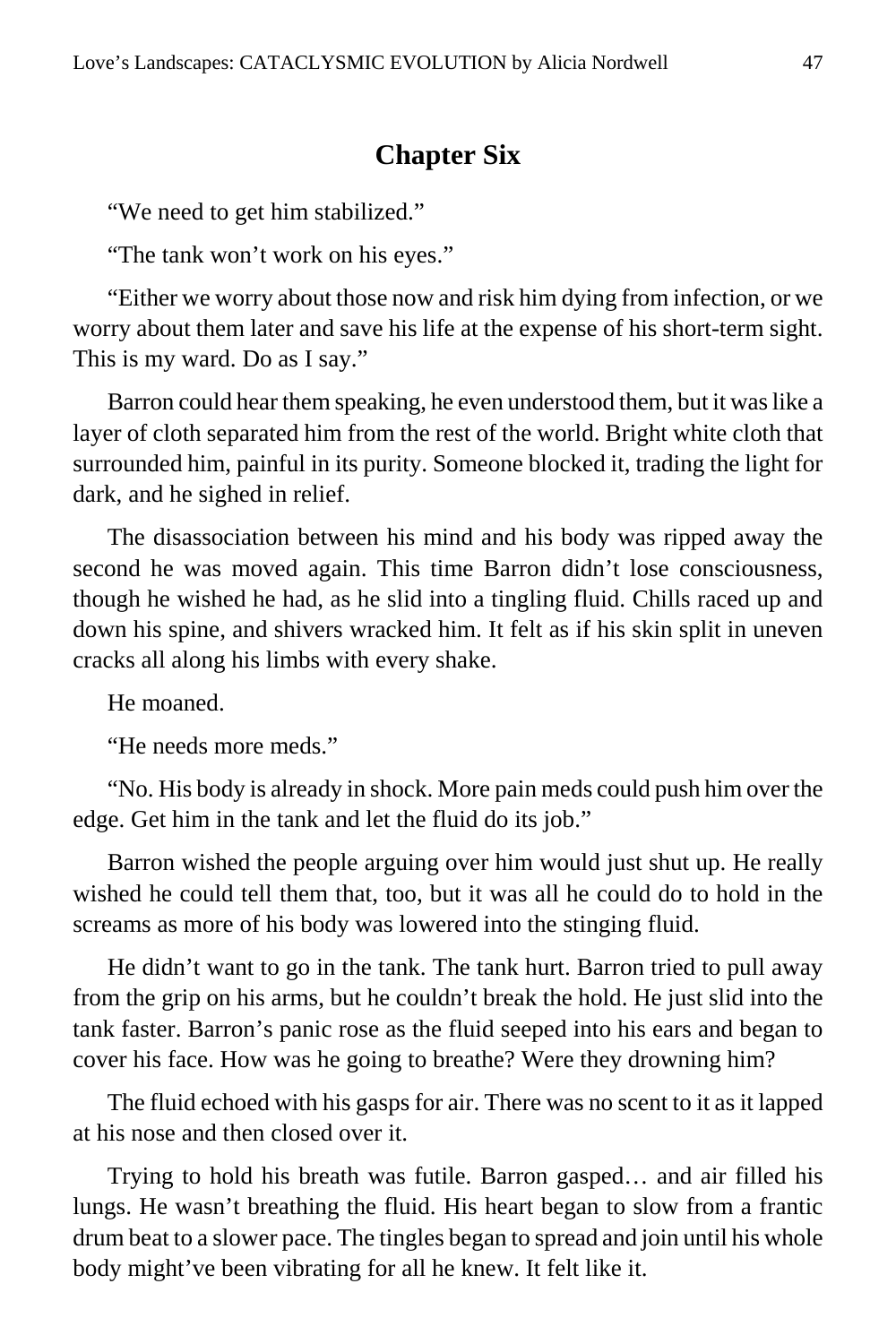## **Chapter Six**

"We need to get him stabilized."

"The tank won't work on his eyes."

"Either we worry about those now and risk him dying from infection, or we worry about them later and save his life at the expense of his short-term sight. This is my ward. Do as I say."

Barron could hear them speaking, he even understood them, but it was like a layer of cloth separated him from the rest of the world. Bright white cloth that surrounded him, painful in its purity. Someone blocked it, trading the light for dark, and he sighed in relief.

The disassociation between his mind and his body was ripped away the second he was moved again. This time Barron didn't lose consciousness, though he wished he had, as he slid into a tingling fluid. Chills raced up and down his spine, and shivers wracked him. It felt as if his skin split in uneven cracks all along his limbs with every shake.

He moaned.

"He needs more meds."

"No. His body is already in shock. More pain meds could push him over the edge. Get him in the tank and let the fluid do its job."

Barron wished the people arguing over him would just shut up. He really wished he could tell them that, too, but it was all he could do to hold in the screams as more of his body was lowered into the stinging fluid.

He didn't want to go in the tank. The tank hurt. Barron tried to pull away from the grip on his arms, but he couldn't break the hold. He just slid into the tank faster. Barron's panic rose as the fluid seeped into his ears and began to cover his face. How was he going to breathe? Were they drowning him?

The fluid echoed with his gasps for air. There was no scent to it as it lapped at his nose and then closed over it.

Trying to hold his breath was futile. Barron gasped… and air filled his lungs. He wasn't breathing the fluid. His heart began to slow from a frantic drum beat to a slower pace. The tingles began to spread and join until his whole body might've been vibrating for all he knew. It felt like it.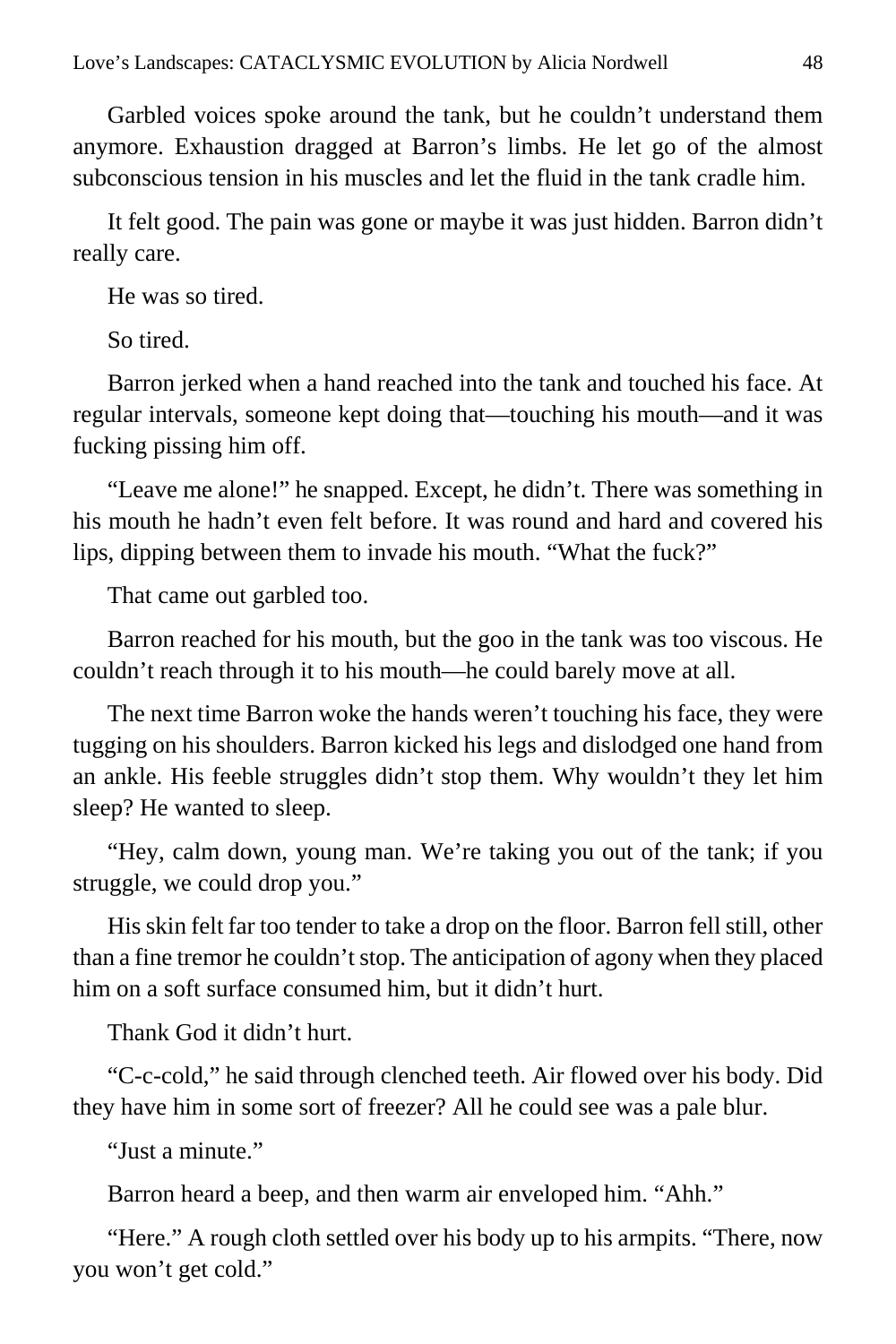Garbled voices spoke around the tank, but he couldn't understand them anymore. Exhaustion dragged at Barron's limbs. He let go of the almost subconscious tension in his muscles and let the fluid in the tank cradle him.

It felt good. The pain was gone or maybe it was just hidden. Barron didn't really care.

He was so tired.

So tired.

Barron jerked when a hand reached into the tank and touched his face. At regular intervals, someone kept doing that—touching his mouth—and it was fucking pissing him off.

"Leave me alone!" he snapped. Except, he didn't. There was something in his mouth he hadn't even felt before. It was round and hard and covered his lips, dipping between them to invade his mouth. "What the fuck?"

That came out garbled too.

Barron reached for his mouth, but the goo in the tank was too viscous. He couldn't reach through it to his mouth—he could barely move at all.

The next time Barron woke the hands weren't touching his face, they were tugging on his shoulders. Barron kicked his legs and dislodged one hand from an ankle. His feeble struggles didn't stop them. Why wouldn't they let him sleep? He wanted to sleep.

"Hey, calm down, young man. We're taking you out of the tank; if you struggle, we could drop you."

His skin felt far too tender to take a drop on the floor. Barron fell still, other than a fine tremor he couldn't stop. The anticipation of agony when they placed him on a soft surface consumed him, but it didn't hurt.

Thank God it didn't hurt.

"C-c-cold," he said through clenched teeth. Air flowed over his body. Did they have him in some sort of freezer? All he could see was a pale blur.

"Just a minute."

Barron heard a beep, and then warm air enveloped him. "Ahh."

"Here." A rough cloth settled over his body up to his armpits. "There, now you won't get cold."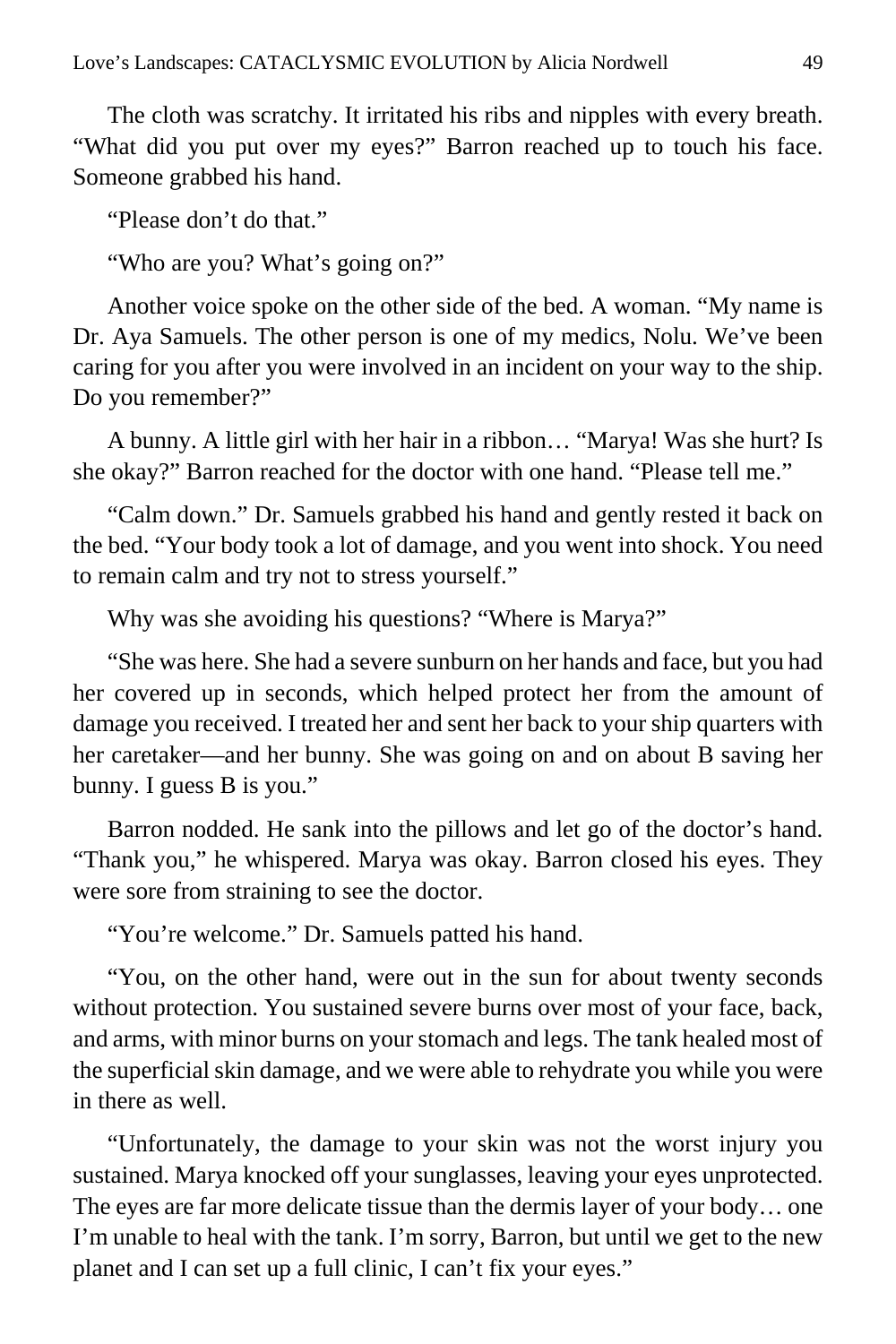The cloth was scratchy. It irritated his ribs and nipples with every breath. "What did you put over my eyes?" Barron reached up to touch his face. Someone grabbed his hand.

"Please don't do that."

"Who are you? What's going on?"

Another voice spoke on the other side of the bed. A woman. "My name is Dr. Aya Samuels. The other person is one of my medics, Nolu. We've been caring for you after you were involved in an incident on your way to the ship. Do you remember?"

A bunny. A little girl with her hair in a ribbon… "Marya! Was she hurt? Is she okay?" Barron reached for the doctor with one hand. "Please tell me."

"Calm down." Dr. Samuels grabbed his hand and gently rested it back on the bed. "Your body took a lot of damage, and you went into shock. You need to remain calm and try not to stress yourself."

Why was she avoiding his questions? "Where is Marya?"

"She was here. She had a severe sunburn on her hands and face, but you had her covered up in seconds, which helped protect her from the amount of damage you received. I treated her and sent her back to your ship quarters with her caretaker—and her bunny. She was going on and on about B saving her bunny. I guess B is you."

Barron nodded. He sank into the pillows and let go of the doctor's hand. "Thank you," he whispered. Marya was okay. Barron closed his eyes. They were sore from straining to see the doctor.

"You're welcome." Dr. Samuels patted his hand.

"You, on the other hand, were out in the sun for about twenty seconds without protection. You sustained severe burns over most of your face, back, and arms, with minor burns on your stomach and legs. The tank healed most of the superficial skin damage, and we were able to rehydrate you while you were in there as well.

"Unfortunately, the damage to your skin was not the worst injury you sustained. Marya knocked off your sunglasses, leaving your eyes unprotected. The eyes are far more delicate tissue than the dermis layer of your body… one I'm unable to heal with the tank. I'm sorry, Barron, but until we get to the new planet and I can set up a full clinic, I can't fix your eyes."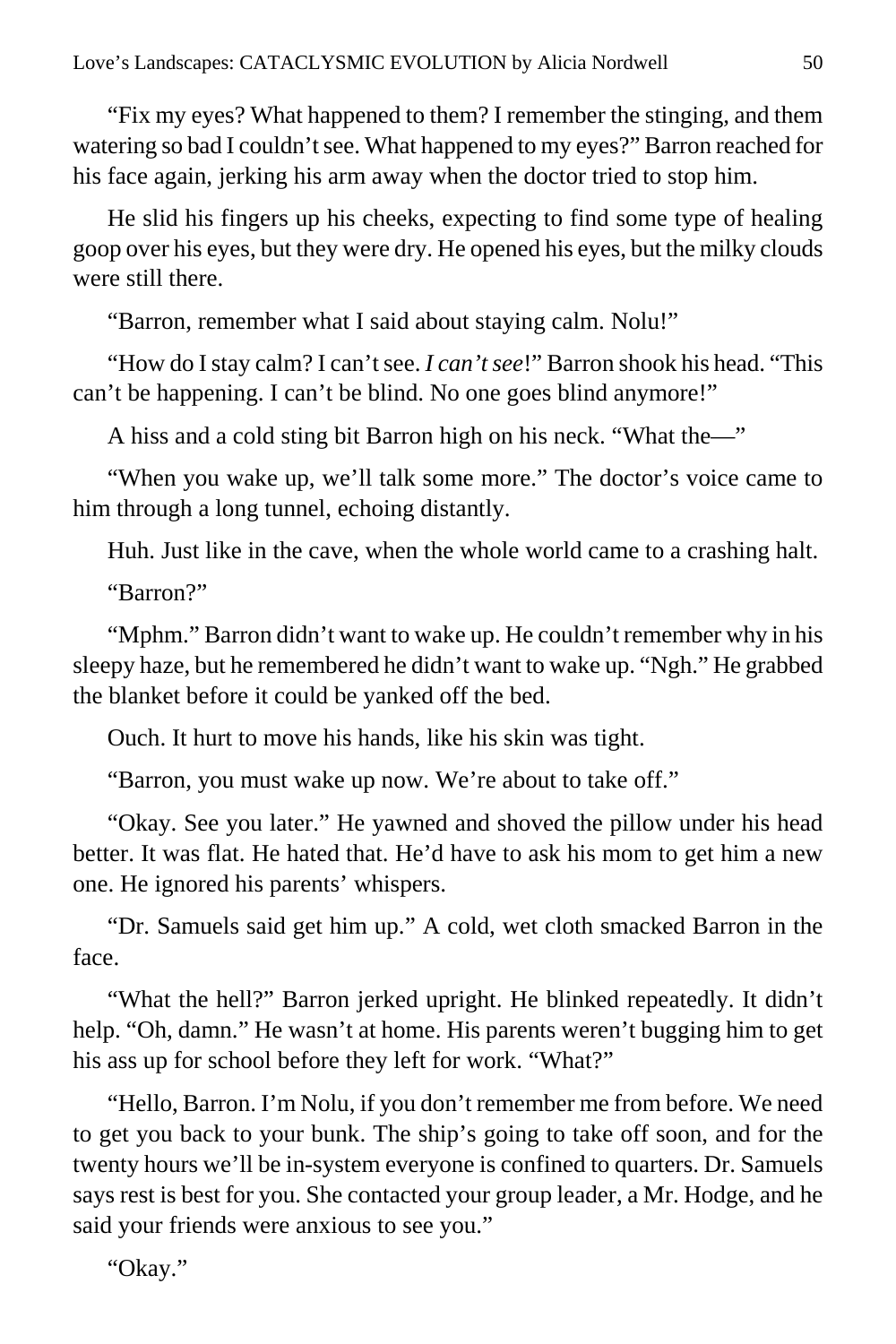"Fix my eyes? What happened to them? I remember the stinging, and them watering so bad I couldn't see. What happened to my eyes?" Barron reached for his face again, jerking his arm away when the doctor tried to stop him.

He slid his fingers up his cheeks, expecting to find some type of healing goop over his eyes, but they were dry. He opened his eyes, but the milky clouds were still there.

"Barron, remember what I said about staying calm. Nolu!"

"How do I stay calm? I can't see. *I can't see*!" Barron shook his head. "This can't be happening. I can't be blind. No one goes blind anymore!"

A hiss and a cold sting bit Barron high on his neck. "What the—"

"When you wake up, we'll talk some more." The doctor's voice came to him through a long tunnel, echoing distantly.

Huh. Just like in the cave, when the whole world came to a crashing halt.

"Barron?"

"Mphm." Barron didn't want to wake up. He couldn't remember why in his sleepy haze, but he remembered he didn't want to wake up. "Ngh." He grabbed the blanket before it could be yanked off the bed.

Ouch. It hurt to move his hands, like his skin was tight.

"Barron, you must wake up now. We're about to take off."

"Okay. See you later." He yawned and shoved the pillow under his head better. It was flat. He hated that. He'd have to ask his mom to get him a new one. He ignored his parents' whispers.

"Dr. Samuels said get him up." A cold, wet cloth smacked Barron in the face.

"What the hell?" Barron jerked upright. He blinked repeatedly. It didn't help. "Oh, damn." He wasn't at home. His parents weren't bugging him to get his ass up for school before they left for work. "What?"

"Hello, Barron. I'm Nolu, if you don't remember me from before. We need to get you back to your bunk. The ship's going to take off soon, and for the twenty hours we'll be in-system everyone is confined to quarters. Dr. Samuels says rest is best for you. She contacted your group leader, a Mr. Hodge, and he said your friends were anxious to see you."

"Okay."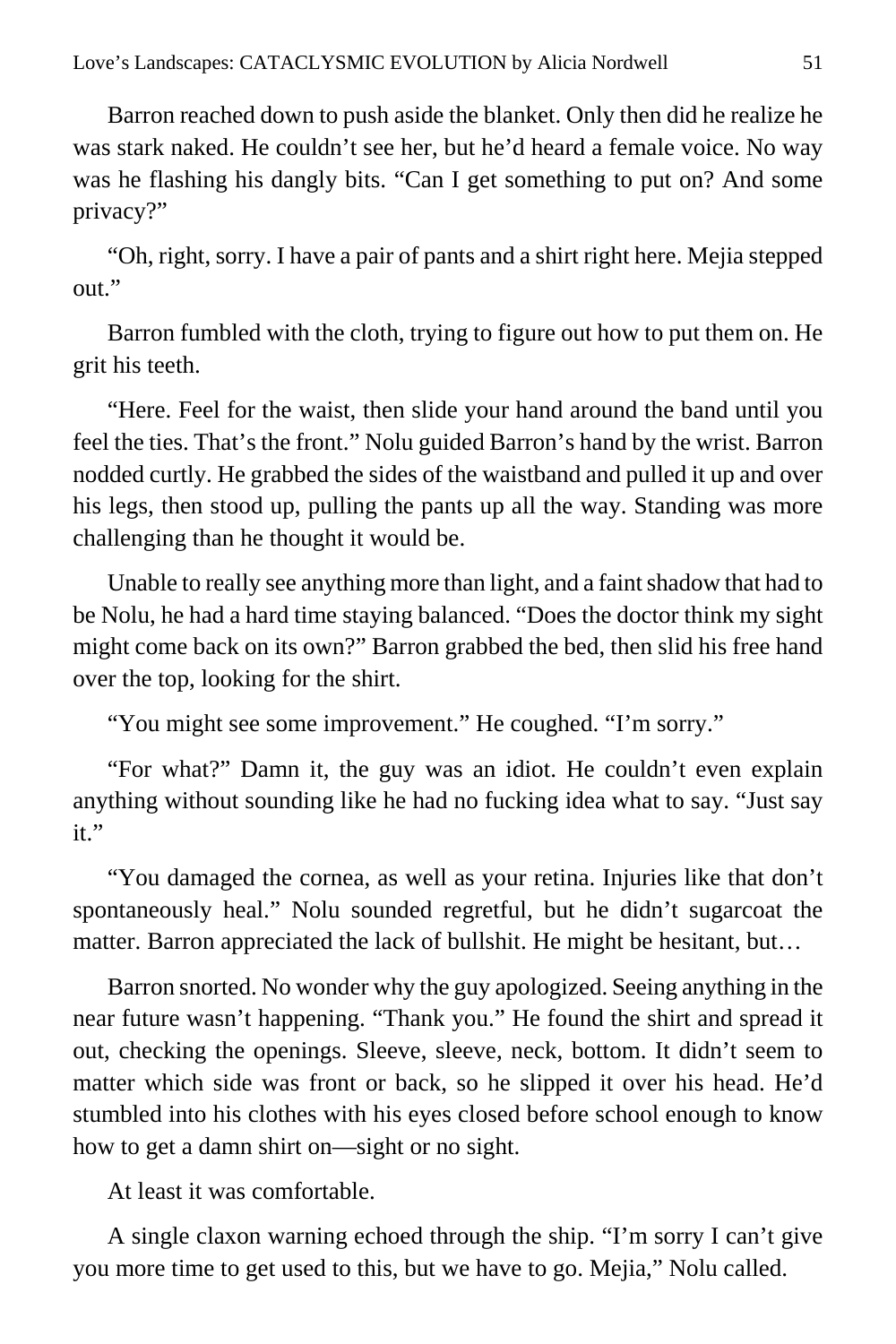Barron reached down to push aside the blanket. Only then did he realize he was stark naked. He couldn't see her, but he'd heard a female voice. No way was he flashing his dangly bits. "Can I get something to put on? And some privacy?"

"Oh, right, sorry. I have a pair of pants and a shirt right here. Mejia stepped out."

Barron fumbled with the cloth, trying to figure out how to put them on. He grit his teeth.

"Here. Feel for the waist, then slide your hand around the band until you feel the ties. That's the front." Nolu guided Barron's hand by the wrist. Barron nodded curtly. He grabbed the sides of the waistband and pulled it up and over his legs, then stood up, pulling the pants up all the way. Standing was more challenging than he thought it would be.

Unable to really see anything more than light, and a faint shadow that had to be Nolu, he had a hard time staying balanced. "Does the doctor think my sight might come back on its own?" Barron grabbed the bed, then slid his free hand over the top, looking for the shirt.

"You might see some improvement." He coughed. "I'm sorry."

"For what?" Damn it, the guy was an idiot. He couldn't even explain anything without sounding like he had no fucking idea what to say. "Just say it."

"You damaged the cornea, as well as your retina. Injuries like that don't spontaneously heal." Nolu sounded regretful, but he didn't sugarcoat the matter. Barron appreciated the lack of bullshit. He might be hesitant, but…

Barron snorted. No wonder why the guy apologized. Seeing anything in the near future wasn't happening. "Thank you." He found the shirt and spread it out, checking the openings. Sleeve, sleeve, neck, bottom. It didn't seem to matter which side was front or back, so he slipped it over his head. He'd stumbled into his clothes with his eyes closed before school enough to know how to get a damn shirt on—sight or no sight.

At least it was comfortable.

A single claxon warning echoed through the ship. "I'm sorry I can't give you more time to get used to this, but we have to go. Mejia," Nolu called.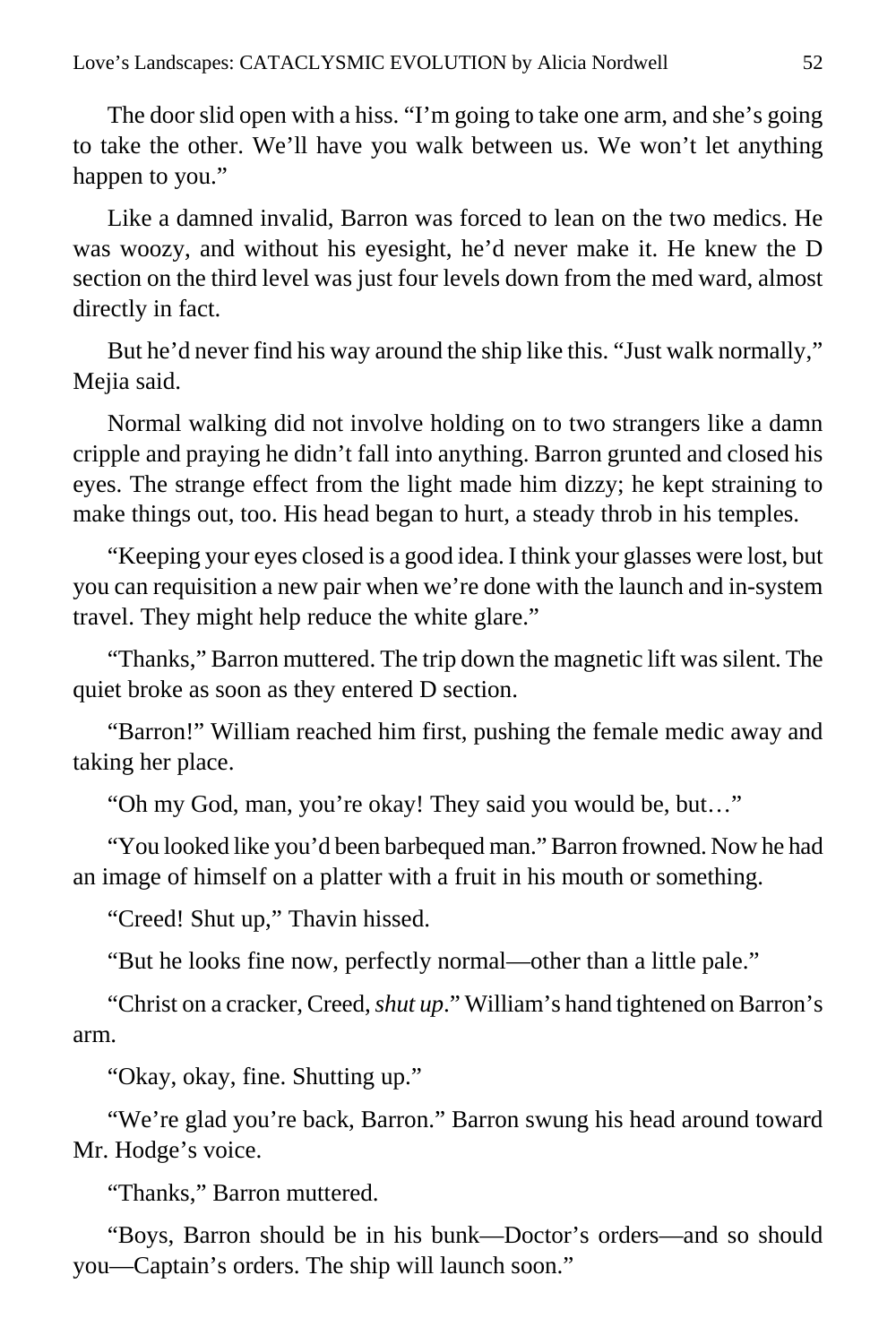The door slid open with a hiss. "I'm going to take one arm, and she's going to take the other. We'll have you walk between us. We won't let anything happen to you."

Like a damned invalid, Barron was forced to lean on the two medics. He was woozy, and without his eyesight, he'd never make it. He knew the D section on the third level was just four levels down from the med ward, almost directly in fact.

But he'd never find his way around the ship like this. "Just walk normally," Mejia said.

Normal walking did not involve holding on to two strangers like a damn cripple and praying he didn't fall into anything. Barron grunted and closed his eyes. The strange effect from the light made him dizzy; he kept straining to make things out, too. His head began to hurt, a steady throb in his temples.

"Keeping your eyes closed is a good idea. I think your glasses were lost, but you can requisition a new pair when we're done with the launch and in-system travel. They might help reduce the white glare."

"Thanks," Barron muttered. The trip down the magnetic lift was silent. The quiet broke as soon as they entered D section.

"Barron!" William reached him first, pushing the female medic away and taking her place.

"Oh my God, man, you're okay! They said you would be, but…"

"You looked like you'd been barbequed man." Barron frowned. Now he had an image of himself on a platter with a fruit in his mouth or something.

"Creed! Shut up," Thavin hissed.

"But he looks fine now, perfectly normal—other than a little pale."

"Christ on a cracker, Creed, *shut up*." William's hand tightened on Barron's arm.

"Okay, okay, fine. Shutting up."

"We're glad you're back, Barron." Barron swung his head around toward Mr. Hodge's voice.

"Thanks," Barron muttered.

"Boys, Barron should be in his bunk—Doctor's orders—and so should you—Captain's orders. The ship will launch soon."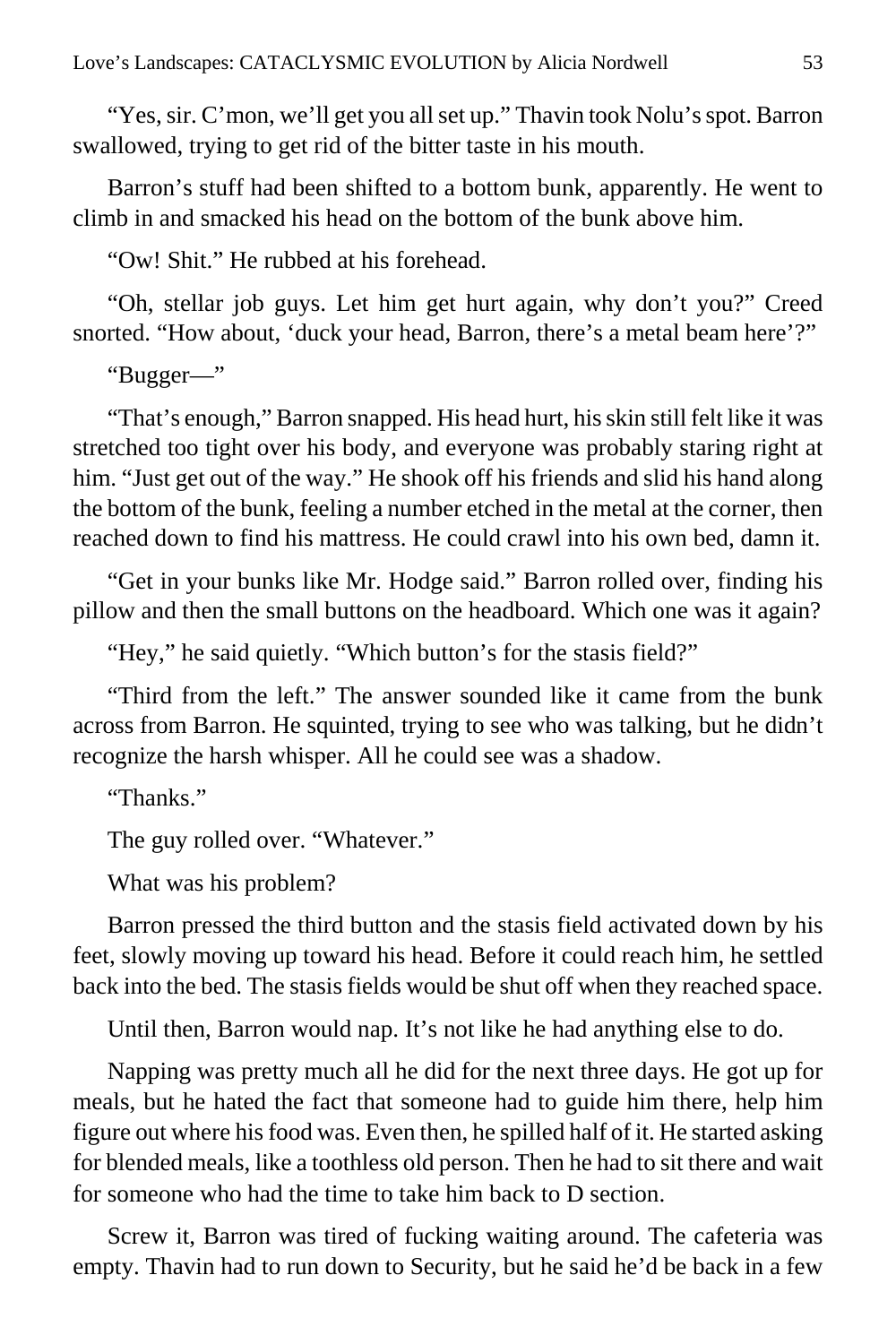"Yes, sir. C'mon, we'll get you all set up." Thavin took Nolu's spot. Barron swallowed, trying to get rid of the bitter taste in his mouth.

Barron's stuff had been shifted to a bottom bunk, apparently. He went to climb in and smacked his head on the bottom of the bunk above him.

"Ow! Shit." He rubbed at his forehead.

"Oh, stellar job guys. Let him get hurt again, why don't you?" Creed snorted. "How about, 'duck your head, Barron, there's a metal beam here'?"

"Bugger—"

"That's enough," Barron snapped. His head hurt, his skin still felt like it was stretched too tight over his body, and everyone was probably staring right at him. "Just get out of the way." He shook off his friends and slid his hand along the bottom of the bunk, feeling a number etched in the metal at the corner, then reached down to find his mattress. He could crawl into his own bed, damn it.

"Get in your bunks like Mr. Hodge said." Barron rolled over, finding his pillow and then the small buttons on the headboard. Which one was it again?

"Hey," he said quietly. "Which button's for the stasis field?"

"Third from the left." The answer sounded like it came from the bunk across from Barron. He squinted, trying to see who was talking, but he didn't recognize the harsh whisper. All he could see was a shadow.

"Thanks."

The guy rolled over. "Whatever."

What was his problem?

Barron pressed the third button and the stasis field activated down by his feet, slowly moving up toward his head. Before it could reach him, he settled back into the bed. The stasis fields would be shut off when they reached space.

Until then, Barron would nap. It's not like he had anything else to do.

Napping was pretty much all he did for the next three days. He got up for meals, but he hated the fact that someone had to guide him there, help him figure out where his food was. Even then, he spilled half of it. He started asking for blended meals, like a toothless old person. Then he had to sit there and wait for someone who had the time to take him back to D section.

Screw it, Barron was tired of fucking waiting around. The cafeteria was empty. Thavin had to run down to Security, but he said he'd be back in a few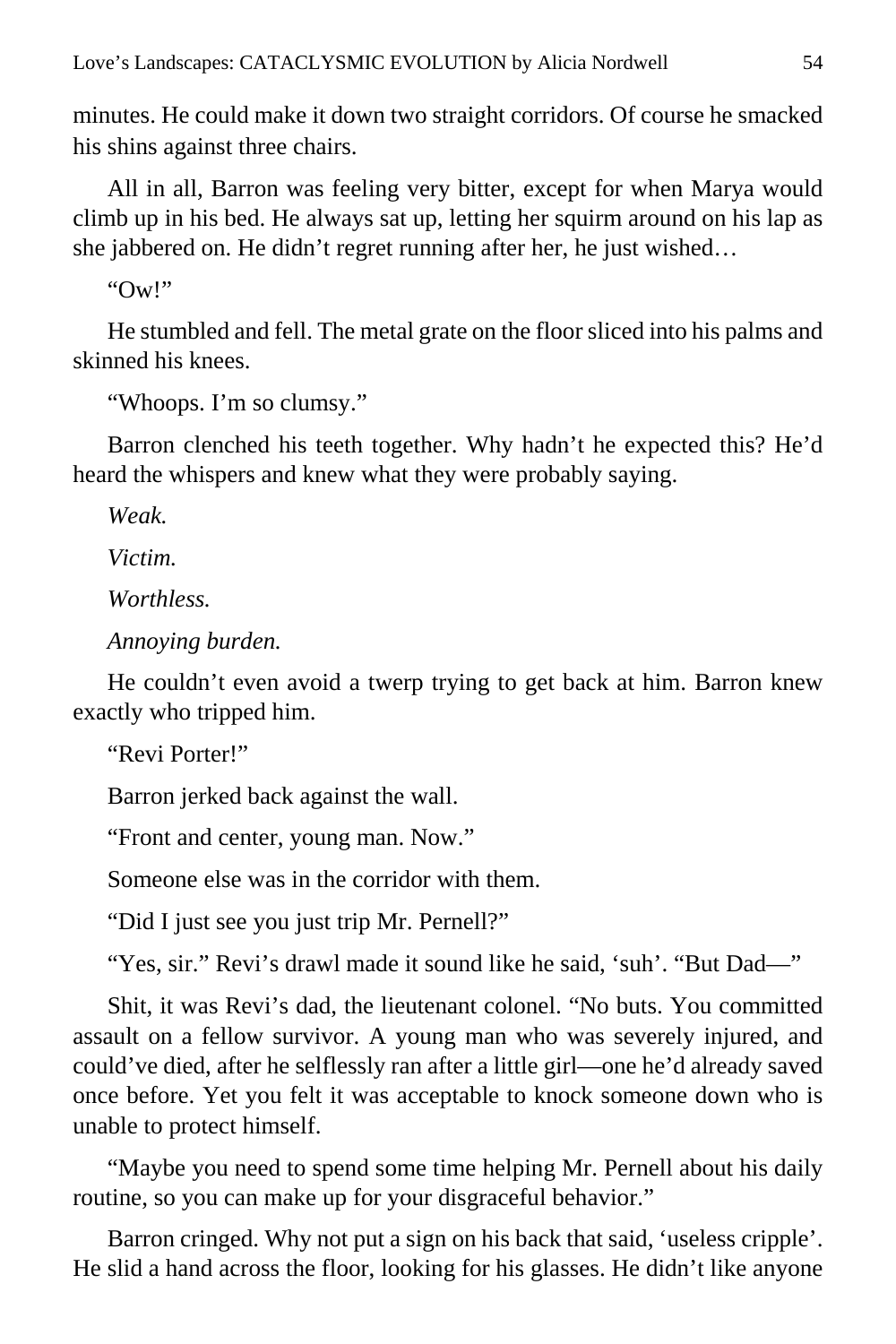minutes. He could make it down two straight corridors. Of course he smacked his shins against three chairs.

All in all, Barron was feeling very bitter, except for when Marya would climb up in his bed. He always sat up, letting her squirm around on his lap as she jabbered on. He didn't regret running after her, he just wished…

" $\Omega$ W!"

He stumbled and fell. The metal grate on the floor sliced into his palms and skinned his knees.

"Whoops. I'm so clumsy."

Barron clenched his teeth together. Why hadn't he expected this? He'd heard the whispers and knew what they were probably saying.

*Weak.*

*Victim.*

*Worthless.*

*Annoying burden.*

He couldn't even avoid a twerp trying to get back at him. Barron knew exactly who tripped him.

"Revi Porter!"

Barron jerked back against the wall.

"Front and center, young man. Now."

Someone else was in the corridor with them.

"Did I just see you just trip Mr. Pernell?"

"Yes, sir." Revi's drawl made it sound like he said, 'suh'. "But Dad—"

Shit, it was Revi's dad, the lieutenant colonel. "No buts. You committed assault on a fellow survivor. A young man who was severely injured, and could've died, after he selflessly ran after a little girl—one he'd already saved once before. Yet you felt it was acceptable to knock someone down who is unable to protect himself.

"Maybe you need to spend some time helping Mr. Pernell about his daily routine, so you can make up for your disgraceful behavior."

Barron cringed. Why not put a sign on his back that said, 'useless cripple'. He slid a hand across the floor, looking for his glasses. He didn't like anyone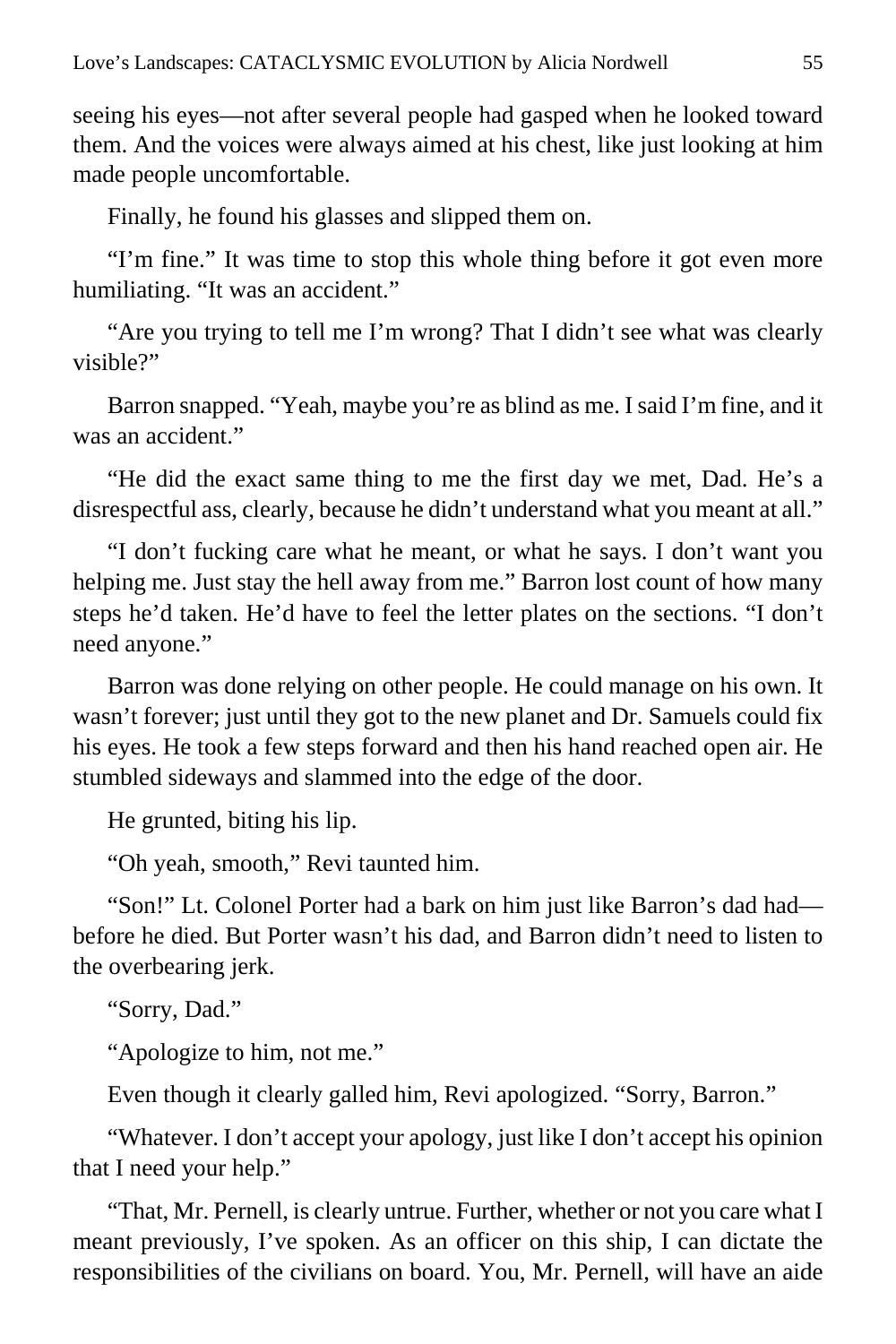seeing his eyes—not after several people had gasped when he looked toward them. And the voices were always aimed at his chest, like just looking at him made people uncomfortable.

Finally, he found his glasses and slipped them on.

"I'm fine." It was time to stop this whole thing before it got even more humiliating. "It was an accident."

"Are you trying to tell me I'm wrong? That I didn't see what was clearly visible?"

Barron snapped. "Yeah, maybe you're as blind as me. I said I'm fine, and it was an accident."

"He did the exact same thing to me the first day we met, Dad. He's a disrespectful ass, clearly, because he didn't understand what you meant at all."

"I don't fucking care what he meant, or what he says. I don't want you helping me. Just stay the hell away from me." Barron lost count of how many steps he'd taken. He'd have to feel the letter plates on the sections. "I don't need anyone."

Barron was done relying on other people. He could manage on his own. It wasn't forever; just until they got to the new planet and Dr. Samuels could fix his eyes. He took a few steps forward and then his hand reached open air. He stumbled sideways and slammed into the edge of the door.

He grunted, biting his lip.

"Oh yeah, smooth," Revi taunted him.

"Son!" Lt. Colonel Porter had a bark on him just like Barron's dad had before he died. But Porter wasn't his dad, and Barron didn't need to listen to the overbearing jerk.

"Sorry, Dad."

"Apologize to him, not me."

Even though it clearly galled him, Revi apologized. "Sorry, Barron."

"Whatever. I don't accept your apology, just like I don't accept his opinion that I need your help."

"That, Mr. Pernell, is clearly untrue. Further, whether or not you care what I meant previously, I've spoken. As an officer on this ship, I can dictate the responsibilities of the civilians on board. You, Mr. Pernell, will have an aide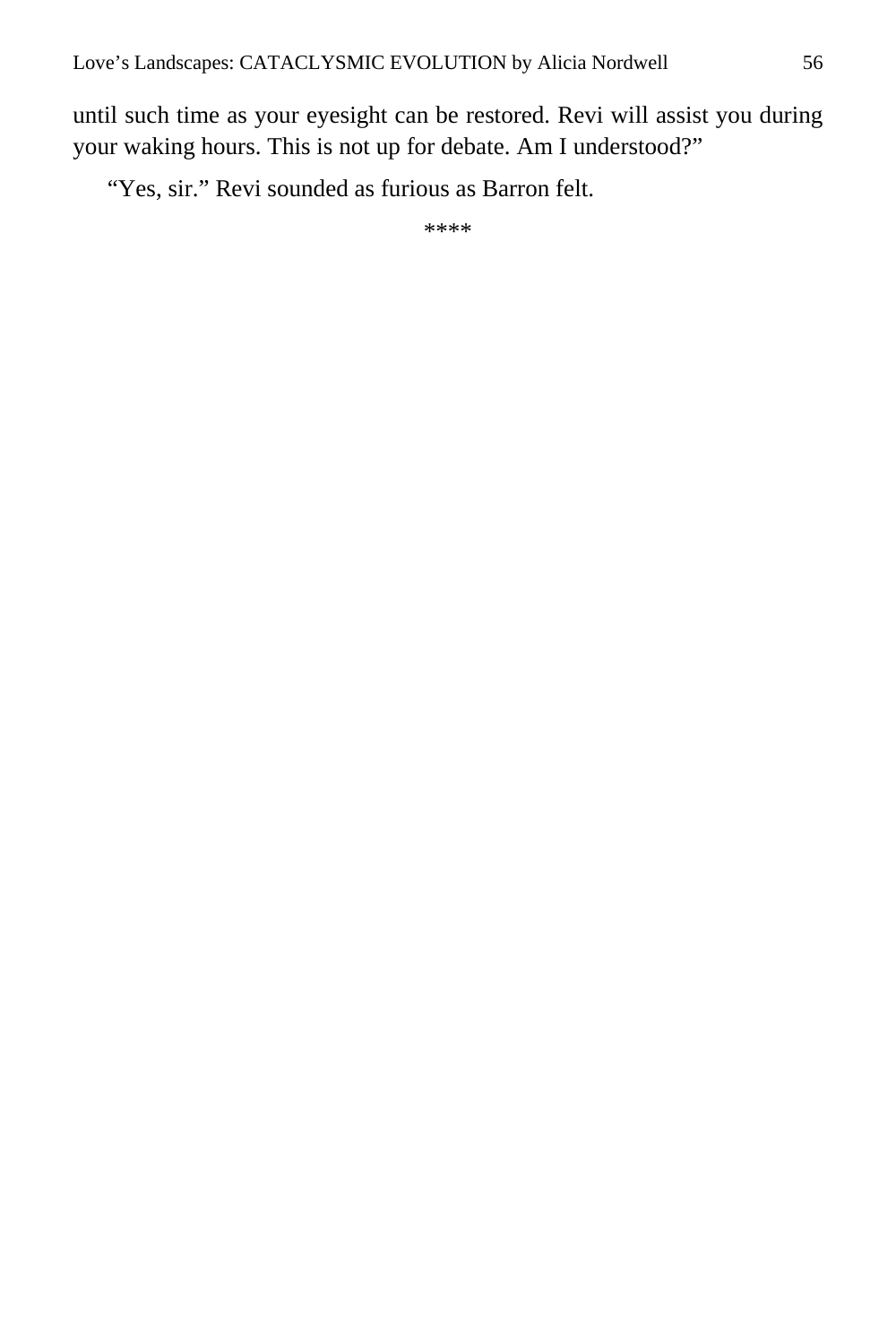until such time as your eyesight can be restored. Revi will assist you during your waking hours. This is not up for debate. Am I understood?"

"Yes, sir." Revi sounded as furious as Barron felt.

\*\*\*\*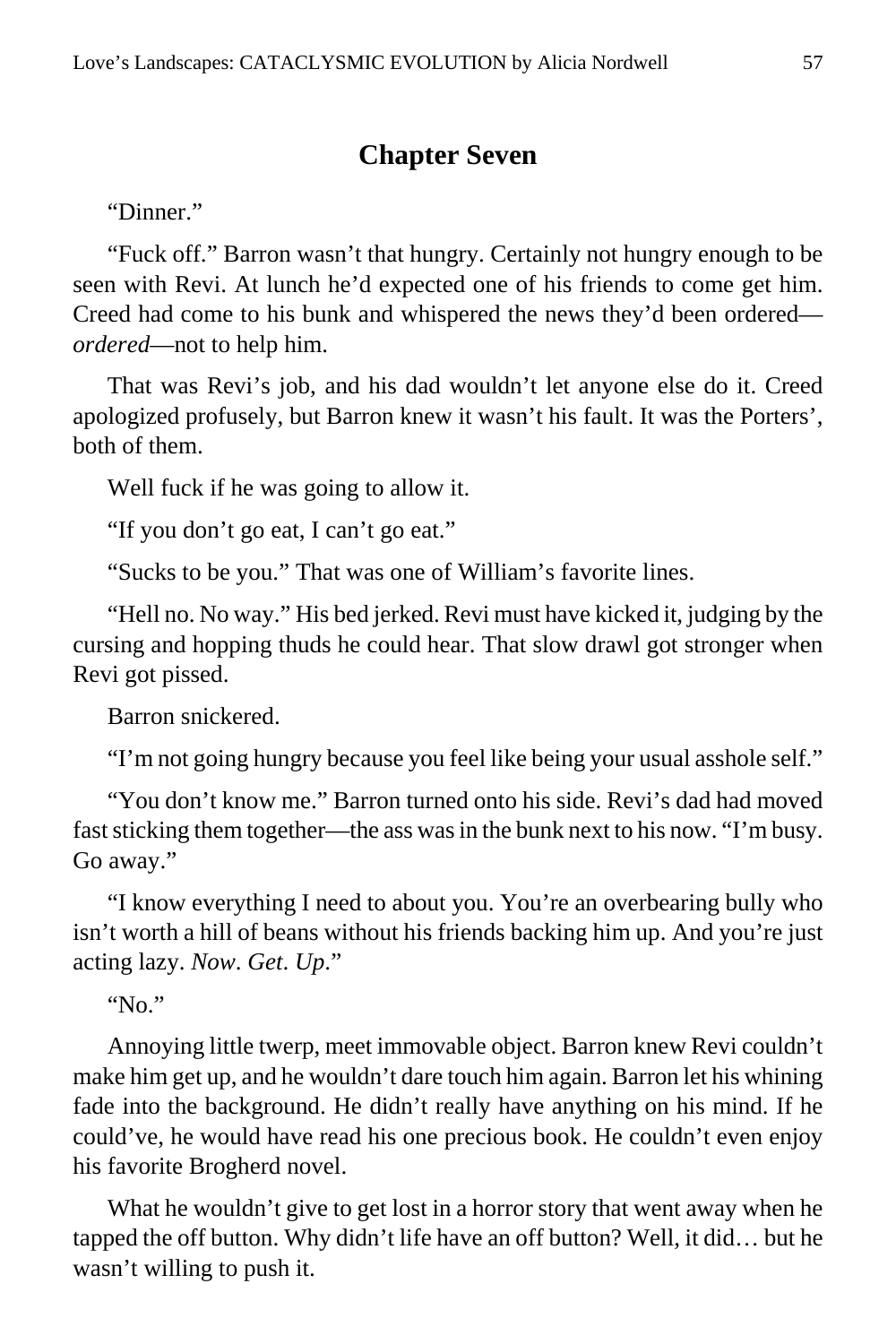## **Chapter Seven**

"Dinner."

"Fuck off." Barron wasn't that hungry. Certainly not hungry enough to be seen with Revi. At lunch he'd expected one of his friends to come get him. Creed had come to his bunk and whispered the news they'd been ordered *ordered*—not to help him.

That was Revi's job, and his dad wouldn't let anyone else do it. Creed apologized profusely, but Barron knew it wasn't his fault. It was the Porters', both of them.

Well fuck if he was going to allow it.

"If you don't go eat, I can't go eat."

"Sucks to be you." That was one of William's favorite lines.

"Hell no. No way." His bed jerked. Revi must have kicked it, judging by the cursing and hopping thuds he could hear. That slow drawl got stronger when Revi got pissed.

Barron snickered.

"I'm not going hungry because you feel like being your usual asshole self."

"You don't know me." Barron turned onto his side. Revi's dad had moved fast sticking them together—the ass was in the bunk next to his now. "I'm busy. Go away."

"I know everything I need to about you. You're an overbearing bully who isn't worth a hill of beans without his friends backing him up. And you're just acting lazy. *Now*. *Get*. *Up*."

"No."

Annoying little twerp, meet immovable object. Barron knew Revi couldn't make him get up, and he wouldn't dare touch him again. Barron let his whining fade into the background. He didn't really have anything on his mind. If he could've, he would have read his one precious book. He couldn't even enjoy his favorite Brogherd novel.

What he wouldn't give to get lost in a horror story that went away when he tapped the off button. Why didn't life have an off button? Well, it did… but he wasn't willing to push it.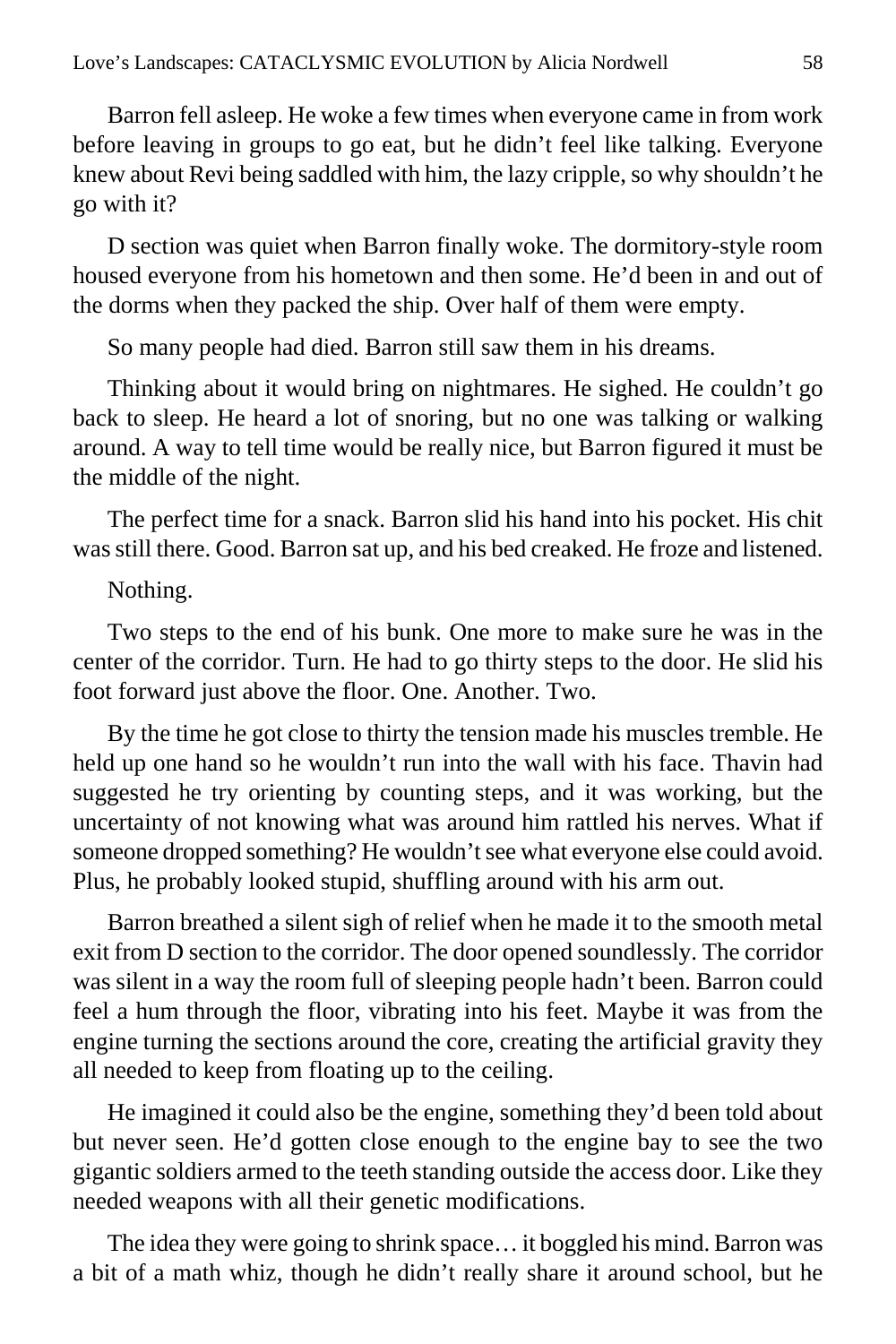Barron fell asleep. He woke a few times when everyone came in from work before leaving in groups to go eat, but he didn't feel like talking. Everyone knew about Revi being saddled with him, the lazy cripple, so why shouldn't he go with it?

D section was quiet when Barron finally woke. The dormitory-style room housed everyone from his hometown and then some. He'd been in and out of the dorms when they packed the ship. Over half of them were empty.

So many people had died. Barron still saw them in his dreams.

Thinking about it would bring on nightmares. He sighed. He couldn't go back to sleep. He heard a lot of snoring, but no one was talking or walking around. A way to tell time would be really nice, but Barron figured it must be the middle of the night.

The perfect time for a snack. Barron slid his hand into his pocket. His chit was still there. Good. Barron sat up, and his bed creaked. He froze and listened.

Nothing.

Two steps to the end of his bunk. One more to make sure he was in the center of the corridor. Turn. He had to go thirty steps to the door. He slid his foot forward just above the floor. One. Another. Two.

By the time he got close to thirty the tension made his muscles tremble. He held up one hand so he wouldn't run into the wall with his face. Thavin had suggested he try orienting by counting steps, and it was working, but the uncertainty of not knowing what was around him rattled his nerves. What if someone dropped something? He wouldn't see what everyone else could avoid. Plus, he probably looked stupid, shuffling around with his arm out.

Barron breathed a silent sigh of relief when he made it to the smooth metal exit from D section to the corridor. The door opened soundlessly. The corridor was silent in a way the room full of sleeping people hadn't been. Barron could feel a hum through the floor, vibrating into his feet. Maybe it was from the engine turning the sections around the core, creating the artificial gravity they all needed to keep from floating up to the ceiling.

He imagined it could also be the engine, something they'd been told about but never seen. He'd gotten close enough to the engine bay to see the two gigantic soldiers armed to the teeth standing outside the access door. Like they needed weapons with all their genetic modifications.

The idea they were going to shrink space… it boggled his mind. Barron was a bit of a math whiz, though he didn't really share it around school, but he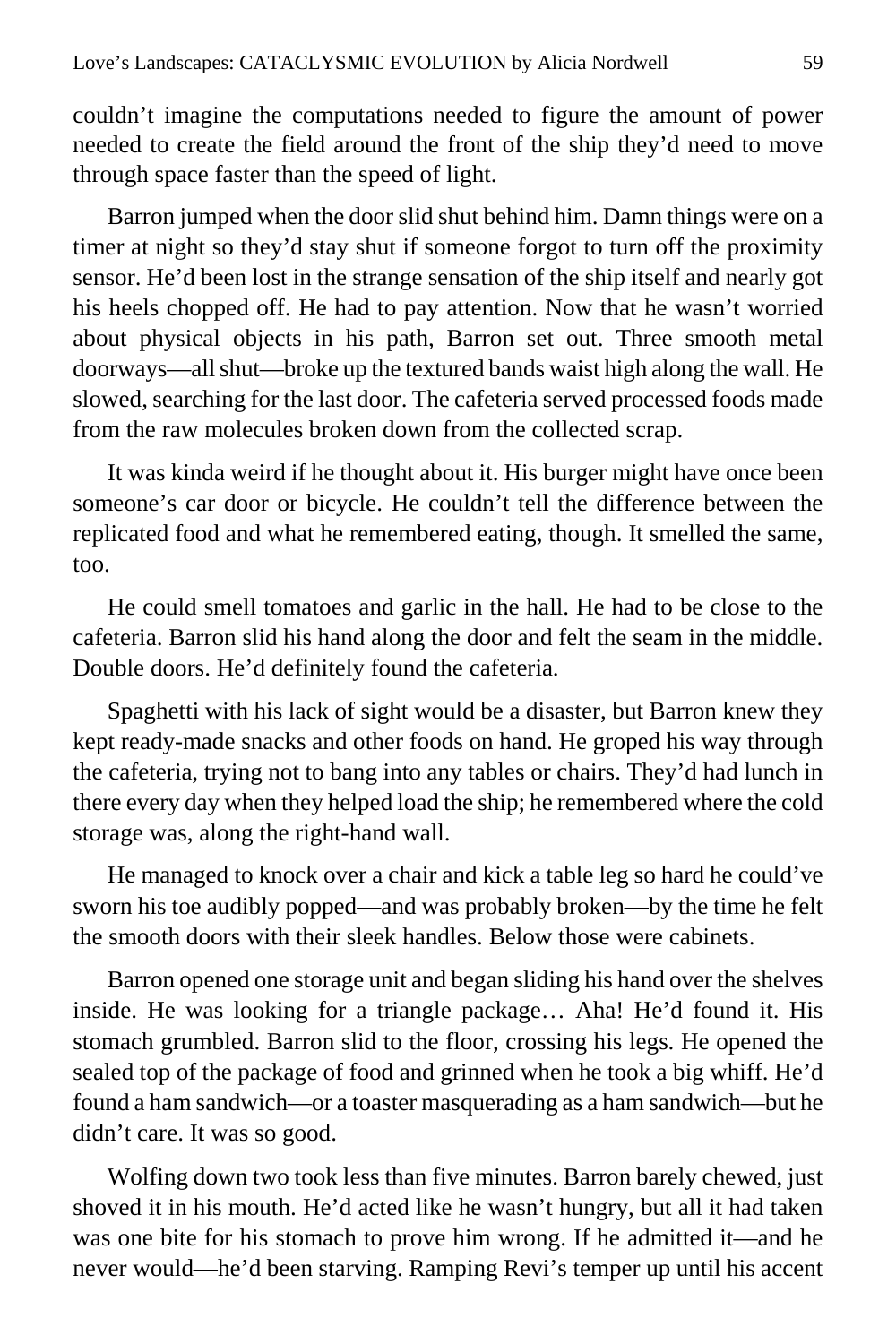couldn't imagine the computations needed to figure the amount of power needed to create the field around the front of the ship they'd need to move through space faster than the speed of light.

Barron jumped when the door slid shut behind him. Damn things were on a timer at night so they'd stay shut if someone forgot to turn off the proximity sensor. He'd been lost in the strange sensation of the ship itself and nearly got his heels chopped off. He had to pay attention. Now that he wasn't worried about physical objects in his path, Barron set out. Three smooth metal doorways—all shut—broke up the textured bands waist high along the wall. He slowed, searching for the last door. The cafeteria served processed foods made from the raw molecules broken down from the collected scrap.

It was kinda weird if he thought about it. His burger might have once been someone's car door or bicycle. He couldn't tell the difference between the replicated food and what he remembered eating, though. It smelled the same, too.

He could smell tomatoes and garlic in the hall. He had to be close to the cafeteria. Barron slid his hand along the door and felt the seam in the middle. Double doors. He'd definitely found the cafeteria.

Spaghetti with his lack of sight would be a disaster, but Barron knew they kept ready-made snacks and other foods on hand. He groped his way through the cafeteria, trying not to bang into any tables or chairs. They'd had lunch in there every day when they helped load the ship; he remembered where the cold storage was, along the right-hand wall.

He managed to knock over a chair and kick a table leg so hard he could've sworn his toe audibly popped—and was probably broken—by the time he felt the smooth doors with their sleek handles. Below those were cabinets.

Barron opened one storage unit and began sliding his hand over the shelves inside. He was looking for a triangle package… Aha! He'd found it. His stomach grumbled. Barron slid to the floor, crossing his legs. He opened the sealed top of the package of food and grinned when he took a big whiff. He'd found a ham sandwich—or a toaster masquerading as a ham sandwich—but he didn't care. It was so good.

Wolfing down two took less than five minutes. Barron barely chewed, just shoved it in his mouth. He'd acted like he wasn't hungry, but all it had taken was one bite for his stomach to prove him wrong. If he admitted it—and he never would—he'd been starving. Ramping Revi's temper up until his accent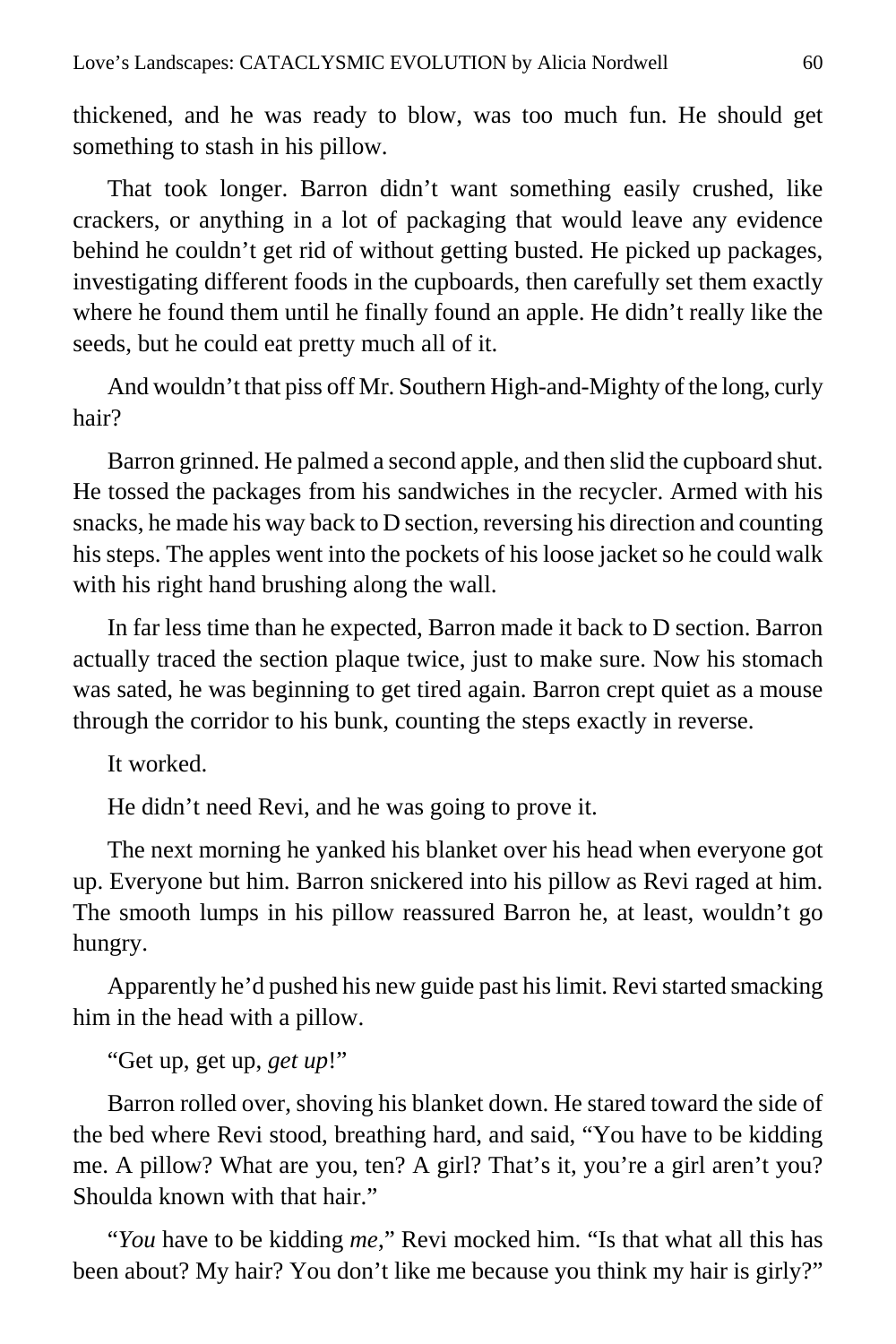thickened, and he was ready to blow, was too much fun. He should get something to stash in his pillow.

That took longer. Barron didn't want something easily crushed, like crackers, or anything in a lot of packaging that would leave any evidence behind he couldn't get rid of without getting busted. He picked up packages, investigating different foods in the cupboards, then carefully set them exactly where he found them until he finally found an apple. He didn't really like the seeds, but he could eat pretty much all of it.

And wouldn't that piss off Mr. Southern High-and-Mighty of the long, curly hair?

Barron grinned. He palmed a second apple, and then slid the cupboard shut. He tossed the packages from his sandwiches in the recycler. Armed with his snacks, he made his way back to D section, reversing his direction and counting his steps. The apples went into the pockets of his loose jacket so he could walk with his right hand brushing along the wall.

In far less time than he expected, Barron made it back to D section. Barron actually traced the section plaque twice, just to make sure. Now his stomach was sated, he was beginning to get tired again. Barron crept quiet as a mouse through the corridor to his bunk, counting the steps exactly in reverse.

It worked.

He didn't need Revi, and he was going to prove it.

The next morning he yanked his blanket over his head when everyone got up. Everyone but him. Barron snickered into his pillow as Revi raged at him. The smooth lumps in his pillow reassured Barron he, at least, wouldn't go hungry.

Apparently he'd pushed his new guide past his limit. Revi started smacking him in the head with a pillow.

"Get up, get up, *get up*!"

Barron rolled over, shoving his blanket down. He stared toward the side of the bed where Revi stood, breathing hard, and said, "You have to be kidding me. A pillow? What are you, ten? A girl? That's it, you're a girl aren't you? Shoulda known with that hair."

"*You* have to be kidding *me*," Revi mocked him. "Is that what all this has been about? My hair? You don't like me because you think my hair is girly?"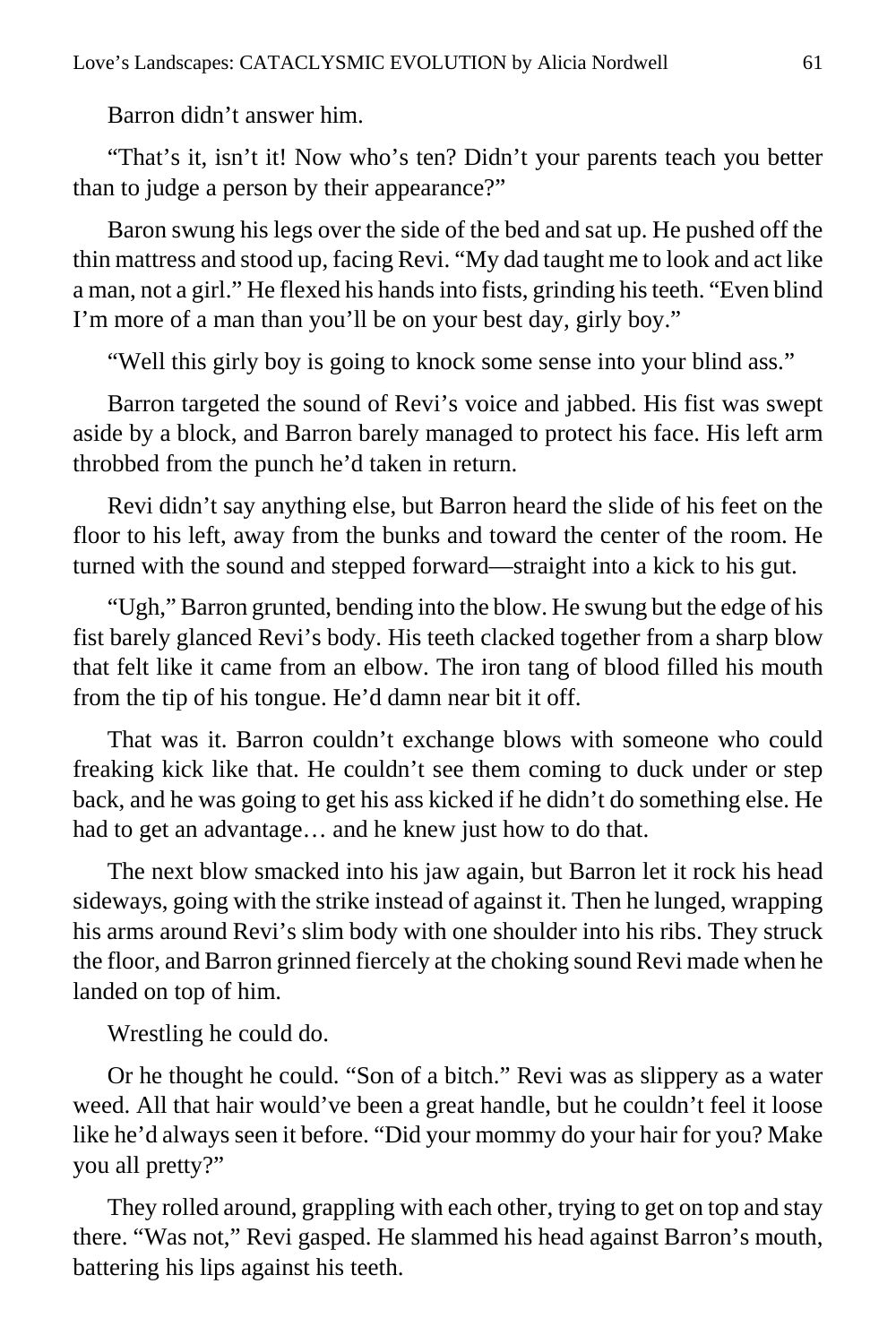Barron didn't answer him.

"That's it, isn't it! Now who's ten? Didn't your parents teach you better than to judge a person by their appearance?"

Baron swung his legs over the side of the bed and sat up. He pushed off the thin mattress and stood up, facing Revi. "My dad taught me to look and act like a man, not a girl." He flexed his hands into fists, grinding his teeth. "Even blind I'm more of a man than you'll be on your best day, girly boy."

"Well this girly boy is going to knock some sense into your blind ass."

Barron targeted the sound of Revi's voice and jabbed. His fist was swept aside by a block, and Barron barely managed to protect his face. His left arm throbbed from the punch he'd taken in return.

Revi didn't say anything else, but Barron heard the slide of his feet on the floor to his left, away from the bunks and toward the center of the room. He turned with the sound and stepped forward—straight into a kick to his gut.

"Ugh," Barron grunted, bending into the blow. He swung but the edge of his fist barely glanced Revi's body. His teeth clacked together from a sharp blow that felt like it came from an elbow. The iron tang of blood filled his mouth from the tip of his tongue. He'd damn near bit it off.

That was it. Barron couldn't exchange blows with someone who could freaking kick like that. He couldn't see them coming to duck under or step back, and he was going to get his ass kicked if he didn't do something else. He had to get an advantage… and he knew just how to do that.

The next blow smacked into his jaw again, but Barron let it rock his head sideways, going with the strike instead of against it. Then he lunged, wrapping his arms around Revi's slim body with one shoulder into his ribs. They struck the floor, and Barron grinned fiercely at the choking sound Revi made when he landed on top of him.

Wrestling he could do.

Or he thought he could. "Son of a bitch." Revi was as slippery as a water weed. All that hair would've been a great handle, but he couldn't feel it loose like he'd always seen it before. "Did your mommy do your hair for you? Make you all pretty?"

They rolled around, grappling with each other, trying to get on top and stay there. "Was not," Revi gasped. He slammed his head against Barron's mouth, battering his lips against his teeth.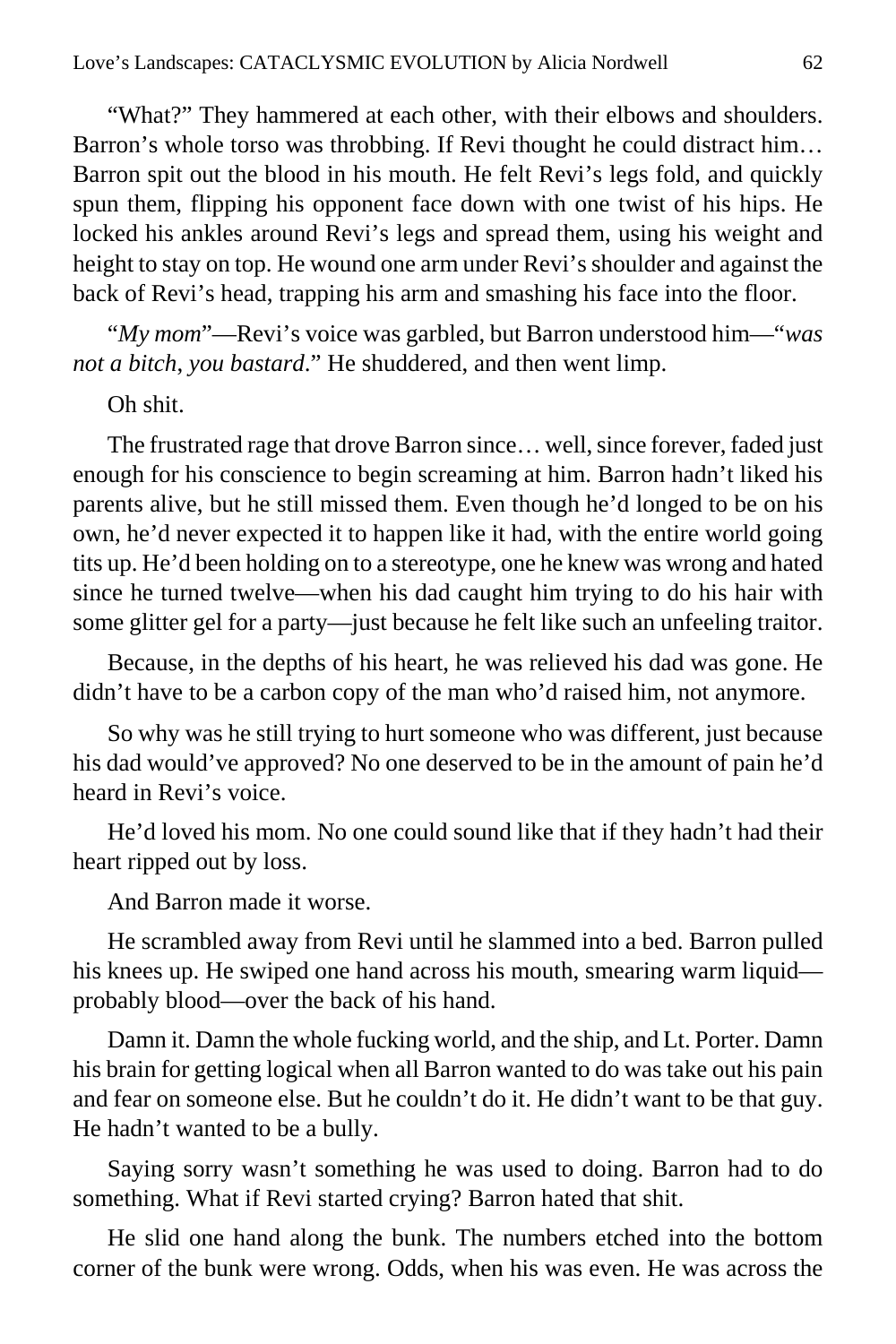"What?" They hammered at each other, with their elbows and shoulders. Barron's whole torso was throbbing. If Revi thought he could distract him… Barron spit out the blood in his mouth. He felt Revi's legs fold, and quickly spun them, flipping his opponent face down with one twist of his hips. He locked his ankles around Revi's legs and spread them, using his weight and height to stay on top. He wound one arm under Revi's shoulder and against the back of Revi's head, trapping his arm and smashing his face into the floor.

"*My mom*"—Revi's voice was garbled, but Barron understood him—"*was not a bitch*, *you bastard*." He shuddered, and then went limp.

Oh shit.

The frustrated rage that drove Barron since… well, since forever, faded just enough for his conscience to begin screaming at him. Barron hadn't liked his parents alive, but he still missed them. Even though he'd longed to be on his own, he'd never expected it to happen like it had, with the entire world going tits up. He'd been holding on to a stereotype, one he knew was wrong and hated since he turned twelve—when his dad caught him trying to do his hair with some glitter gel for a party—just because he felt like such an unfeeling traitor.

Because, in the depths of his heart, he was relieved his dad was gone. He didn't have to be a carbon copy of the man who'd raised him, not anymore.

So why was he still trying to hurt someone who was different, just because his dad would've approved? No one deserved to be in the amount of pain he'd heard in Revi's voice.

He'd loved his mom. No one could sound like that if they hadn't had their heart ripped out by loss.

And Barron made it worse.

He scrambled away from Revi until he slammed into a bed. Barron pulled his knees up. He swiped one hand across his mouth, smearing warm liquid probably blood—over the back of his hand.

Damn it. Damn the whole fucking world, and the ship, and Lt. Porter. Damn his brain for getting logical when all Barron wanted to do was take out his pain and fear on someone else. But he couldn't do it. He didn't want to be that guy. He hadn't wanted to be a bully.

Saying sorry wasn't something he was used to doing. Barron had to do something. What if Revi started crying? Barron hated that shit.

He slid one hand along the bunk. The numbers etched into the bottom corner of the bunk were wrong. Odds, when his was even. He was across the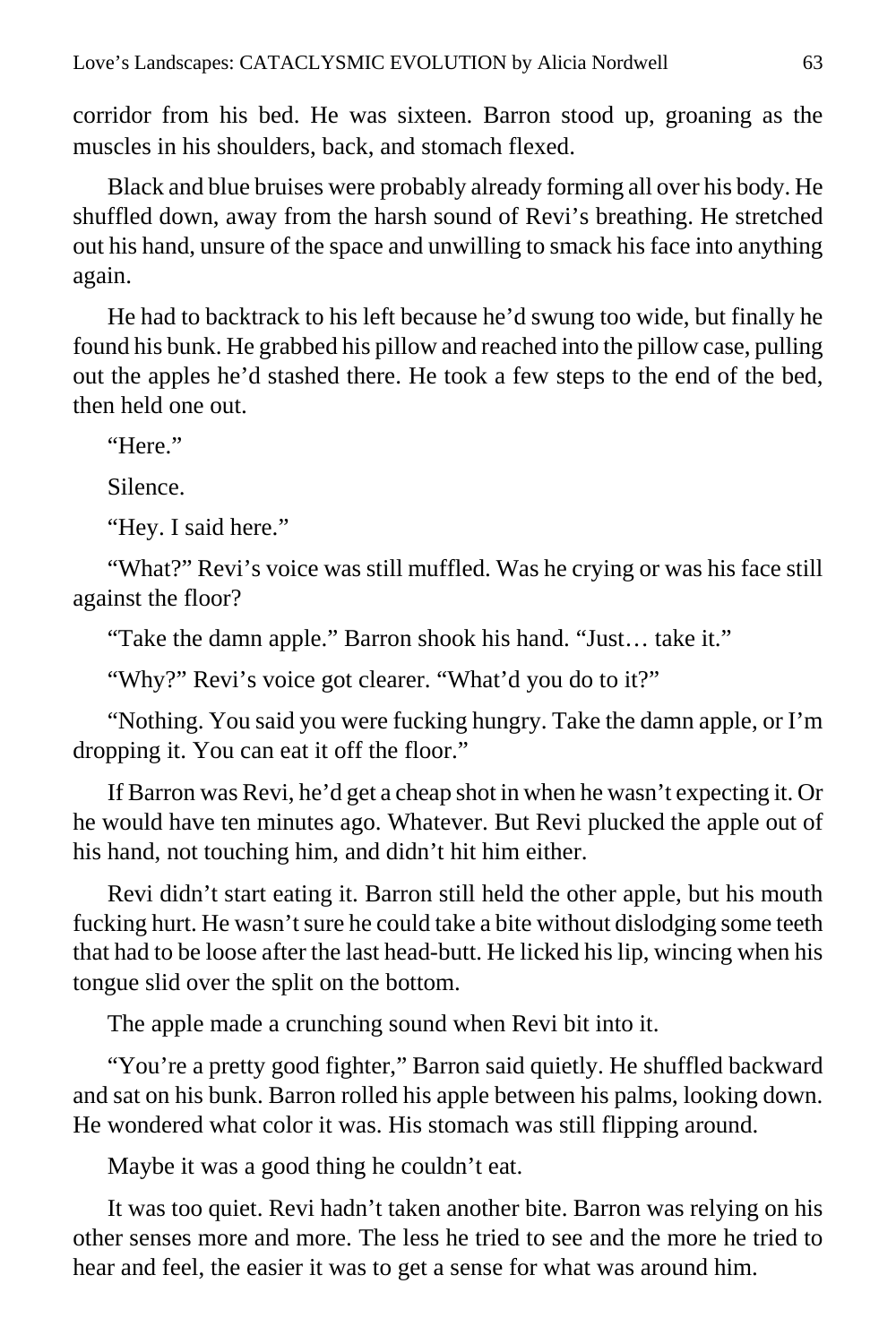corridor from his bed. He was sixteen. Barron stood up, groaning as the muscles in his shoulders, back, and stomach flexed.

Black and blue bruises were probably already forming all over his body. He shuffled down, away from the harsh sound of Revi's breathing. He stretched out his hand, unsure of the space and unwilling to smack his face into anything again.

He had to backtrack to his left because he'd swung too wide, but finally he found his bunk. He grabbed his pillow and reached into the pillow case, pulling out the apples he'd stashed there. He took a few steps to the end of the bed, then held one out.

"Here."

Silence.

"Hey. I said here."

"What?" Revi's voice was still muffled. Was he crying or was his face still against the floor?

"Take the damn apple." Barron shook his hand. "Just… take it."

"Why?" Revi's voice got clearer. "What'd you do to it?"

"Nothing. You said you were fucking hungry. Take the damn apple, or I'm dropping it. You can eat it off the floor."

If Barron was Revi, he'd get a cheap shot in when he wasn't expecting it. Or he would have ten minutes ago. Whatever. But Revi plucked the apple out of his hand, not touching him, and didn't hit him either.

Revi didn't start eating it. Barron still held the other apple, but his mouth fucking hurt. He wasn't sure he could take a bite without dislodging some teeth that had to be loose after the last head-butt. He licked his lip, wincing when his tongue slid over the split on the bottom.

The apple made a crunching sound when Revi bit into it.

"You're a pretty good fighter," Barron said quietly. He shuffled backward and sat on his bunk. Barron rolled his apple between his palms, looking down. He wondered what color it was. His stomach was still flipping around.

Maybe it was a good thing he couldn't eat.

It was too quiet. Revi hadn't taken another bite. Barron was relying on his other senses more and more. The less he tried to see and the more he tried to hear and feel, the easier it was to get a sense for what was around him.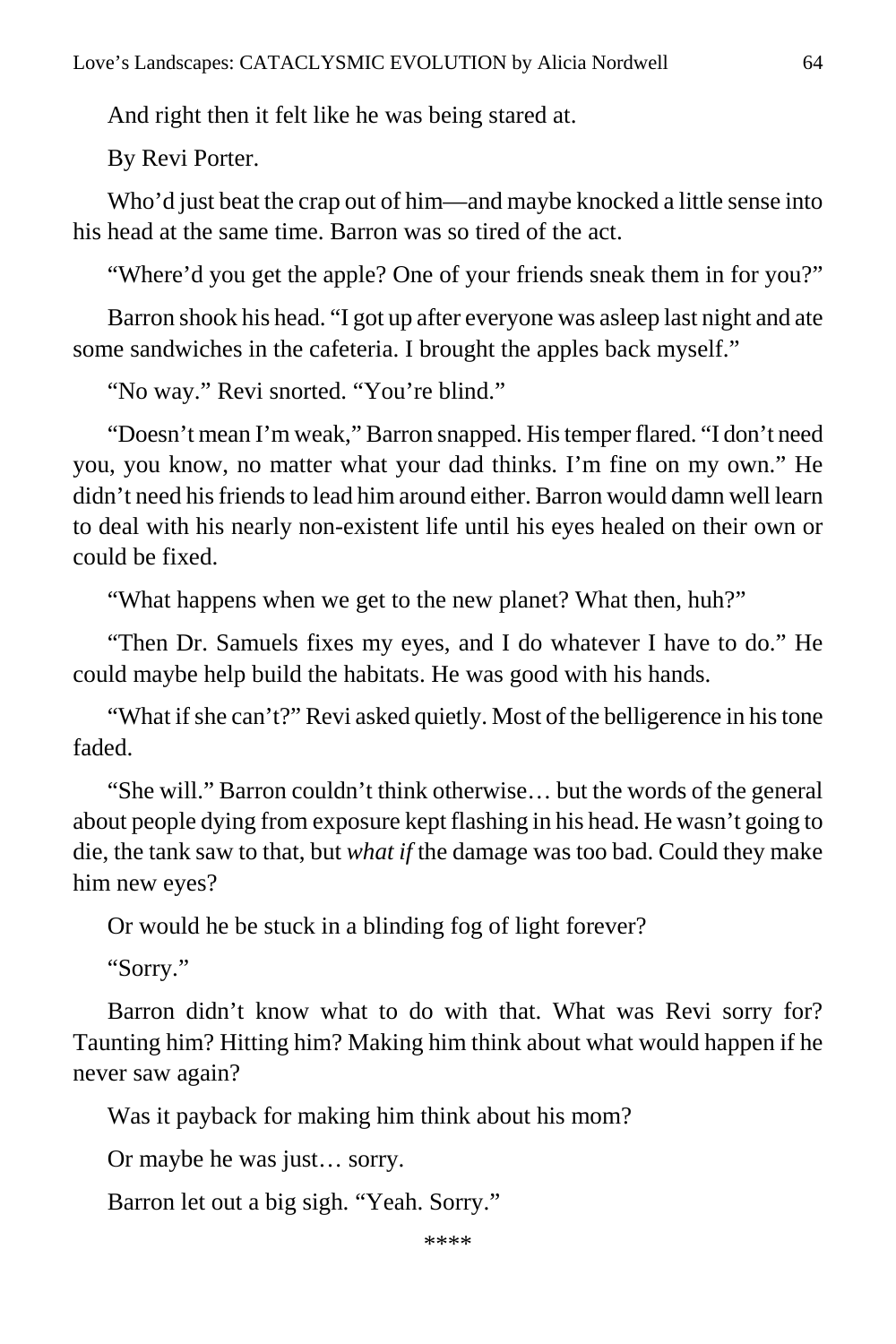And right then it felt like he was being stared at.

By Revi Porter.

Who'd just beat the crap out of him—and maybe knocked a little sense into his head at the same time. Barron was so tired of the act.

"Where'd you get the apple? One of your friends sneak them in for you?"

Barron shook his head. "I got up after everyone was asleep last night and ate some sandwiches in the cafeteria. I brought the apples back myself."

"No way." Revi snorted. "You're blind."

"Doesn't mean I'm weak," Barron snapped. His temper flared. "I don't need you, you know, no matter what your dad thinks. I'm fine on my own." He didn't need his friends to lead him around either. Barron would damn well learn to deal with his nearly non-existent life until his eyes healed on their own or could be fixed.

"What happens when we get to the new planet? What then, huh?"

"Then Dr. Samuels fixes my eyes, and I do whatever I have to do." He could maybe help build the habitats. He was good with his hands.

"What if she can't?" Revi asked quietly. Most of the belligerence in his tone faded.

"She will." Barron couldn't think otherwise… but the words of the general about people dying from exposure kept flashing in his head. He wasn't going to die, the tank saw to that, but *what if* the damage was too bad. Could they make him new eyes?

Or would he be stuck in a blinding fog of light forever?

"Sorry."

Barron didn't know what to do with that. What was Revi sorry for? Taunting him? Hitting him? Making him think about what would happen if he never saw again?

Was it payback for making him think about his mom?

Or maybe he was just… sorry.

Barron let out a big sigh. "Yeah. Sorry."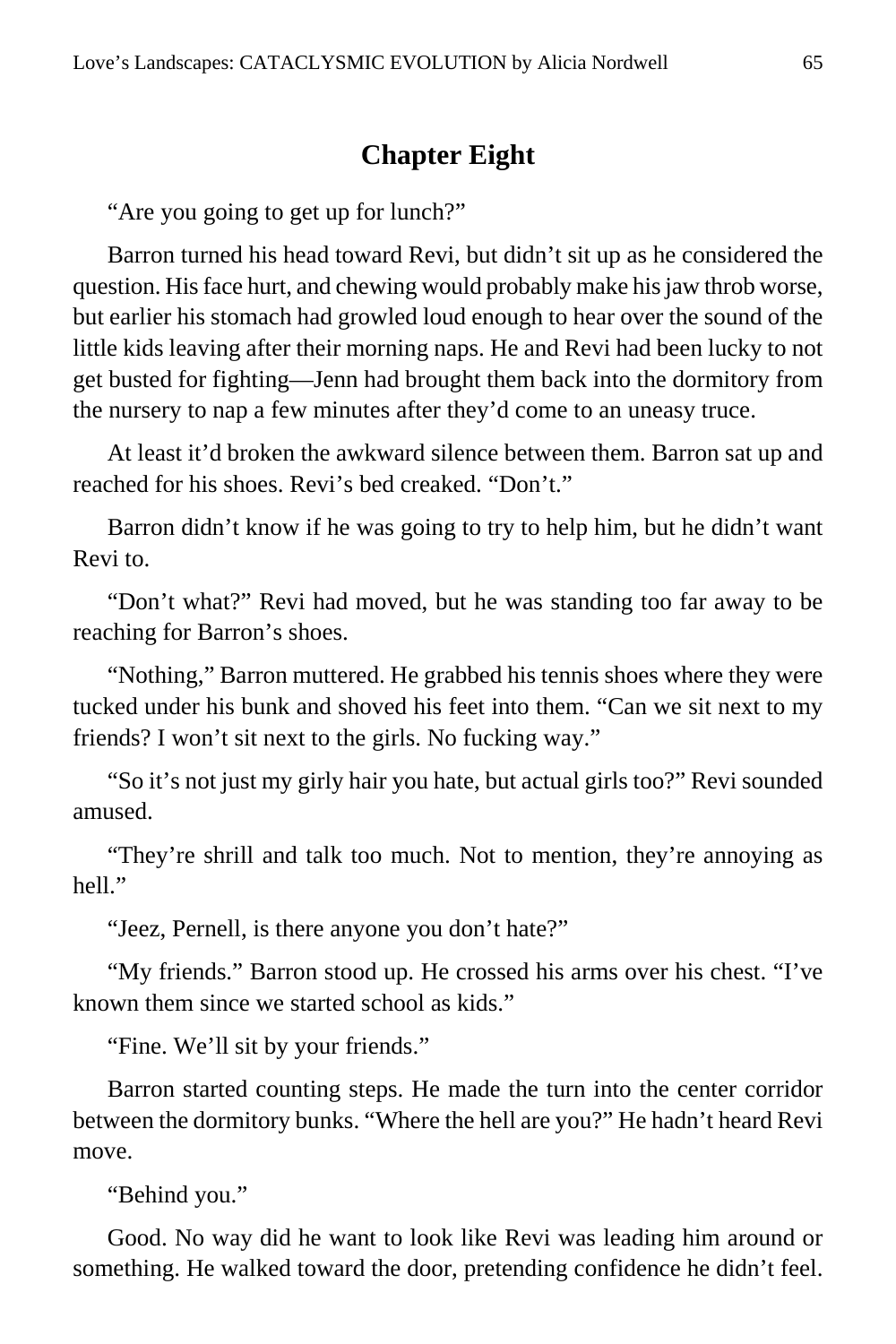## **Chapter Eight**

"Are you going to get up for lunch?"

Barron turned his head toward Revi, but didn't sit up as he considered the question. His face hurt, and chewing would probably make his jaw throb worse, but earlier his stomach had growled loud enough to hear over the sound of the little kids leaving after their morning naps. He and Revi had been lucky to not get busted for fighting—Jenn had brought them back into the dormitory from the nursery to nap a few minutes after they'd come to an uneasy truce.

At least it'd broken the awkward silence between them. Barron sat up and reached for his shoes. Revi's bed creaked. "Don't."

Barron didn't know if he was going to try to help him, but he didn't want Revi to.

"Don't what?" Revi had moved, but he was standing too far away to be reaching for Barron's shoes.

"Nothing," Barron muttered. He grabbed his tennis shoes where they were tucked under his bunk and shoved his feet into them. "Can we sit next to my friends? I won't sit next to the girls. No fucking way."

"So it's not just my girly hair you hate, but actual girls too?" Revi sounded amused.

"They're shrill and talk too much. Not to mention, they're annoying as hell."

"Jeez, Pernell, is there anyone you don't hate?"

"My friends." Barron stood up. He crossed his arms over his chest. "I've known them since we started school as kids."

"Fine. We'll sit by your friends."

Barron started counting steps. He made the turn into the center corridor between the dormitory bunks. "Where the hell are you?" He hadn't heard Revi move.

"Behind you."

Good. No way did he want to look like Revi was leading him around or something. He walked toward the door, pretending confidence he didn't feel.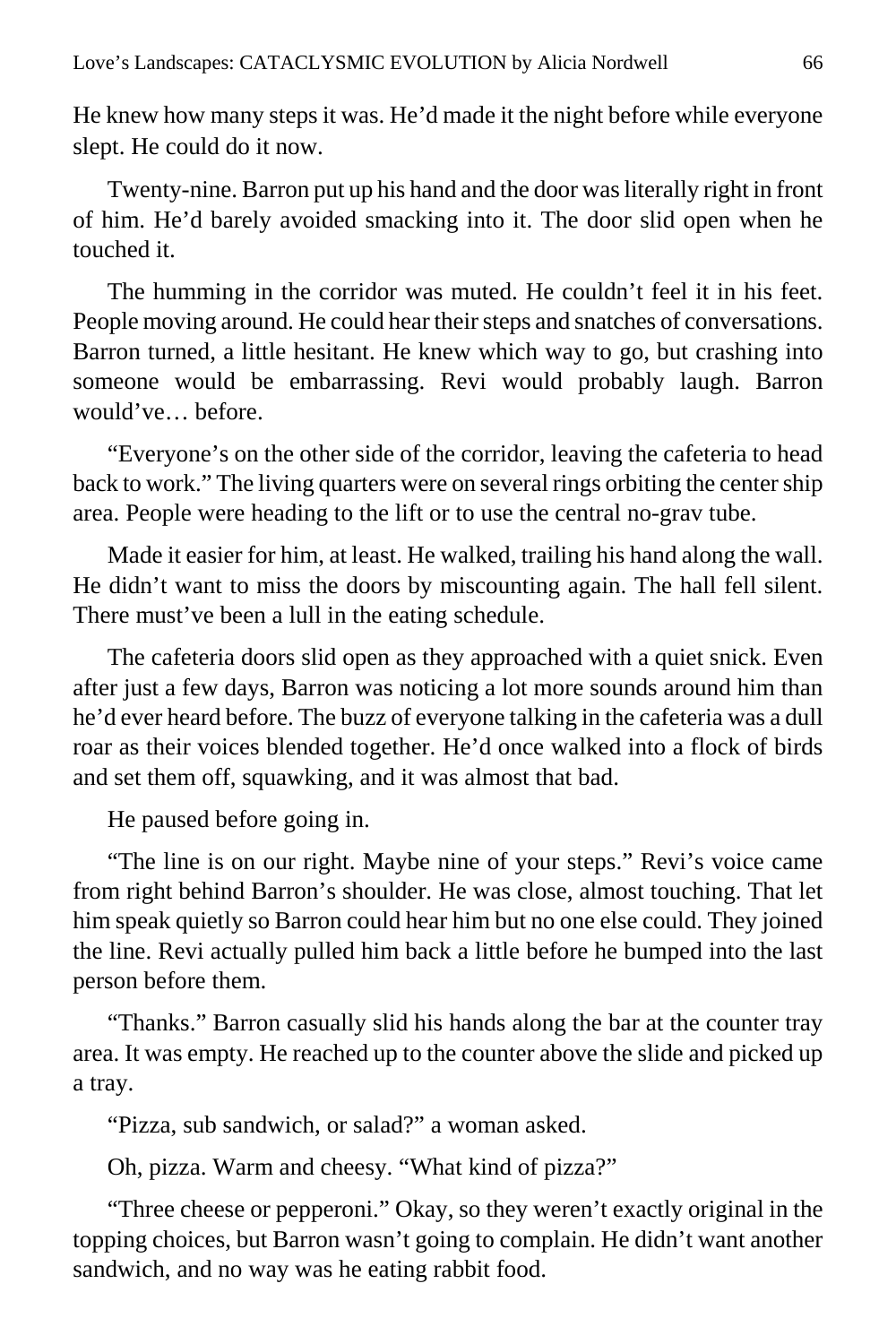He knew how many steps it was. He'd made it the night before while everyone slept. He could do it now.

Twenty-nine. Barron put up his hand and the door was literally right in front of him. He'd barely avoided smacking into it. The door slid open when he touched it.

The humming in the corridor was muted. He couldn't feel it in his feet. People moving around. He could hear their steps and snatches of conversations. Barron turned, a little hesitant. He knew which way to go, but crashing into someone would be embarrassing. Revi would probably laugh. Barron would've… before.

"Everyone's on the other side of the corridor, leaving the cafeteria to head back to work." The living quarters were on several rings orbiting the center ship area. People were heading to the lift or to use the central no-grav tube.

Made it easier for him, at least. He walked, trailing his hand along the wall. He didn't want to miss the doors by miscounting again. The hall fell silent. There must've been a lull in the eating schedule.

The cafeteria doors slid open as they approached with a quiet snick. Even after just a few days, Barron was noticing a lot more sounds around him than he'd ever heard before. The buzz of everyone talking in the cafeteria was a dull roar as their voices blended together. He'd once walked into a flock of birds and set them off, squawking, and it was almost that bad.

He paused before going in.

"The line is on our right. Maybe nine of your steps." Revi's voice came from right behind Barron's shoulder. He was close, almost touching. That let him speak quietly so Barron could hear him but no one else could. They joined the line. Revi actually pulled him back a little before he bumped into the last person before them.

"Thanks." Barron casually slid his hands along the bar at the counter tray area. It was empty. He reached up to the counter above the slide and picked up a tray.

"Pizza, sub sandwich, or salad?" a woman asked.

Oh, pizza. Warm and cheesy. "What kind of pizza?"

"Three cheese or pepperoni." Okay, so they weren't exactly original in the topping choices, but Barron wasn't going to complain. He didn't want another sandwich, and no way was he eating rabbit food.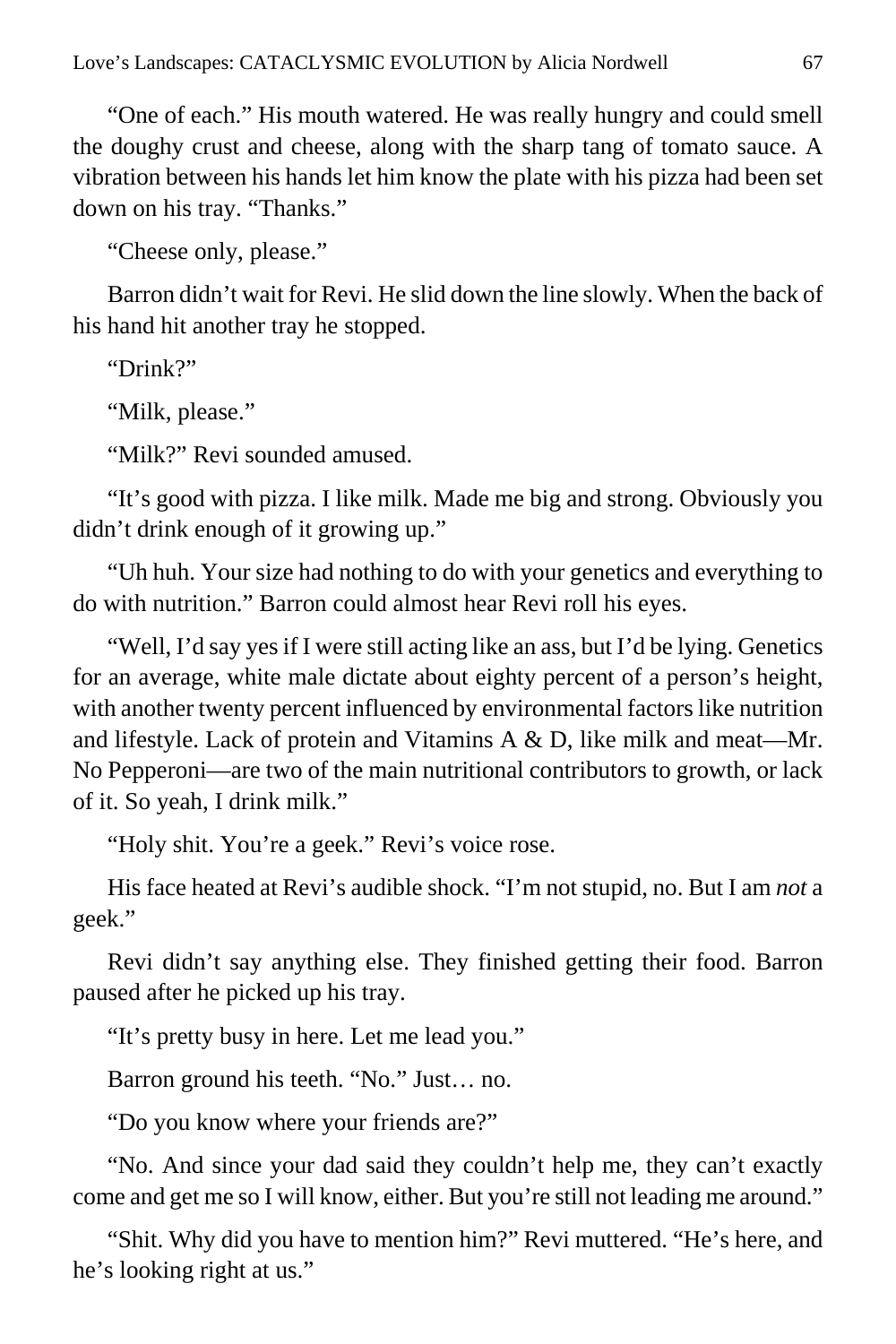"One of each." His mouth watered. He was really hungry and could smell the doughy crust and cheese, along with the sharp tang of tomato sauce. A vibration between his hands let him know the plate with his pizza had been set down on his tray. "Thanks."

"Cheese only, please."

Barron didn't wait for Revi. He slid down the line slowly. When the back of his hand hit another tray he stopped.

"Drink?"

"Milk, please."

"Milk?" Revi sounded amused.

"It's good with pizza. I like milk. Made me big and strong. Obviously you didn't drink enough of it growing up."

"Uh huh. Your size had nothing to do with your genetics and everything to do with nutrition." Barron could almost hear Revi roll his eyes.

"Well, I'd say yes if I were still acting like an ass, but I'd be lying. Genetics for an average, white male dictate about eighty percent of a person's height, with another twenty percent influenced by environmental factors like nutrition and lifestyle. Lack of protein and Vitamins  $A \& D$ , like milk and meat—Mr. No Pepperoni—are two of the main nutritional contributors to growth, or lack of it. So yeah, I drink milk."

"Holy shit. You're a geek." Revi's voice rose.

His face heated at Revi's audible shock. "I'm not stupid, no. But I am *not* a geek."

Revi didn't say anything else. They finished getting their food. Barron paused after he picked up his tray.

"It's pretty busy in here. Let me lead you."

Barron ground his teeth. "No." Just… no.

"Do you know where your friends are?"

"No. And since your dad said they couldn't help me, they can't exactly come and get me so I will know, either. But you're still not leading me around."

"Shit. Why did you have to mention him?" Revi muttered. "He's here, and he's looking right at us."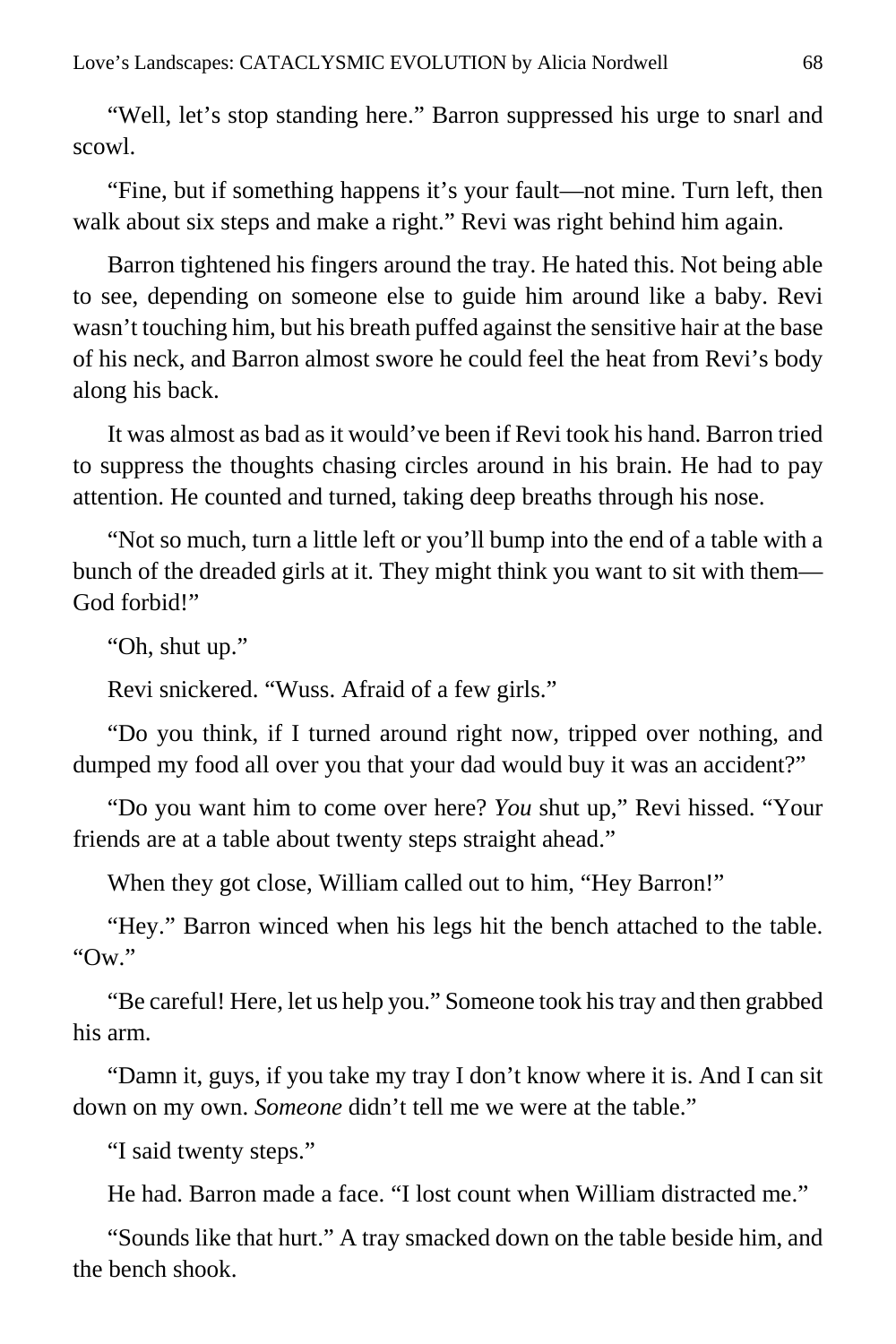"Well, let's stop standing here." Barron suppressed his urge to snarl and scowl.

"Fine, but if something happens it's your fault—not mine. Turn left, then walk about six steps and make a right." Revi was right behind him again.

Barron tightened his fingers around the tray. He hated this. Not being able to see, depending on someone else to guide him around like a baby. Revi wasn't touching him, but his breath puffed against the sensitive hair at the base of his neck, and Barron almost swore he could feel the heat from Revi's body along his back.

It was almost as bad as it would've been if Revi took his hand. Barron tried to suppress the thoughts chasing circles around in his brain. He had to pay attention. He counted and turned, taking deep breaths through his nose.

"Not so much, turn a little left or you'll bump into the end of a table with a bunch of the dreaded girls at it. They might think you want to sit with them— God forbid!"

"Oh, shut up."

Revi snickered. "Wuss. Afraid of a few girls."

"Do you think, if I turned around right now, tripped over nothing, and dumped my food all over you that your dad would buy it was an accident?"

"Do you want him to come over here? *You* shut up," Revi hissed. "Your friends are at a table about twenty steps straight ahead."

When they got close, William called out to him, "Hey Barron!"

"Hey." Barron winced when his legs hit the bench attached to the table. " $\Omega_W$ "

"Be careful! Here, let us help you." Someone took his tray and then grabbed his arm.

"Damn it, guys, if you take my tray I don't know where it is. And I can sit down on my own. *Someone* didn't tell me we were at the table."

"I said twenty steps."

He had. Barron made a face. "I lost count when William distracted me."

"Sounds like that hurt." A tray smacked down on the table beside him, and the bench shook.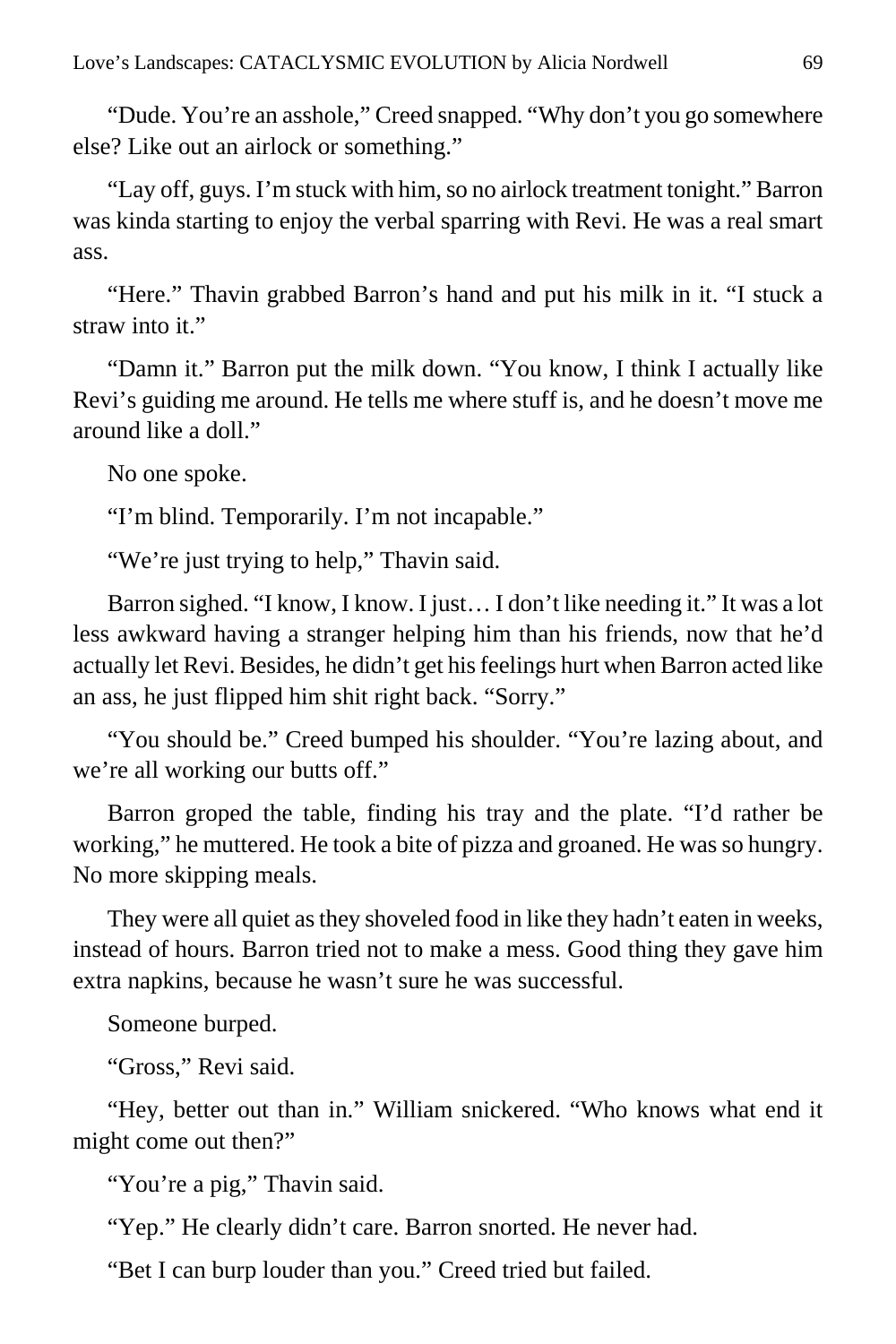"Dude. You're an asshole," Creed snapped. "Why don't you go somewhere else? Like out an airlock or something."

"Lay off, guys. I'm stuck with him, so no airlock treatment tonight." Barron was kinda starting to enjoy the verbal sparring with Revi. He was a real smart ass.

"Here." Thavin grabbed Barron's hand and put his milk in it. "I stuck a straw into it."

"Damn it." Barron put the milk down. "You know, I think I actually like Revi's guiding me around. He tells me where stuff is, and he doesn't move me around like a doll."

No one spoke.

"I'm blind. Temporarily. I'm not incapable."

"We're just trying to help," Thavin said.

Barron sighed. "I know, I know. I just… I don't like needing it." It was a lot less awkward having a stranger helping him than his friends, now that he'd actually let Revi. Besides, he didn't get his feelings hurt when Barron acted like an ass, he just flipped him shit right back. "Sorry."

"You should be." Creed bumped his shoulder. "You're lazing about, and we're all working our butts off."

Barron groped the table, finding his tray and the plate. "I'd rather be working," he muttered. He took a bite of pizza and groaned. He was so hungry. No more skipping meals.

They were all quiet as they shoveled food in like they hadn't eaten in weeks, instead of hours. Barron tried not to make a mess. Good thing they gave him extra napkins, because he wasn't sure he was successful.

Someone burped.

"Gross," Revi said.

"Hey, better out than in." William snickered. "Who knows what end it might come out then?"

"You're a pig," Thavin said.

"Yep." He clearly didn't care. Barron snorted. He never had.

"Bet I can burp louder than you." Creed tried but failed.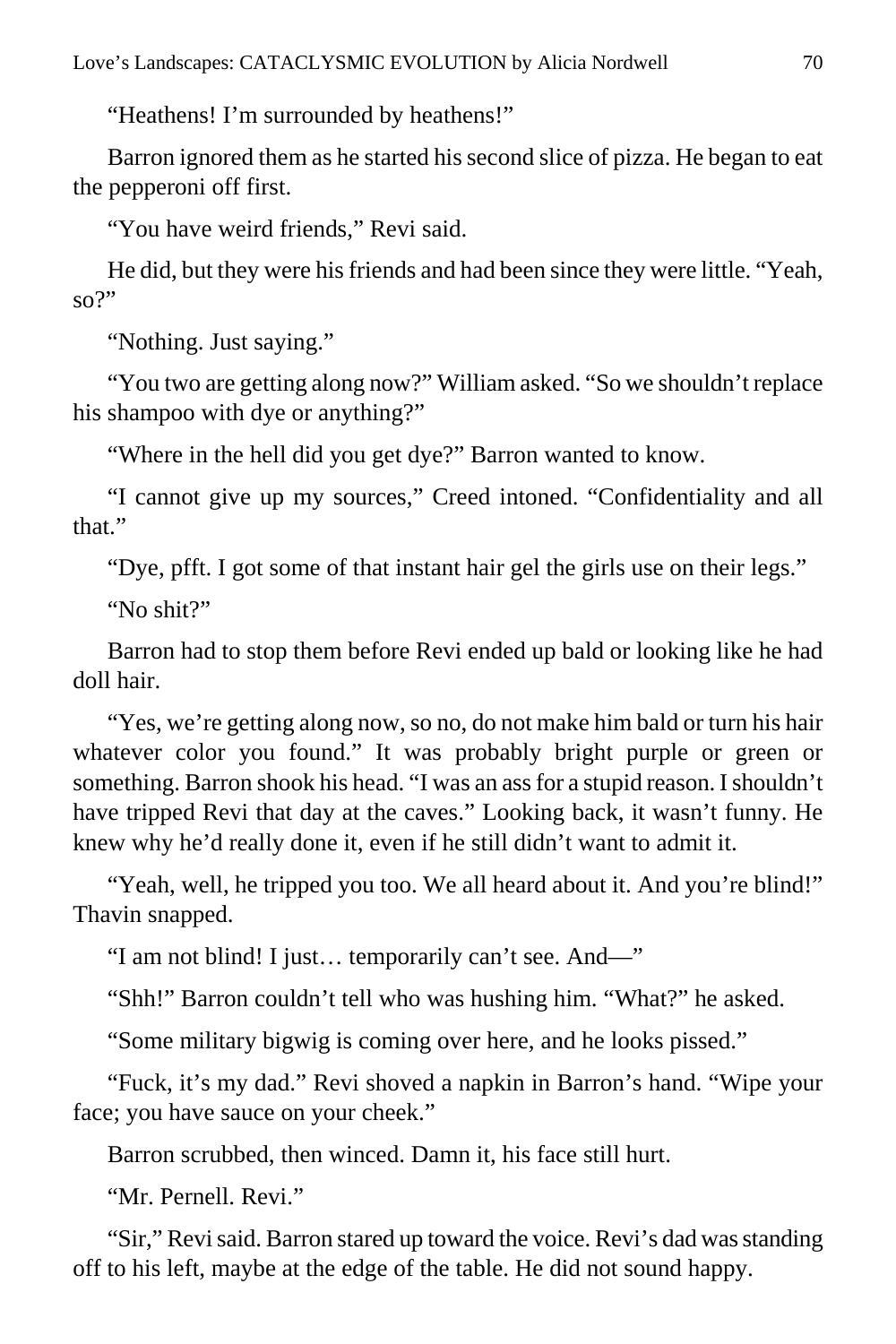"Heathens! I'm surrounded by heathens!"

Barron ignored them as he started his second slice of pizza. He began to eat the pepperoni off first.

"You have weird friends," Revi said.

He did, but they were his friends and had been since they were little. "Yeah, so?"

"Nothing. Just saying."

"You two are getting along now?" William asked. "So we shouldn't replace his shampoo with dye or anything?"

"Where in the hell did you get dye?" Barron wanted to know.

"I cannot give up my sources," Creed intoned. "Confidentiality and all that."

"Dye, pfft. I got some of that instant hair gel the girls use on their legs."

"No shit?"

Barron had to stop them before Revi ended up bald or looking like he had doll hair.

"Yes, we're getting along now, so no, do not make him bald or turn his hair whatever color you found." It was probably bright purple or green or something. Barron shook his head. "I was an ass for a stupid reason. I shouldn't have tripped Revi that day at the caves." Looking back, it wasn't funny. He knew why he'd really done it, even if he still didn't want to admit it.

"Yeah, well, he tripped you too. We all heard about it. And you're blind!" Thavin snapped.

"I am not blind! I just… temporarily can't see. And—"

"Shh!" Barron couldn't tell who was hushing him. "What?" he asked.

"Some military bigwig is coming over here, and he looks pissed."

"Fuck, it's my dad." Revi shoved a napkin in Barron's hand. "Wipe your face; you have sauce on your cheek."

Barron scrubbed, then winced. Damn it, his face still hurt.

"Mr. Pernell. Revi."

"Sir," Revi said. Barron stared up toward the voice. Revi's dad was standing off to his left, maybe at the edge of the table. He did not sound happy.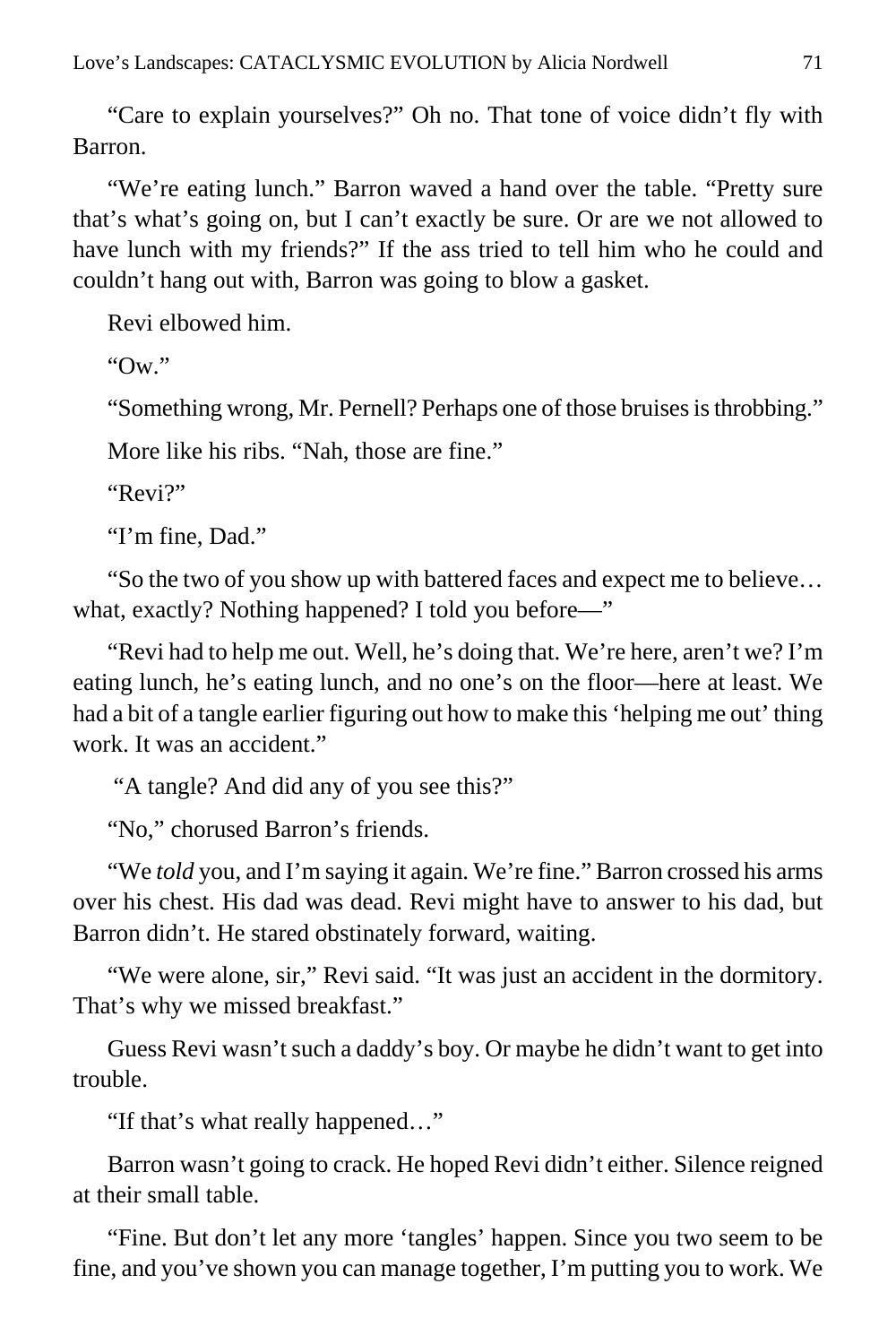"Care to explain yourselves?" Oh no. That tone of voice didn't fly with Barron.

"We're eating lunch." Barron waved a hand over the table. "Pretty sure that's what's going on, but I can't exactly be sure. Or are we not allowed to have lunch with my friends?" If the ass tried to tell him who he could and couldn't hang out with, Barron was going to blow a gasket.

Revi elbowed him.

"Ow."

"Something wrong, Mr. Pernell? Perhaps one of those bruises is throbbing."

More like his ribs. "Nah, those are fine."

" $R$ evi?"

"I'm fine, Dad."

"So the two of you show up with battered faces and expect me to believe… what, exactly? Nothing happened? I told you before—"

"Revi had to help me out. Well, he's doing that. We're here, aren't we? I'm eating lunch, he's eating lunch, and no one's on the floor—here at least. We had a bit of a tangle earlier figuring out how to make this 'helping me out' thing work. It was an accident."

"A tangle? And did any of you see this?"

"No," chorused Barron's friends.

"We *told* you, and I'm saying it again. We're fine." Barron crossed his arms over his chest. His dad was dead. Revi might have to answer to his dad, but Barron didn't. He stared obstinately forward, waiting.

"We were alone, sir," Revi said. "It was just an accident in the dormitory. That's why we missed breakfast."

Guess Revi wasn't such a daddy's boy. Or maybe he didn't want to get into trouble.

"If that's what really happened…"

Barron wasn't going to crack. He hoped Revi didn't either. Silence reigned at their small table.

"Fine. But don't let any more 'tangles' happen. Since you two seem to be fine, and you've shown you can manage together, I'm putting you to work. We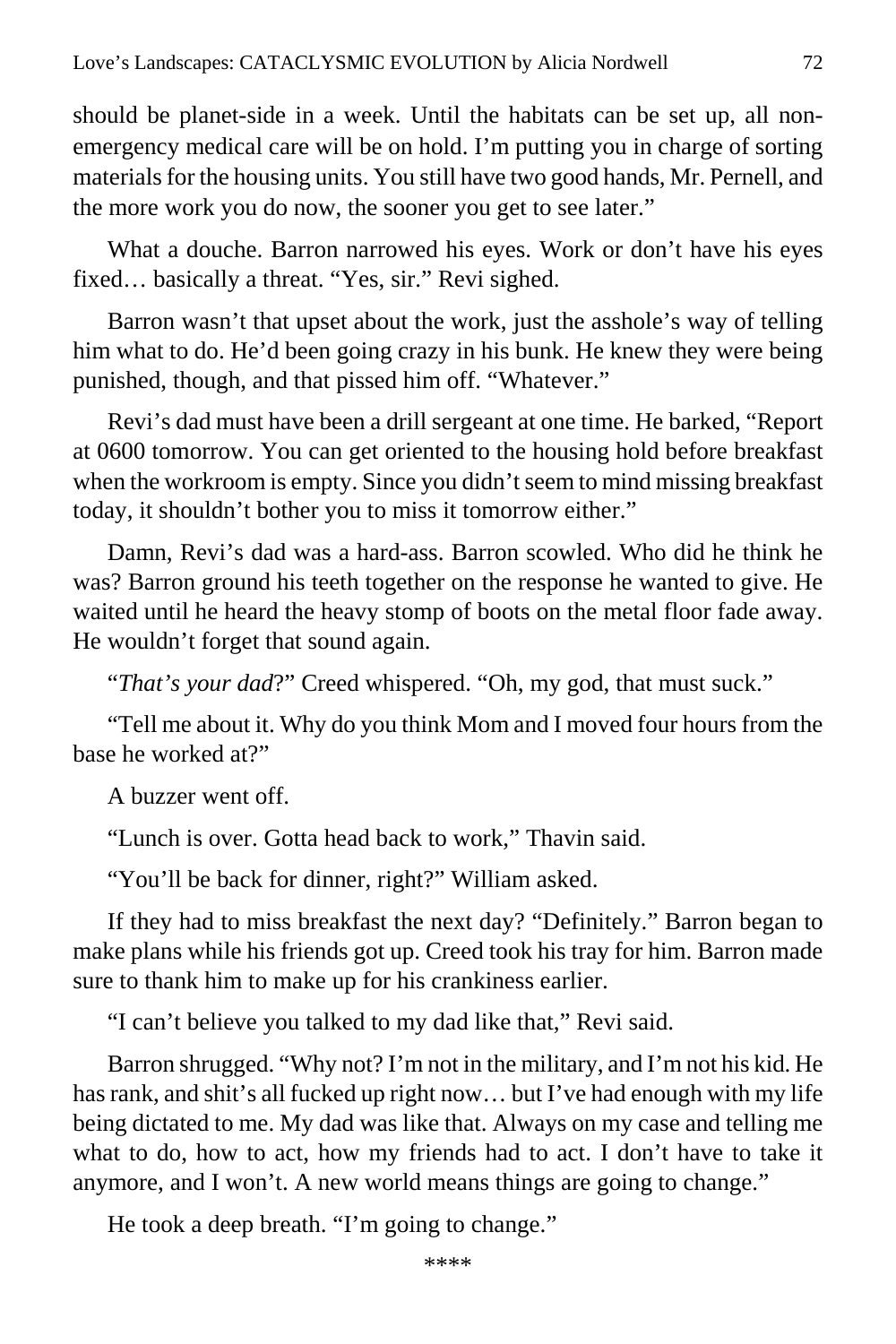should be planet-side in a week. Until the habitats can be set up, all nonemergency medical care will be on hold. I'm putting you in charge of sorting materials for the housing units. You still have two good hands, Mr. Pernell, and the more work you do now, the sooner you get to see later."

What a douche. Barron narrowed his eyes. Work or don't have his eyes fixed… basically a threat. "Yes, sir." Revi sighed.

Barron wasn't that upset about the work, just the asshole's way of telling him what to do. He'd been going crazy in his bunk. He knew they were being punished, though, and that pissed him off. "Whatever."

Revi's dad must have been a drill sergeant at one time. He barked, "Report at 0600 tomorrow. You can get oriented to the housing hold before breakfast when the workroom is empty. Since you didn't seem to mind missing breakfast today, it shouldn't bother you to miss it tomorrow either."

Damn, Revi's dad was a hard-ass. Barron scowled. Who did he think he was? Barron ground his teeth together on the response he wanted to give. He waited until he heard the heavy stomp of boots on the metal floor fade away. He wouldn't forget that sound again.

"*That's your dad*?" Creed whispered. "Oh, my god, that must suck."

"Tell me about it. Why do you think Mom and I moved four hours from the base he worked at?"

A buzzer went off.

"Lunch is over. Gotta head back to work," Thavin said.

"You'll be back for dinner, right?" William asked.

If they had to miss breakfast the next day? "Definitely." Barron began to make plans while his friends got up. Creed took his tray for him. Barron made sure to thank him to make up for his crankiness earlier.

"I can't believe you talked to my dad like that," Revi said.

Barron shrugged. "Why not? I'm not in the military, and I'm not his kid. He has rank, and shit's all fucked up right now... but I've had enough with my life being dictated to me. My dad was like that. Always on my case and telling me what to do, how to act, how my friends had to act. I don't have to take it anymore, and I won't. A new world means things are going to change."

He took a deep breath. "I'm going to change."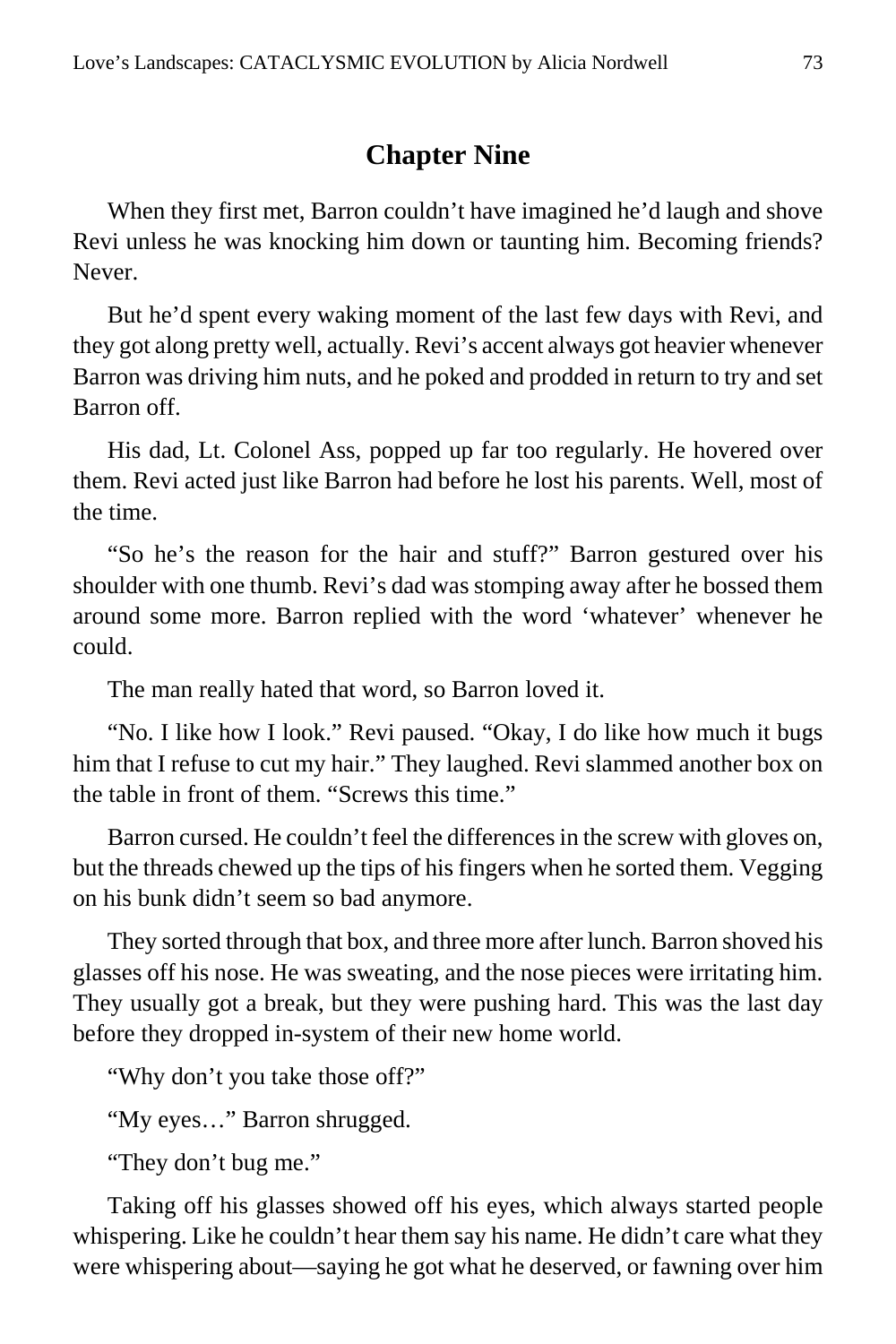# **Chapter Nine**

When they first met, Barron couldn't have imagined he'd laugh and shove Revi unless he was knocking him down or taunting him. Becoming friends? Never.

But he'd spent every waking moment of the last few days with Revi, and they got along pretty well, actually. Revi's accent always got heavier whenever Barron was driving him nuts, and he poked and prodded in return to try and set Barron off.

His dad, Lt. Colonel Ass, popped up far too regularly. He hovered over them. Revi acted just like Barron had before he lost his parents. Well, most of the time.

"So he's the reason for the hair and stuff?" Barron gestured over his shoulder with one thumb. Revi's dad was stomping away after he bossed them around some more. Barron replied with the word 'whatever' whenever he could.

The man really hated that word, so Barron loved it.

"No. I like how I look." Revi paused. "Okay, I do like how much it bugs him that I refuse to cut my hair." They laughed. Revi slammed another box on the table in front of them. "Screws this time."

Barron cursed. He couldn't feel the differences in the screw with gloves on, but the threads chewed up the tips of his fingers when he sorted them. Vegging on his bunk didn't seem so bad anymore.

They sorted through that box, and three more after lunch. Barron shoved his glasses off his nose. He was sweating, and the nose pieces were irritating him. They usually got a break, but they were pushing hard. This was the last day before they dropped in-system of their new home world.

"Why don't you take those off?"

"My eyes…" Barron shrugged.

"They don't bug me."

Taking off his glasses showed off his eyes, which always started people whispering. Like he couldn't hear them say his name. He didn't care what they were whispering about—saying he got what he deserved, or fawning over him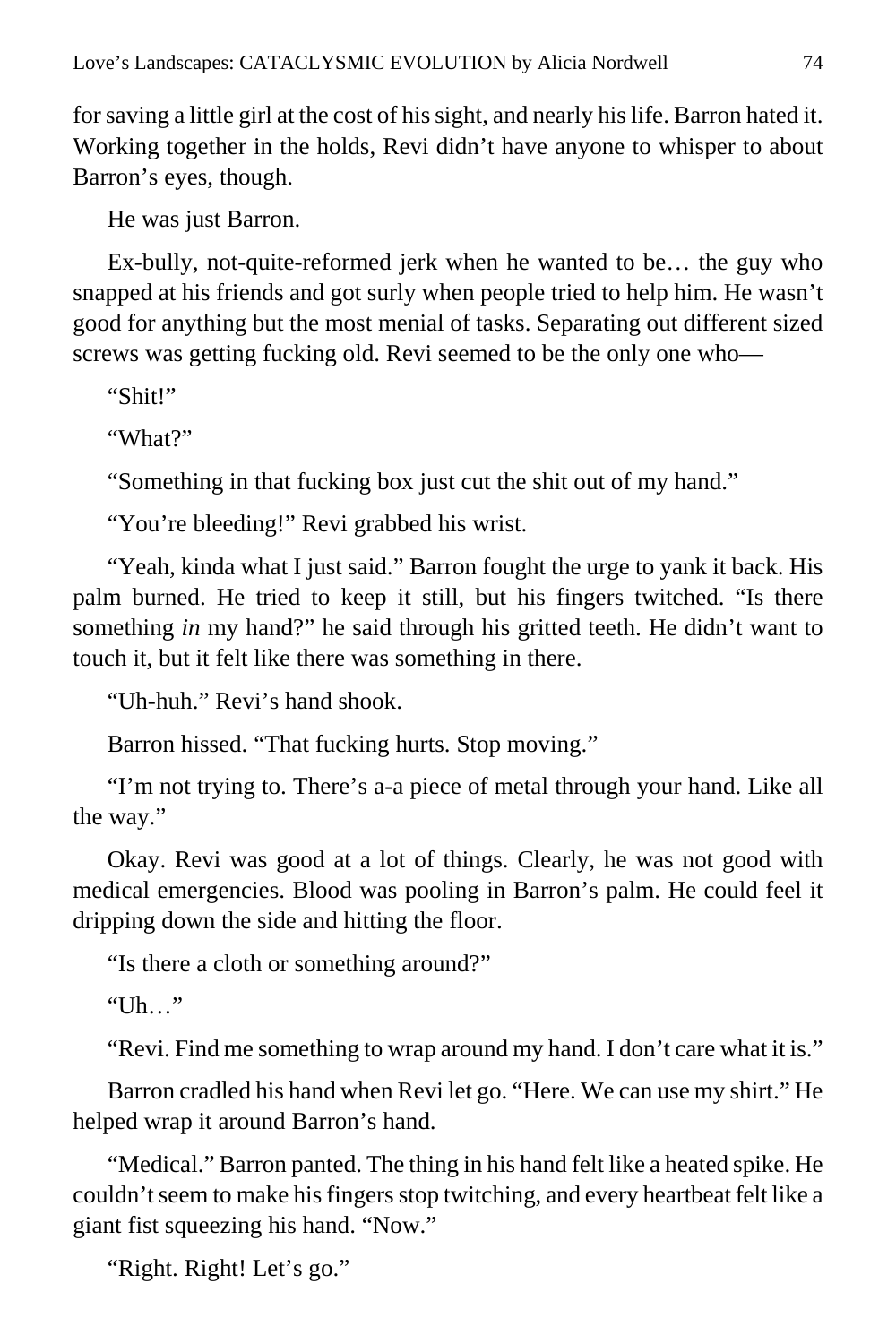for saving a little girl at the cost of his sight, and nearly his life. Barron hated it. Working together in the holds, Revi didn't have anyone to whisper to about Barron's eyes, though.

He was just Barron.

Ex-bully, not-quite-reformed jerk when he wanted to be… the guy who snapped at his friends and got surly when people tried to help him. He wasn't good for anything but the most menial of tasks. Separating out different sized screws was getting fucking old. Revi seemed to be the only one who—

"Shit!"

"What?"

"Something in that fucking box just cut the shit out of my hand."

"You're bleeding!" Revi grabbed his wrist.

"Yeah, kinda what I just said." Barron fought the urge to yank it back. His palm burned. He tried to keep it still, but his fingers twitched. "Is there something *in* my hand?" he said through his gritted teeth. He didn't want to touch it, but it felt like there was something in there.

"Uh-huh." Revi's hand shook.

Barron hissed. "That fucking hurts. Stop moving."

"I'm not trying to. There's a-a piece of metal through your hand. Like all the way."

Okay. Revi was good at a lot of things. Clearly, he was not good with medical emergencies. Blood was pooling in Barron's palm. He could feel it dripping down the side and hitting the floor.

"Is there a cloth or something around?"

"Uh…"

"Revi. Find me something to wrap around my hand. I don't care what it is."

Barron cradled his hand when Revi let go. "Here. We can use my shirt." He helped wrap it around Barron's hand.

"Medical." Barron panted. The thing in his hand felt like a heated spike. He couldn't seem to make his fingers stop twitching, and every heartbeat felt like a giant fist squeezing his hand. "Now."

"Right. Right! Let's go."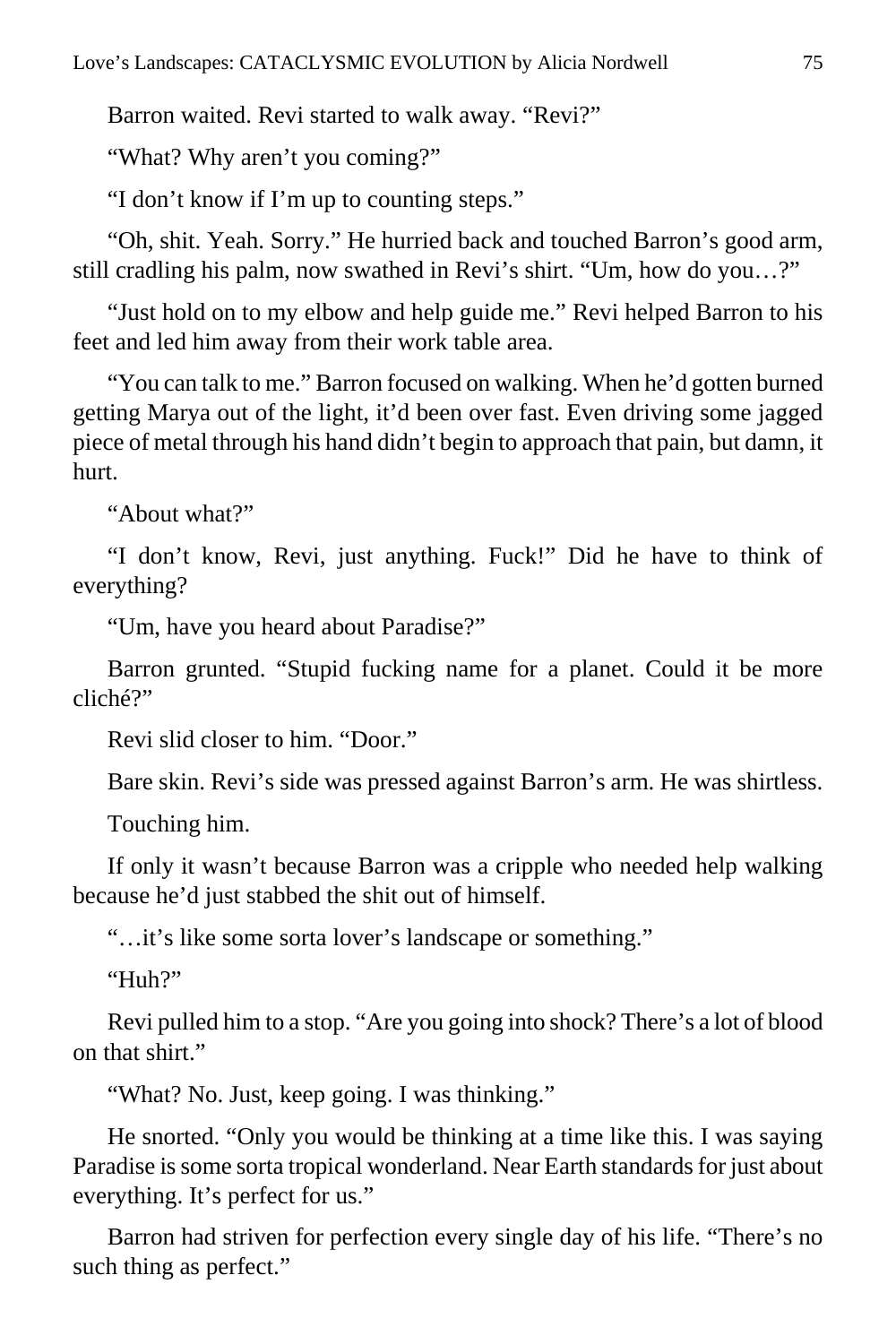Barron waited. Revi started to walk away. "Revi?"

"What? Why aren't you coming?"

"I don't know if I'm up to counting steps."

"Oh, shit. Yeah. Sorry." He hurried back and touched Barron's good arm, still cradling his palm, now swathed in Revi's shirt. "Um, how do you…?"

"Just hold on to my elbow and help guide me." Revi helped Barron to his feet and led him away from their work table area.

"You can talk to me." Barron focused on walking. When he'd gotten burned getting Marya out of the light, it'd been over fast. Even driving some jagged piece of metal through his hand didn't begin to approach that pain, but damn, it hurt.

"About what?"

"I don't know, Revi, just anything. Fuck!" Did he have to think of everything?

"Um, have you heard about Paradise?"

Barron grunted. "Stupid fucking name for a planet. Could it be more cliché?"

Revi slid closer to him. "Door."

Bare skin. Revi's side was pressed against Barron's arm. He was shirtless.

Touching him.

If only it wasn't because Barron was a cripple who needed help walking because he'd just stabbed the shit out of himself.

"…it's like some sorta lover's landscape or something."

"Huh?"

Revi pulled him to a stop. "Are you going into shock? There's a lot of blood on that shirt."

"What? No. Just, keep going. I was thinking."

He snorted. "Only you would be thinking at a time like this. I was saying Paradise is some sorta tropical wonderland. Near Earth standards for just about everything. It's perfect for us."

Barron had striven for perfection every single day of his life. "There's no such thing as perfect."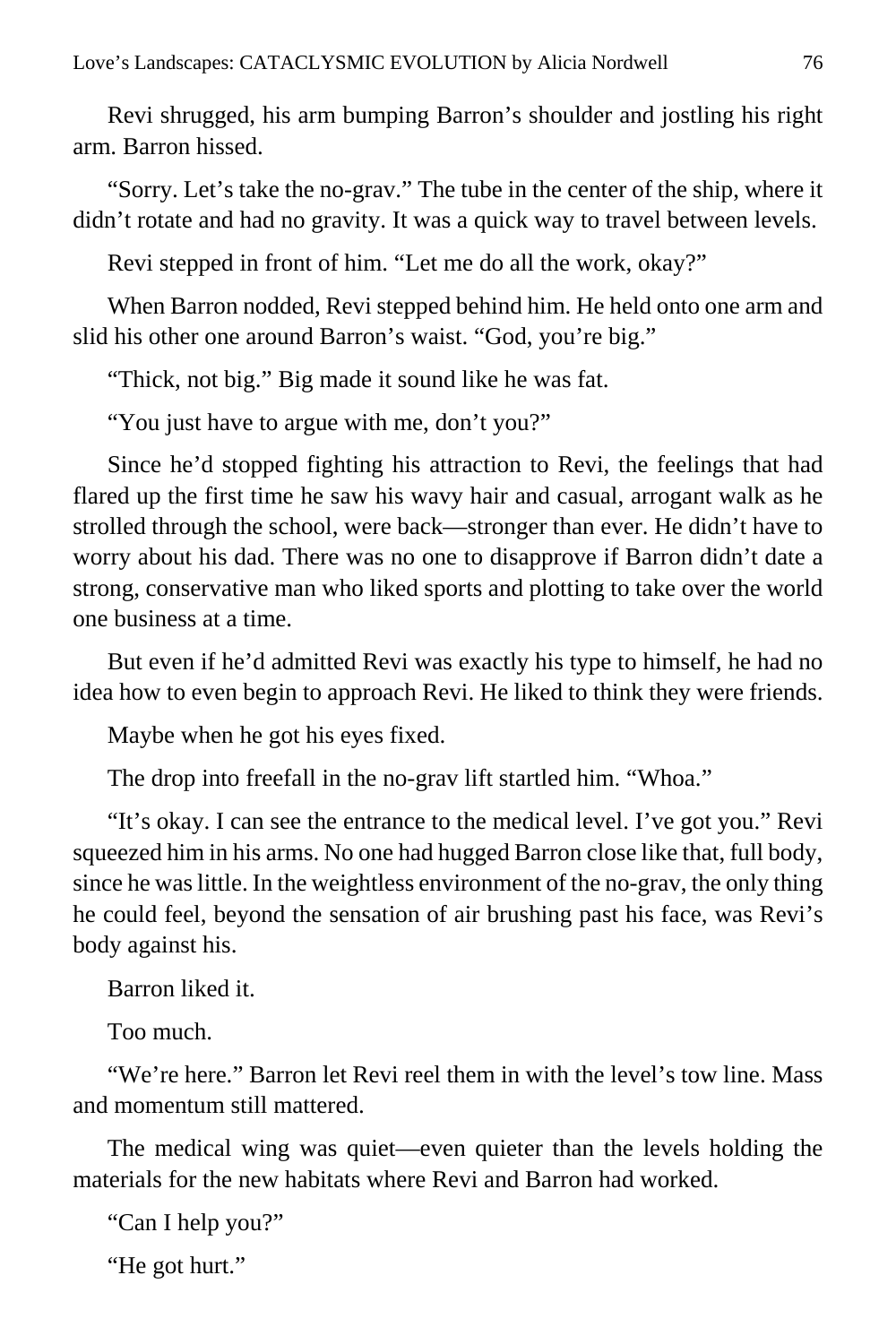Revi shrugged, his arm bumping Barron's shoulder and jostling his right arm. Barron hissed.

"Sorry. Let's take the no-grav." The tube in the center of the ship, where it didn't rotate and had no gravity. It was a quick way to travel between levels.

Revi stepped in front of him. "Let me do all the work, okay?"

When Barron nodded, Revi stepped behind him. He held onto one arm and slid his other one around Barron's waist. "God, you're big."

"Thick, not big." Big made it sound like he was fat.

"You just have to argue with me, don't you?"

Since he'd stopped fighting his attraction to Revi, the feelings that had flared up the first time he saw his wavy hair and casual, arrogant walk as he strolled through the school, were back—stronger than ever. He didn't have to worry about his dad. There was no one to disapprove if Barron didn't date a strong, conservative man who liked sports and plotting to take over the world one business at a time.

But even if he'd admitted Revi was exactly his type to himself, he had no idea how to even begin to approach Revi. He liked to think they were friends.

Maybe when he got his eyes fixed.

The drop into freefall in the no-grav lift startled him. "Whoa."

"It's okay. I can see the entrance to the medical level. I've got you." Revi squeezed him in his arms. No one had hugged Barron close like that, full body, since he was little. In the weightless environment of the no-grav, the only thing he could feel, beyond the sensation of air brushing past his face, was Revi's body against his.

Barron liked it.

Too much.

"We're here." Barron let Revi reel them in with the level's tow line. Mass and momentum still mattered.

The medical wing was quiet—even quieter than the levels holding the materials for the new habitats where Revi and Barron had worked.

"Can I help you?"

"He got hurt."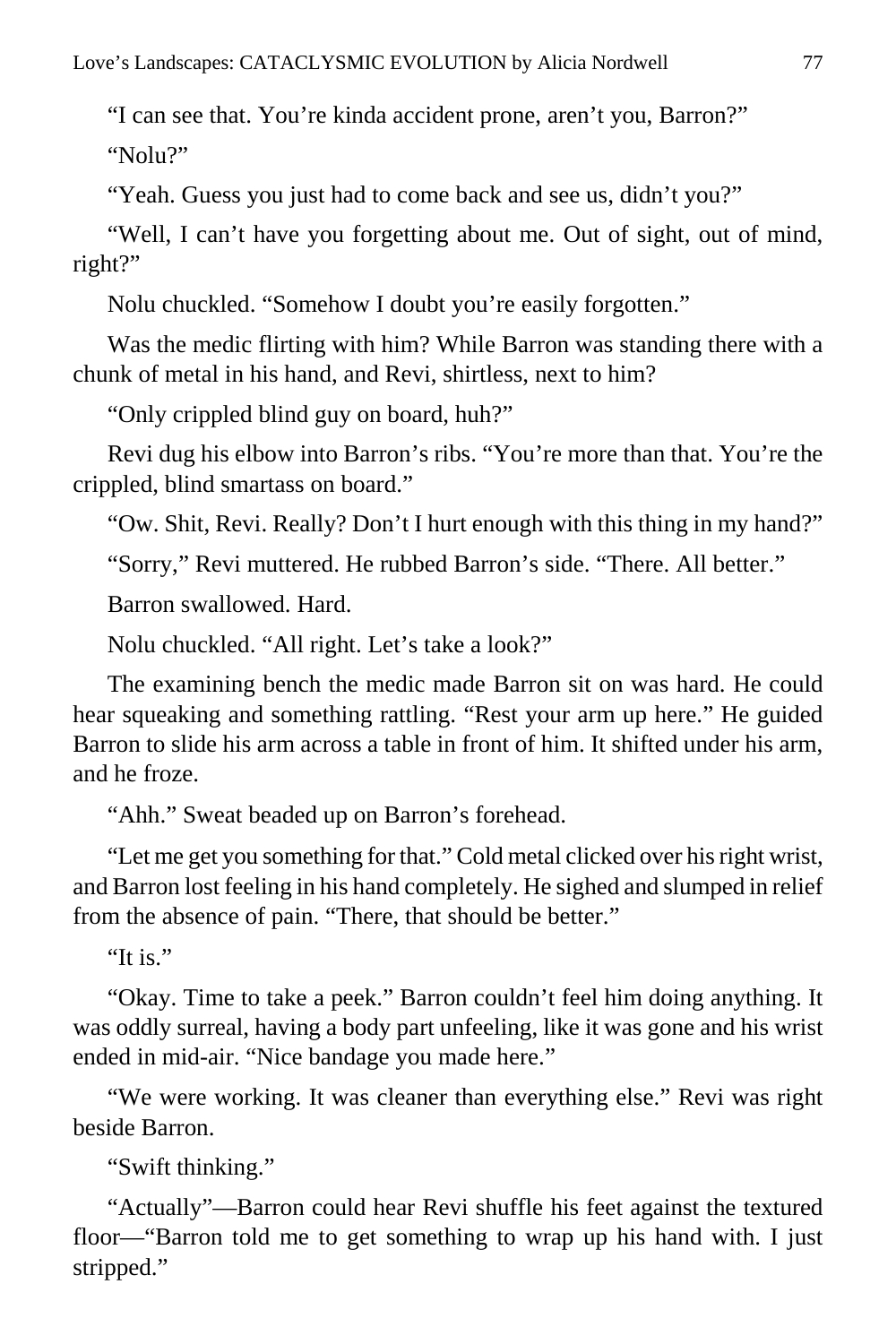"I can see that. You're kinda accident prone, aren't you, Barron?"

"Nolu?"

"Yeah. Guess you just had to come back and see us, didn't you?"

"Well, I can't have you forgetting about me. Out of sight, out of mind, right?"

Nolu chuckled. "Somehow I doubt you're easily forgotten."

Was the medic flirting with him? While Barron was standing there with a chunk of metal in his hand, and Revi, shirtless, next to him?

"Only crippled blind guy on board, huh?"

Revi dug his elbow into Barron's ribs. "You're more than that. You're the crippled, blind smartass on board."

"Ow. Shit, Revi. Really? Don't I hurt enough with this thing in my hand?"

"Sorry," Revi muttered. He rubbed Barron's side. "There. All better."

Barron swallowed. Hard.

Nolu chuckled. "All right. Let's take a look?"

The examining bench the medic made Barron sit on was hard. He could hear squeaking and something rattling. "Rest your arm up here." He guided Barron to slide his arm across a table in front of him. It shifted under his arm, and he froze.

"Ahh." Sweat beaded up on Barron's forehead.

"Let me get you something for that." Cold metal clicked over his right wrist, and Barron lost feeling in his hand completely. He sighed and slumped in relief from the absence of pain. "There, that should be better."

"It is."

"Okay. Time to take a peek." Barron couldn't feel him doing anything. It was oddly surreal, having a body part unfeeling, like it was gone and his wrist ended in mid-air. "Nice bandage you made here."

"We were working. It was cleaner than everything else." Revi was right beside Barron.

"Swift thinking."

"Actually"—Barron could hear Revi shuffle his feet against the textured floor—"Barron told me to get something to wrap up his hand with. I just stripped."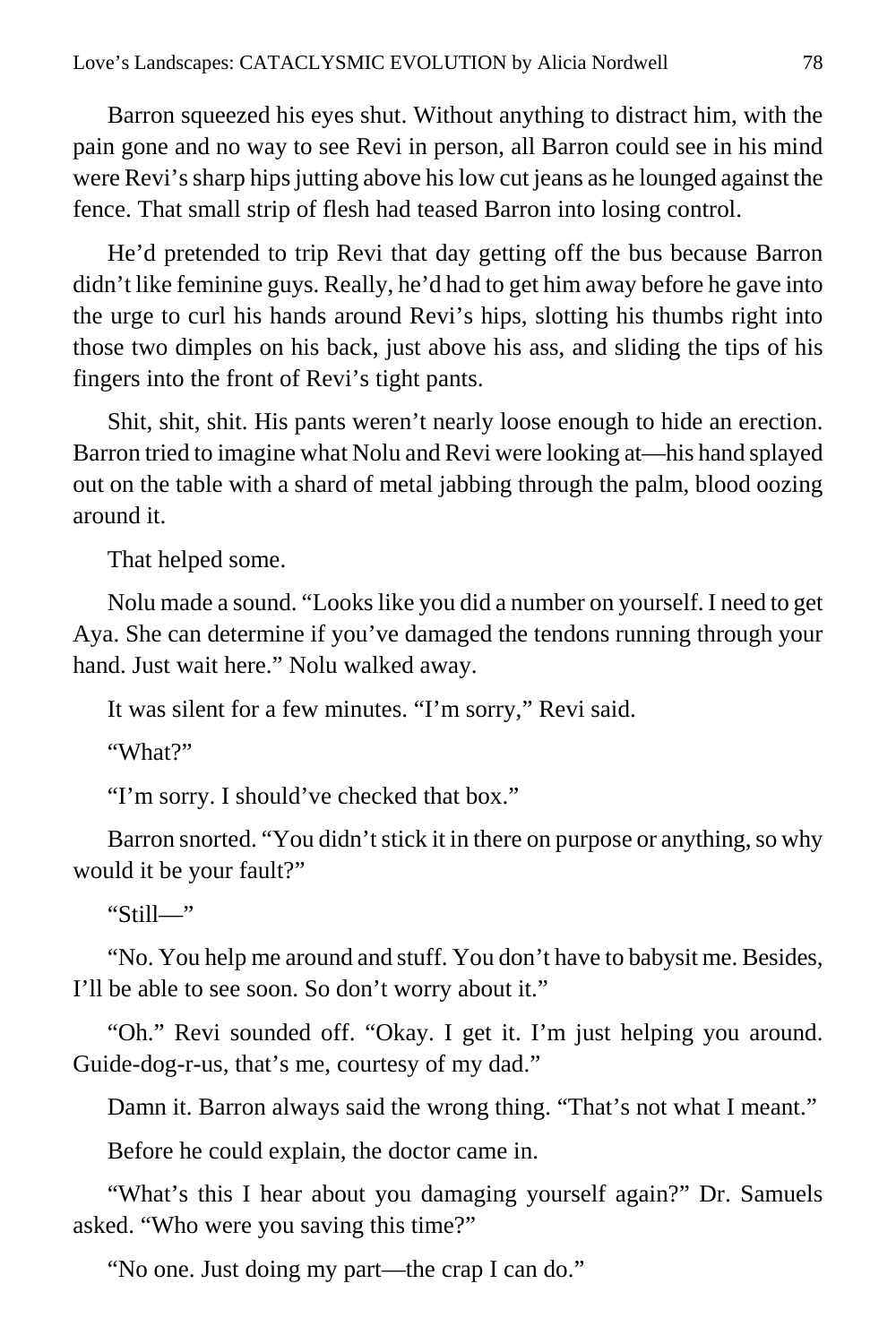Barron squeezed his eyes shut. Without anything to distract him, with the pain gone and no way to see Revi in person, all Barron could see in his mind were Revi's sharp hips jutting above his low cut jeans as he lounged against the fence. That small strip of flesh had teased Barron into losing control.

He'd pretended to trip Revi that day getting off the bus because Barron didn't like feminine guys. Really, he'd had to get him away before he gave into the urge to curl his hands around Revi's hips, slotting his thumbs right into those two dimples on his back, just above his ass, and sliding the tips of his fingers into the front of Revi's tight pants.

Shit, shit, shit. His pants weren't nearly loose enough to hide an erection. Barron tried to imagine what Nolu and Revi were looking at—his hand splayed out on the table with a shard of metal jabbing through the palm, blood oozing around it.

That helped some.

Nolu made a sound. "Looks like you did a number on yourself. I need to get Aya. She can determine if you've damaged the tendons running through your hand. Just wait here." Nolu walked away.

It was silent for a few minutes. "I'm sorry," Revi said.

"What?"

"I'm sorry. I should've checked that box."

Barron snorted. "You didn't stick it in there on purpose or anything, so why would it be your fault?"

"Still—"

"No. You help me around and stuff. You don't have to babysit me. Besides, I'll be able to see soon. So don't worry about it."

"Oh." Revi sounded off. "Okay. I get it. I'm just helping you around. Guide-dog-r-us, that's me, courtesy of my dad."

Damn it. Barron always said the wrong thing. "That's not what I meant."

Before he could explain, the doctor came in.

"What's this I hear about you damaging yourself again?" Dr. Samuels asked. "Who were you saving this time?"

"No one. Just doing my part—the crap I can do."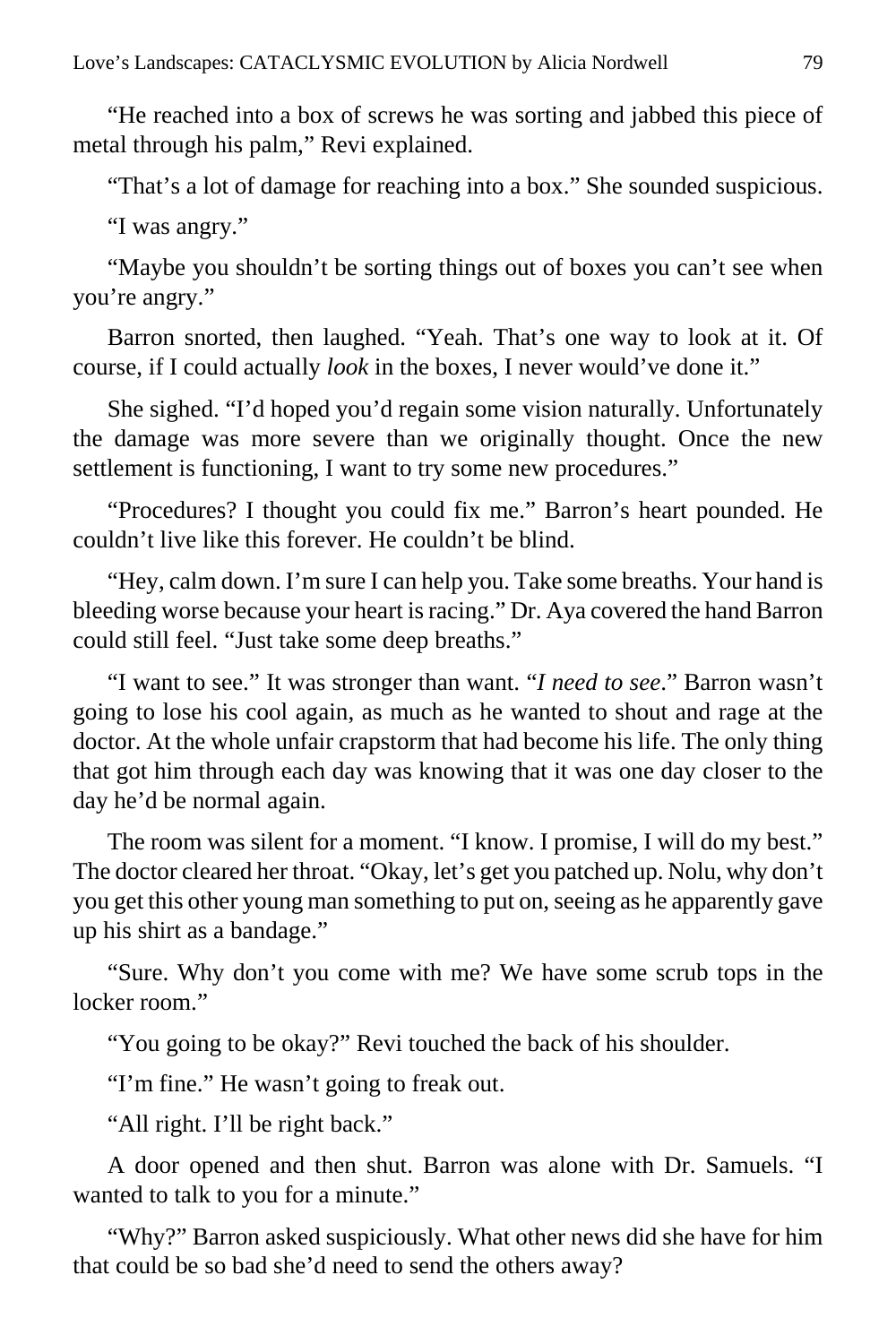"He reached into a box of screws he was sorting and jabbed this piece of metal through his palm," Revi explained.

"That's a lot of damage for reaching into a box." She sounded suspicious.

"I was angry."

"Maybe you shouldn't be sorting things out of boxes you can't see when you're angry."

Barron snorted, then laughed. "Yeah. That's one way to look at it. Of course, if I could actually *look* in the boxes, I never would've done it."

She sighed. "I'd hoped you'd regain some vision naturally. Unfortunately the damage was more severe than we originally thought. Once the new settlement is functioning, I want to try some new procedures."

"Procedures? I thought you could fix me." Barron's heart pounded. He couldn't live like this forever. He couldn't be blind.

"Hey, calm down. I'm sure I can help you. Take some breaths. Your hand is bleeding worse because your heart is racing." Dr. Aya covered the hand Barron could still feel. "Just take some deep breaths."

"I want to see." It was stronger than want. "*I need to see*." Barron wasn't going to lose his cool again, as much as he wanted to shout and rage at the doctor. At the whole unfair crapstorm that had become his life. The only thing that got him through each day was knowing that it was one day closer to the day he'd be normal again.

The room was silent for a moment. "I know. I promise, I will do my best." The doctor cleared her throat. "Okay, let's get you patched up. Nolu, why don't you get this other young man something to put on, seeing as he apparently gave up his shirt as a bandage."

"Sure. Why don't you come with me? We have some scrub tops in the locker room."

"You going to be okay?" Revi touched the back of his shoulder.

"I'm fine." He wasn't going to freak out.

"All right. I'll be right back."

A door opened and then shut. Barron was alone with Dr. Samuels. "I wanted to talk to you for a minute."

"Why?" Barron asked suspiciously. What other news did she have for him that could be so bad she'd need to send the others away?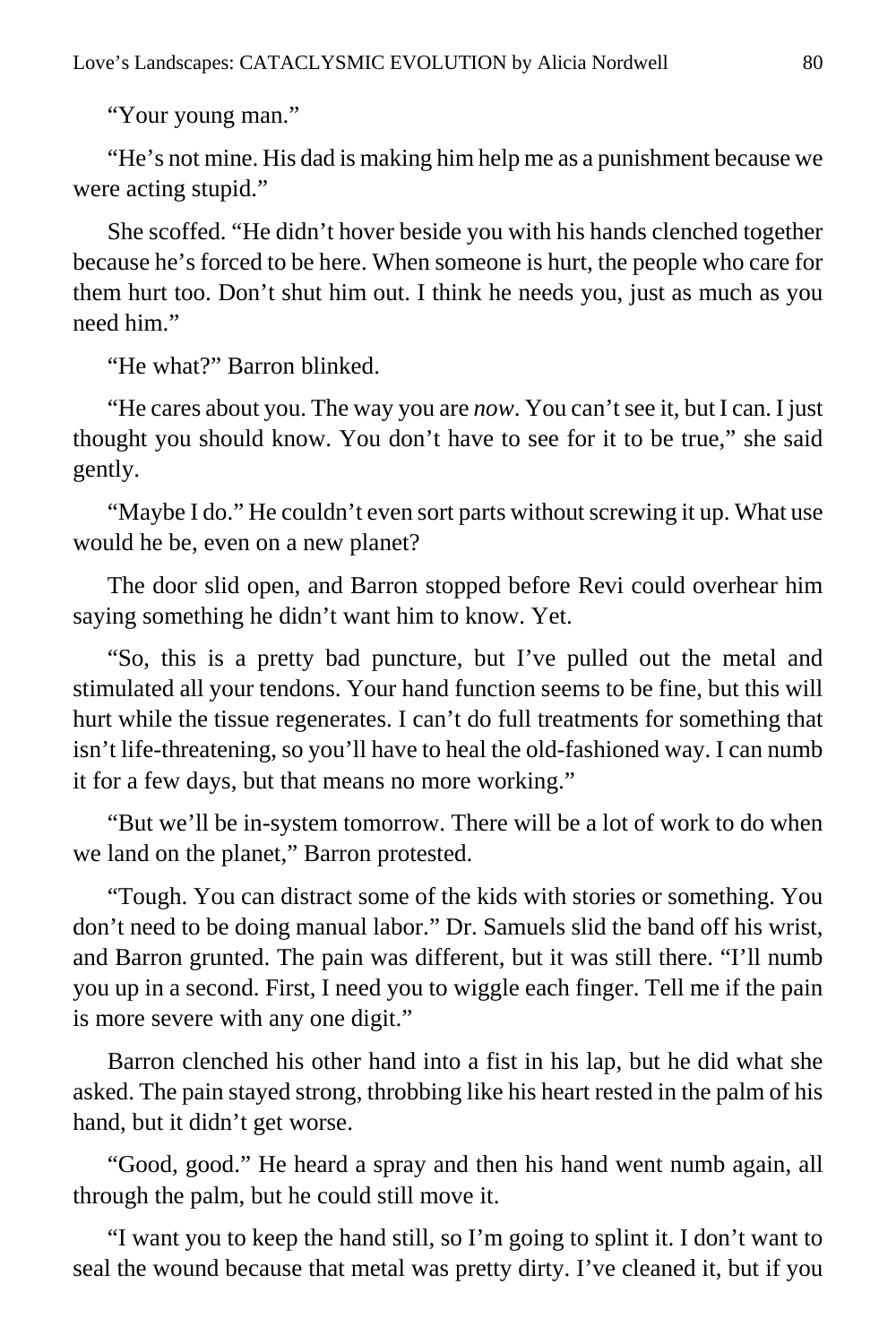"Your young man."

"He's not mine. His dad is making him help me as a punishment because we were acting stupid."

She scoffed. "He didn't hover beside you with his hands clenched together because he's forced to be here. When someone is hurt, the people who care for them hurt too. Don't shut him out. I think he needs you, just as much as you need him."

"He what?" Barron blinked.

"He cares about you. The way you are *now*. You can't see it, but I can. I just thought you should know. You don't have to see for it to be true," she said gently.

"Maybe I do." He couldn't even sort parts without screwing it up. What use would he be, even on a new planet?

The door slid open, and Barron stopped before Revi could overhear him saying something he didn't want him to know. Yet.

"So, this is a pretty bad puncture, but I've pulled out the metal and stimulated all your tendons. Your hand function seems to be fine, but this will hurt while the tissue regenerates. I can't do full treatments for something that isn't life-threatening, so you'll have to heal the old-fashioned way. I can numb it for a few days, but that means no more working."

"But we'll be in-system tomorrow. There will be a lot of work to do when we land on the planet," Barron protested.

"Tough. You can distract some of the kids with stories or something. You don't need to be doing manual labor." Dr. Samuels slid the band off his wrist, and Barron grunted. The pain was different, but it was still there. "I'll numb you up in a second. First, I need you to wiggle each finger. Tell me if the pain is more severe with any one digit."

Barron clenched his other hand into a fist in his lap, but he did what she asked. The pain stayed strong, throbbing like his heart rested in the palm of his hand, but it didn't get worse.

"Good, good." He heard a spray and then his hand went numb again, all through the palm, but he could still move it.

"I want you to keep the hand still, so I'm going to splint it. I don't want to seal the wound because that metal was pretty dirty. I've cleaned it, but if you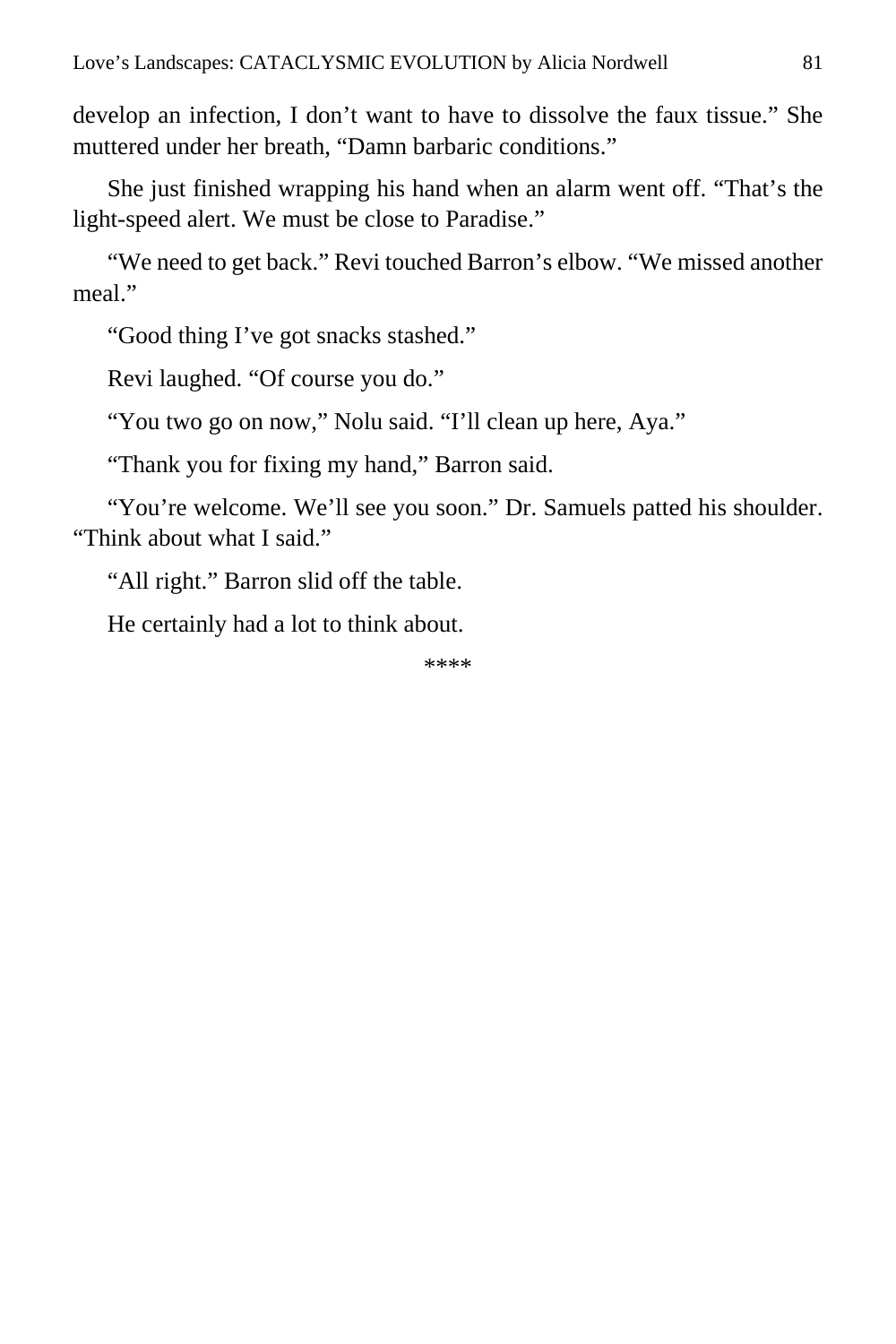develop an infection, I don't want to have to dissolve the faux tissue." She muttered under her breath, "Damn barbaric conditions."

She just finished wrapping his hand when an alarm went off. "That's the light-speed alert. We must be close to Paradise."

"We need to get back." Revi touched Barron's elbow. "We missed another meal"

"Good thing I've got snacks stashed."

Revi laughed. "Of course you do."

"You two go on now," Nolu said. "I'll clean up here, Aya."

"Thank you for fixing my hand," Barron said.

"You're welcome. We'll see you soon." Dr. Samuels patted his shoulder. "Think about what I said."

"All right." Barron slid off the table.

He certainly had a lot to think about.

\*\*\*\*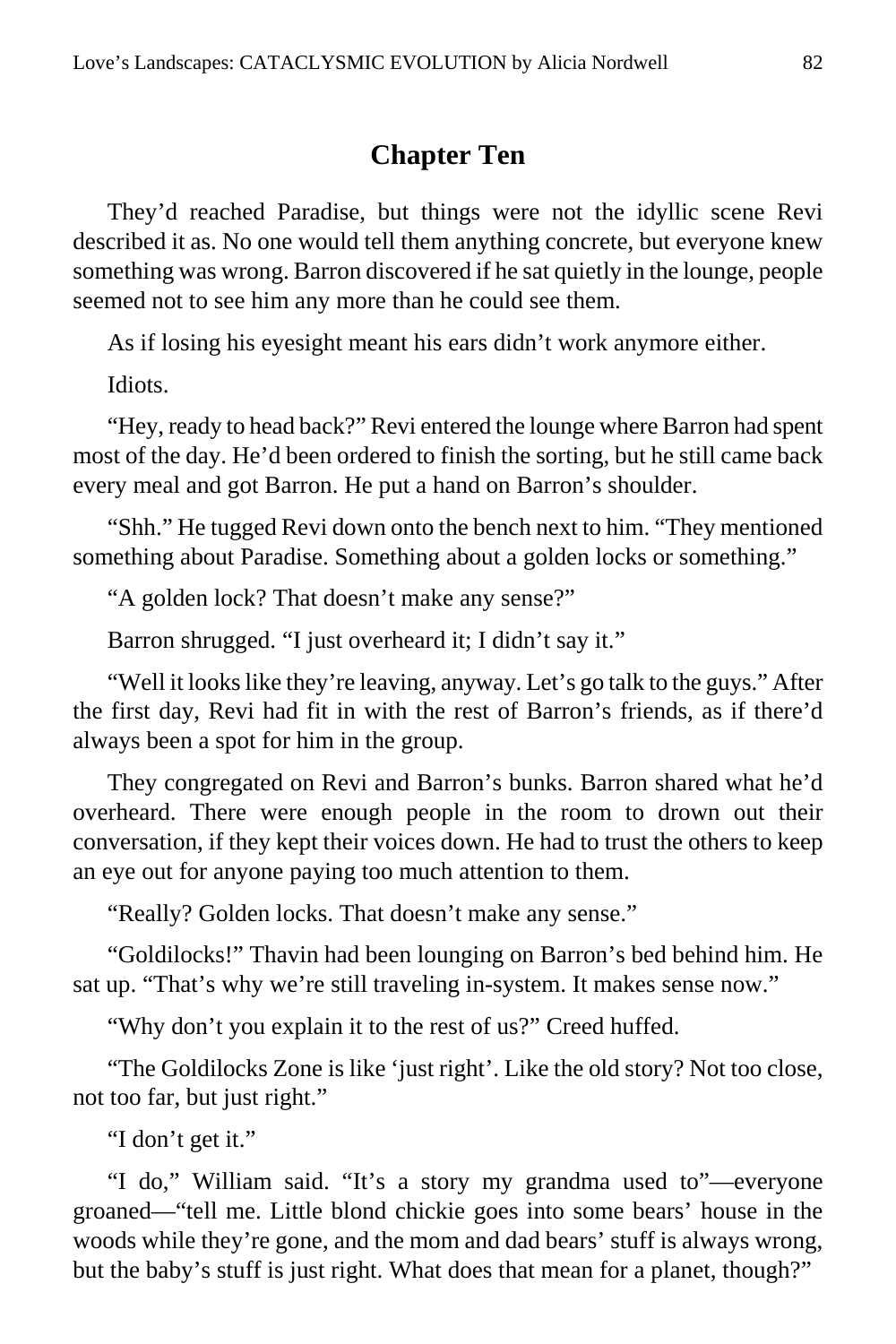# **Chapter Ten**

They'd reached Paradise, but things were not the idyllic scene Revi described it as. No one would tell them anything concrete, but everyone knew something was wrong. Barron discovered if he sat quietly in the lounge, people seemed not to see him any more than he could see them.

As if losing his eyesight meant his ears didn't work anymore either.

Idiots.

"Hey, ready to head back?" Revi entered the lounge where Barron had spent most of the day. He'd been ordered to finish the sorting, but he still came back every meal and got Barron. He put a hand on Barron's shoulder.

"Shh." He tugged Revi down onto the bench next to him. "They mentioned something about Paradise. Something about a golden locks or something."

"A golden lock? That doesn't make any sense?"

Barron shrugged. "I just overheard it; I didn't say it."

"Well it looks like they're leaving, anyway. Let's go talk to the guys." After the first day, Revi had fit in with the rest of Barron's friends, as if there'd always been a spot for him in the group.

They congregated on Revi and Barron's bunks. Barron shared what he'd overheard. There were enough people in the room to drown out their conversation, if they kept their voices down. He had to trust the others to keep an eye out for anyone paying too much attention to them.

"Really? Golden locks. That doesn't make any sense."

"Goldilocks!" Thavin had been lounging on Barron's bed behind him. He sat up. "That's why we're still traveling in-system. It makes sense now."

"Why don't you explain it to the rest of us?" Creed huffed.

"The Goldilocks Zone is like 'just right'. Like the old story? Not too close, not too far, but just right."

"I don't get it."

"I do," William said. "It's a story my grandma used to"—everyone groaned—"tell me. Little blond chickie goes into some bears' house in the woods while they're gone, and the mom and dad bears' stuff is always wrong, but the baby's stuff is just right. What does that mean for a planet, though?"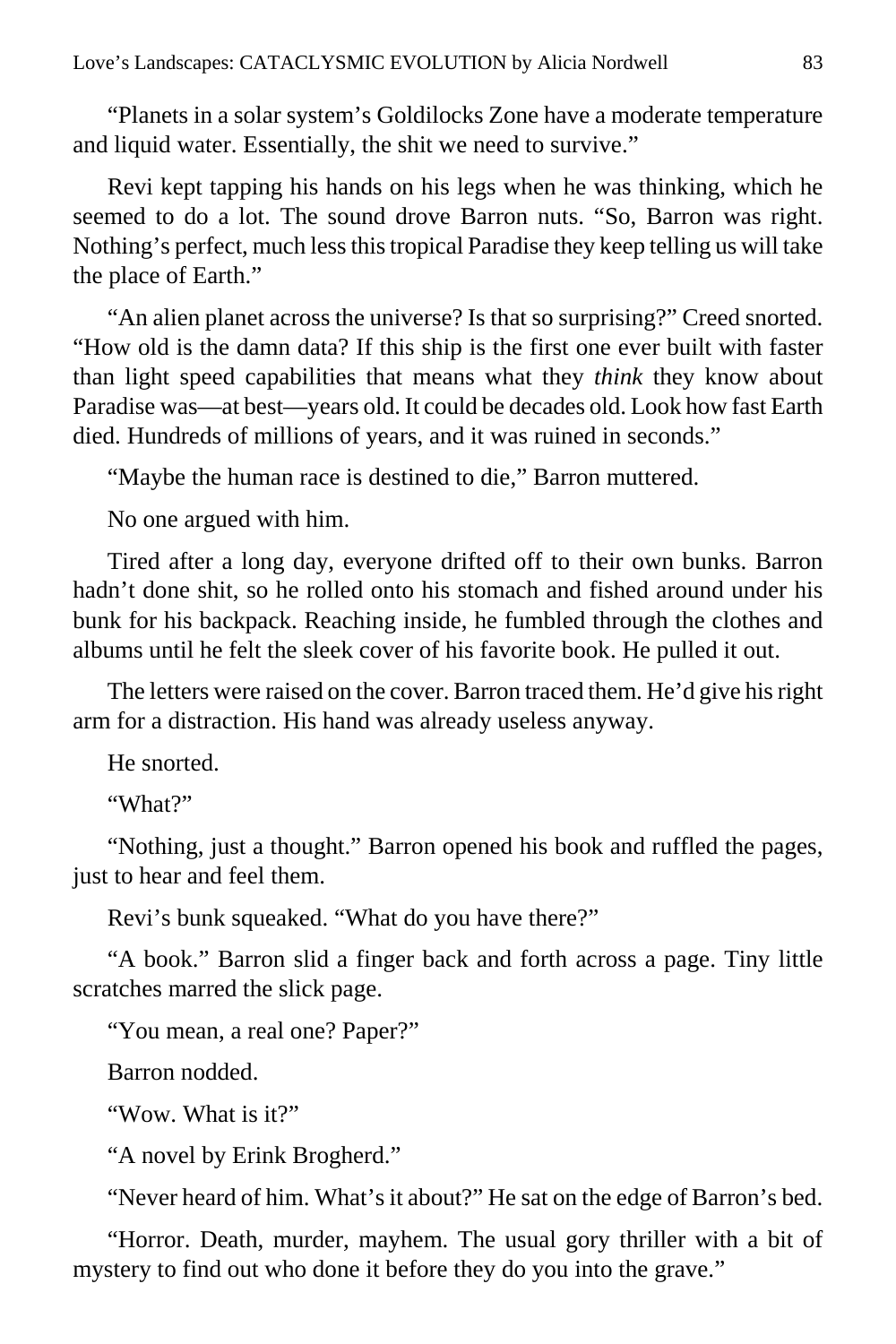"Planets in a solar system's Goldilocks Zone have a moderate temperature and liquid water. Essentially, the shit we need to survive."

Revi kept tapping his hands on his legs when he was thinking, which he seemed to do a lot. The sound drove Barron nuts. "So, Barron was right. Nothing's perfect, much less this tropical Paradise they keep telling us will take the place of Earth."

"An alien planet across the universe? Is that so surprising?" Creed snorted. "How old is the damn data? If this ship is the first one ever built with faster than light speed capabilities that means what they *think* they know about Paradise was—at best—years old. It could be decades old. Look how fast Earth died. Hundreds of millions of years, and it was ruined in seconds."

"Maybe the human race is destined to die," Barron muttered.

No one argued with him.

Tired after a long day, everyone drifted off to their own bunks. Barron hadn't done shit, so he rolled onto his stomach and fished around under his bunk for his backpack. Reaching inside, he fumbled through the clothes and albums until he felt the sleek cover of his favorite book. He pulled it out.

The letters were raised on the cover. Barron traced them. He'd give his right arm for a distraction. His hand was already useless anyway.

He snorted.

"What?"

"Nothing, just a thought." Barron opened his book and ruffled the pages, just to hear and feel them.

Revi's bunk squeaked. "What do you have there?"

"A book." Barron slid a finger back and forth across a page. Tiny little scratches marred the slick page.

"You mean, a real one? Paper?"

Barron nodded.

"Wow. What is it?"

"A novel by Erink Brogherd."

"Never heard of him. What's it about?" He sat on the edge of Barron's bed.

"Horror. Death, murder, mayhem. The usual gory thriller with a bit of mystery to find out who done it before they do you into the grave."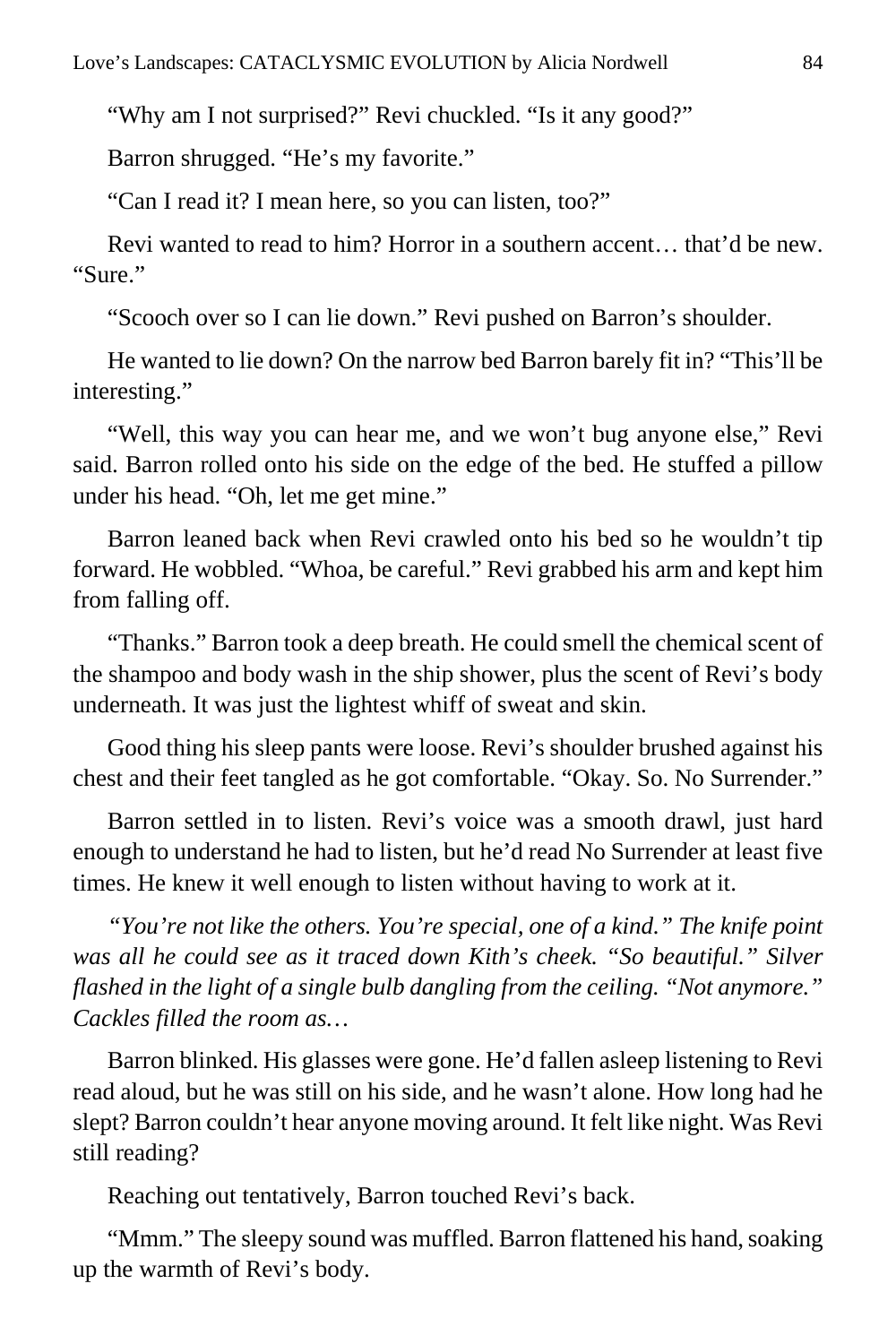"Why am I not surprised?" Revi chuckled. "Is it any good?"

Barron shrugged. "He's my favorite."

"Can I read it? I mean here, so you can listen, too?"

Revi wanted to read to him? Horror in a southern accent… that'd be new. "Sure."

"Scooch over so I can lie down." Revi pushed on Barron's shoulder.

He wanted to lie down? On the narrow bed Barron barely fit in? "This'll be interesting."

"Well, this way you can hear me, and we won't bug anyone else," Revi said. Barron rolled onto his side on the edge of the bed. He stuffed a pillow under his head. "Oh, let me get mine."

Barron leaned back when Revi crawled onto his bed so he wouldn't tip forward. He wobbled. "Whoa, be careful." Revi grabbed his arm and kept him from falling off.

"Thanks." Barron took a deep breath. He could smell the chemical scent of the shampoo and body wash in the ship shower, plus the scent of Revi's body underneath. It was just the lightest whiff of sweat and skin.

Good thing his sleep pants were loose. Revi's shoulder brushed against his chest and their feet tangled as he got comfortable. "Okay. So. No Surrender."

Barron settled in to listen. Revi's voice was a smooth drawl, just hard enough to understand he had to listen, but he'd read No Surrender at least five times. He knew it well enough to listen without having to work at it.

*"You're not like the others. You're special, one of a kind." The knife point was all he could see as it traced down Kith's cheek. "So beautiful." Silver flashed in the light of a single bulb dangling from the ceiling. "Not anymore." Cackles filled the room as…*

Barron blinked. His glasses were gone. He'd fallen asleep listening to Revi read aloud, but he was still on his side, and he wasn't alone. How long had he slept? Barron couldn't hear anyone moving around. It felt like night. Was Revi still reading?

Reaching out tentatively, Barron touched Revi's back.

"Mmm." The sleepy sound was muffled. Barron flattened his hand, soaking up the warmth of Revi's body.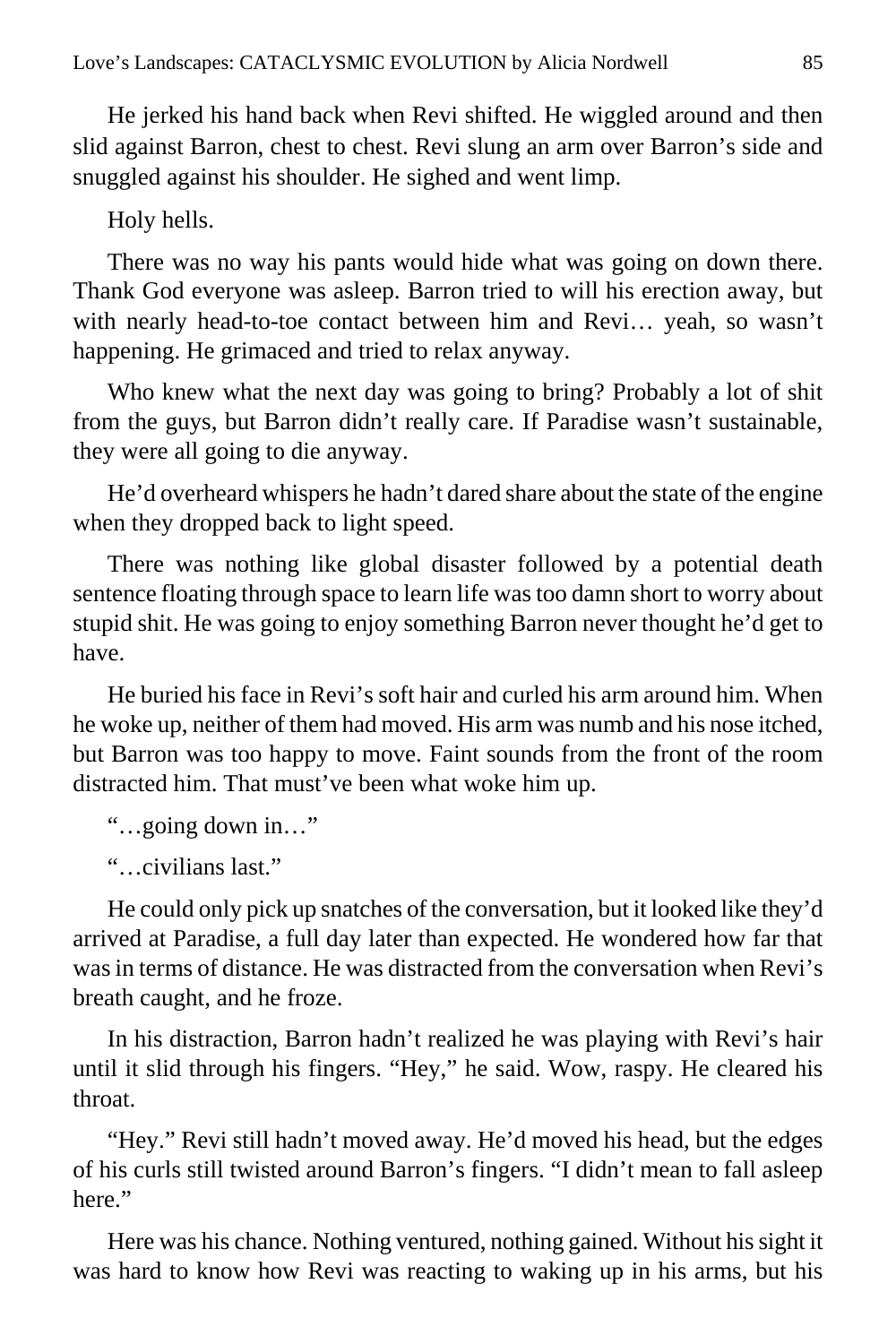He jerked his hand back when Revi shifted. He wiggled around and then slid against Barron, chest to chest. Revi slung an arm over Barron's side and snuggled against his shoulder. He sighed and went limp.

Holy hells.

There was no way his pants would hide what was going on down there. Thank God everyone was asleep. Barron tried to will his erection away, but with nearly head-to-toe contact between him and Revi… yeah, so wasn't happening. He grimaced and tried to relax anyway.

Who knew what the next day was going to bring? Probably a lot of shit from the guys, but Barron didn't really care. If Paradise wasn't sustainable, they were all going to die anyway.

He'd overheard whispers he hadn't dared share about the state of the engine when they dropped back to light speed.

There was nothing like global disaster followed by a potential death sentence floating through space to learn life was too damn short to worry about stupid shit. He was going to enjoy something Barron never thought he'd get to have.

He buried his face in Revi's soft hair and curled his arm around him. When he woke up, neither of them had moved. His arm was numb and his nose itched, but Barron was too happy to move. Faint sounds from the front of the room distracted him. That must've been what woke him up.

"…going down in…"

"…civilians last."

He could only pick up snatches of the conversation, but it looked like they'd arrived at Paradise, a full day later than expected. He wondered how far that was in terms of distance. He was distracted from the conversation when Revi's breath caught, and he froze.

In his distraction, Barron hadn't realized he was playing with Revi's hair until it slid through his fingers. "Hey," he said. Wow, raspy. He cleared his throat.

"Hey." Revi still hadn't moved away. He'd moved his head, but the edges of his curls still twisted around Barron's fingers. "I didn't mean to fall asleep here."

Here was his chance. Nothing ventured, nothing gained. Without his sight it was hard to know how Revi was reacting to waking up in his arms, but his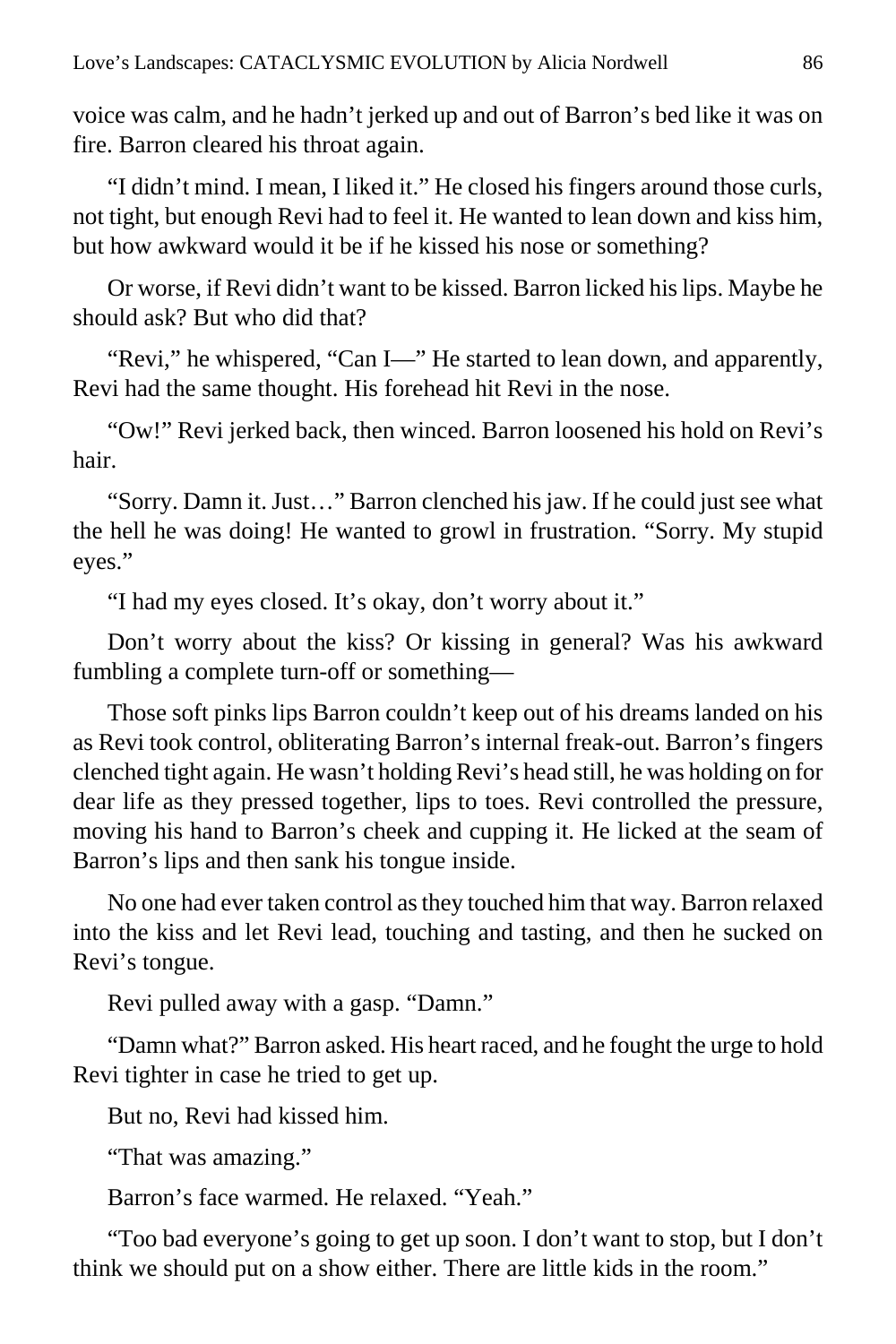voice was calm, and he hadn't jerked up and out of Barron's bed like it was on fire. Barron cleared his throat again.

"I didn't mind. I mean, I liked it." He closed his fingers around those curls, not tight, but enough Revi had to feel it. He wanted to lean down and kiss him, but how awkward would it be if he kissed his nose or something?

Or worse, if Revi didn't want to be kissed. Barron licked his lips. Maybe he should ask? But who did that?

"Revi," he whispered, "Can I—" He started to lean down, and apparently, Revi had the same thought. His forehead hit Revi in the nose.

"Ow!" Revi jerked back, then winced. Barron loosened his hold on Revi's hair.

"Sorry. Damn it. Just…" Barron clenched his jaw. If he could just see what the hell he was doing! He wanted to growl in frustration. "Sorry. My stupid eyes."

"I had my eyes closed. It's okay, don't worry about it."

Don't worry about the kiss? Or kissing in general? Was his awkward fumbling a complete turn-off or something—

Those soft pinks lips Barron couldn't keep out of his dreams landed on his as Revi took control, obliterating Barron's internal freak-out. Barron's fingers clenched tight again. He wasn't holding Revi's head still, he was holding on for dear life as they pressed together, lips to toes. Revi controlled the pressure, moving his hand to Barron's cheek and cupping it. He licked at the seam of Barron's lips and then sank his tongue inside.

No one had ever taken control as they touched him that way. Barron relaxed into the kiss and let Revi lead, touching and tasting, and then he sucked on Revi's tongue.

Revi pulled away with a gasp. "Damn."

"Damn what?" Barron asked. His heart raced, and he fought the urge to hold Revi tighter in case he tried to get up.

But no, Revi had kissed him.

"That was amazing."

Barron's face warmed. He relaxed. "Yeah."

"Too bad everyone's going to get up soon. I don't want to stop, but I don't think we should put on a show either. There are little kids in the room."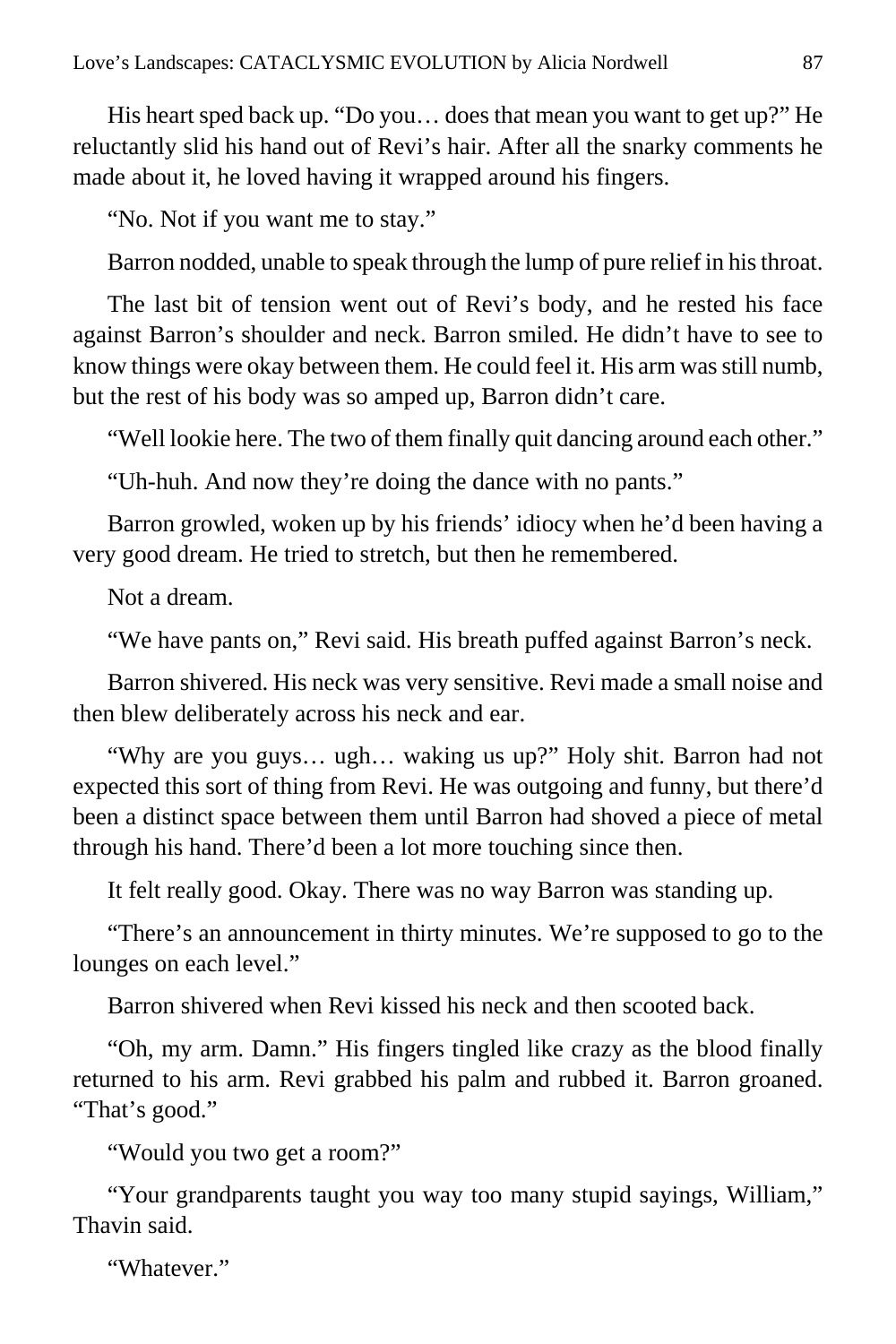His heart sped back up. "Do you… does that mean you want to get up?" He reluctantly slid his hand out of Revi's hair. After all the snarky comments he made about it, he loved having it wrapped around his fingers.

"No. Not if you want me to stay."

Barron nodded, unable to speak through the lump of pure relief in his throat.

The last bit of tension went out of Revi's body, and he rested his face against Barron's shoulder and neck. Barron smiled. He didn't have to see to know things were okay between them. He could feel it. His arm was still numb, but the rest of his body was so amped up, Barron didn't care.

"Well lookie here. The two of them finally quit dancing around each other."

"Uh-huh. And now they're doing the dance with no pants."

Barron growled, woken up by his friends' idiocy when he'd been having a very good dream. He tried to stretch, but then he remembered.

Not a dream.

"We have pants on," Revi said. His breath puffed against Barron's neck.

Barron shivered. His neck was very sensitive. Revi made a small noise and then blew deliberately across his neck and ear.

"Why are you guys… ugh… waking us up?" Holy shit. Barron had not expected this sort of thing from Revi. He was outgoing and funny, but there'd been a distinct space between them until Barron had shoved a piece of metal through his hand. There'd been a lot more touching since then.

It felt really good. Okay. There was no way Barron was standing up.

"There's an announcement in thirty minutes. We're supposed to go to the lounges on each level."

Barron shivered when Revi kissed his neck and then scooted back.

"Oh, my arm. Damn." His fingers tingled like crazy as the blood finally returned to his arm. Revi grabbed his palm and rubbed it. Barron groaned. "That's good."

"Would you two get a room?"

"Your grandparents taught you way too many stupid sayings, William," Thavin said.

"Whatever"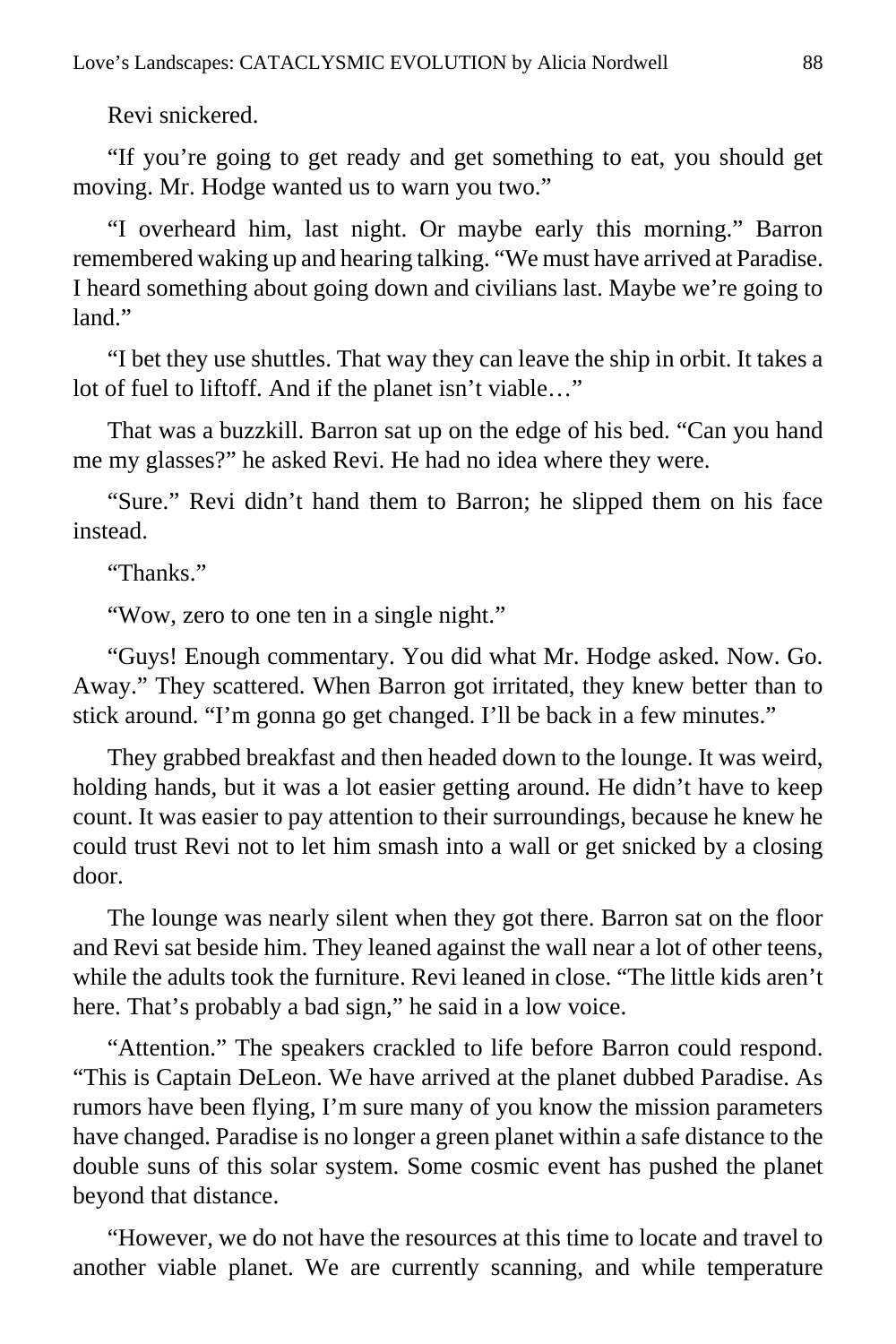Revi snickered.

"If you're going to get ready and get something to eat, you should get moving. Mr. Hodge wanted us to warn you two."

"I overheard him, last night. Or maybe early this morning." Barron remembered waking up and hearing talking. "We must have arrived at Paradise. I heard something about going down and civilians last. Maybe we're going to  $land$ "

"I bet they use shuttles. That way they can leave the ship in orbit. It takes a lot of fuel to liftoff. And if the planet isn't viable…"

That was a buzzkill. Barron sat up on the edge of his bed. "Can you hand me my glasses?" he asked Revi. He had no idea where they were.

"Sure." Revi didn't hand them to Barron; he slipped them on his face instead.

"Thanks."

"Wow, zero to one ten in a single night."

"Guys! Enough commentary. You did what Mr. Hodge asked. Now. Go. Away." They scattered. When Barron got irritated, they knew better than to stick around. "I'm gonna go get changed. I'll be back in a few minutes."

They grabbed breakfast and then headed down to the lounge. It was weird, holding hands, but it was a lot easier getting around. He didn't have to keep count. It was easier to pay attention to their surroundings, because he knew he could trust Revi not to let him smash into a wall or get snicked by a closing door.

The lounge was nearly silent when they got there. Barron sat on the floor and Revi sat beside him. They leaned against the wall near a lot of other teens, while the adults took the furniture. Revi leaned in close. "The little kids aren't here. That's probably a bad sign," he said in a low voice.

"Attention." The speakers crackled to life before Barron could respond. "This is Captain DeLeon. We have arrived at the planet dubbed Paradise. As rumors have been flying, I'm sure many of you know the mission parameters have changed. Paradise is no longer a green planet within a safe distance to the double suns of this solar system. Some cosmic event has pushed the planet beyond that distance.

"However, we do not have the resources at this time to locate and travel to another viable planet. We are currently scanning, and while temperature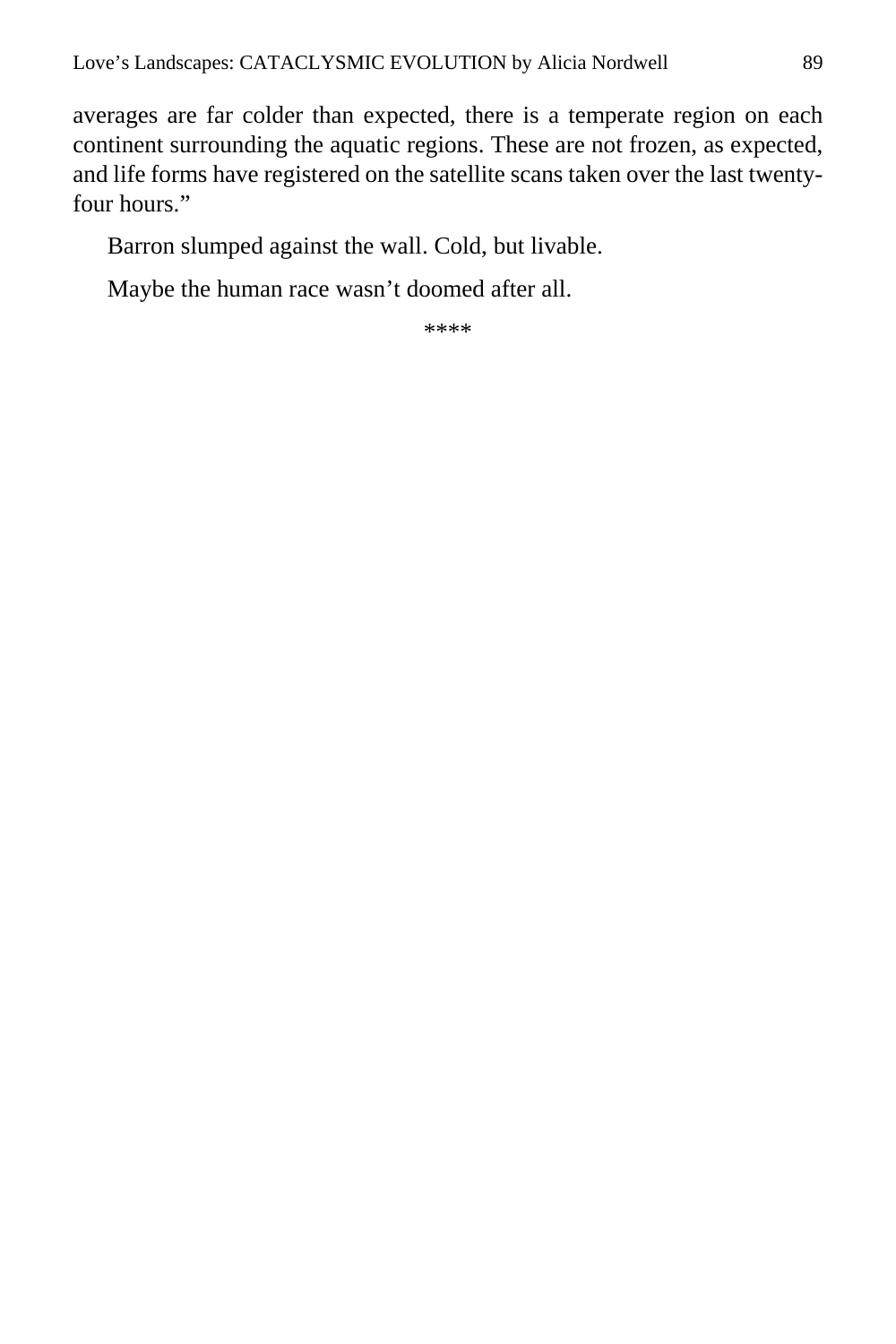averages are far colder than expected, there is a temperate region on each continent surrounding the aquatic regions. These are not frozen, as expected, and life forms have registered on the satellite scans taken over the last twentyfour hours."

Barron slumped against the wall. Cold, but livable.

Maybe the human race wasn't doomed after all.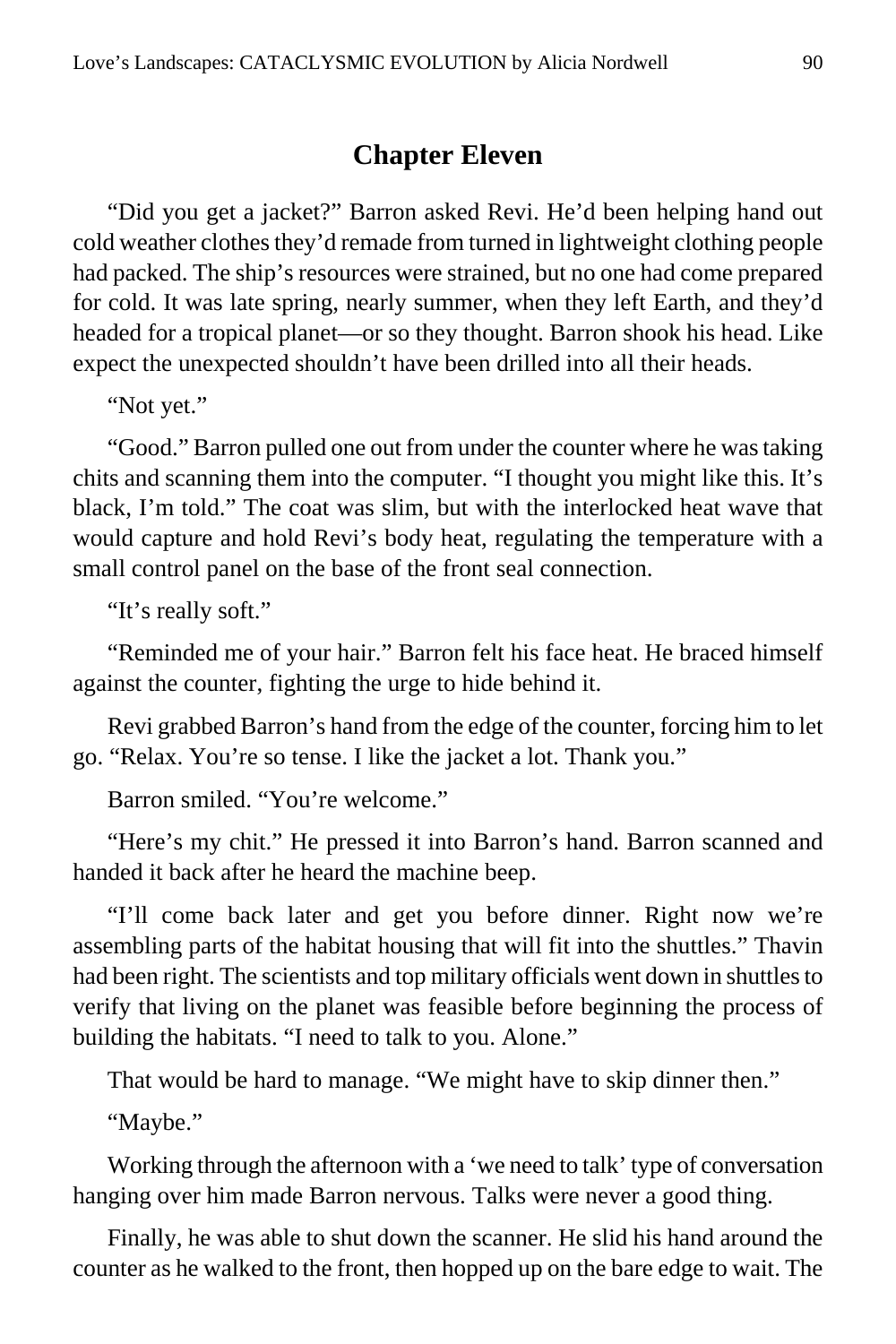# **Chapter Eleven**

"Did you get a jacket?" Barron asked Revi. He'd been helping hand out cold weather clothes they'd remade from turned in lightweight clothing people had packed. The ship's resources were strained, but no one had come prepared for cold. It was late spring, nearly summer, when they left Earth, and they'd headed for a tropical planet—or so they thought. Barron shook his head. Like expect the unexpected shouldn't have been drilled into all their heads.

"Not yet."

"Good." Barron pulled one out from under the counter where he was taking chits and scanning them into the computer. "I thought you might like this. It's black, I'm told." The coat was slim, but with the interlocked heat wave that would capture and hold Revi's body heat, regulating the temperature with a small control panel on the base of the front seal connection.

"It's really soft."

"Reminded me of your hair." Barron felt his face heat. He braced himself against the counter, fighting the urge to hide behind it.

Revi grabbed Barron's hand from the edge of the counter, forcing him to let go. "Relax. You're so tense. I like the jacket a lot. Thank you."

Barron smiled. "You're welcome."

"Here's my chit." He pressed it into Barron's hand. Barron scanned and handed it back after he heard the machine beep.

"I'll come back later and get you before dinner. Right now we're assembling parts of the habitat housing that will fit into the shuttles." Thavin had been right. The scientists and top military officials went down in shuttles to verify that living on the planet was feasible before beginning the process of building the habitats. "I need to talk to you. Alone."

That would be hard to manage. "We might have to skip dinner then."

"Maybe."

Working through the afternoon with a 'we need to talk' type of conversation hanging over him made Barron nervous. Talks were never a good thing.

Finally, he was able to shut down the scanner. He slid his hand around the counter as he walked to the front, then hopped up on the bare edge to wait. The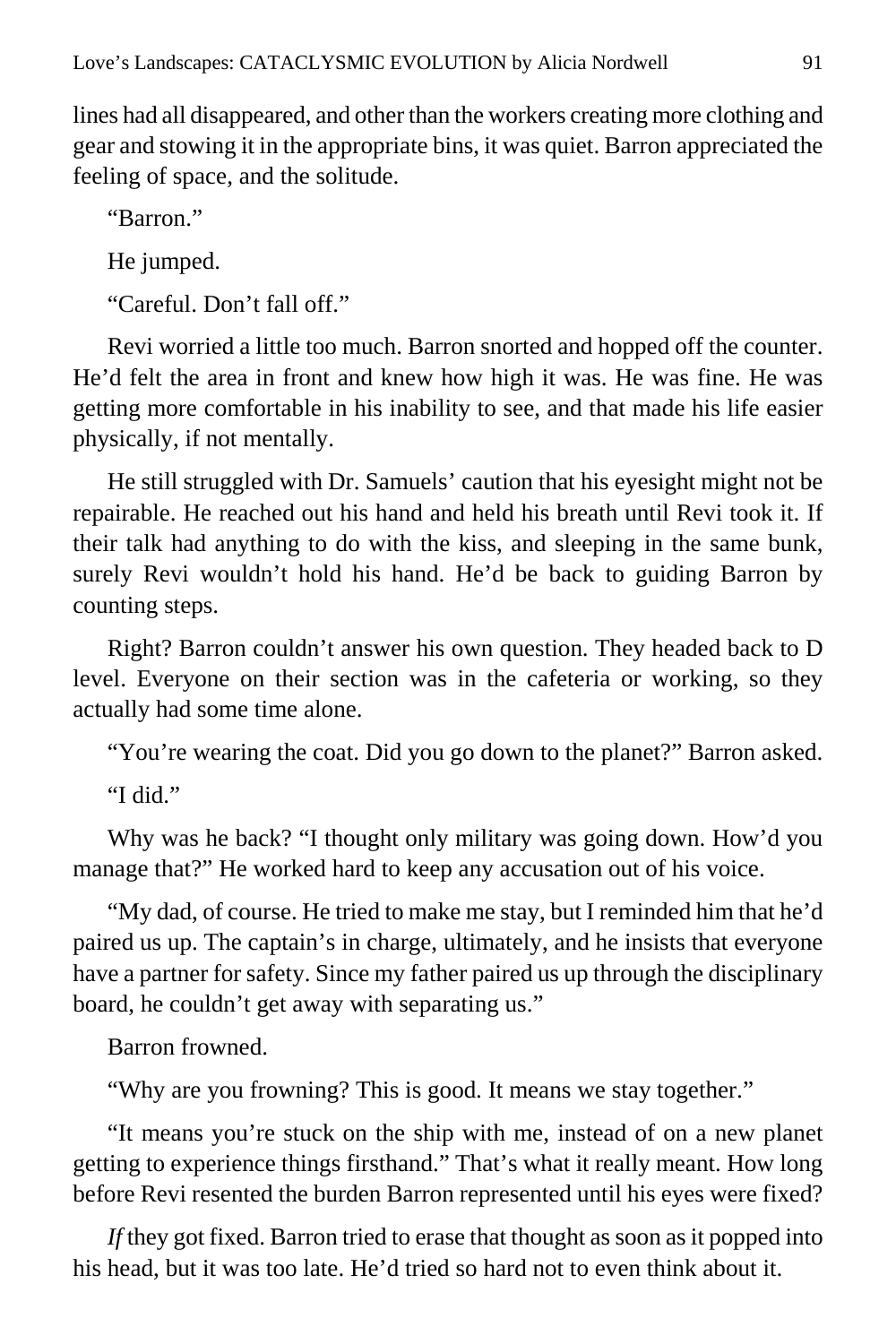lines had all disappeared, and other than the workers creating more clothing and gear and stowing it in the appropriate bins, it was quiet. Barron appreciated the feeling of space, and the solitude.

"Barron."

He jumped.

"Careful. Don't fall off."

Revi worried a little too much. Barron snorted and hopped off the counter. He'd felt the area in front and knew how high it was. He was fine. He was getting more comfortable in his inability to see, and that made his life easier physically, if not mentally.

He still struggled with Dr. Samuels' caution that his eyesight might not be repairable. He reached out his hand and held his breath until Revi took it. If their talk had anything to do with the kiss, and sleeping in the same bunk, surely Revi wouldn't hold his hand. He'd be back to guiding Barron by counting steps.

Right? Barron couldn't answer his own question. They headed back to D level. Everyone on their section was in the cafeteria or working, so they actually had some time alone.

"You're wearing the coat. Did you go down to the planet?" Barron asked.

"I did."

Why was he back? "I thought only military was going down. How'd you manage that?" He worked hard to keep any accusation out of his voice.

"My dad, of course. He tried to make me stay, but I reminded him that he'd paired us up. The captain's in charge, ultimately, and he insists that everyone have a partner for safety. Since my father paired us up through the disciplinary board, he couldn't get away with separating us."

Barron frowned.

"Why are you frowning? This is good. It means we stay together."

"It means you're stuck on the ship with me, instead of on a new planet getting to experience things firsthand." That's what it really meant. How long before Revi resented the burden Barron represented until his eyes were fixed?

*If* they got fixed. Barron tried to erase that thought as soon as it popped into his head, but it was too late. He'd tried so hard not to even think about it.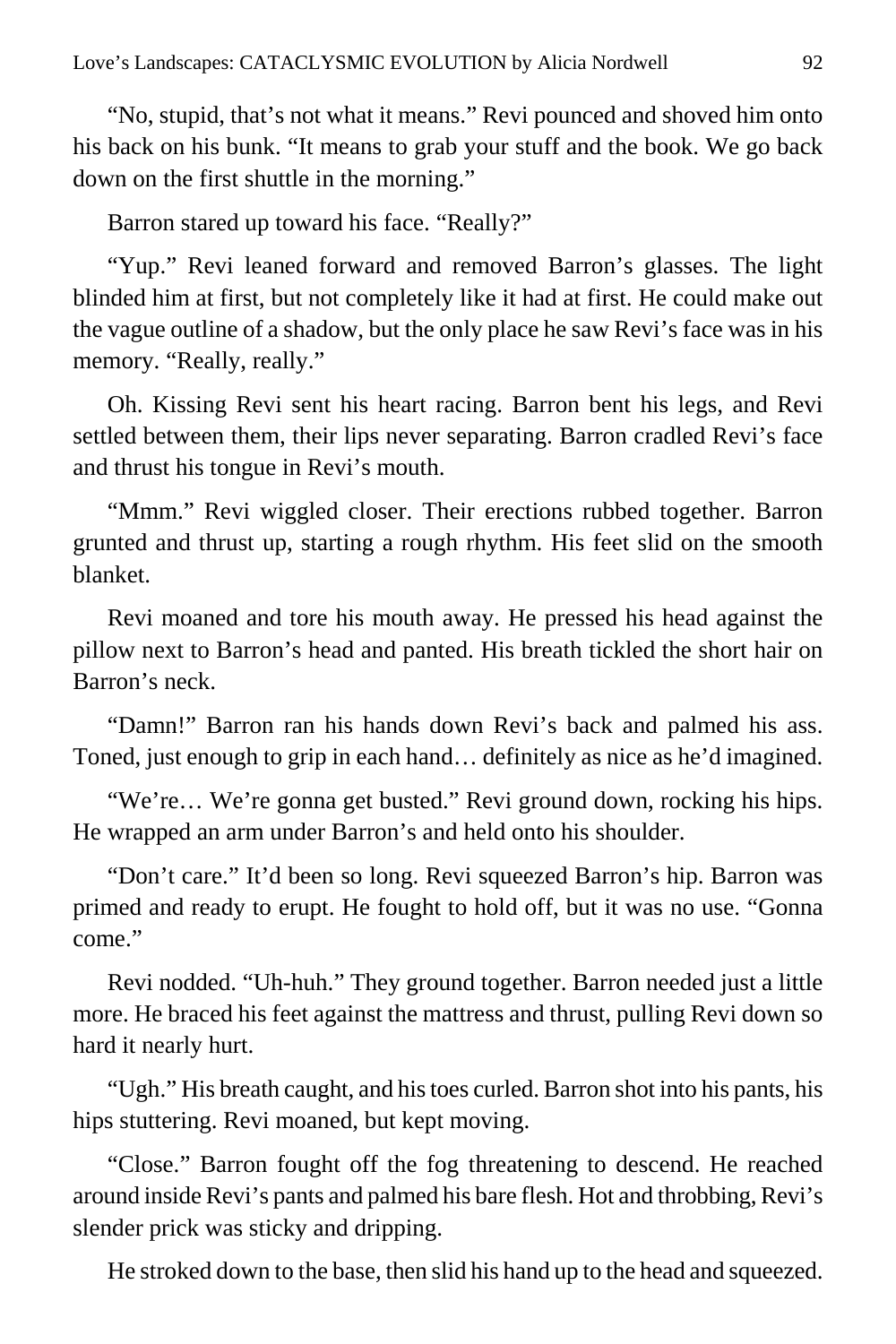"No, stupid, that's not what it means." Revi pounced and shoved him onto his back on his bunk. "It means to grab your stuff and the book. We go back down on the first shuttle in the morning."

Barron stared up toward his face. "Really?"

"Yup." Revi leaned forward and removed Barron's glasses. The light blinded him at first, but not completely like it had at first. He could make out the vague outline of a shadow, but the only place he saw Revi's face was in his memory. "Really, really."

Oh. Kissing Revi sent his heart racing. Barron bent his legs, and Revi settled between them, their lips never separating. Barron cradled Revi's face and thrust his tongue in Revi's mouth.

"Mmm." Revi wiggled closer. Their erections rubbed together. Barron grunted and thrust up, starting a rough rhythm. His feet slid on the smooth blanket.

Revi moaned and tore his mouth away. He pressed his head against the pillow next to Barron's head and panted. His breath tickled the short hair on Barron's neck.

"Damn!" Barron ran his hands down Revi's back and palmed his ass. Toned, just enough to grip in each hand… definitely as nice as he'd imagined.

"We're… We're gonna get busted." Revi ground down, rocking his hips. He wrapped an arm under Barron's and held onto his shoulder.

"Don't care." It'd been so long. Revi squeezed Barron's hip. Barron was primed and ready to erupt. He fought to hold off, but it was no use. "Gonna come."

Revi nodded. "Uh-huh." They ground together. Barron needed just a little more. He braced his feet against the mattress and thrust, pulling Revi down so hard it nearly hurt.

"Ugh." His breath caught, and his toes curled. Barron shot into his pants, his hips stuttering. Revi moaned, but kept moving.

"Close." Barron fought off the fog threatening to descend. He reached around inside Revi's pants and palmed his bare flesh. Hot and throbbing, Revi's slender prick was sticky and dripping.

He stroked down to the base, then slid his hand up to the head and squeezed.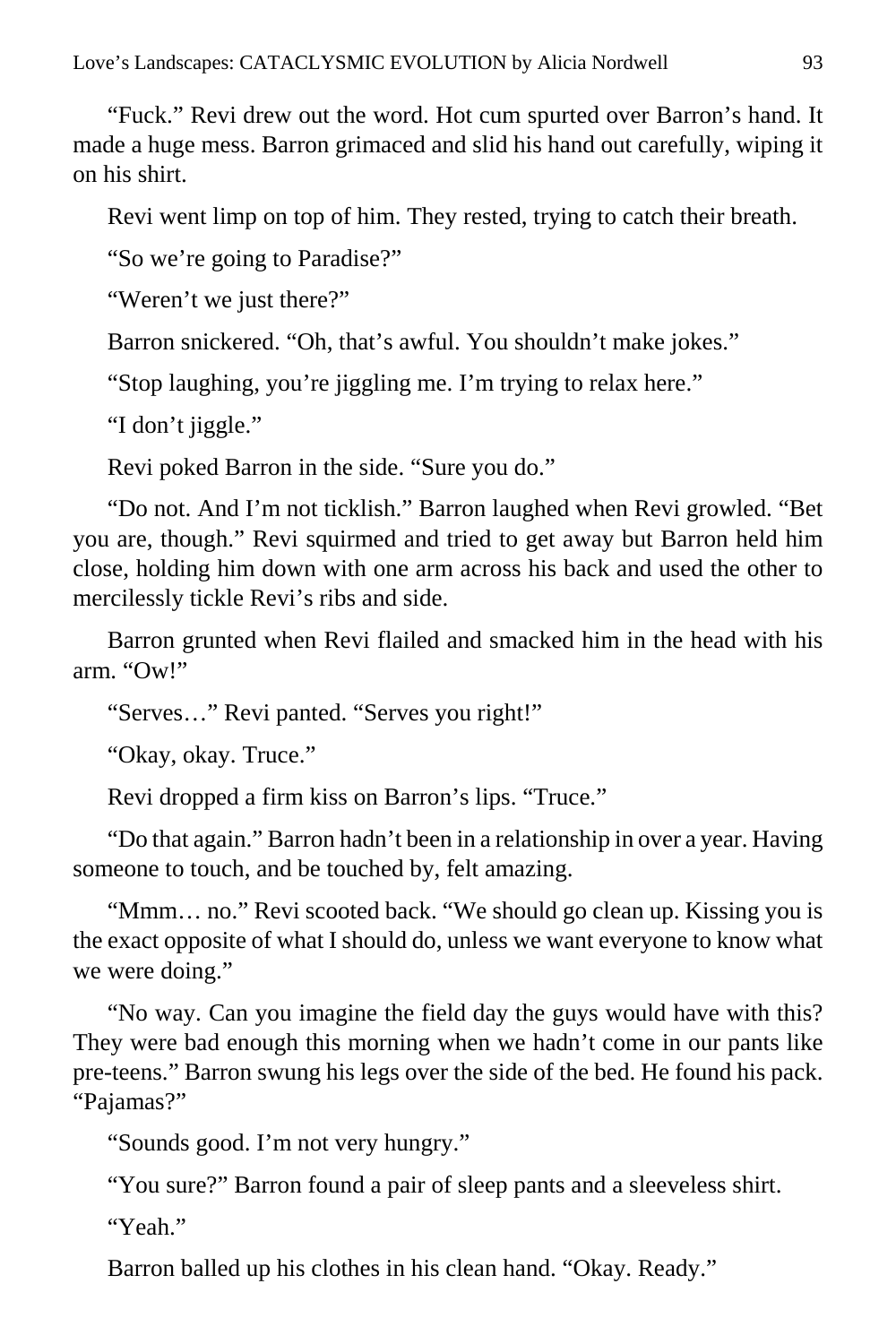"Fuck." Revi drew out the word. Hot cum spurted over Barron's hand. It made a huge mess. Barron grimaced and slid his hand out carefully, wiping it on his shirt.

Revi went limp on top of him. They rested, trying to catch their breath.

"So we're going to Paradise?"

"Weren't we just there?"

Barron snickered. "Oh, that's awful. You shouldn't make jokes."

"Stop laughing, you're jiggling me. I'm trying to relax here."

"I don't jiggle."

Revi poked Barron in the side. "Sure you do."

"Do not. And I'm not ticklish." Barron laughed when Revi growled. "Bet you are, though." Revi squirmed and tried to get away but Barron held him close, holding him down with one arm across his back and used the other to mercilessly tickle Revi's ribs and side.

Barron grunted when Revi flailed and smacked him in the head with his arm. "Ow!"

"Serves…" Revi panted. "Serves you right!"

"Okay, okay. Truce."

Revi dropped a firm kiss on Barron's lips. "Truce."

"Do that again." Barron hadn't been in a relationship in over a year. Having someone to touch, and be touched by, felt amazing.

"Mmm… no." Revi scooted back. "We should go clean up. Kissing you is the exact opposite of what I should do, unless we want everyone to know what we were doing."

"No way. Can you imagine the field day the guys would have with this? They were bad enough this morning when we hadn't come in our pants like pre-teens." Barron swung his legs over the side of the bed. He found his pack. "Pajamas?"

"Sounds good. I'm not very hungry."

"You sure?" Barron found a pair of sleep pants and a sleeveless shirt.

"Yeah"

Barron balled up his clothes in his clean hand. "Okay. Ready."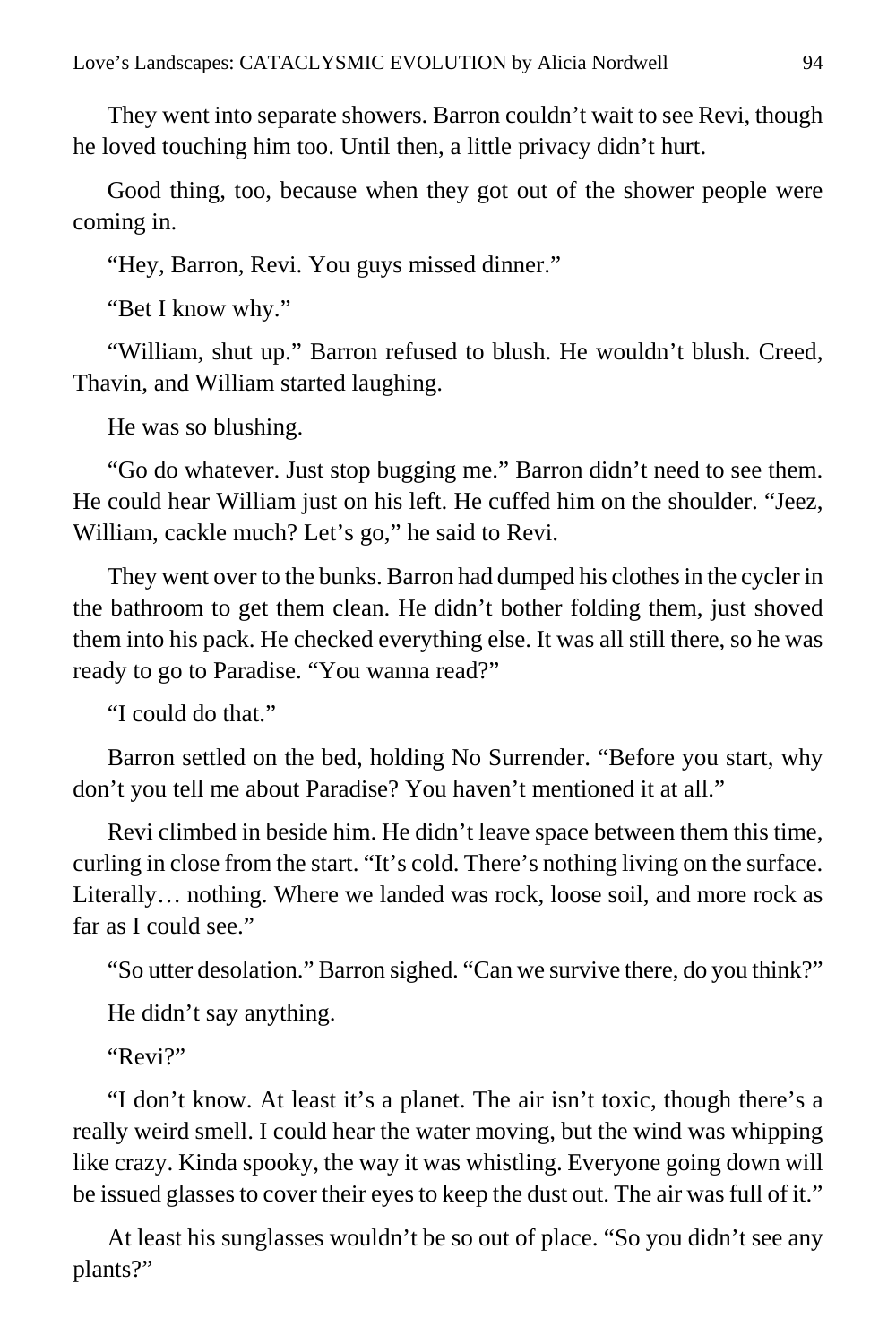They went into separate showers. Barron couldn't wait to see Revi, though he loved touching him too. Until then, a little privacy didn't hurt.

Good thing, too, because when they got out of the shower people were coming in.

"Hey, Barron, Revi. You guys missed dinner."

"Bet I know why."

"William, shut up." Barron refused to blush. He wouldn't blush. Creed, Thavin, and William started laughing.

He was so blushing.

"Go do whatever. Just stop bugging me." Barron didn't need to see them. He could hear William just on his left. He cuffed him on the shoulder. "Jeez, William, cackle much? Let's go," he said to Revi.

They went over to the bunks. Barron had dumped his clothes in the cycler in the bathroom to get them clean. He didn't bother folding them, just shoved them into his pack. He checked everything else. It was all still there, so he was ready to go to Paradise. "You wanna read?"

"I could do that."

Barron settled on the bed, holding No Surrender. "Before you start, why don't you tell me about Paradise? You haven't mentioned it at all."

Revi climbed in beside him. He didn't leave space between them this time, curling in close from the start. "It's cold. There's nothing living on the surface. Literally… nothing. Where we landed was rock, loose soil, and more rock as far as I could see."

"So utter desolation." Barron sighed. "Can we survive there, do you think?"

He didn't say anything.

"Revi?"

"I don't know. At least it's a planet. The air isn't toxic, though there's a really weird smell. I could hear the water moving, but the wind was whipping like crazy. Kinda spooky, the way it was whistling. Everyone going down will be issued glasses to cover their eyes to keep the dust out. The air was full of it."

At least his sunglasses wouldn't be so out of place. "So you didn't see any plants?"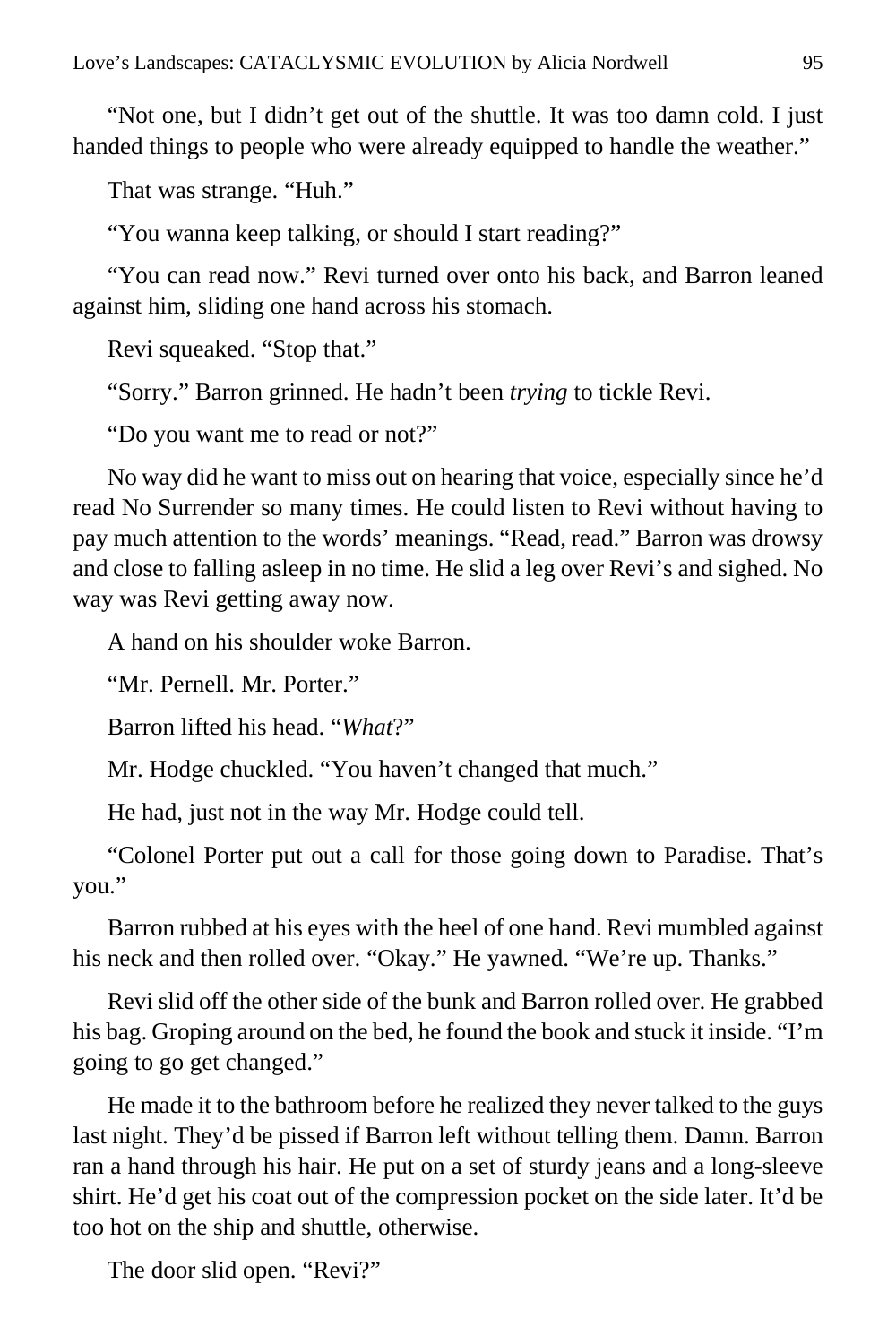"Not one, but I didn't get out of the shuttle. It was too damn cold. I just handed things to people who were already equipped to handle the weather."

That was strange. "Huh."

"You wanna keep talking, or should I start reading?"

"You can read now." Revi turned over onto his back, and Barron leaned against him, sliding one hand across his stomach.

Revi squeaked. "Stop that."

"Sorry." Barron grinned. He hadn't been *trying* to tickle Revi.

"Do you want me to read or not?"

No way did he want to miss out on hearing that voice, especially since he'd read No Surrender so many times. He could listen to Revi without having to pay much attention to the words' meanings. "Read, read." Barron was drowsy and close to falling asleep in no time. He slid a leg over Revi's and sighed. No way was Revi getting away now.

A hand on his shoulder woke Barron.

"Mr. Pernell. Mr. Porter."

Barron lifted his head. "*What*?"

Mr. Hodge chuckled. "You haven't changed that much."

He had, just not in the way Mr. Hodge could tell.

"Colonel Porter put out a call for those going down to Paradise. That's you."

Barron rubbed at his eyes with the heel of one hand. Revi mumbled against his neck and then rolled over. "Okay." He yawned. "We're up. Thanks."

Revi slid off the other side of the bunk and Barron rolled over. He grabbed his bag. Groping around on the bed, he found the book and stuck it inside. "I'm going to go get changed."

He made it to the bathroom before he realized they never talked to the guys last night. They'd be pissed if Barron left without telling them. Damn. Barron ran a hand through his hair. He put on a set of sturdy jeans and a long-sleeve shirt. He'd get his coat out of the compression pocket on the side later. It'd be too hot on the ship and shuttle, otherwise.

The door slid open. "Revi?"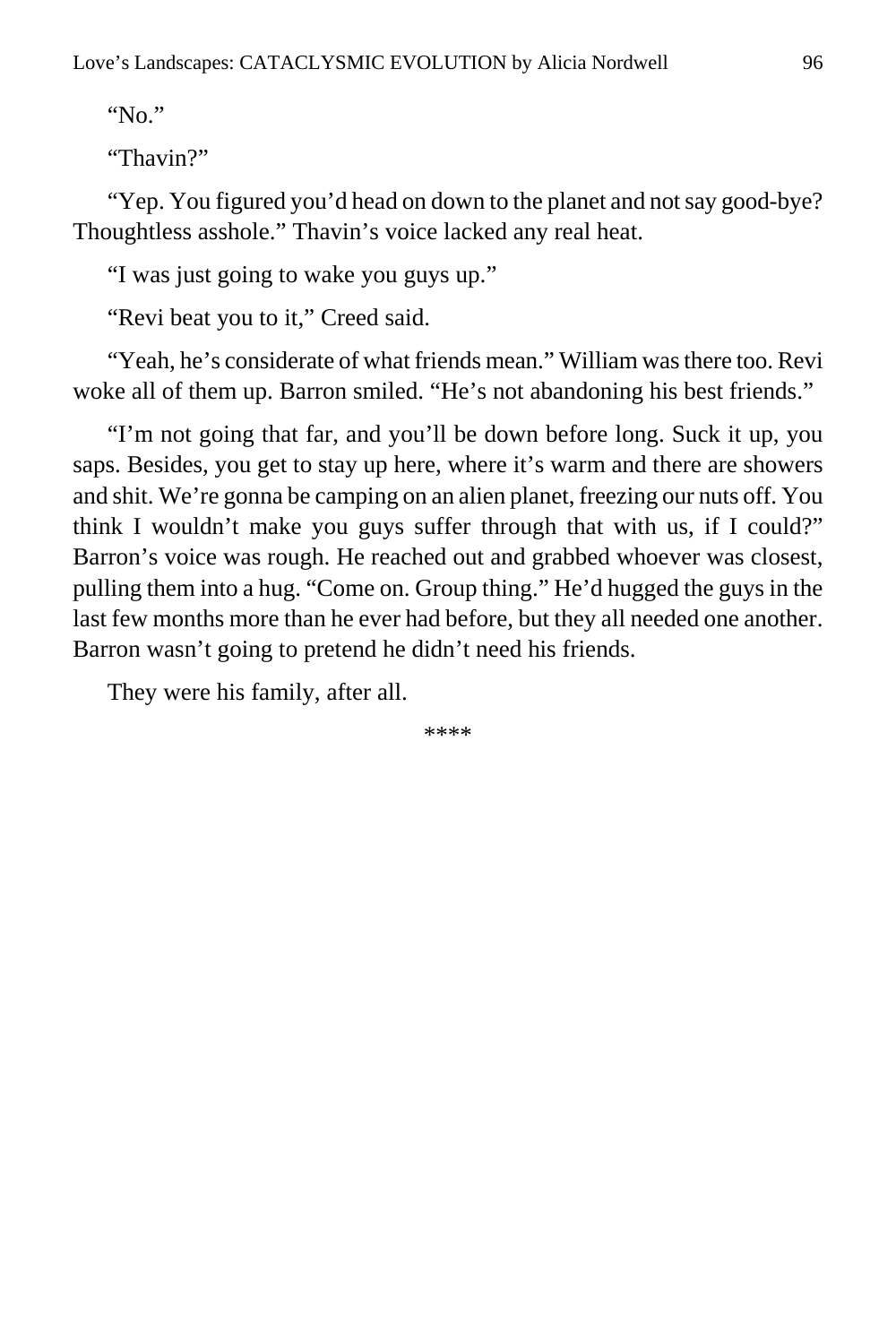"No."

"Thavin?"

"Yep. You figured you'd head on down to the planet and not say good-bye? Thoughtless asshole." Thavin's voice lacked any real heat.

"I was just going to wake you guys up."

"Revi beat you to it," Creed said.

"Yeah, he's considerate of what friends mean." William was there too. Revi woke all of them up. Barron smiled. "He's not abandoning his best friends."

"I'm not going that far, and you'll be down before long. Suck it up, you saps. Besides, you get to stay up here, where it's warm and there are showers and shit. We're gonna be camping on an alien planet, freezing our nuts off. You think I wouldn't make you guys suffer through that with us, if I could?" Barron's voice was rough. He reached out and grabbed whoever was closest, pulling them into a hug. "Come on. Group thing." He'd hugged the guys in the last few months more than he ever had before, but they all needed one another. Barron wasn't going to pretend he didn't need his friends.

They were his family, after all.

\*\*\*\*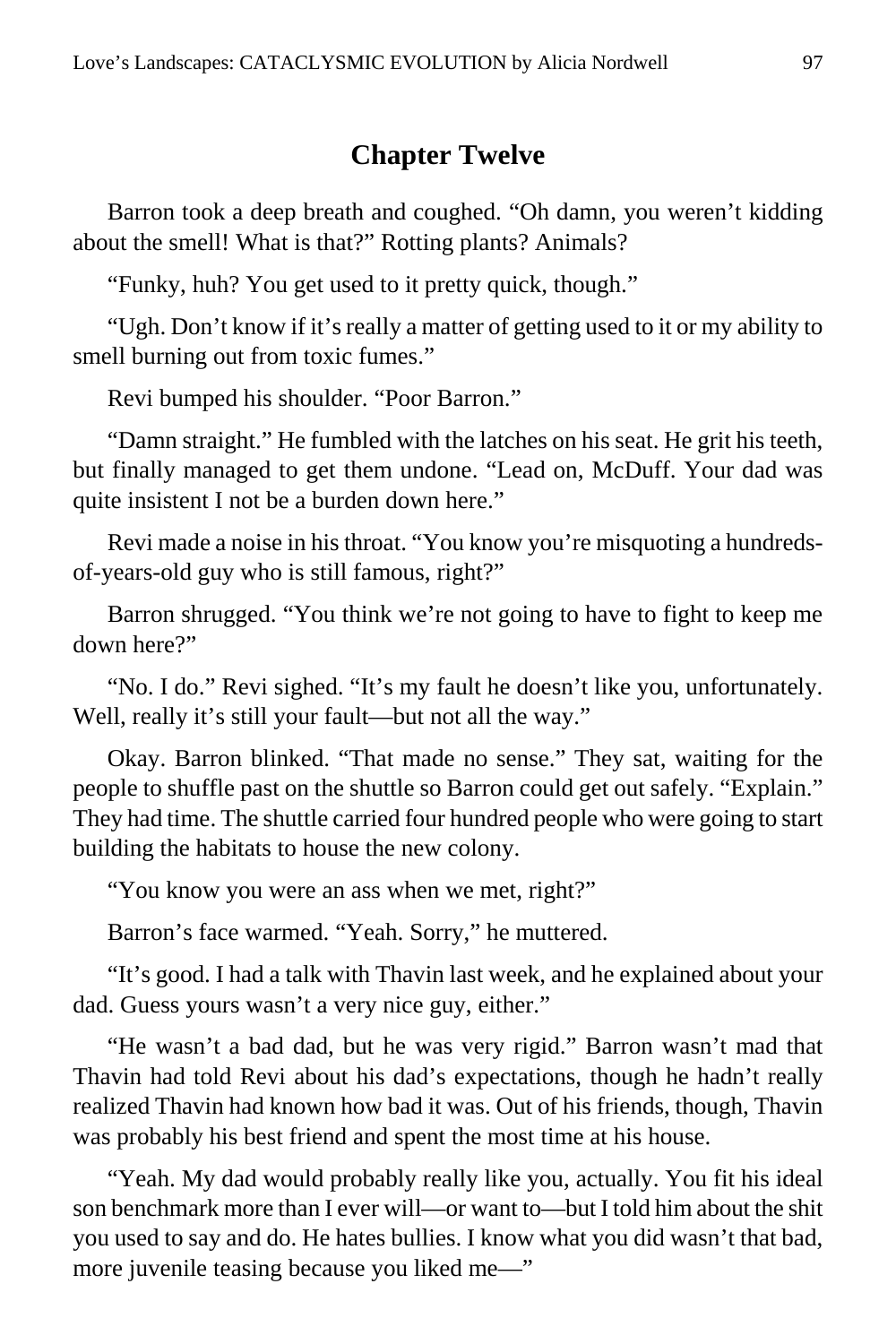### **Chapter Twelve**

Barron took a deep breath and coughed. "Oh damn, you weren't kidding about the smell! What is that?" Rotting plants? Animals?

"Funky, huh? You get used to it pretty quick, though."

"Ugh. Don't know if it's really a matter of getting used to it or my ability to smell burning out from toxic fumes."

Revi bumped his shoulder. "Poor Barron."

"Damn straight." He fumbled with the latches on his seat. He grit his teeth, but finally managed to get them undone. "Lead on, McDuff. Your dad was quite insistent I not be a burden down here."

Revi made a noise in his throat. "You know you're misquoting a hundredsof-years-old guy who is still famous, right?"

Barron shrugged. "You think we're not going to have to fight to keep me down here?"

"No. I do." Revi sighed. "It's my fault he doesn't like you, unfortunately. Well, really it's still your fault—but not all the way."

Okay. Barron blinked. "That made no sense." They sat, waiting for the people to shuffle past on the shuttle so Barron could get out safely. "Explain." They had time. The shuttle carried four hundred people who were going to start building the habitats to house the new colony.

"You know you were an ass when we met, right?"

Barron's face warmed. "Yeah. Sorry," he muttered.

"It's good. I had a talk with Thavin last week, and he explained about your dad. Guess yours wasn't a very nice guy, either."

"He wasn't a bad dad, but he was very rigid." Barron wasn't mad that Thavin had told Revi about his dad's expectations, though he hadn't really realized Thavin had known how bad it was. Out of his friends, though, Thavin was probably his best friend and spent the most time at his house.

"Yeah. My dad would probably really like you, actually. You fit his ideal son benchmark more than I ever will—or want to—but I told him about the shit you used to say and do. He hates bullies. I know what you did wasn't that bad, more juvenile teasing because you liked me—"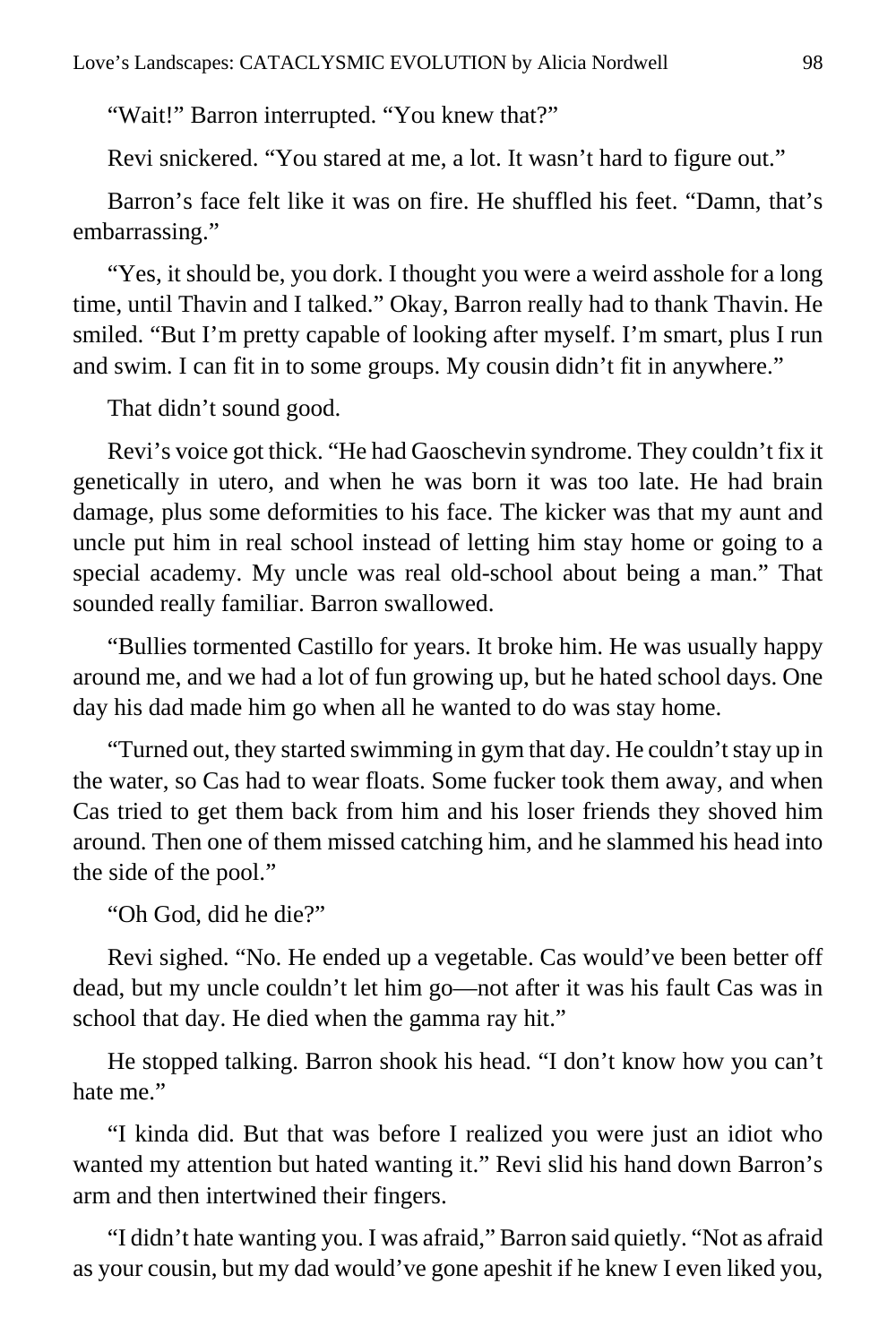"Wait!" Barron interrupted. "You knew that?"

Revi snickered. "You stared at me, a lot. It wasn't hard to figure out."

Barron's face felt like it was on fire. He shuffled his feet. "Damn, that's embarrassing."

"Yes, it should be, you dork. I thought you were a weird asshole for a long time, until Thavin and I talked." Okay, Barron really had to thank Thavin. He smiled. "But I'm pretty capable of looking after myself. I'm smart, plus I run and swim. I can fit in to some groups. My cousin didn't fit in anywhere."

That didn't sound good.

Revi's voice got thick. "He had Gaoschevin syndrome. They couldn't fix it genetically in utero, and when he was born it was too late. He had brain damage, plus some deformities to his face. The kicker was that my aunt and uncle put him in real school instead of letting him stay home or going to a special academy. My uncle was real old-school about being a man." That sounded really familiar. Barron swallowed.

"Bullies tormented Castillo for years. It broke him. He was usually happy around me, and we had a lot of fun growing up, but he hated school days. One day his dad made him go when all he wanted to do was stay home.

"Turned out, they started swimming in gym that day. He couldn't stay up in the water, so Cas had to wear floats. Some fucker took them away, and when Cas tried to get them back from him and his loser friends they shoved him around. Then one of them missed catching him, and he slammed his head into the side of the pool."

"Oh God, did he die?"

Revi sighed. "No. He ended up a vegetable. Cas would've been better off dead, but my uncle couldn't let him go—not after it was his fault Cas was in school that day. He died when the gamma ray hit."

He stopped talking. Barron shook his head. "I don't know how you can't hate me."

"I kinda did. But that was before I realized you were just an idiot who wanted my attention but hated wanting it." Revi slid his hand down Barron's arm and then intertwined their fingers.

"I didn't hate wanting you. I was afraid," Barron said quietly. "Not as afraid as your cousin, but my dad would've gone apeshit if he knew I even liked you,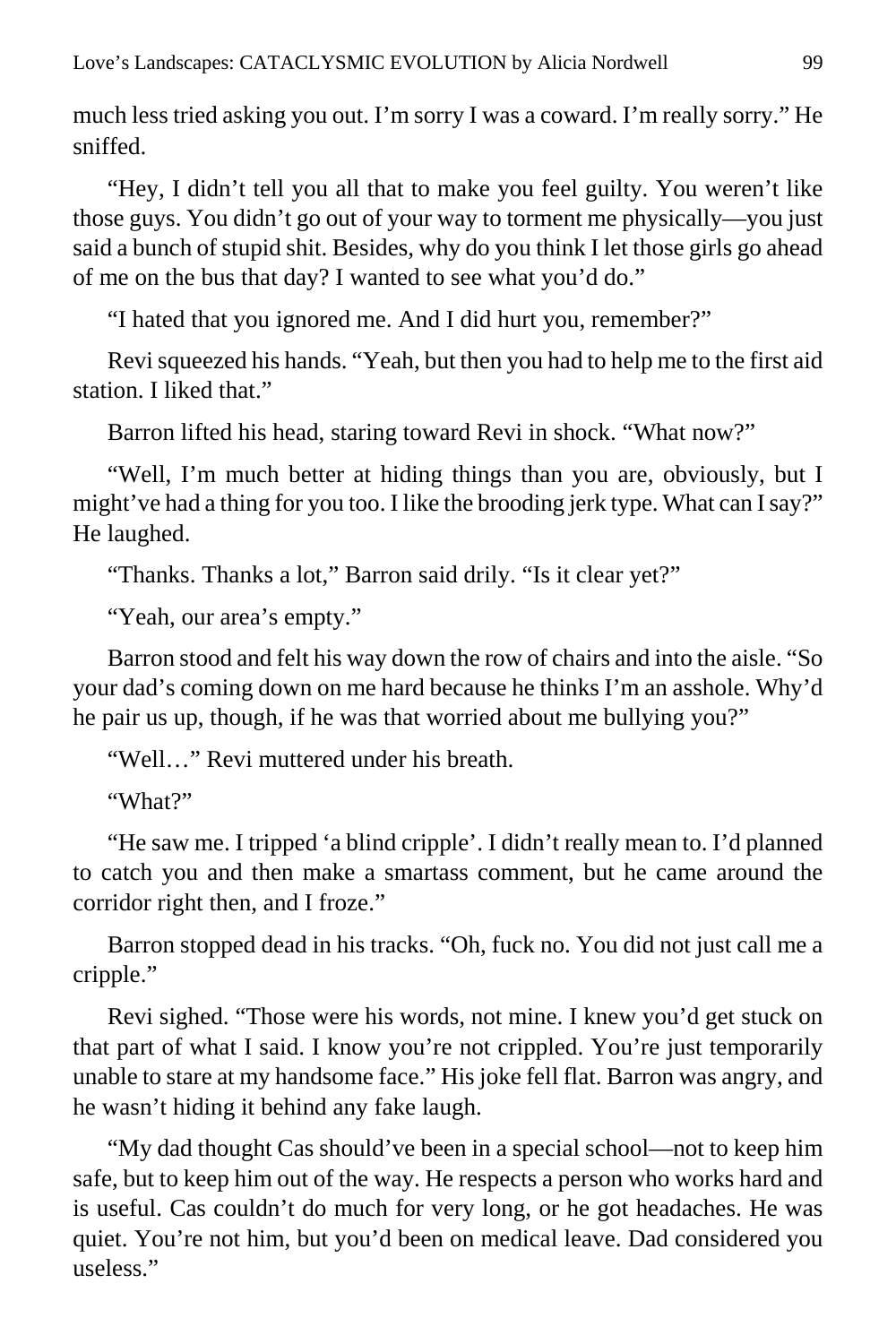much less tried asking you out. I'm sorry I was a coward. I'm really sorry." He sniffed.

"Hey, I didn't tell you all that to make you feel guilty. You weren't like those guys. You didn't go out of your way to torment me physically—you just said a bunch of stupid shit. Besides, why do you think I let those girls go ahead of me on the bus that day? I wanted to see what you'd do."

"I hated that you ignored me. And I did hurt you, remember?"

Revi squeezed his hands. "Yeah, but then you had to help me to the first aid station. I liked that."

Barron lifted his head, staring toward Revi in shock. "What now?"

"Well, I'm much better at hiding things than you are, obviously, but I might've had a thing for you too. I like the brooding jerk type. What can I say?" He laughed.

"Thanks. Thanks a lot," Barron said drily. "Is it clear yet?"

"Yeah, our area's empty."

Barron stood and felt his way down the row of chairs and into the aisle. "So your dad's coming down on me hard because he thinks I'm an asshole. Why'd he pair us up, though, if he was that worried about me bullying you?"

"Well…" Revi muttered under his breath.

"What?"

"He saw me. I tripped 'a blind cripple'. I didn't really mean to. I'd planned to catch you and then make a smartass comment, but he came around the corridor right then, and I froze."

Barron stopped dead in his tracks. "Oh, fuck no. You did not just call me a cripple."

Revi sighed. "Those were his words, not mine. I knew you'd get stuck on that part of what I said. I know you're not crippled. You're just temporarily unable to stare at my handsome face." His joke fell flat. Barron was angry, and he wasn't hiding it behind any fake laugh.

"My dad thought Cas should've been in a special school—not to keep him safe, but to keep him out of the way. He respects a person who works hard and is useful. Cas couldn't do much for very long, or he got headaches. He was quiet. You're not him, but you'd been on medical leave. Dad considered you useless."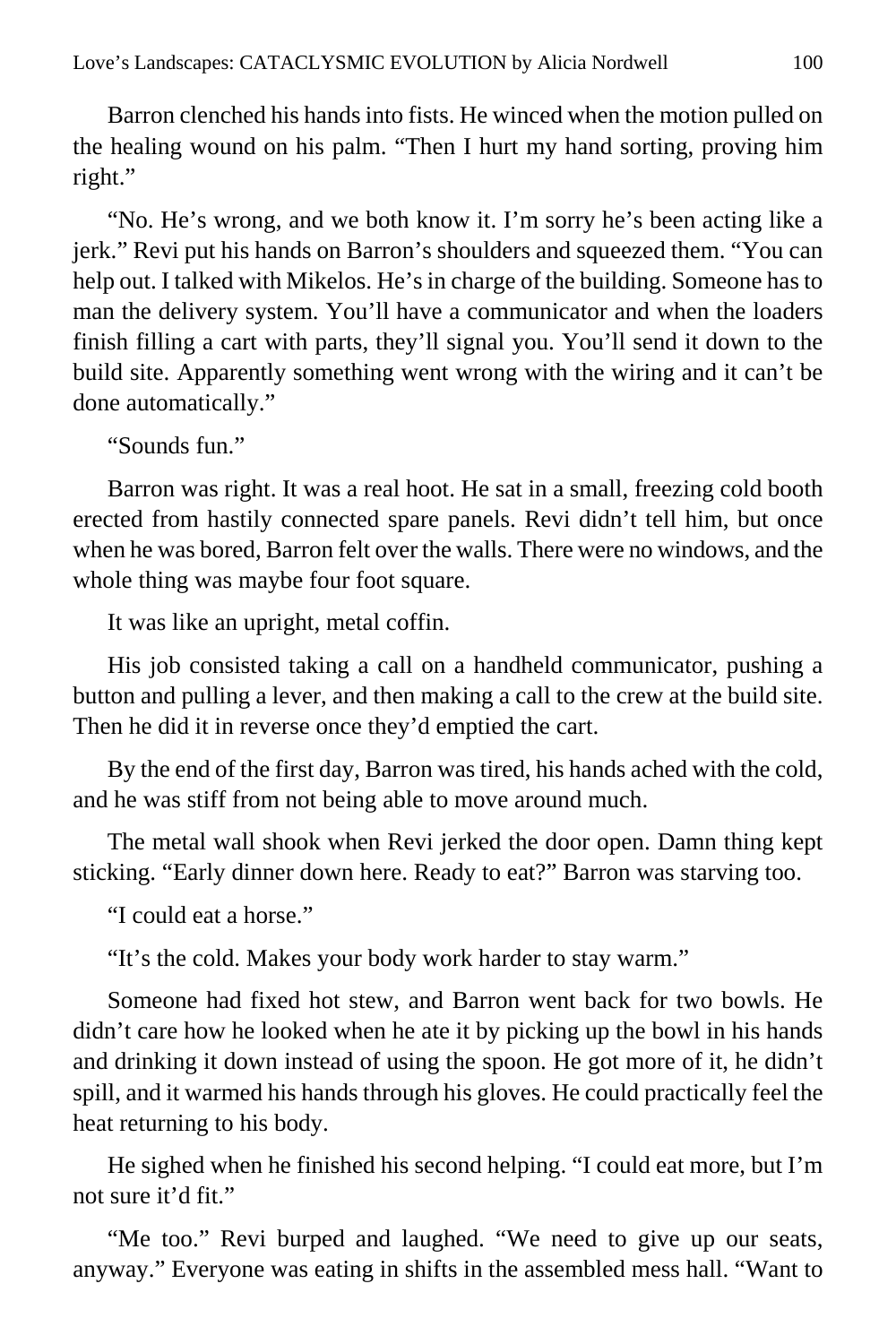Barron clenched his hands into fists. He winced when the motion pulled on the healing wound on his palm. "Then I hurt my hand sorting, proving him right."

"No. He's wrong, and we both know it. I'm sorry he's been acting like a jerk." Revi put his hands on Barron's shoulders and squeezed them. "You can help out. I talked with Mikelos. He's in charge of the building. Someone has to man the delivery system. You'll have a communicator and when the loaders finish filling a cart with parts, they'll signal you. You'll send it down to the build site. Apparently something went wrong with the wiring and it can't be done automatically."

"Sounds fun."

Barron was right. It was a real hoot. He sat in a small, freezing cold booth erected from hastily connected spare panels. Revi didn't tell him, but once when he was bored, Barron felt over the walls. There were no windows, and the whole thing was maybe four foot square.

It was like an upright, metal coffin.

His job consisted taking a call on a handheld communicator, pushing a button and pulling a lever, and then making a call to the crew at the build site. Then he did it in reverse once they'd emptied the cart.

By the end of the first day, Barron was tired, his hands ached with the cold, and he was stiff from not being able to move around much.

The metal wall shook when Revi jerked the door open. Damn thing kept sticking. "Early dinner down here. Ready to eat?" Barron was starving too.

"I could eat a horse."

"It's the cold. Makes your body work harder to stay warm."

Someone had fixed hot stew, and Barron went back for two bowls. He didn't care how he looked when he ate it by picking up the bowl in his hands and drinking it down instead of using the spoon. He got more of it, he didn't spill, and it warmed his hands through his gloves. He could practically feel the heat returning to his body.

He sighed when he finished his second helping. "I could eat more, but I'm not sure it'd fit."

"Me too." Revi burped and laughed. "We need to give up our seats, anyway." Everyone was eating in shifts in the assembled mess hall. "Want to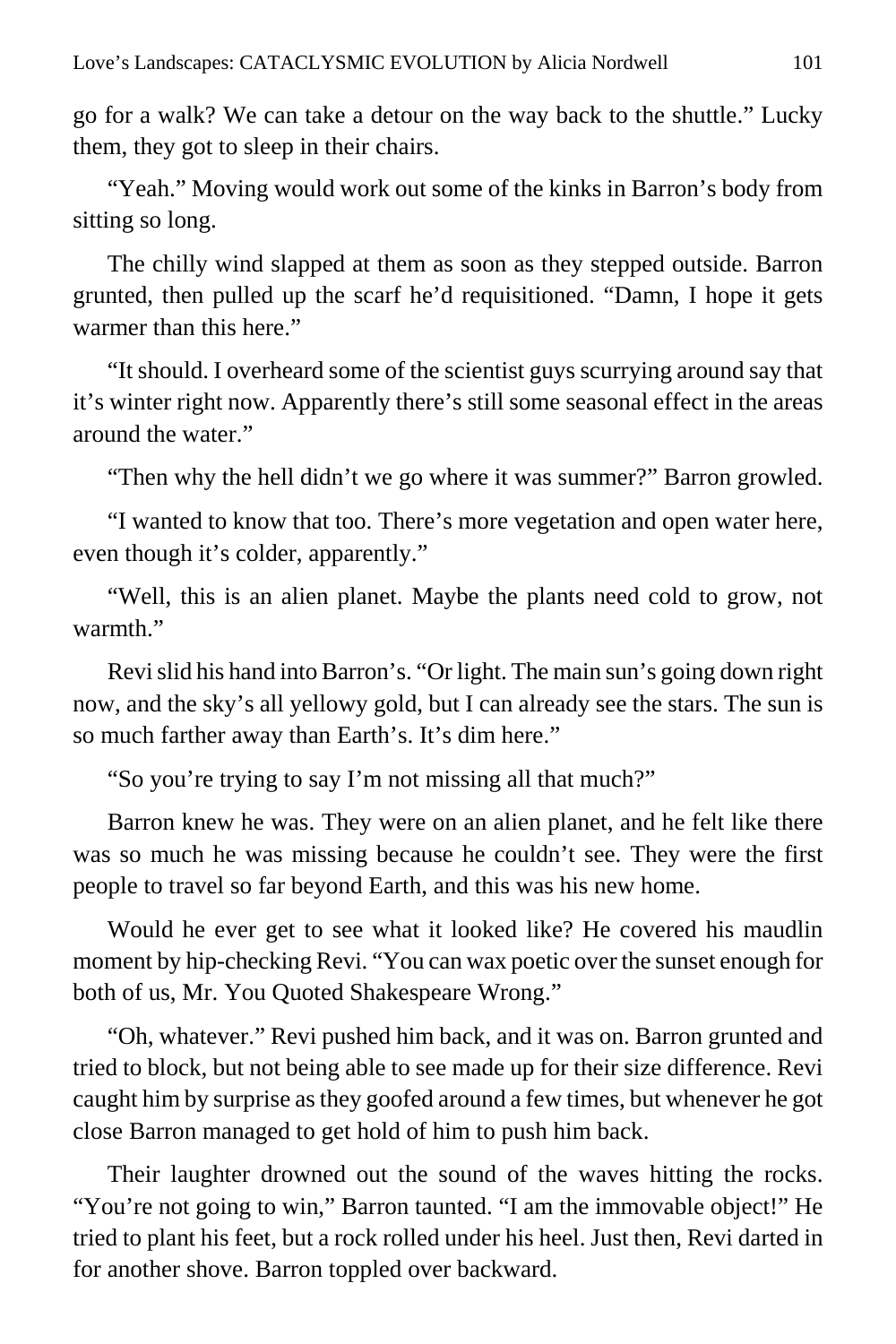go for a walk? We can take a detour on the way back to the shuttle." Lucky them, they got to sleep in their chairs.

"Yeah." Moving would work out some of the kinks in Barron's body from sitting so long.

The chilly wind slapped at them as soon as they stepped outside. Barron grunted, then pulled up the scarf he'd requisitioned. "Damn, I hope it gets warmer than this here."

"It should. I overheard some of the scientist guys scurrying around say that it's winter right now. Apparently there's still some seasonal effect in the areas around the water."

"Then why the hell didn't we go where it was summer?" Barron growled.

"I wanted to know that too. There's more vegetation and open water here, even though it's colder, apparently."

"Well, this is an alien planet. Maybe the plants need cold to grow, not warmth."

Revi slid his hand into Barron's. "Or light. The main sun's going down right now, and the sky's all yellowy gold, but I can already see the stars. The sun is so much farther away than Earth's. It's dim here."

"So you're trying to say I'm not missing all that much?"

Barron knew he was. They were on an alien planet, and he felt like there was so much he was missing because he couldn't see. They were the first people to travel so far beyond Earth, and this was his new home.

Would he ever get to see what it looked like? He covered his maudlin moment by hip-checking Revi. "You can wax poetic over the sunset enough for both of us, Mr. You Quoted Shakespeare Wrong."

"Oh, whatever." Revi pushed him back, and it was on. Barron grunted and tried to block, but not being able to see made up for their size difference. Revi caught him by surprise as they goofed around a few times, but whenever he got close Barron managed to get hold of him to push him back.

Their laughter drowned out the sound of the waves hitting the rocks. "You're not going to win," Barron taunted. "I am the immovable object!" He tried to plant his feet, but a rock rolled under his heel. Just then, Revi darted in for another shove. Barron toppled over backward.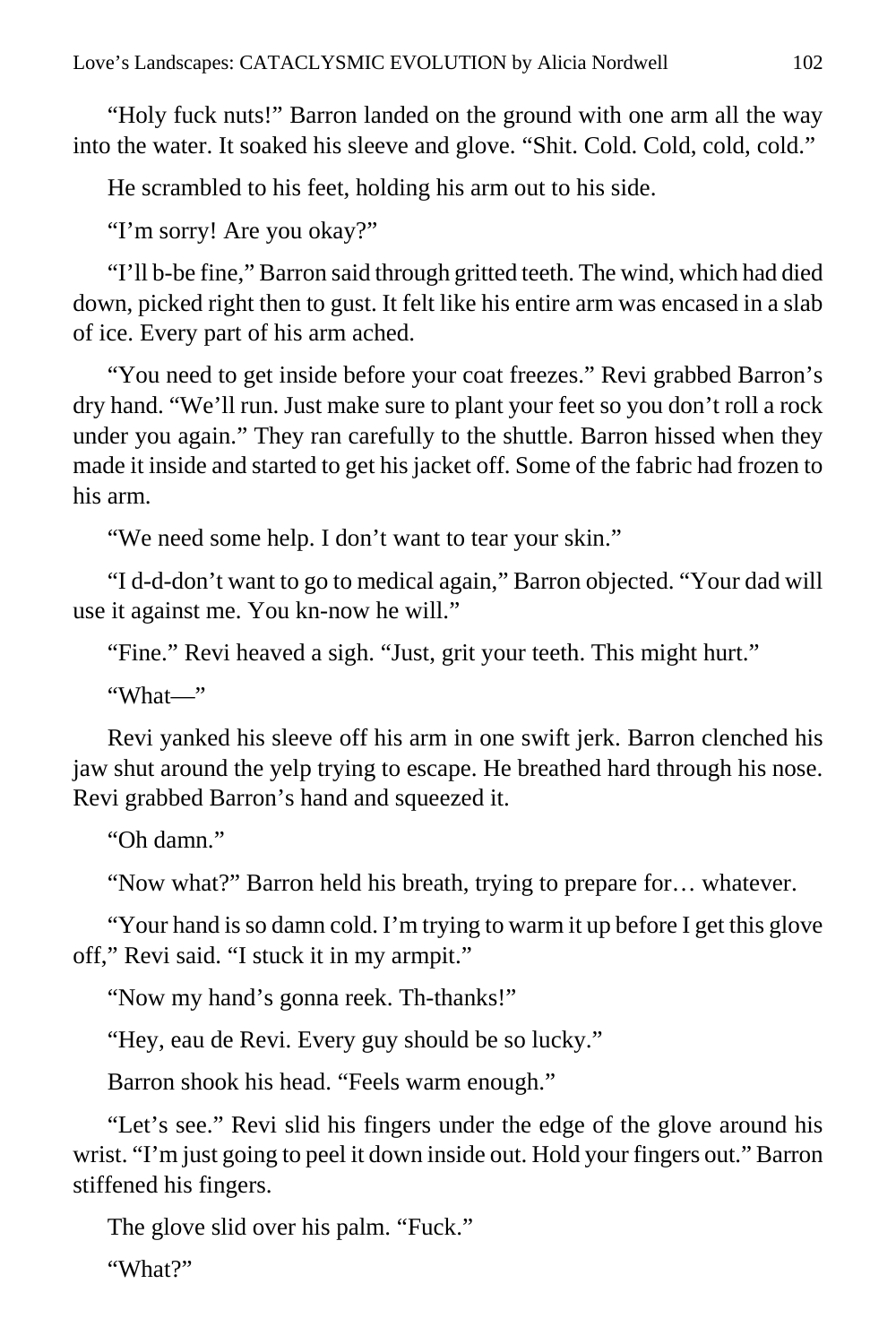"Holy fuck nuts!" Barron landed on the ground with one arm all the way into the water. It soaked his sleeve and glove. "Shit. Cold. Cold, cold, cold."

He scrambled to his feet, holding his arm out to his side.

"I'm sorry! Are you okay?"

"I'll b-be fine," Barron said through gritted teeth. The wind, which had died down, picked right then to gust. It felt like his entire arm was encased in a slab of ice. Every part of his arm ached.

"You need to get inside before your coat freezes." Revi grabbed Barron's dry hand. "We'll run. Just make sure to plant your feet so you don't roll a rock under you again." They ran carefully to the shuttle. Barron hissed when they made it inside and started to get his jacket off. Some of the fabric had frozen to his arm.

"We need some help. I don't want to tear your skin."

"I d-d-don't want to go to medical again," Barron objected. "Your dad will use it against me. You kn-now he will."

"Fine." Revi heaved a sigh. "Just, grit your teeth. This might hurt."

"What—"

Revi yanked his sleeve off his arm in one swift jerk. Barron clenched his jaw shut around the yelp trying to escape. He breathed hard through his nose. Revi grabbed Barron's hand and squeezed it.

"Oh damn."

"Now what?" Barron held his breath, trying to prepare for… whatever.

"Your hand is so damn cold. I'm trying to warm it up before I get this glove off," Revi said. "I stuck it in my armpit."

"Now my hand's gonna reek. Th-thanks!"

"Hey, eau de Revi. Every guy should be so lucky."

Barron shook his head. "Feels warm enough."

"Let's see." Revi slid his fingers under the edge of the glove around his wrist. "I'm just going to peel it down inside out. Hold your fingers out." Barron stiffened his fingers.

The glove slid over his palm. "Fuck."

"What?"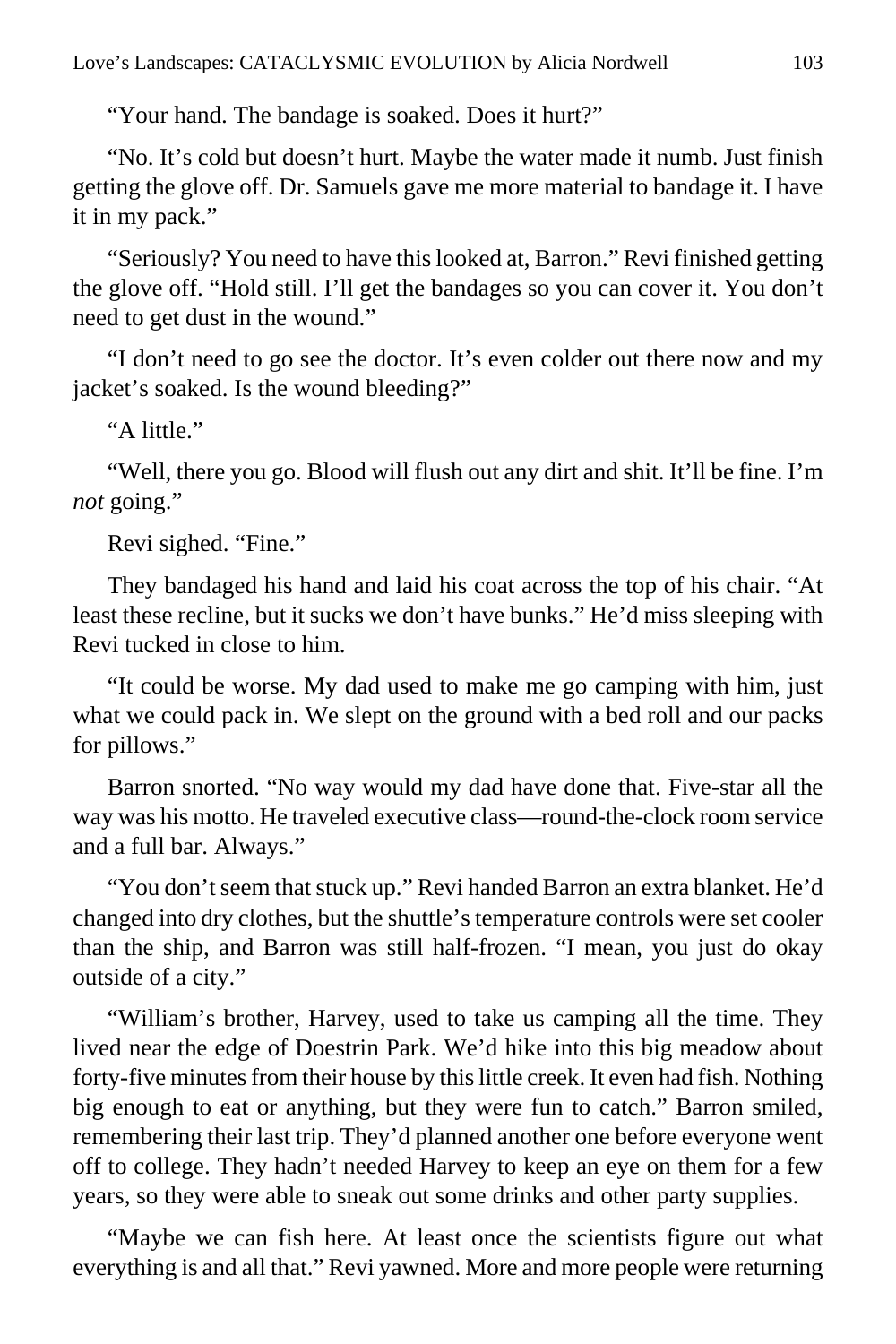"Your hand. The bandage is soaked. Does it hurt?"

"No. It's cold but doesn't hurt. Maybe the water made it numb. Just finish getting the glove off. Dr. Samuels gave me more material to bandage it. I have it in my pack."

"Seriously? You need to have this looked at, Barron." Revi finished getting the glove off. "Hold still. I'll get the bandages so you can cover it. You don't need to get dust in the wound."

"I don't need to go see the doctor. It's even colder out there now and my jacket's soaked. Is the wound bleeding?"

"A little."

"Well, there you go. Blood will flush out any dirt and shit. It'll be fine. I'm *not* going."

Revi sighed. "Fine."

They bandaged his hand and laid his coat across the top of his chair. "At least these recline, but it sucks we don't have bunks." He'd miss sleeping with Revi tucked in close to him.

"It could be worse. My dad used to make me go camping with him, just what we could pack in. We slept on the ground with a bed roll and our packs for pillows."

Barron snorted. "No way would my dad have done that. Five-star all the way was his motto. He traveled executive class—round-the-clock room service and a full bar. Always."

"You don't seem that stuck up." Revi handed Barron an extra blanket. He'd changed into dry clothes, but the shuttle's temperature controls were set cooler than the ship, and Barron was still half-frozen. "I mean, you just do okay outside of a city."

"William's brother, Harvey, used to take us camping all the time. They lived near the edge of Doestrin Park. We'd hike into this big meadow about forty-five minutes from their house by this little creek. It even had fish. Nothing big enough to eat or anything, but they were fun to catch." Barron smiled, remembering their last trip. They'd planned another one before everyone went off to college. They hadn't needed Harvey to keep an eye on them for a few years, so they were able to sneak out some drinks and other party supplies.

"Maybe we can fish here. At least once the scientists figure out what everything is and all that." Revi yawned. More and more people were returning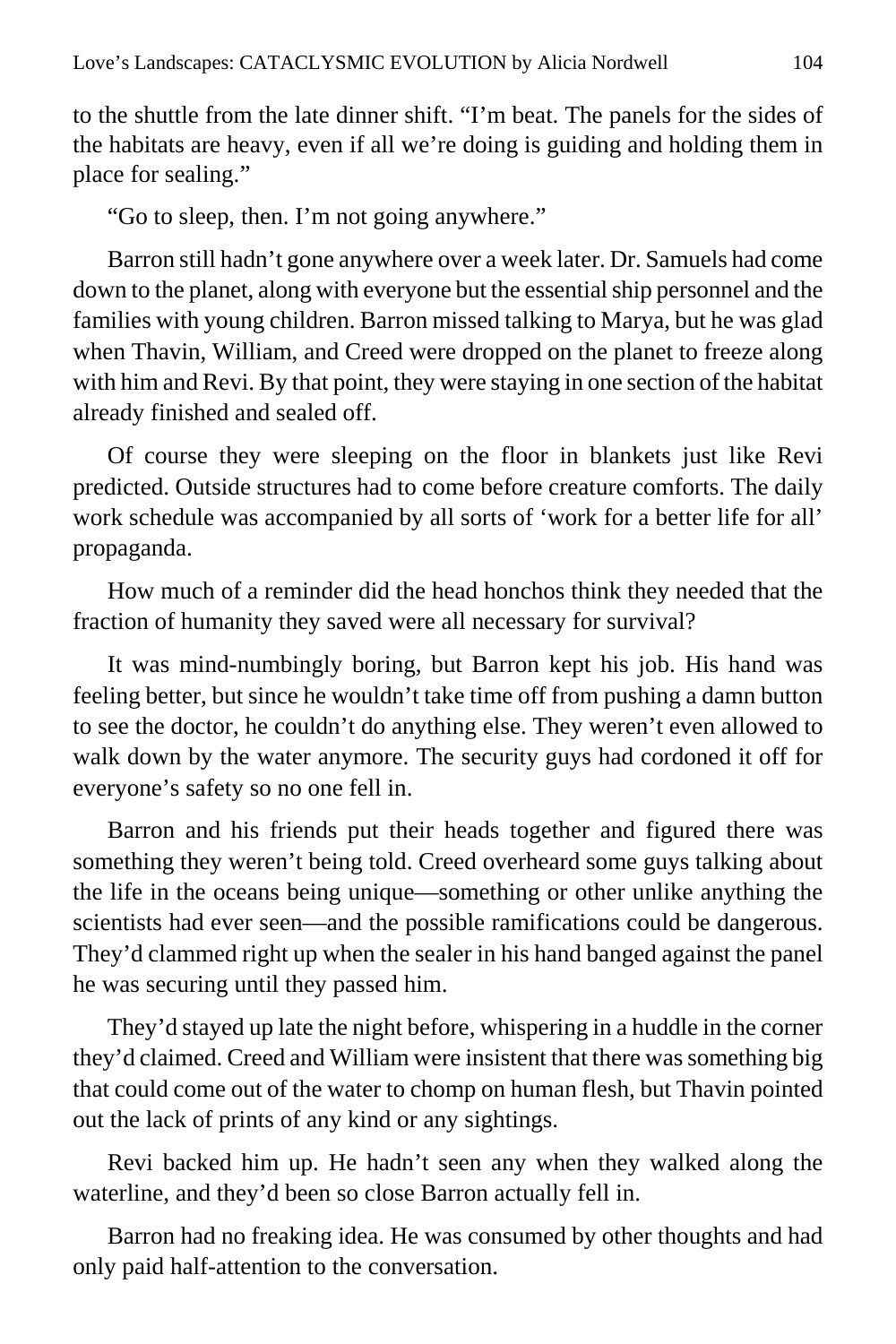to the shuttle from the late dinner shift. "I'm beat. The panels for the sides of the habitats are heavy, even if all we're doing is guiding and holding them in place for sealing."

"Go to sleep, then. I'm not going anywhere."

Barron still hadn't gone anywhere over a week later. Dr. Samuels had come down to the planet, along with everyone but the essential ship personnel and the families with young children. Barron missed talking to Marya, but he was glad when Thavin, William, and Creed were dropped on the planet to freeze along with him and Revi. By that point, they were staying in one section of the habitat already finished and sealed off.

Of course they were sleeping on the floor in blankets just like Revi predicted. Outside structures had to come before creature comforts. The daily work schedule was accompanied by all sorts of 'work for a better life for all' propaganda.

How much of a reminder did the head honchos think they needed that the fraction of humanity they saved were all necessary for survival?

It was mind-numbingly boring, but Barron kept his job. His hand was feeling better, but since he wouldn't take time off from pushing a damn button to see the doctor, he couldn't do anything else. They weren't even allowed to walk down by the water anymore. The security guys had cordoned it off for everyone's safety so no one fell in.

Barron and his friends put their heads together and figured there was something they weren't being told. Creed overheard some guys talking about the life in the oceans being unique—something or other unlike anything the scientists had ever seen—and the possible ramifications could be dangerous. They'd clammed right up when the sealer in his hand banged against the panel he was securing until they passed him.

They'd stayed up late the night before, whispering in a huddle in the corner they'd claimed. Creed and William were insistent that there was something big that could come out of the water to chomp on human flesh, but Thavin pointed out the lack of prints of any kind or any sightings.

Revi backed him up. He hadn't seen any when they walked along the waterline, and they'd been so close Barron actually fell in.

Barron had no freaking idea. He was consumed by other thoughts and had only paid half-attention to the conversation.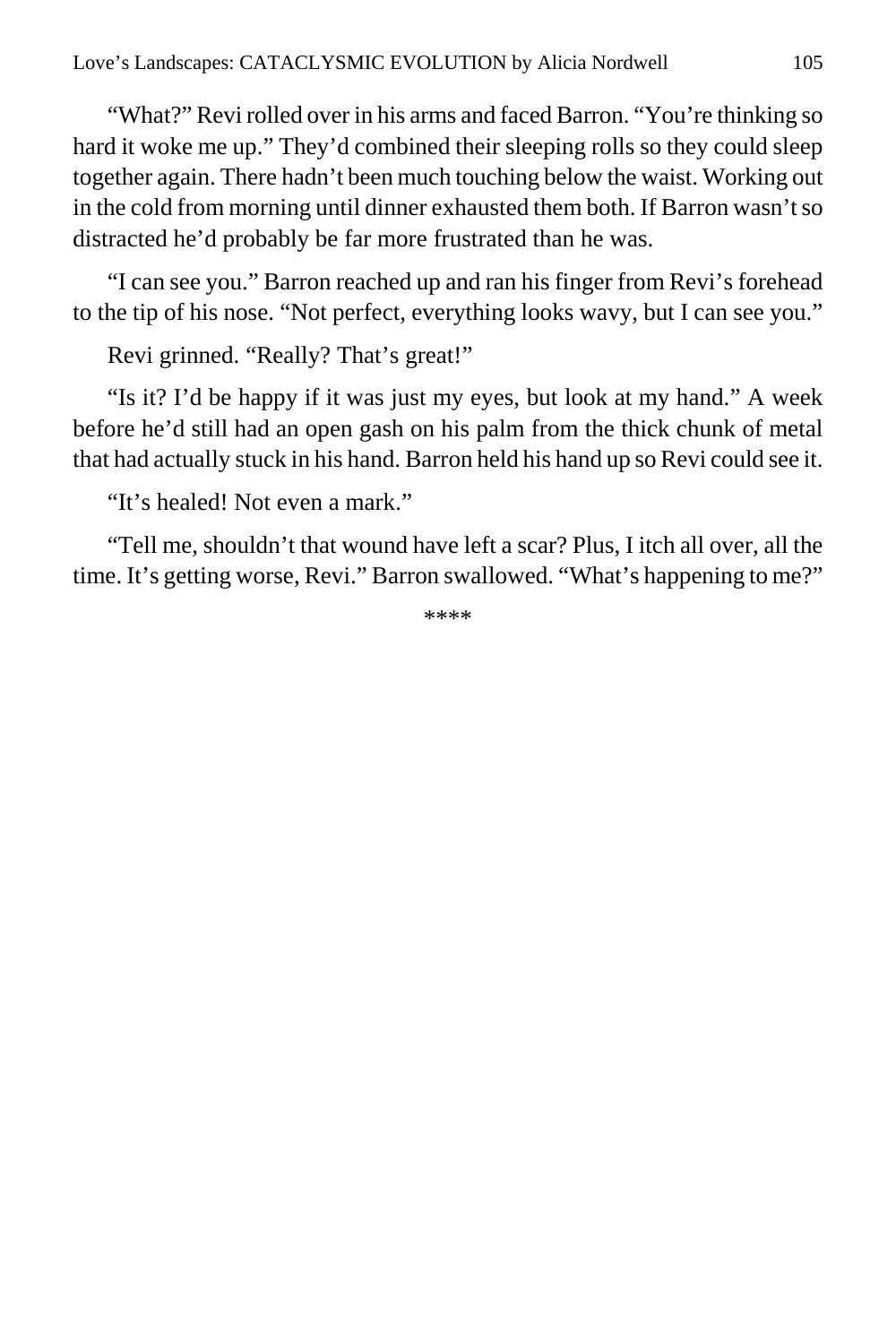"What?" Revi rolled over in his arms and faced Barron. "You're thinking so hard it woke me up." They'd combined their sleeping rolls so they could sleep together again. There hadn't been much touching below the waist. Working out in the cold from morning until dinner exhausted them both. If Barron wasn't so distracted he'd probably be far more frustrated than he was.

"I can see you." Barron reached up and ran his finger from Revi's forehead to the tip of his nose. "Not perfect, everything looks wavy, but I can see you."

Revi grinned. "Really? That's great!"

"Is it? I'd be happy if it was just my eyes, but look at my hand." A week before he'd still had an open gash on his palm from the thick chunk of metal that had actually stuck in his hand. Barron held his hand up so Revi could see it.

"It's healed! Not even a mark."

"Tell me, shouldn't that wound have left a scar? Plus, I itch all over, all the time. It's getting worse, Revi." Barron swallowed. "What's happening to me?"

\*\*\*\*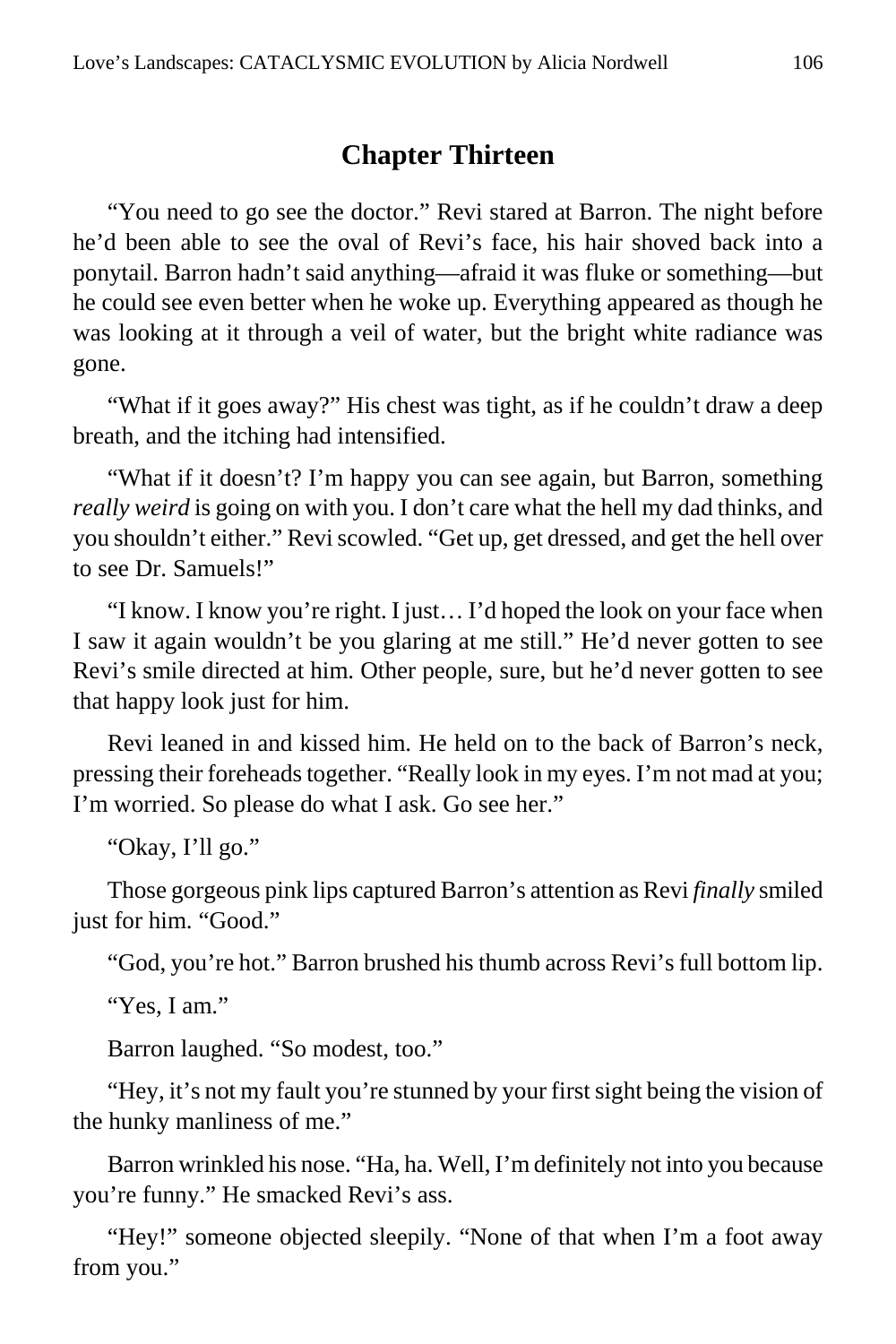### **Chapter Thirteen**

"You need to go see the doctor." Revi stared at Barron. The night before he'd been able to see the oval of Revi's face, his hair shoved back into a ponytail. Barron hadn't said anything—afraid it was fluke or something—but he could see even better when he woke up. Everything appeared as though he was looking at it through a veil of water, but the bright white radiance was gone.

"What if it goes away?" His chest was tight, as if he couldn't draw a deep breath, and the itching had intensified.

"What if it doesn't? I'm happy you can see again, but Barron, something *really weird* is going on with you. I don't care what the hell my dad thinks, and you shouldn't either." Revi scowled. "Get up, get dressed, and get the hell over to see Dr. Samuels!"

"I know. I know you're right. I just… I'd hoped the look on your face when I saw it again wouldn't be you glaring at me still." He'd never gotten to see Revi's smile directed at him. Other people, sure, but he'd never gotten to see that happy look just for him.

Revi leaned in and kissed him. He held on to the back of Barron's neck, pressing their foreheads together. "Really look in my eyes. I'm not mad at you; I'm worried. So please do what I ask. Go see her."

"Okay, I'll go."

Those gorgeous pink lips captured Barron's attention as Revi *finally* smiled just for him. "Good."

"God, you're hot." Barron brushed his thumb across Revi's full bottom lip.

"Yes, I am."

Barron laughed. "So modest, too."

"Hey, it's not my fault you're stunned by your first sight being the vision of the hunky manliness of me."

Barron wrinkled his nose. "Ha, ha. Well, I'm definitely not into you because you're funny." He smacked Revi's ass.

"Hey!" someone objected sleepily. "None of that when I'm a foot away from you."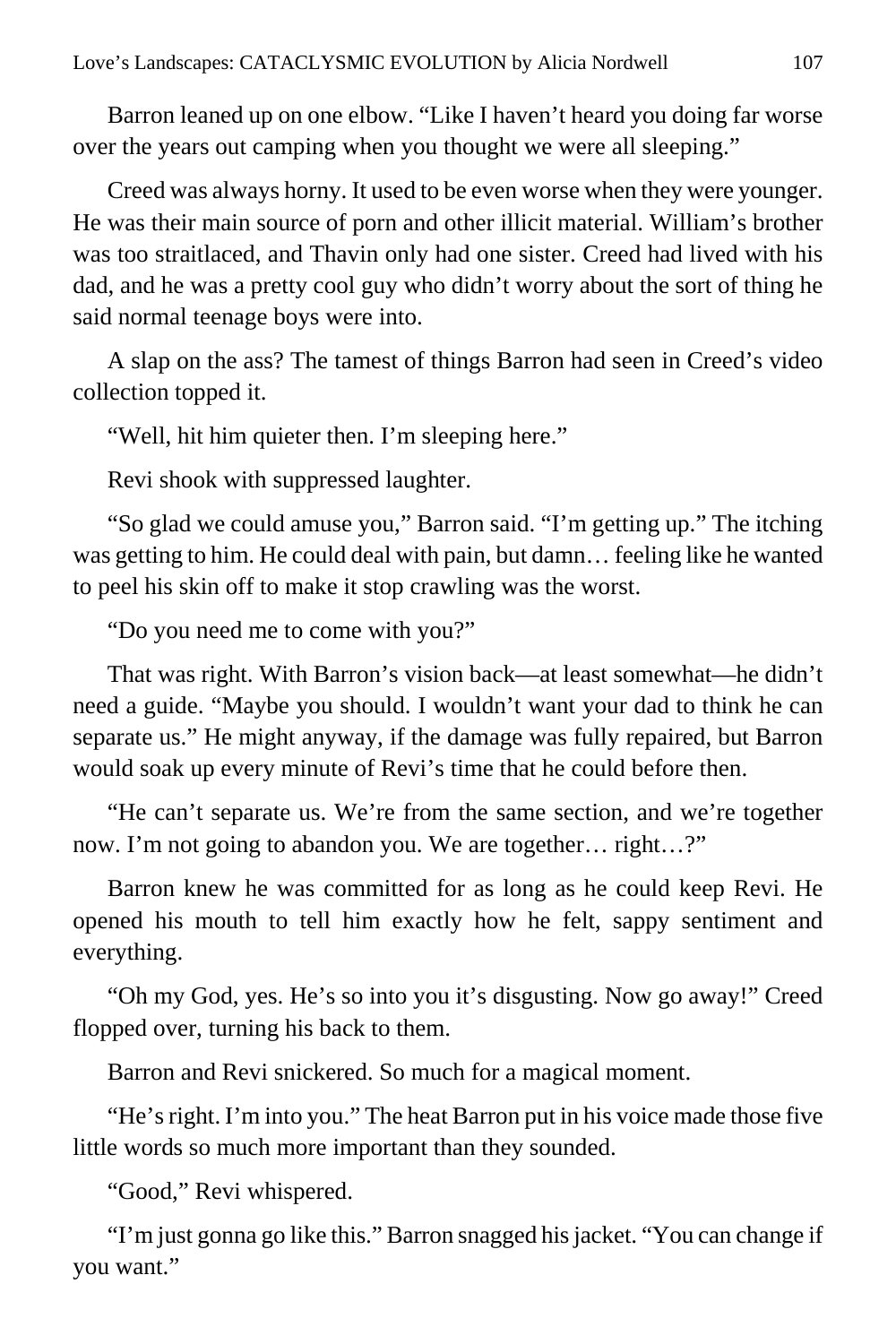Barron leaned up on one elbow. "Like I haven't heard you doing far worse over the years out camping when you thought we were all sleeping."

Creed was always horny. It used to be even worse when they were younger. He was their main source of porn and other illicit material. William's brother was too straitlaced, and Thavin only had one sister. Creed had lived with his dad, and he was a pretty cool guy who didn't worry about the sort of thing he said normal teenage boys were into.

A slap on the ass? The tamest of things Barron had seen in Creed's video collection topped it.

"Well, hit him quieter then. I'm sleeping here."

Revi shook with suppressed laughter.

"So glad we could amuse you," Barron said. "I'm getting up." The itching was getting to him. He could deal with pain, but damn… feeling like he wanted to peel his skin off to make it stop crawling was the worst.

"Do you need me to come with you?"

That was right. With Barron's vision back—at least somewhat—he didn't need a guide. "Maybe you should. I wouldn't want your dad to think he can separate us." He might anyway, if the damage was fully repaired, but Barron would soak up every minute of Revi's time that he could before then.

"He can't separate us. We're from the same section, and we're together now. I'm not going to abandon you. We are together… right…?"

Barron knew he was committed for as long as he could keep Revi. He opened his mouth to tell him exactly how he felt, sappy sentiment and everything.

"Oh my God, yes. He's so into you it's disgusting. Now go away!" Creed flopped over, turning his back to them.

Barron and Revi snickered. So much for a magical moment.

"He's right. I'm into you." The heat Barron put in his voice made those five little words so much more important than they sounded.

"Good," Revi whispered.

"I'm just gonna go like this." Barron snagged his jacket. "You can change if you want."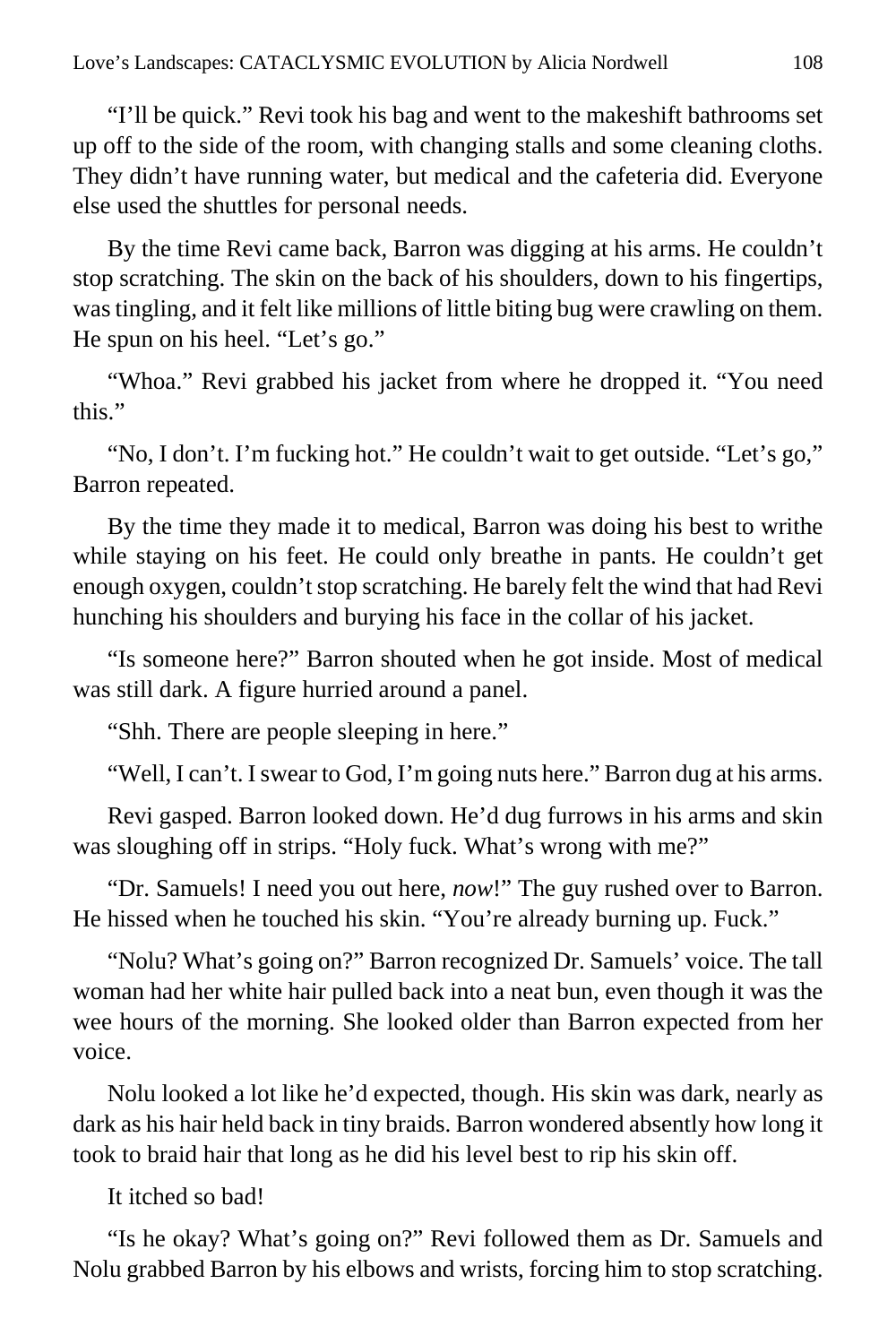"I'll be quick." Revi took his bag and went to the makeshift bathrooms set up off to the side of the room, with changing stalls and some cleaning cloths. They didn't have running water, but medical and the cafeteria did. Everyone else used the shuttles for personal needs.

By the time Revi came back, Barron was digging at his arms. He couldn't stop scratching. The skin on the back of his shoulders, down to his fingertips, was tingling, and it felt like millions of little biting bug were crawling on them. He spun on his heel. "Let's go."

"Whoa." Revi grabbed his jacket from where he dropped it. "You need this."

"No, I don't. I'm fucking hot." He couldn't wait to get outside. "Let's go," Barron repeated.

By the time they made it to medical, Barron was doing his best to writhe while staying on his feet. He could only breathe in pants. He couldn't get enough oxygen, couldn't stop scratching. He barely felt the wind that had Revi hunching his shoulders and burying his face in the collar of his jacket.

"Is someone here?" Barron shouted when he got inside. Most of medical was still dark. A figure hurried around a panel.

"Shh. There are people sleeping in here."

"Well, I can't. I swear to God, I'm going nuts here." Barron dug at his arms.

Revi gasped. Barron looked down. He'd dug furrows in his arms and skin was sloughing off in strips. "Holy fuck. What's wrong with me?"

"Dr. Samuels! I need you out here, *now*!" The guy rushed over to Barron. He hissed when he touched his skin. "You're already burning up. Fuck."

"Nolu? What's going on?" Barron recognized Dr. Samuels' voice. The tall woman had her white hair pulled back into a neat bun, even though it was the wee hours of the morning. She looked older than Barron expected from her voice.

Nolu looked a lot like he'd expected, though. His skin was dark, nearly as dark as his hair held back in tiny braids. Barron wondered absently how long it took to braid hair that long as he did his level best to rip his skin off.

It itched so bad!

"Is he okay? What's going on?" Revi followed them as Dr. Samuels and Nolu grabbed Barron by his elbows and wrists, forcing him to stop scratching.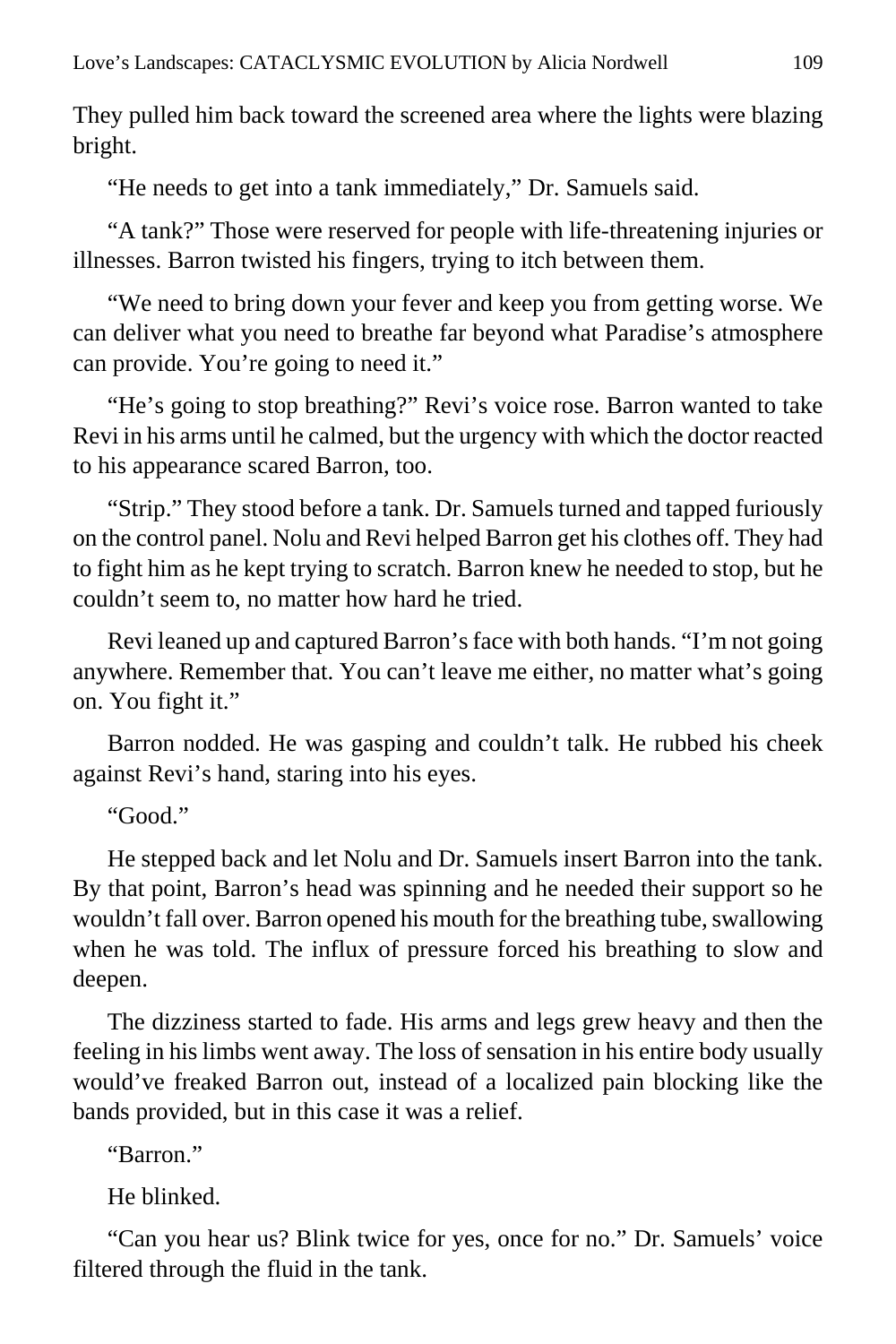They pulled him back toward the screened area where the lights were blazing bright.

"He needs to get into a tank immediately," Dr. Samuels said.

"A tank?" Those were reserved for people with life-threatening injuries or illnesses. Barron twisted his fingers, trying to itch between them.

"We need to bring down your fever and keep you from getting worse. We can deliver what you need to breathe far beyond what Paradise's atmosphere can provide. You're going to need it."

"He's going to stop breathing?" Revi's voice rose. Barron wanted to take Revi in his arms until he calmed, but the urgency with which the doctor reacted to his appearance scared Barron, too.

"Strip." They stood before a tank. Dr. Samuels turned and tapped furiously on the control panel. Nolu and Revi helped Barron get his clothes off. They had to fight him as he kept trying to scratch. Barron knew he needed to stop, but he couldn't seem to, no matter how hard he tried.

Revi leaned up and captured Barron's face with both hands. "I'm not going anywhere. Remember that. You can't leave me either, no matter what's going on. You fight it."

Barron nodded. He was gasping and couldn't talk. He rubbed his cheek against Revi's hand, staring into his eyes.

"Good."

He stepped back and let Nolu and Dr. Samuels insert Barron into the tank. By that point, Barron's head was spinning and he needed their support so he wouldn't fall over. Barron opened his mouth for the breathing tube, swallowing when he was told. The influx of pressure forced his breathing to slow and deepen.

The dizziness started to fade. His arms and legs grew heavy and then the feeling in his limbs went away. The loss of sensation in his entire body usually would've freaked Barron out, instead of a localized pain blocking like the bands provided, but in this case it was a relief.

"Barron."

He blinked.

"Can you hear us? Blink twice for yes, once for no." Dr. Samuels' voice filtered through the fluid in the tank.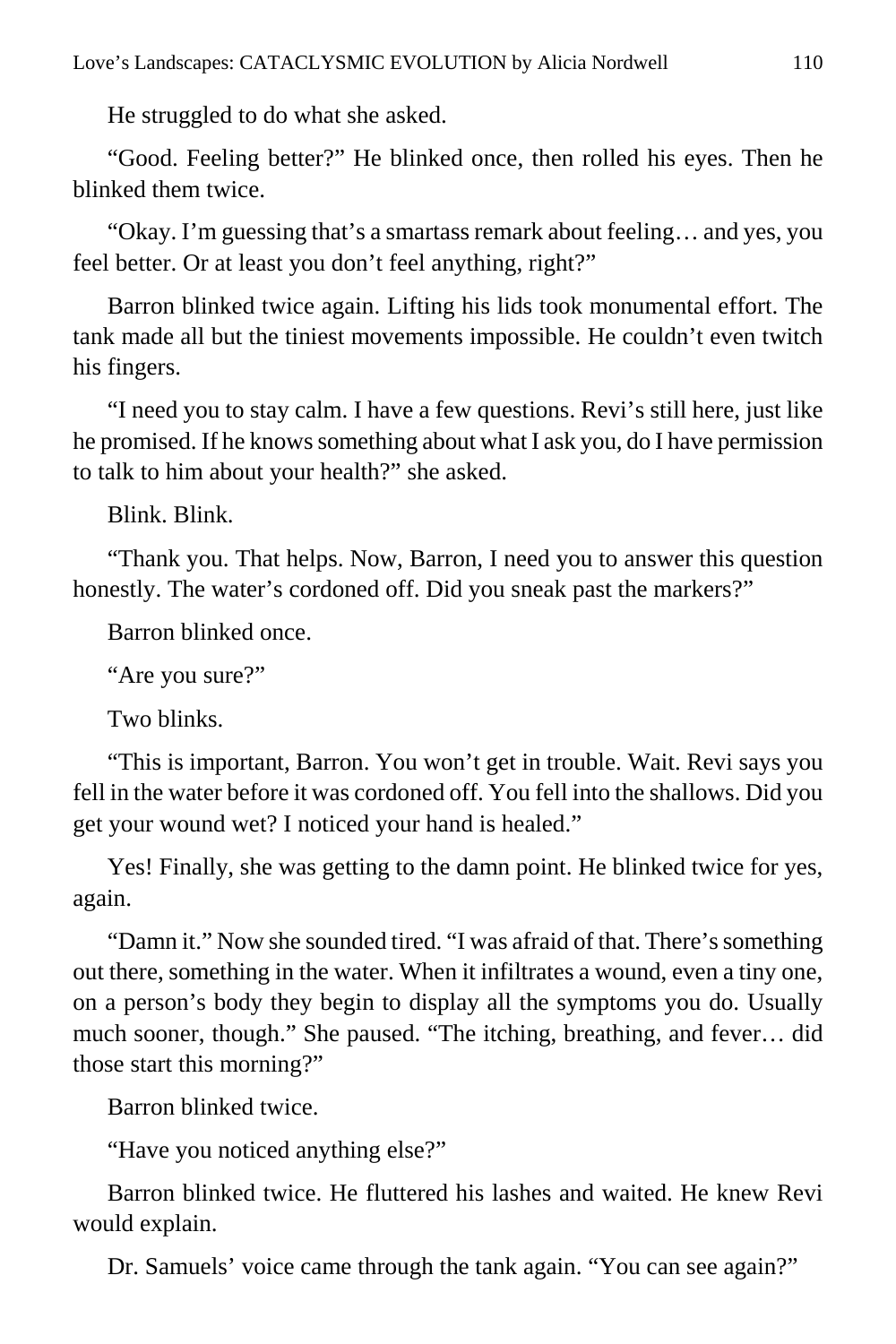He struggled to do what she asked.

"Good. Feeling better?" He blinked once, then rolled his eyes. Then he blinked them twice.

"Okay. I'm guessing that's a smartass remark about feeling… and yes, you feel better. Or at least you don't feel anything, right?"

Barron blinked twice again. Lifting his lids took monumental effort. The tank made all but the tiniest movements impossible. He couldn't even twitch his fingers.

"I need you to stay calm. I have a few questions. Revi's still here, just like he promised. If he knows something about what I ask you, do I have permission to talk to him about your health?" she asked.

Blink. Blink.

"Thank you. That helps. Now, Barron, I need you to answer this question honestly. The water's cordoned off. Did you sneak past the markers?"

Barron blinked once.

"Are you sure?"

Two blinks.

"This is important, Barron. You won't get in trouble. Wait. Revi says you fell in the water before it was cordoned off. You fell into the shallows. Did you get your wound wet? I noticed your hand is healed."

Yes! Finally, she was getting to the damn point. He blinked twice for yes, again.

"Damn it." Now she sounded tired. "I was afraid of that. There's something out there, something in the water. When it infiltrates a wound, even a tiny one, on a person's body they begin to display all the symptoms you do. Usually much sooner, though." She paused. "The itching, breathing, and fever… did those start this morning?"

Barron blinked twice.

"Have you noticed anything else?"

Barron blinked twice. He fluttered his lashes and waited. He knew Revi would explain.

Dr. Samuels' voice came through the tank again. "You can see again?"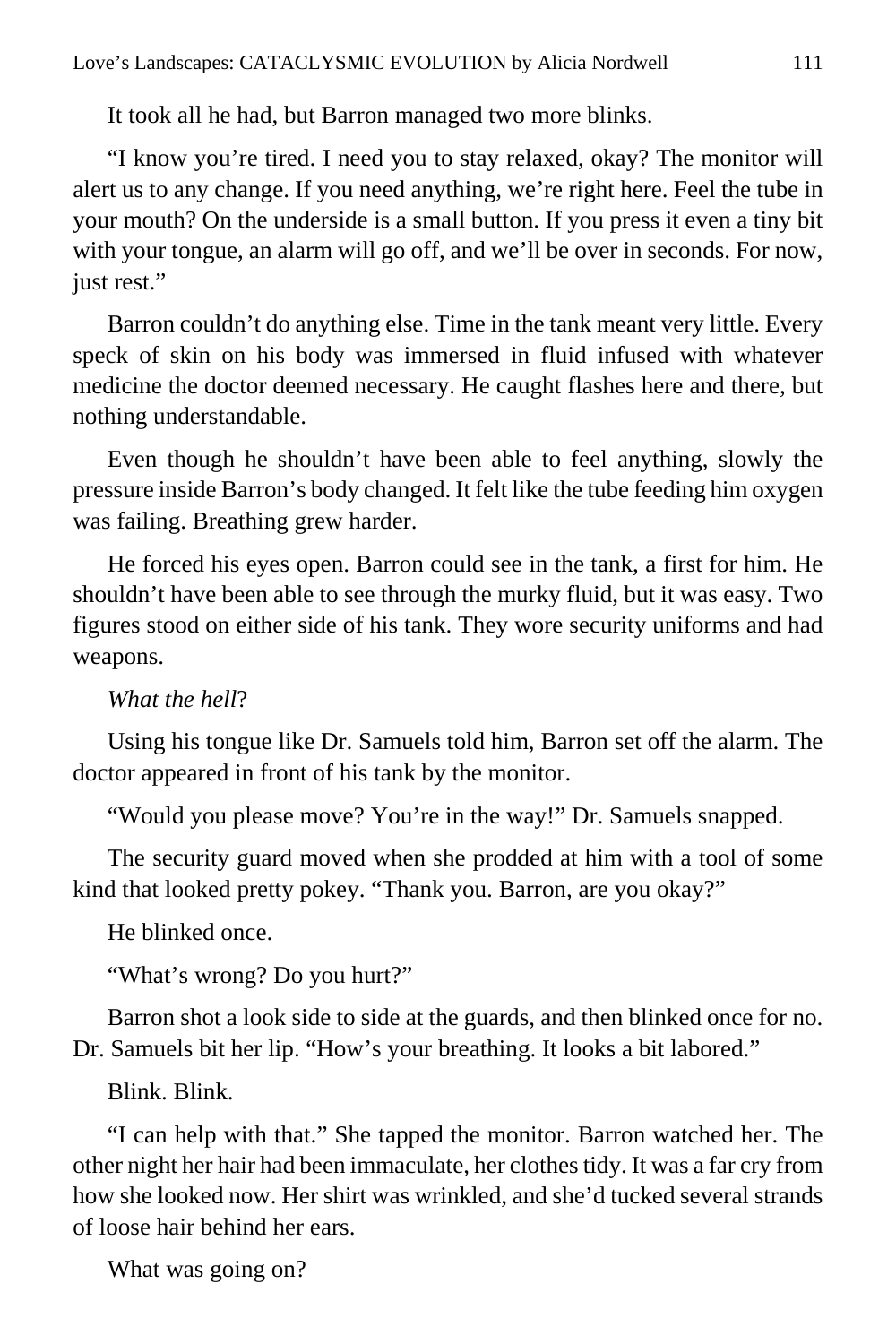It took all he had, but Barron managed two more blinks.

"I know you're tired. I need you to stay relaxed, okay? The monitor will alert us to any change. If you need anything, we're right here. Feel the tube in your mouth? On the underside is a small button. If you press it even a tiny bit with your tongue, an alarm will go off, and we'll be over in seconds. For now, just rest."

Barron couldn't do anything else. Time in the tank meant very little. Every speck of skin on his body was immersed in fluid infused with whatever medicine the doctor deemed necessary. He caught flashes here and there, but nothing understandable.

Even though he shouldn't have been able to feel anything, slowly the pressure inside Barron's body changed. It felt like the tube feeding him oxygen was failing. Breathing grew harder.

He forced his eyes open. Barron could see in the tank, a first for him. He shouldn't have been able to see through the murky fluid, but it was easy. Two figures stood on either side of his tank. They wore security uniforms and had weapons.

#### *What the hell*?

Using his tongue like Dr. Samuels told him, Barron set off the alarm. The doctor appeared in front of his tank by the monitor.

"Would you please move? You're in the way!" Dr. Samuels snapped.

The security guard moved when she prodded at him with a tool of some kind that looked pretty pokey. "Thank you. Barron, are you okay?"

He blinked once.

"What's wrong? Do you hurt?"

Barron shot a look side to side at the guards, and then blinked once for no. Dr. Samuels bit her lip. "How's your breathing. It looks a bit labored."

Blink. Blink.

"I can help with that." She tapped the monitor. Barron watched her. The other night her hair had been immaculate, her clothes tidy. It was a far cry from how she looked now. Her shirt was wrinkled, and she'd tucked several strands of loose hair behind her ears.

What was going on?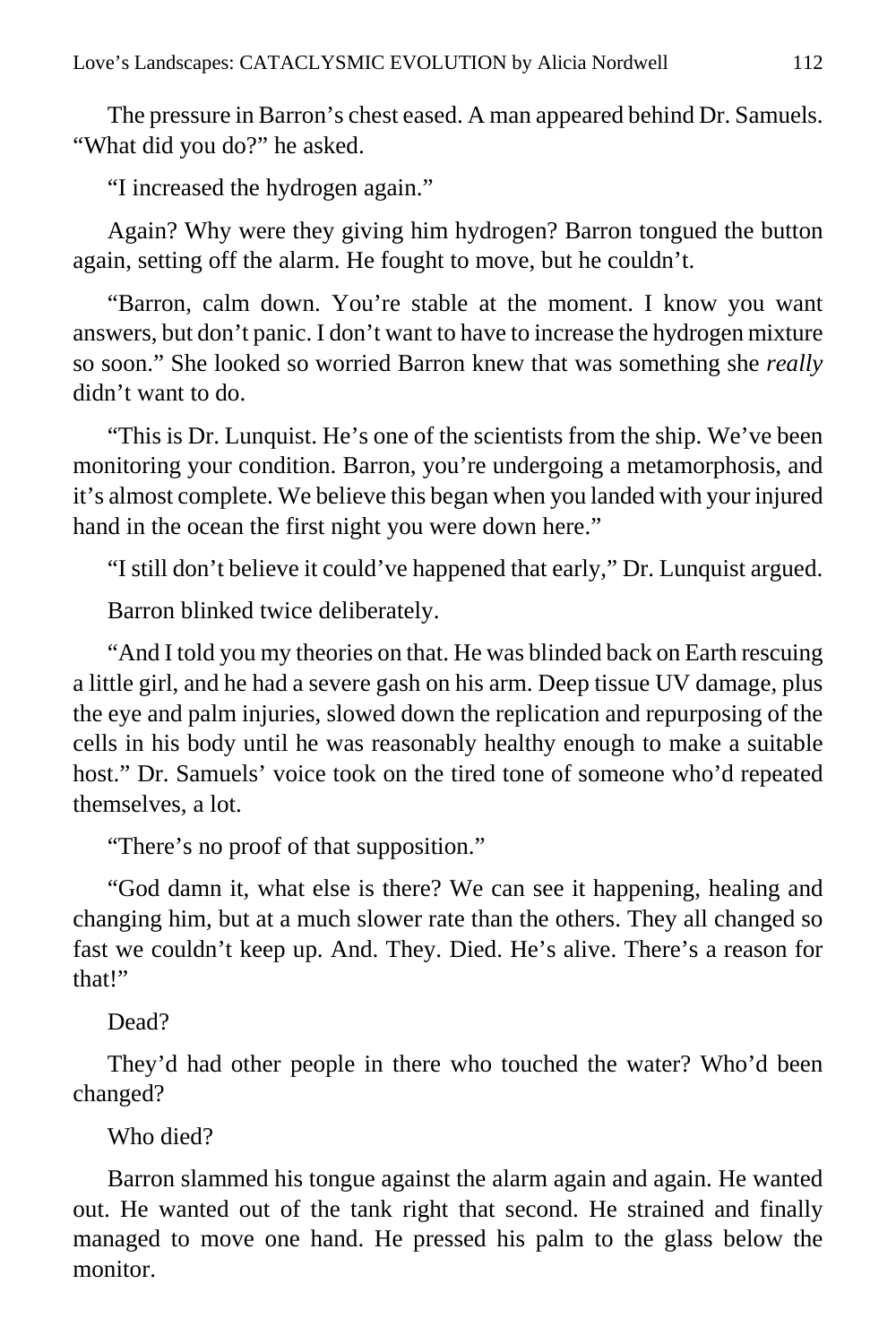The pressure in Barron's chest eased. A man appeared behind Dr. Samuels. "What did you do?" he asked.

"I increased the hydrogen again."

Again? Why were they giving him hydrogen? Barron tongued the button again, setting off the alarm. He fought to move, but he couldn't.

"Barron, calm down. You're stable at the moment. I know you want answers, but don't panic. I don't want to have to increase the hydrogen mixture so soon." She looked so worried Barron knew that was something she *really* didn't want to do.

"This is Dr. Lunquist. He's one of the scientists from the ship. We've been monitoring your condition. Barron, you're undergoing a metamorphosis, and it's almost complete. We believe this began when you landed with your injured hand in the ocean the first night you were down here."

"I still don't believe it could've happened that early," Dr. Lunquist argued.

Barron blinked twice deliberately.

"And I told you my theories on that. He was blinded back on Earth rescuing a little girl, and he had a severe gash on his arm. Deep tissue UV damage, plus the eye and palm injuries, slowed down the replication and repurposing of the cells in his body until he was reasonably healthy enough to make a suitable host." Dr. Samuels' voice took on the tired tone of someone who'd repeated themselves, a lot.

"There's no proof of that supposition."

"God damn it, what else is there? We can see it happening, healing and changing him, but at a much slower rate than the others. They all changed so fast we couldn't keep up. And. They. Died. He's alive. There's a reason for that!"

Dead?

They'd had other people in there who touched the water? Who'd been changed?

Who died?

Barron slammed his tongue against the alarm again and again. He wanted out. He wanted out of the tank right that second. He strained and finally managed to move one hand. He pressed his palm to the glass below the monitor.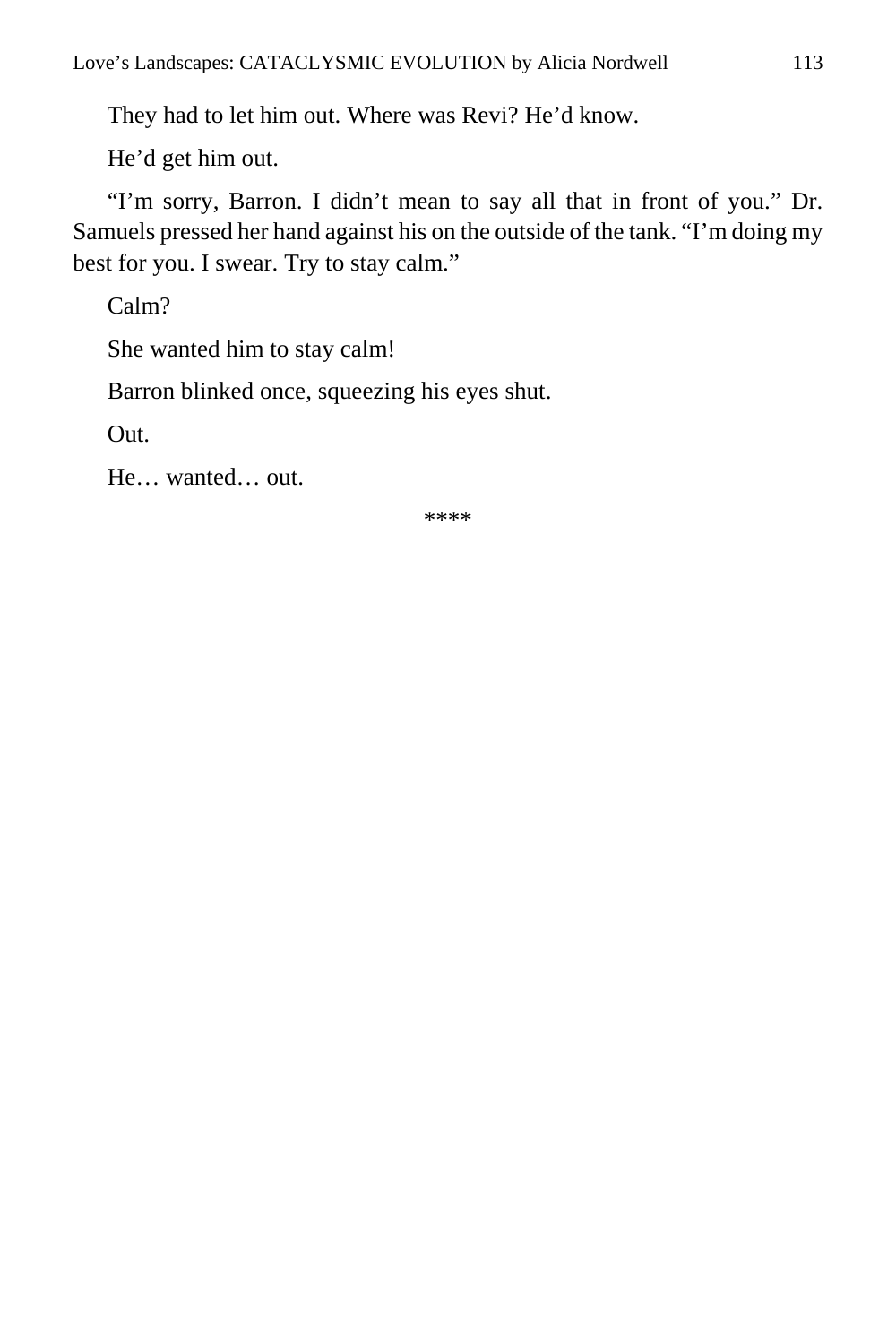They had to let him out. Where was Revi? He'd know.

He'd get him out.

"I'm sorry, Barron. I didn't mean to say all that in front of you." Dr. Samuels pressed her hand against his on the outside of the tank. "I'm doing my best for you. I swear. Try to stay calm."

Calm?

She wanted him to stay calm!

Barron blinked once, squeezing his eyes shut.

Out.

He… wanted… out.

\*\*\*\*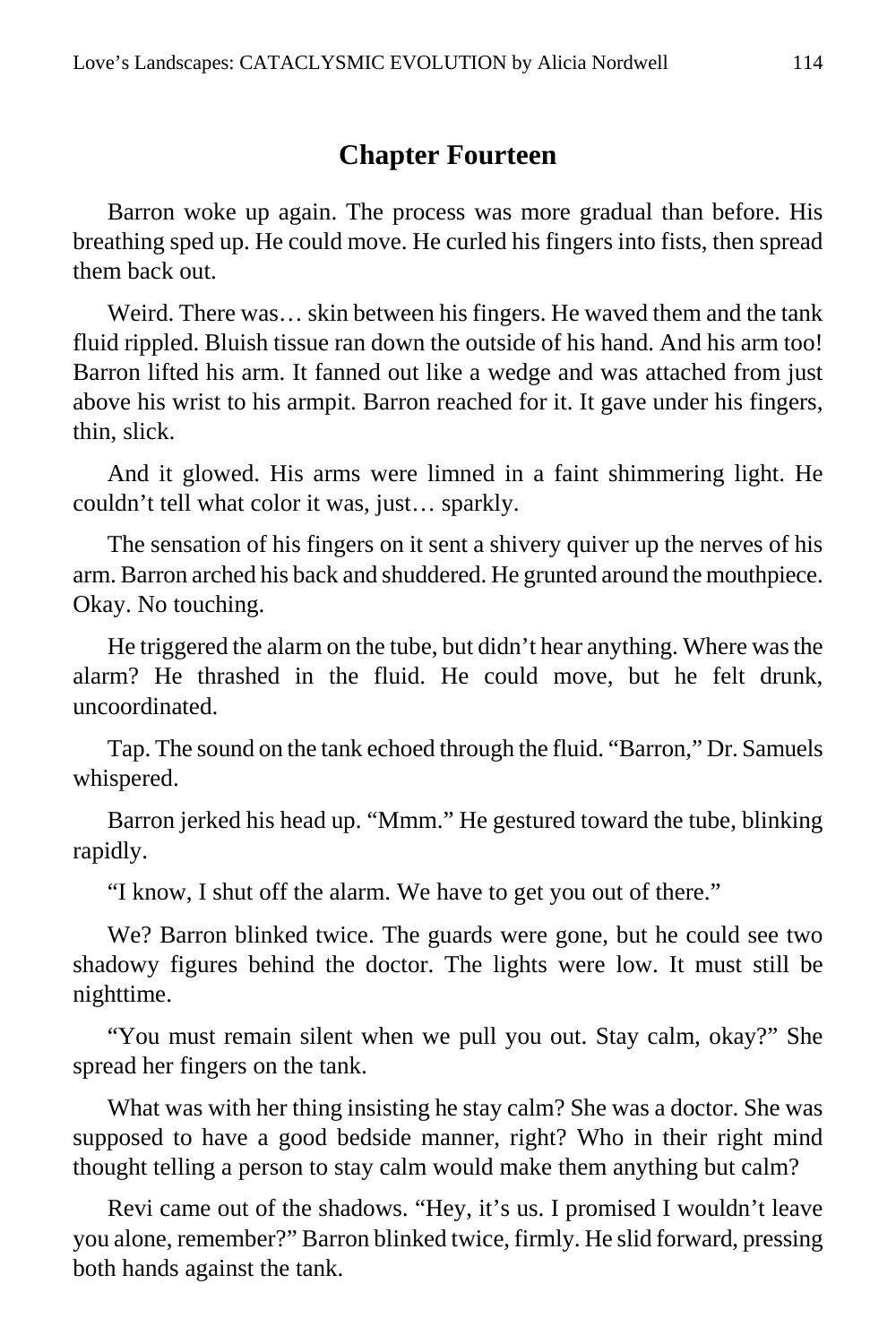#### **Chapter Fourteen**

Barron woke up again. The process was more gradual than before. His breathing sped up. He could move. He curled his fingers into fists, then spread them back out.

Weird. There was… skin between his fingers. He waved them and the tank fluid rippled. Bluish tissue ran down the outside of his hand. And his arm too! Barron lifted his arm. It fanned out like a wedge and was attached from just above his wrist to his armpit. Barron reached for it. It gave under his fingers, thin, slick.

And it glowed. His arms were limned in a faint shimmering light. He couldn't tell what color it was, just… sparkly.

The sensation of his fingers on it sent a shivery quiver up the nerves of his arm. Barron arched his back and shuddered. He grunted around the mouthpiece. Okay. No touching.

He triggered the alarm on the tube, but didn't hear anything. Where was the alarm? He thrashed in the fluid. He could move, but he felt drunk, uncoordinated.

Tap. The sound on the tank echoed through the fluid. "Barron," Dr. Samuels whispered.

Barron jerked his head up. "Mmm." He gestured toward the tube, blinking rapidly.

"I know, I shut off the alarm. We have to get you out of there."

We? Barron blinked twice. The guards were gone, but he could see two shadowy figures behind the doctor. The lights were low. It must still be nighttime.

"You must remain silent when we pull you out. Stay calm, okay?" She spread her fingers on the tank.

What was with her thing insisting he stay calm? She was a doctor. She was supposed to have a good bedside manner, right? Who in their right mind thought telling a person to stay calm would make them anything but calm?

Revi came out of the shadows. "Hey, it's us. I promised I wouldn't leave you alone, remember?" Barron blinked twice, firmly. He slid forward, pressing both hands against the tank.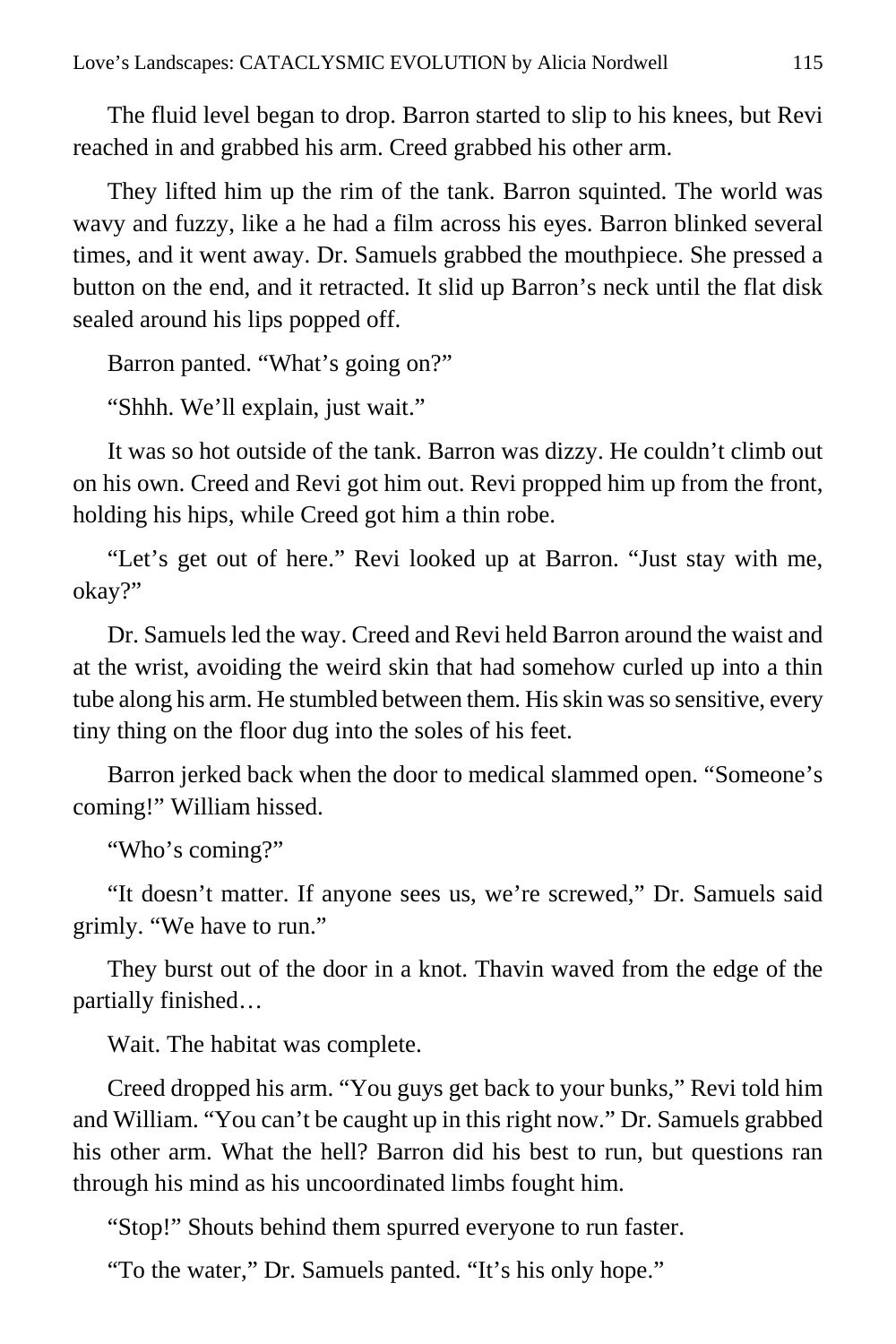The fluid level began to drop. Barron started to slip to his knees, but Revi reached in and grabbed his arm. Creed grabbed his other arm.

They lifted him up the rim of the tank. Barron squinted. The world was wavy and fuzzy, like a he had a film across his eyes. Barron blinked several times, and it went away. Dr. Samuels grabbed the mouthpiece. She pressed a button on the end, and it retracted. It slid up Barron's neck until the flat disk sealed around his lips popped off.

Barron panted. "What's going on?"

"Shhh. We'll explain, just wait."

It was so hot outside of the tank. Barron was dizzy. He couldn't climb out on his own. Creed and Revi got him out. Revi propped him up from the front, holding his hips, while Creed got him a thin robe.

"Let's get out of here." Revi looked up at Barron. "Just stay with me, okay?"

Dr. Samuels led the way. Creed and Revi held Barron around the waist and at the wrist, avoiding the weird skin that had somehow curled up into a thin tube along his arm. He stumbled between them. His skin was so sensitive, every tiny thing on the floor dug into the soles of his feet.

Barron jerked back when the door to medical slammed open. "Someone's coming!" William hissed.

"Who's coming?"

"It doesn't matter. If anyone sees us, we're screwed," Dr. Samuels said grimly. "We have to run."

They burst out of the door in a knot. Thavin waved from the edge of the partially finished…

Wait. The habitat was complete.

Creed dropped his arm. "You guys get back to your bunks," Revi told him and William. "You can't be caught up in this right now." Dr. Samuels grabbed his other arm. What the hell? Barron did his best to run, but questions ran through his mind as his uncoordinated limbs fought him.

"Stop!" Shouts behind them spurred everyone to run faster.

"To the water," Dr. Samuels panted. "It's his only hope."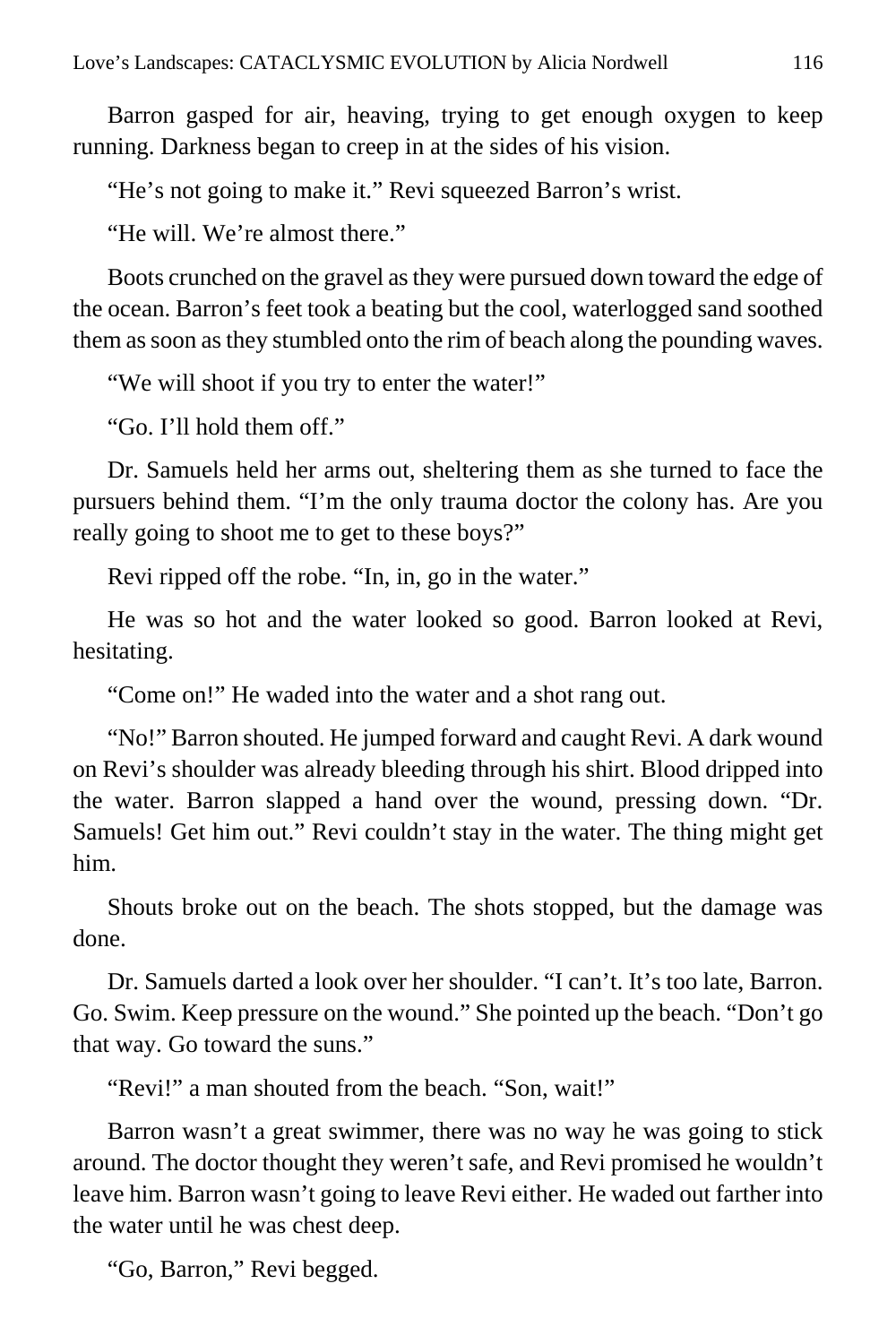Barron gasped for air, heaving, trying to get enough oxygen to keep running. Darkness began to creep in at the sides of his vision.

"He's not going to make it." Revi squeezed Barron's wrist.

"He will. We're almost there."

Boots crunched on the gravel as they were pursued down toward the edge of the ocean. Barron's feet took a beating but the cool, waterlogged sand soothed them as soon as they stumbled onto the rim of beach along the pounding waves.

"We will shoot if you try to enter the water!"

"Go. I'll hold them off."

Dr. Samuels held her arms out, sheltering them as she turned to face the pursuers behind them. "I'm the only trauma doctor the colony has. Are you really going to shoot me to get to these boys?"

Revi ripped off the robe. "In, in, go in the water."

He was so hot and the water looked so good. Barron looked at Revi, hesitating.

"Come on!" He waded into the water and a shot rang out.

"No!" Barron shouted. He jumped forward and caught Revi. A dark wound on Revi's shoulder was already bleeding through his shirt. Blood dripped into the water. Barron slapped a hand over the wound, pressing down. "Dr. Samuels! Get him out." Revi couldn't stay in the water. The thing might get him.

Shouts broke out on the beach. The shots stopped, but the damage was done.

Dr. Samuels darted a look over her shoulder. "I can't. It's too late, Barron. Go. Swim. Keep pressure on the wound." She pointed up the beach. "Don't go that way. Go toward the suns."

"Revi!" a man shouted from the beach. "Son, wait!"

Barron wasn't a great swimmer, there was no way he was going to stick around. The doctor thought they weren't safe, and Revi promised he wouldn't leave him. Barron wasn't going to leave Revi either. He waded out farther into the water until he was chest deep.

"Go, Barron," Revi begged.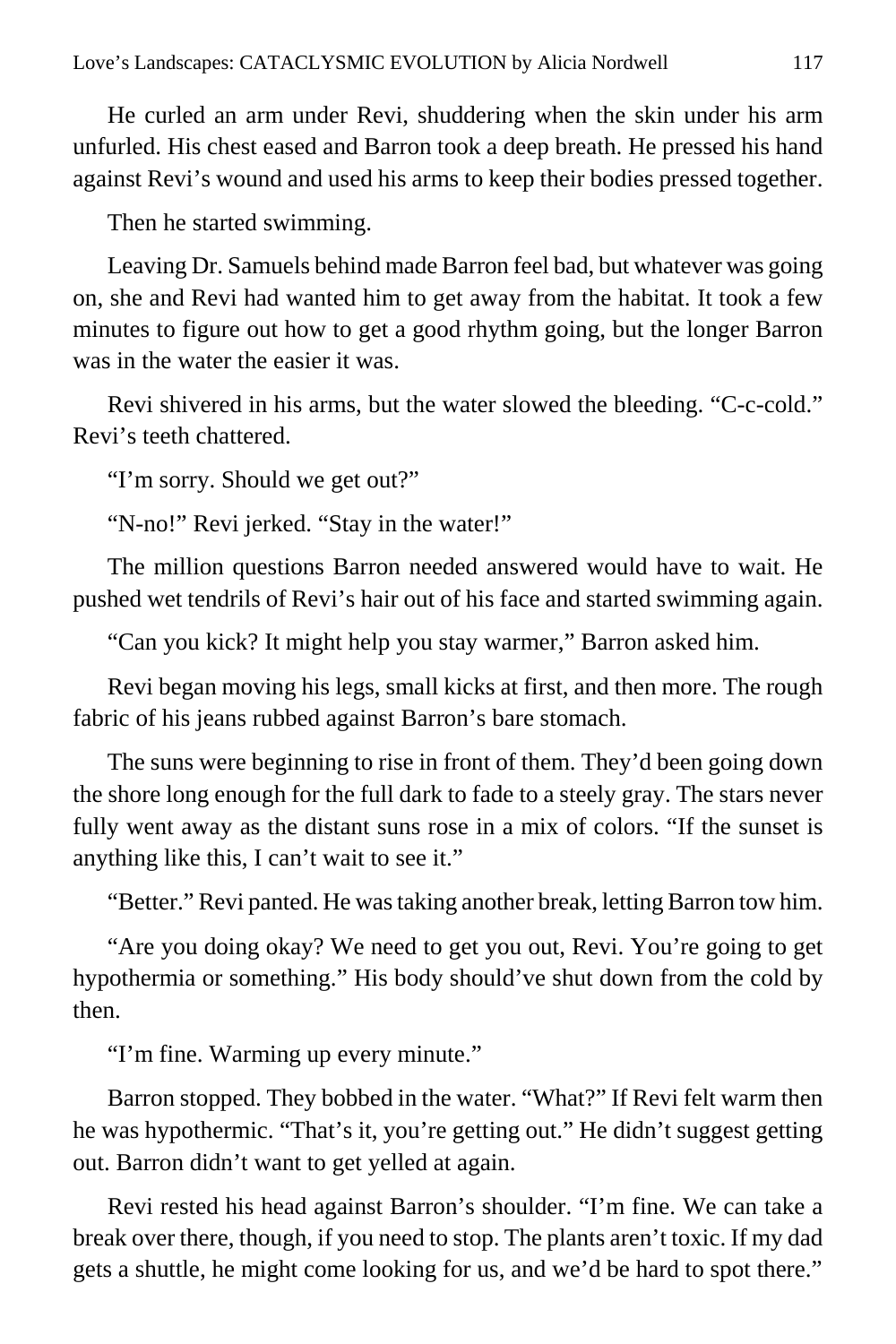He curled an arm under Revi, shuddering when the skin under his arm unfurled. His chest eased and Barron took a deep breath. He pressed his hand against Revi's wound and used his arms to keep their bodies pressed together.

Then he started swimming.

Leaving Dr. Samuels behind made Barron feel bad, but whatever was going on, she and Revi had wanted him to get away from the habitat. It took a few minutes to figure out how to get a good rhythm going, but the longer Barron was in the water the easier it was.

Revi shivered in his arms, but the water slowed the bleeding. "C-c-cold." Revi's teeth chattered.

"I'm sorry. Should we get out?"

"N-no!" Revi jerked. "Stay in the water!"

The million questions Barron needed answered would have to wait. He pushed wet tendrils of Revi's hair out of his face and started swimming again.

"Can you kick? It might help you stay warmer," Barron asked him.

Revi began moving his legs, small kicks at first, and then more. The rough fabric of his jeans rubbed against Barron's bare stomach.

The suns were beginning to rise in front of them. They'd been going down the shore long enough for the full dark to fade to a steely gray. The stars never fully went away as the distant suns rose in a mix of colors. "If the sunset is anything like this, I can't wait to see it."

"Better." Revi panted. He was taking another break, letting Barron tow him.

"Are you doing okay? We need to get you out, Revi. You're going to get hypothermia or something." His body should've shut down from the cold by then.

"I'm fine. Warming up every minute."

Barron stopped. They bobbed in the water. "What?" If Revi felt warm then he was hypothermic. "That's it, you're getting out." He didn't suggest getting out. Barron didn't want to get yelled at again.

Revi rested his head against Barron's shoulder. "I'm fine. We can take a break over there, though, if you need to stop. The plants aren't toxic. If my dad gets a shuttle, he might come looking for us, and we'd be hard to spot there."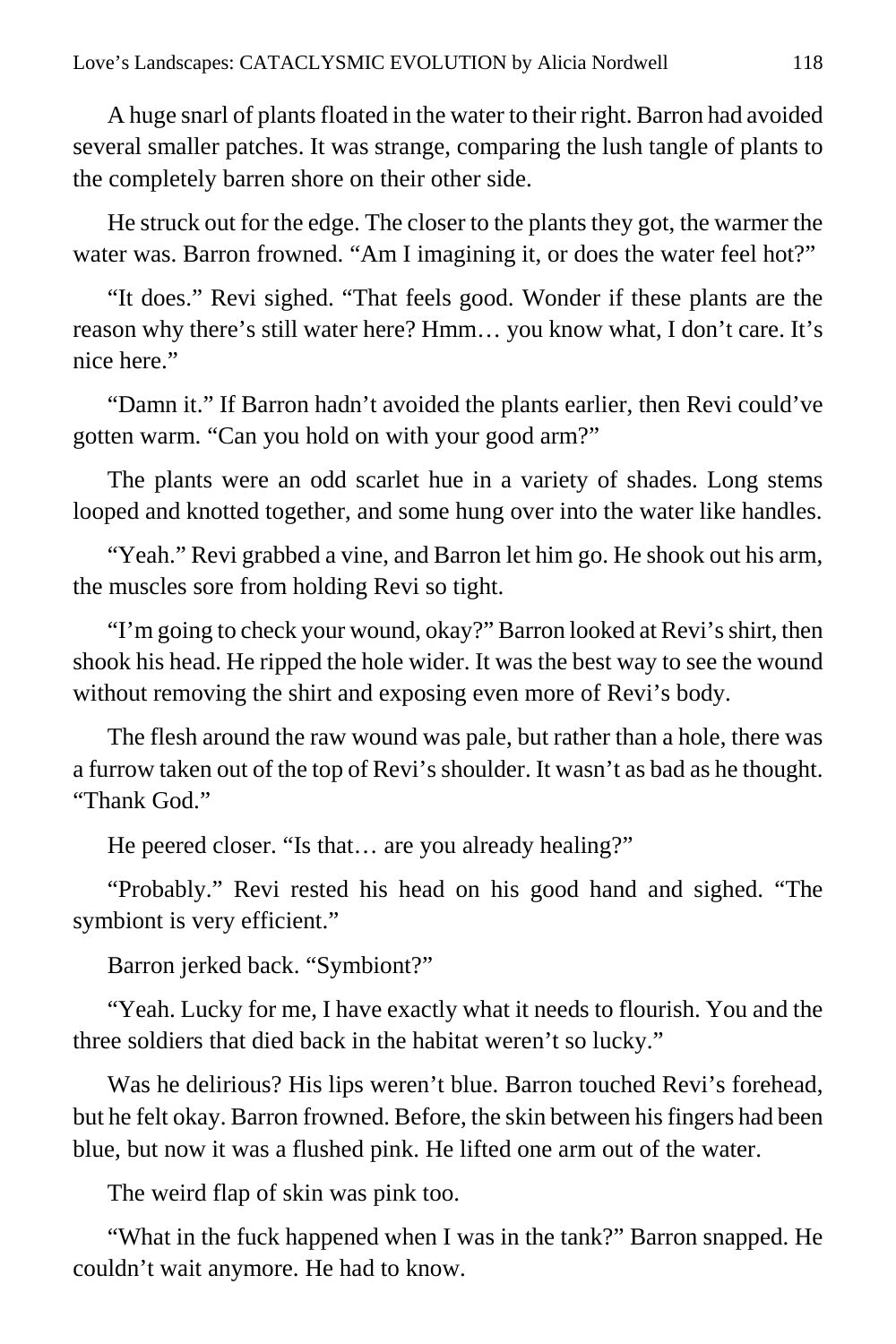A huge snarl of plants floated in the water to their right. Barron had avoided several smaller patches. It was strange, comparing the lush tangle of plants to the completely barren shore on their other side.

He struck out for the edge. The closer to the plants they got, the warmer the water was. Barron frowned. "Am I imagining it, or does the water feel hot?"

"It does." Revi sighed. "That feels good. Wonder if these plants are the reason why there's still water here? Hmm… you know what, I don't care. It's nice here."

"Damn it." If Barron hadn't avoided the plants earlier, then Revi could've gotten warm. "Can you hold on with your good arm?"

The plants were an odd scarlet hue in a variety of shades. Long stems looped and knotted together, and some hung over into the water like handles.

"Yeah." Revi grabbed a vine, and Barron let him go. He shook out his arm, the muscles sore from holding Revi so tight.

"I'm going to check your wound, okay?" Barron looked at Revi's shirt, then shook his head. He ripped the hole wider. It was the best way to see the wound without removing the shirt and exposing even more of Revi's body.

The flesh around the raw wound was pale, but rather than a hole, there was a furrow taken out of the top of Revi's shoulder. It wasn't as bad as he thought. "Thank God."

He peered closer. "Is that… are you already healing?"

"Probably." Revi rested his head on his good hand and sighed. "The symbiont is very efficient."

Barron jerked back. "Symbiont?"

"Yeah. Lucky for me, I have exactly what it needs to flourish. You and the three soldiers that died back in the habitat weren't so lucky."

Was he delirious? His lips weren't blue. Barron touched Revi's forehead, but he felt okay. Barron frowned. Before, the skin between his fingers had been blue, but now it was a flushed pink. He lifted one arm out of the water.

The weird flap of skin was pink too.

"What in the fuck happened when I was in the tank?" Barron snapped. He couldn't wait anymore. He had to know.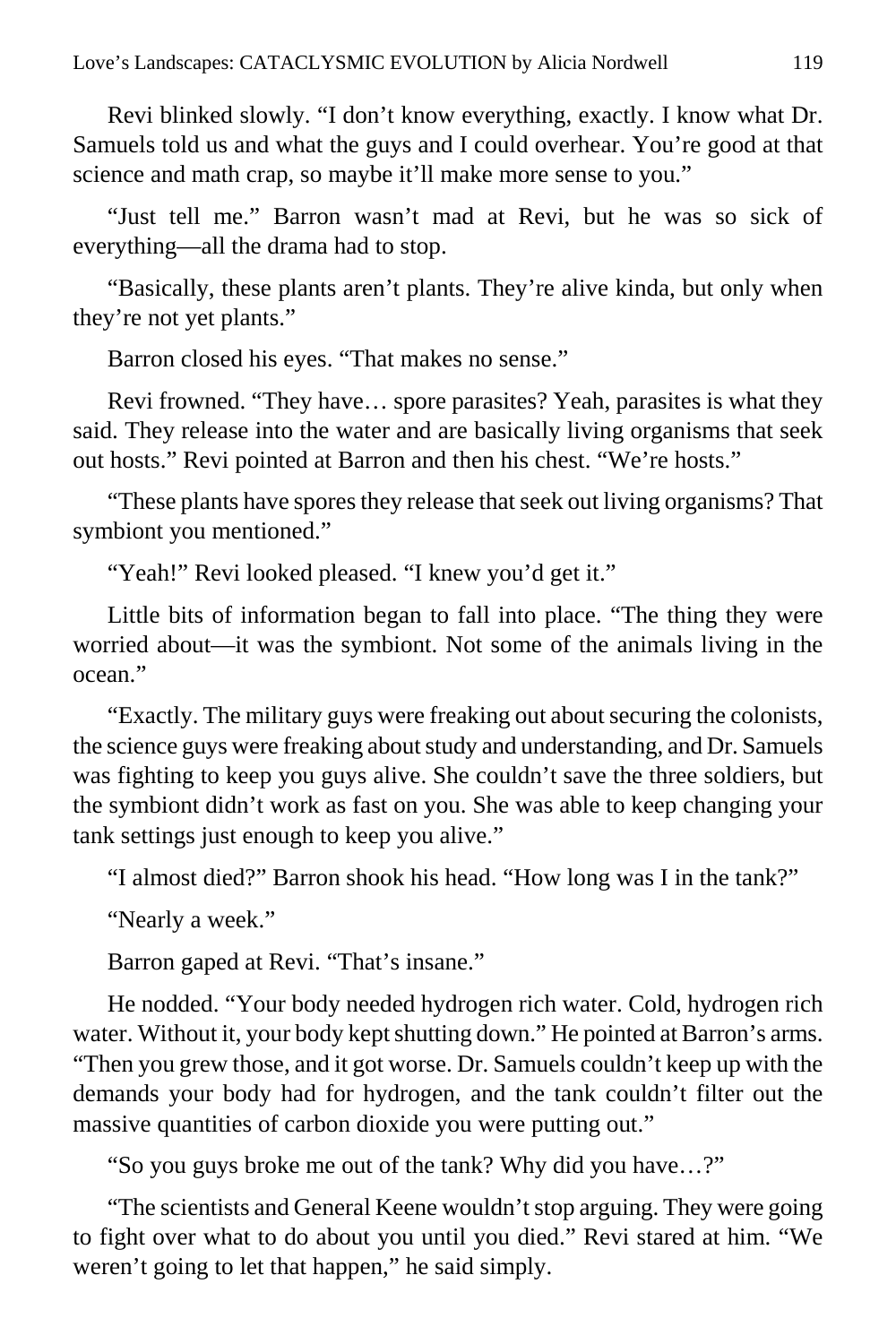Revi blinked slowly. "I don't know everything, exactly. I know what Dr. Samuels told us and what the guys and I could overhear. You're good at that science and math crap, so maybe it'll make more sense to you."

"Just tell me." Barron wasn't mad at Revi, but he was so sick of everything—all the drama had to stop.

"Basically, these plants aren't plants. They're alive kinda, but only when they're not yet plants."

Barron closed his eyes. "That makes no sense."

Revi frowned. "They have… spore parasites? Yeah, parasites is what they said. They release into the water and are basically living organisms that seek out hosts." Revi pointed at Barron and then his chest. "We're hosts."

"These plants have spores they release that seek out living organisms? That symbiont you mentioned."

"Yeah!" Revi looked pleased. "I knew you'd get it."

Little bits of information began to fall into place. "The thing they were worried about—it was the symbiont. Not some of the animals living in the ocean."

"Exactly. The military guys were freaking out about securing the colonists, the science guys were freaking about study and understanding, and Dr. Samuels was fighting to keep you guys alive. She couldn't save the three soldiers, but the symbiont didn't work as fast on you. She was able to keep changing your tank settings just enough to keep you alive."

"I almost died?" Barron shook his head. "How long was I in the tank?"

"Nearly a week."

Barron gaped at Revi. "That's insane."

He nodded. "Your body needed hydrogen rich water. Cold, hydrogen rich water. Without it, your body kept shutting down." He pointed at Barron's arms. "Then you grew those, and it got worse. Dr. Samuels couldn't keep up with the demands your body had for hydrogen, and the tank couldn't filter out the massive quantities of carbon dioxide you were putting out."

"So you guys broke me out of the tank? Why did you have…?"

"The scientists and General Keene wouldn't stop arguing. They were going to fight over what to do about you until you died." Revi stared at him. "We weren't going to let that happen," he said simply.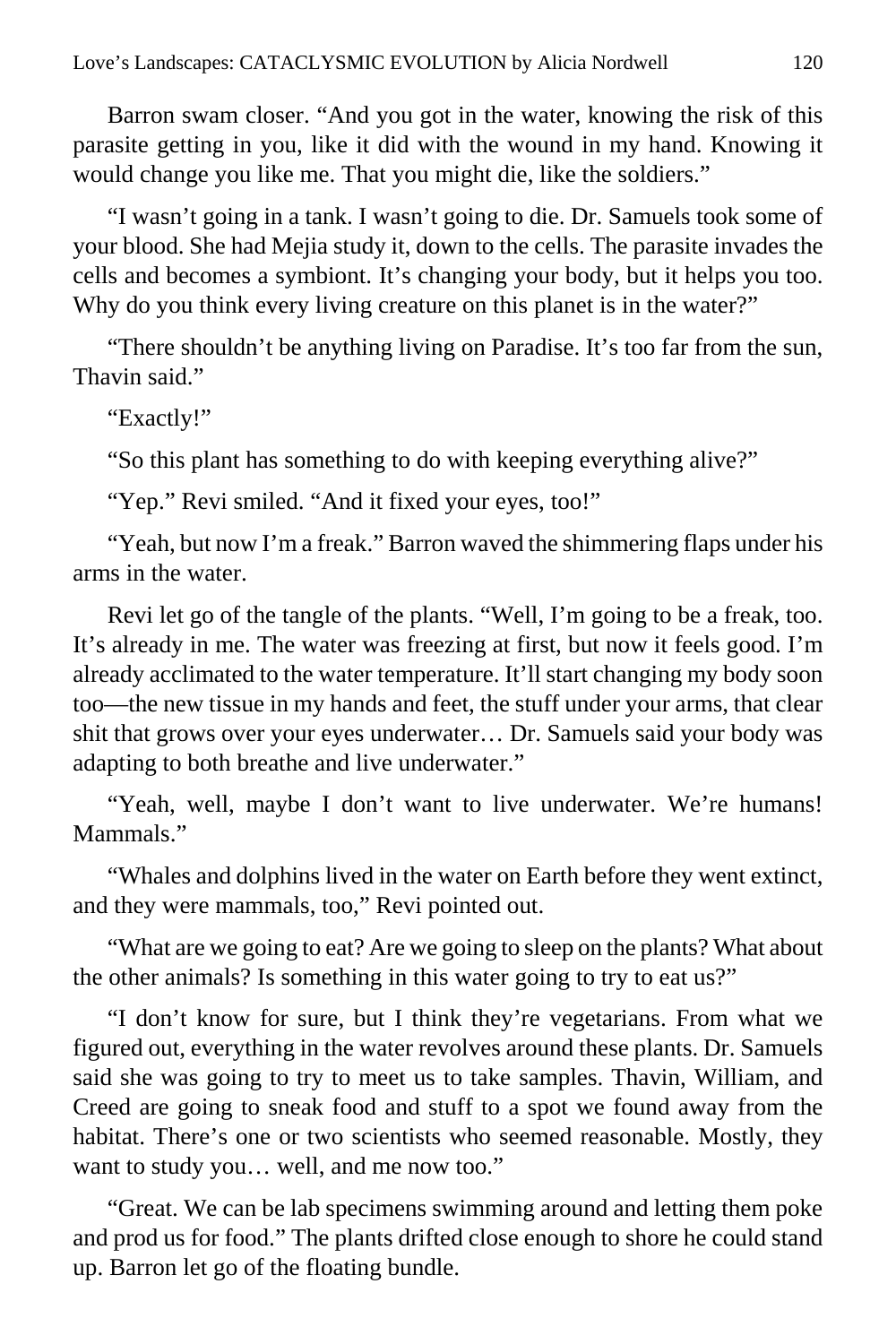Barron swam closer. "And you got in the water, knowing the risk of this parasite getting in you, like it did with the wound in my hand. Knowing it would change you like me. That you might die, like the soldiers."

"I wasn't going in a tank. I wasn't going to die. Dr. Samuels took some of your blood. She had Mejia study it, down to the cells. The parasite invades the cells and becomes a symbiont. It's changing your body, but it helps you too. Why do you think every living creature on this planet is in the water?"

"There shouldn't be anything living on Paradise. It's too far from the sun, Thavin said."

"Exactly!"

"So this plant has something to do with keeping everything alive?"

"Yep." Revi smiled. "And it fixed your eyes, too!"

"Yeah, but now I'm a freak." Barron waved the shimmering flaps under his arms in the water.

Revi let go of the tangle of the plants. "Well, I'm going to be a freak, too. It's already in me. The water was freezing at first, but now it feels good. I'm already acclimated to the water temperature. It'll start changing my body soon too—the new tissue in my hands and feet, the stuff under your arms, that clear shit that grows over your eyes underwater… Dr. Samuels said your body was adapting to both breathe and live underwater."

"Yeah, well, maybe I don't want to live underwater. We're humans! Mammals."

"Whales and dolphins lived in the water on Earth before they went extinct, and they were mammals, too," Revi pointed out.

"What are we going to eat? Are we going to sleep on the plants? What about the other animals? Is something in this water going to try to eat us?"

"I don't know for sure, but I think they're vegetarians. From what we figured out, everything in the water revolves around these plants. Dr. Samuels said she was going to try to meet us to take samples. Thavin, William, and Creed are going to sneak food and stuff to a spot we found away from the habitat. There's one or two scientists who seemed reasonable. Mostly, they want to study you… well, and me now too."

"Great. We can be lab specimens swimming around and letting them poke and prod us for food." The plants drifted close enough to shore he could stand up. Barron let go of the floating bundle.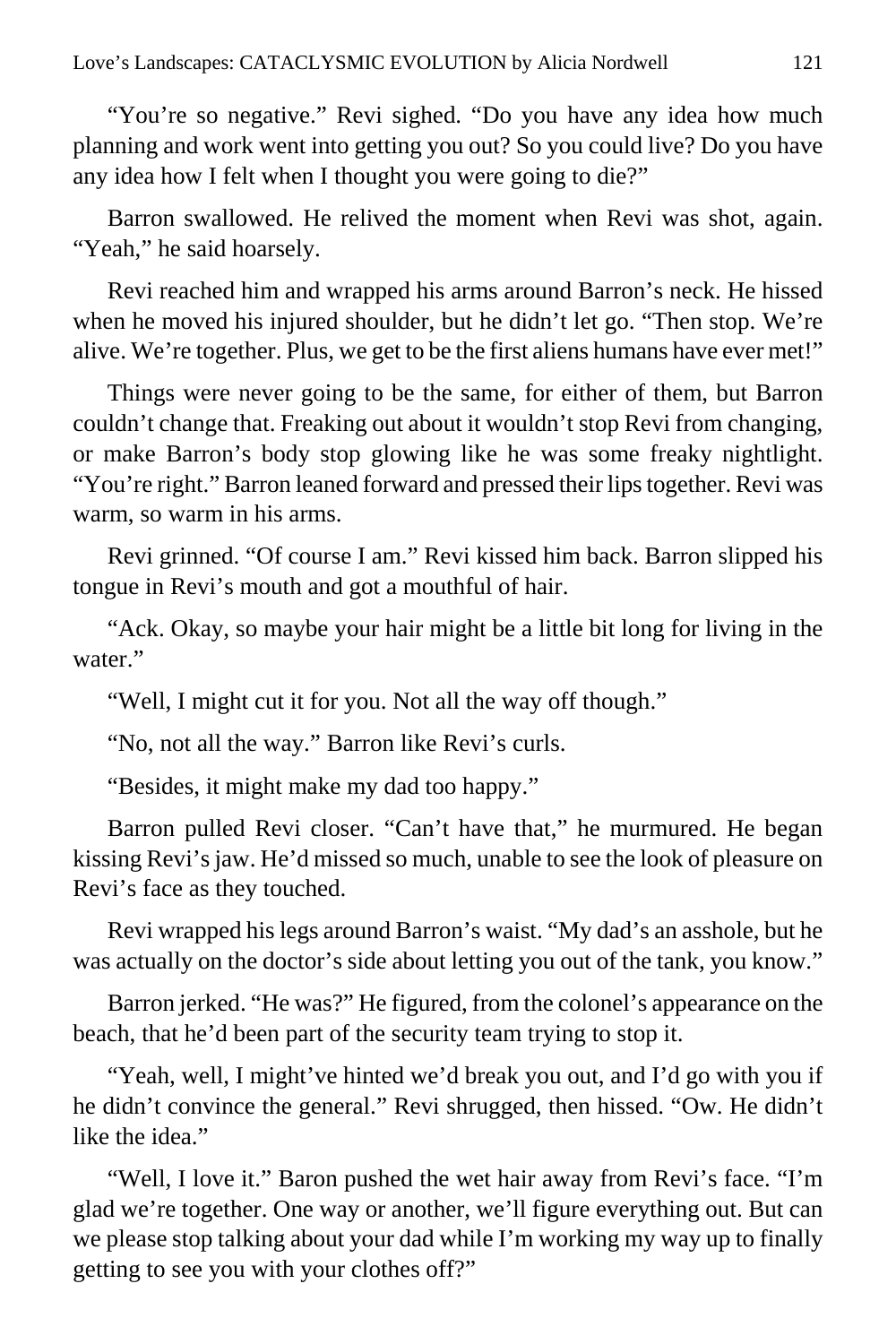"You're so negative." Revi sighed. "Do you have any idea how much planning and work went into getting you out? So you could live? Do you have any idea how I felt when I thought you were going to die?"

Barron swallowed. He relived the moment when Revi was shot, again. "Yeah," he said hoarsely.

Revi reached him and wrapped his arms around Barron's neck. He hissed when he moved his injured shoulder, but he didn't let go. "Then stop. We're alive. We're together. Plus, we get to be the first aliens humans have ever met!"

Things were never going to be the same, for either of them, but Barron couldn't change that. Freaking out about it wouldn't stop Revi from changing, or make Barron's body stop glowing like he was some freaky nightlight. "You're right." Barron leaned forward and pressed their lips together. Revi was warm, so warm in his arms.

Revi grinned. "Of course I am." Revi kissed him back. Barron slipped his tongue in Revi's mouth and got a mouthful of hair.

"Ack. Okay, so maybe your hair might be a little bit long for living in the water."

"Well, I might cut it for you. Not all the way off though."

"No, not all the way." Barron like Revi's curls.

"Besides, it might make my dad too happy."

Barron pulled Revi closer. "Can't have that," he murmured. He began kissing Revi's jaw. He'd missed so much, unable to see the look of pleasure on Revi's face as they touched.

Revi wrapped his legs around Barron's waist. "My dad's an asshole, but he was actually on the doctor's side about letting you out of the tank, you know."

Barron jerked. "He was?" He figured, from the colonel's appearance on the beach, that he'd been part of the security team trying to stop it.

"Yeah, well, I might've hinted we'd break you out, and I'd go with you if he didn't convince the general." Revi shrugged, then hissed. "Ow. He didn't like the idea."

"Well, I love it." Baron pushed the wet hair away from Revi's face. "I'm glad we're together. One way or another, we'll figure everything out. But can we please stop talking about your dad while I'm working my way up to finally getting to see you with your clothes off?"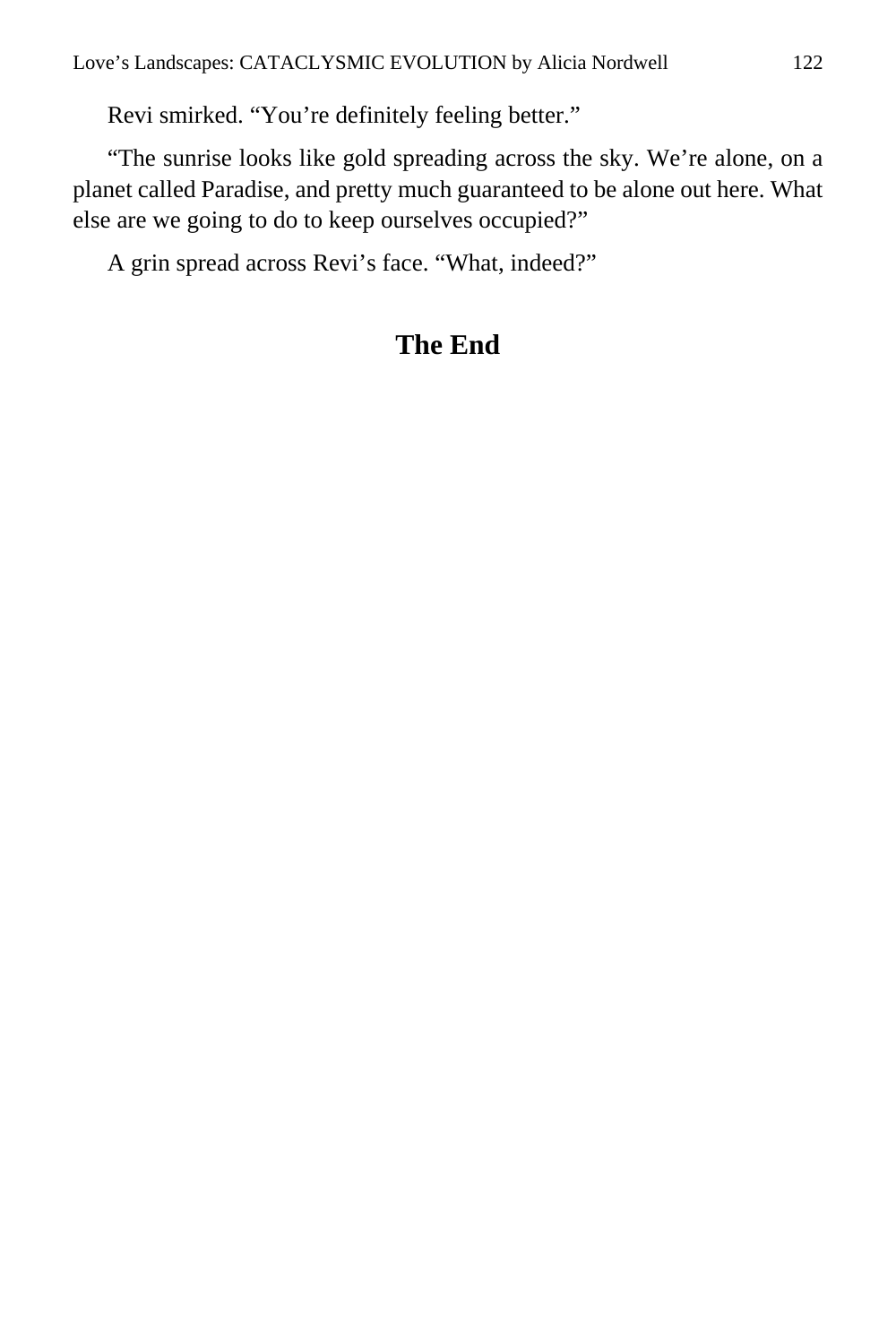Revi smirked. "You're definitely feeling better."

"The sunrise looks like gold spreading across the sky. We're alone, on a planet called Paradise, and pretty much guaranteed to be alone out here. What else are we going to do to keep ourselves occupied?"

A grin spread across Revi's face. "What, indeed?"

# **The End**